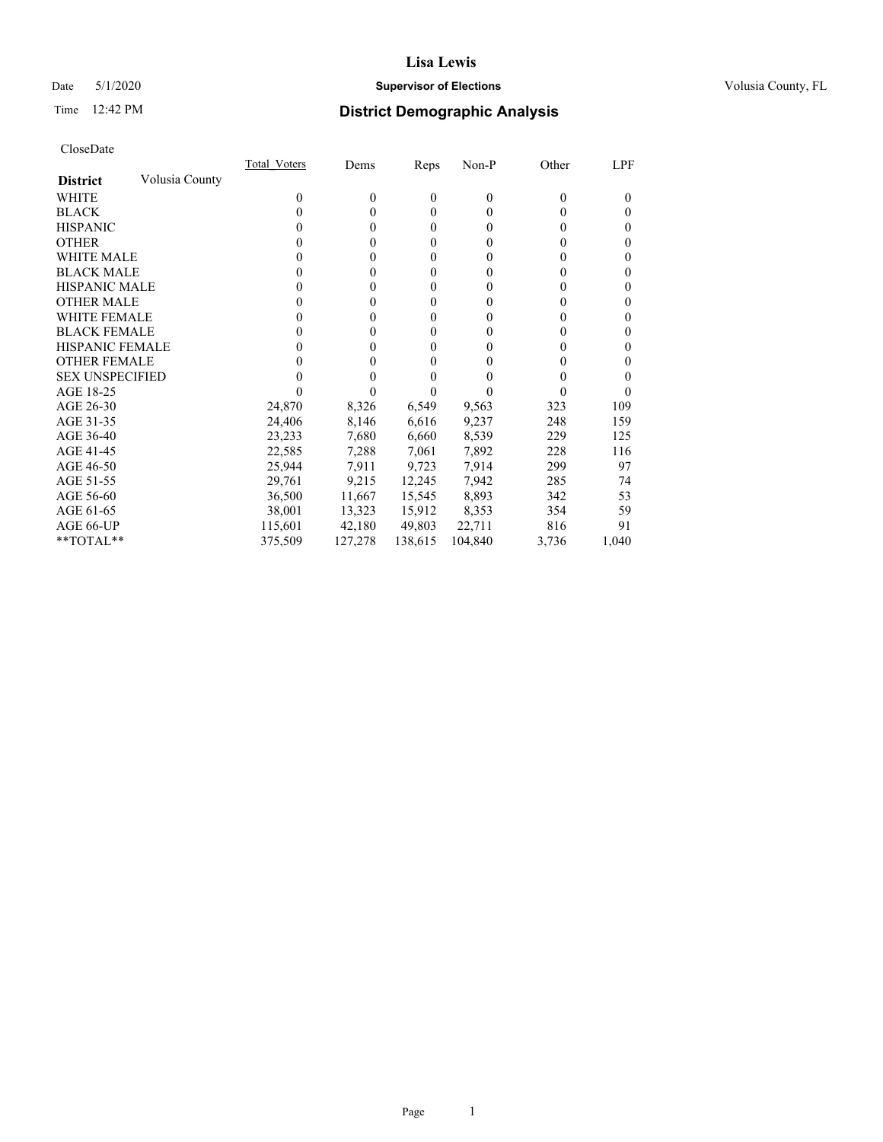### Date 5/1/2020 **Supervisor of Elections Supervisor of Elections** Volusia County, FL

# Time 12:42 PM **District Demographic Analysis**

|                        |                | Total Voters | Dems    | Reps     | Non-P    | Other    | LPF      |
|------------------------|----------------|--------------|---------|----------|----------|----------|----------|
| <b>District</b>        | Volusia County |              |         |          |          |          |          |
| WHITE                  |                | $\theta$     | 0       | $\theta$ | $\theta$ | $\Omega$ | $\Omega$ |
| <b>BLACK</b>           |                | 0            | 0       | $\theta$ | 0        | 0        | 0        |
| <b>HISPANIC</b>        |                | 0            | 0       | $\theta$ | 0        | 0        | 0        |
| <b>OTHER</b>           |                |              | 0       | $\theta$ | 0        | 0        | 0        |
| WHITE MALE             |                | $_{0}$       | 0       | 0        | 0        | 0        | 0        |
| <b>BLACK MALE</b>      |                |              | 0       | $\theta$ | 0        | 0        | 0        |
| <b>HISPANIC MALE</b>   |                | 0            | 0       | $\theta$ | 0        | 0        | 0        |
| <b>OTHER MALE</b>      |                | $\theta$     | 0       | $\theta$ | 0        | 0        | 0        |
| <b>WHITE FEMALE</b>    |                | 0            | 0       | $\theta$ | 0        | 0        | 0        |
| <b>BLACK FEMALE</b>    |                | $_{0}$       | 0       | $\theta$ | 0        | 0        | 0        |
| <b>HISPANIC FEMALE</b> |                |              | 0       | 0        | 0        | 0        | 0        |
| <b>OTHER FEMALE</b>    |                |              | 0       | 0        | 0        | 0        | 0        |
| <b>SEX UNSPECIFIED</b> |                |              |         |          |          | 0        | 0        |
| AGE 18-25              |                |              |         |          |          |          | 0        |
| AGE 26-30              |                | 24,870       | 8,326   | 6,549    | 9,563    | 323      | 109      |
| AGE 31-35              |                | 24,406       | 8,146   | 6,616    | 9,237    | 248      | 159      |
| AGE 36-40              |                | 23,233       | 7,680   | 6,660    | 8,539    | 229      | 125      |
| AGE 41-45              |                | 22,585       | 7,288   | 7,061    | 7,892    | 228      | 116      |
| AGE 46-50              |                | 25,944       | 7,911   | 9,723    | 7,914    | 299      | 97       |
| AGE 51-55              |                | 29,761       | 9,215   | 12,245   | 7,942    | 285      | 74       |
| AGE 56-60              |                | 36,500       | 11,667  | 15,545   | 8,893    | 342      | 53       |
| AGE 61-65              |                | 38,001       | 13,323  | 15,912   | 8,353    | 354      | 59       |
| AGE 66-UP              |                | 115,601      | 42,180  | 49,803   | 22,711   | 816      | 91       |
| **TOTAL**              |                | 375,509      | 127,278 | 138,615  | 104,840  | 3,736    | 1,040    |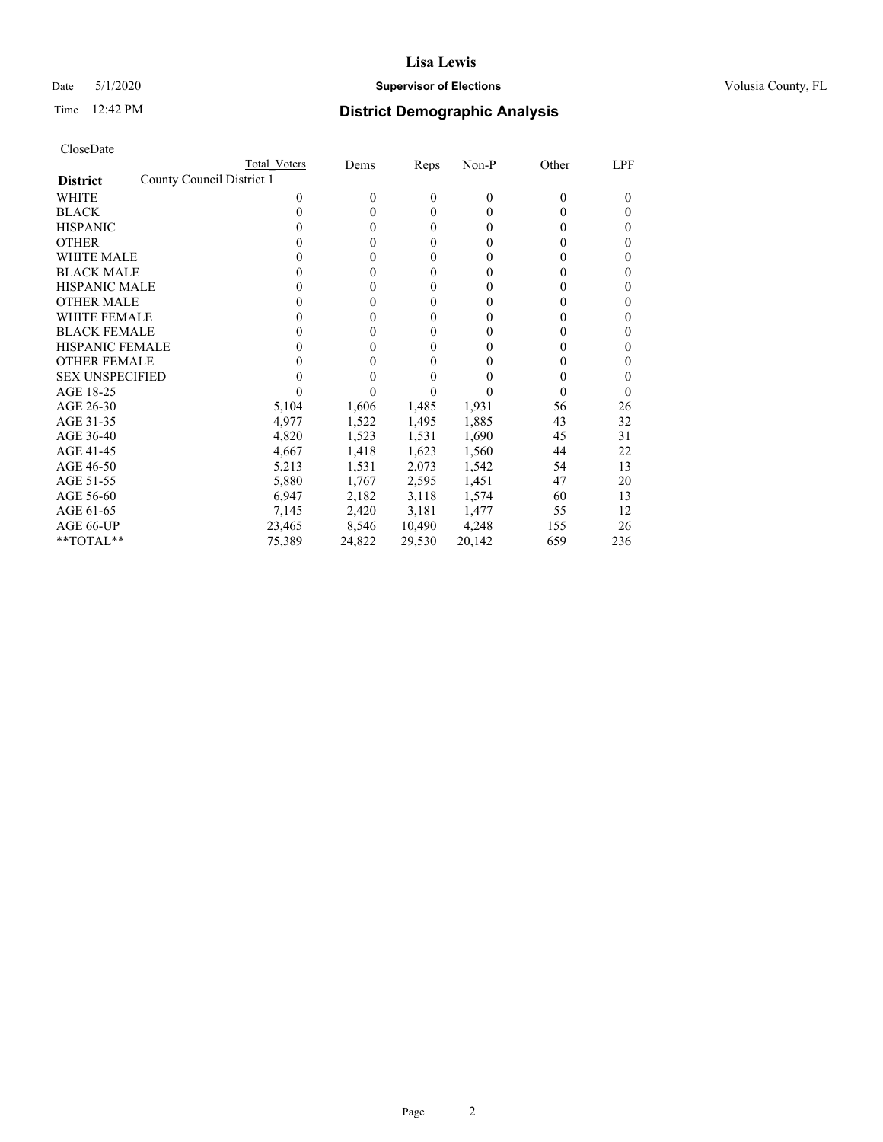## Date 5/1/2020 **Supervisor of Elections Supervisor of Elections** Volusia County, FL

|                                              | Total Voters | Dems     | Reps             | Non-P          | Other | LPF      |
|----------------------------------------------|--------------|----------|------------------|----------------|-------|----------|
| County Council District 1<br><b>District</b> |              |          |                  |                |       |          |
| WHITE                                        | 0            | $\theta$ | $\mathbf{0}$     | $\overline{0}$ | 0     | 0        |
| <b>BLACK</b>                                 | 0            | $\theta$ | $\theta$         | $\Omega$       | 0     | 0        |
| <b>HISPANIC</b>                              | 0            | $\theta$ | $\mathbf{0}$     | $\Omega$       | 0     | 0        |
| <b>OTHER</b>                                 |              | 0        | $\mathbf{0}$     | 0              | 0     | 0        |
| WHITE MALE                                   | $_{0}$       | $\theta$ | $\boldsymbol{0}$ | 0              | 0     | 0        |
| <b>BLACK MALE</b>                            | 0            | 0        | $\boldsymbol{0}$ | 0              | 0     | 0        |
| <b>HISPANIC MALE</b>                         | 0            | 0        | $\boldsymbol{0}$ | 0              | 0     | 0        |
| <b>OTHER MALE</b>                            | 0            | 0        | $\boldsymbol{0}$ | 0              | 0     | 0        |
| <b>WHITE FEMALE</b>                          | 0            | 0        | 0                | 0              | 0     | 0        |
| <b>BLACK FEMALE</b>                          | 0            | $\theta$ | $\mathbf{0}$     | $\Omega$       | 0     | 0        |
| <b>HISPANIC FEMALE</b>                       |              | 0        | $\theta$         | 0              | 0     | 0        |
| <b>OTHER FEMALE</b>                          | 0            | 0        | 0                | 0              | 0     | 0        |
| <b>SEX UNSPECIFIED</b>                       |              | 0        | 0                |                | 0     | 0        |
| AGE 18-25                                    |              |          |                  |                | 0     | $\theta$ |
| AGE 26-30                                    | 5,104        | 1,606    | 1,485            | 1,931          | 56    | 26       |
| AGE 31-35                                    | 4,977        | 1,522    | 1,495            | 1,885          | 43    | 32       |
| AGE 36-40                                    | 4,820        | 1,523    | 1,531            | 1,690          | 45    | 31       |
| AGE 41-45                                    | 4,667        | 1,418    | 1,623            | 1,560          | 44    | 22       |
| AGE 46-50                                    | 5,213        | 1,531    | 2,073            | 1,542          | 54    | 13       |
| AGE 51-55                                    | 5,880        | 1,767    | 2,595            | 1,451          | 47    | 20       |
| AGE 56-60                                    | 6,947        | 2,182    | 3,118            | 1,574          | 60    | 13       |
| AGE 61-65                                    | 7,145        | 2,420    | 3,181            | 1,477          | 55    | 12       |
| AGE 66-UP                                    | 23,465       | 8,546    | 10,490           | 4,248          | 155   | 26       |
| **TOTAL**                                    | 75,389       | 24,822   | 29,530           | 20,142         | 659   | 236      |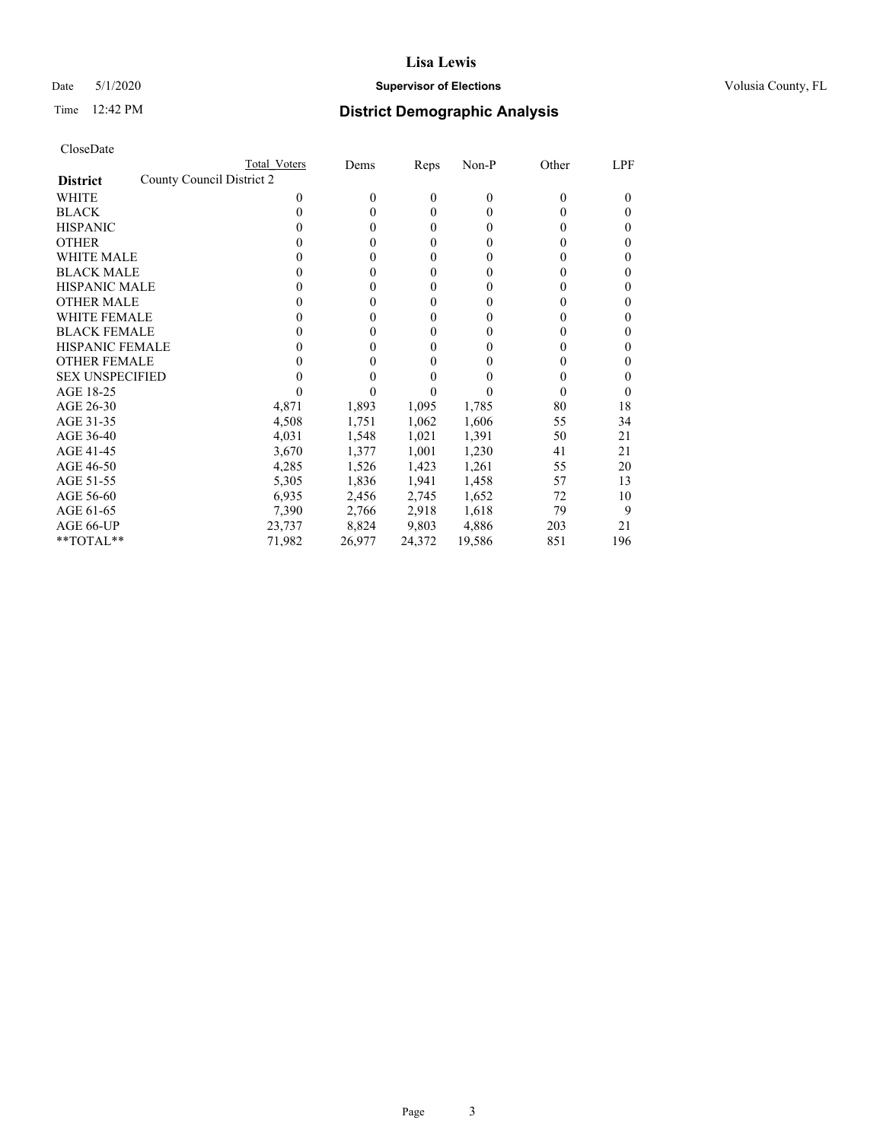### Date 5/1/2020 **Supervisor of Elections Supervisor of Elections** Volusia County, FL

| CloseDate |
|-----------|
|-----------|

|                                              | Total Voters | Dems             | Reps             | Non-P    | Other | LPF      |
|----------------------------------------------|--------------|------------------|------------------|----------|-------|----------|
| County Council District 2<br><b>District</b> |              |                  |                  |          |       |          |
| WHITE                                        | 0            | $\boldsymbol{0}$ | 0                | $\theta$ | 0     | $\Omega$ |
| <b>BLACK</b>                                 | 0            | 0                | $\theta$         | $\Omega$ | 0     | $_{0}$   |
| <b>HISPANIC</b>                              | 0            | 0                | $\boldsymbol{0}$ | 0        | 0     | $_{0}$   |
| <b>OTHER</b>                                 |              | 0                | 0                | 0        |       | 0        |
| <b>WHITE MALE</b>                            |              | 0                | 0                | 0        |       | 0        |
| <b>BLACK MALE</b>                            |              | 0                | $\boldsymbol{0}$ | $_{0}$   |       | 0        |
| <b>HISPANIC MALE</b>                         |              | 0                | 0                | 0        |       | 0        |
| <b>OTHER MALE</b>                            | 0            | 0                | 0                | 0        |       | 0        |
| <b>WHITE FEMALE</b>                          |              | 0                | 0                | 0        |       | 0        |
| <b>BLACK FEMALE</b>                          | 0            | 0                | 0                | 0        | 0     | $_{0}$   |
| <b>HISPANIC FEMALE</b>                       |              | 0                | 0                | 0        |       | 0        |
| <b>OTHER FEMALE</b>                          |              | 0                | 0                | 0        |       | 0        |
| <b>SEX UNSPECIFIED</b>                       |              |                  | 0                |          |       | 0        |
| AGE 18-25                                    |              |                  |                  |          |       | 0        |
| AGE 26-30                                    | 4,871        | 1,893            | 1,095            | 1,785    | 80    | 18       |
| AGE 31-35                                    | 4,508        | 1,751            | 1,062            | 1,606    | 55    | 34       |
| AGE 36-40                                    | 4,031        | 1,548            | 1,021            | 1,391    | 50    | 21       |
| AGE 41-45                                    | 3,670        | 1,377            | 1,001            | 1,230    | 41    | 21       |
| AGE 46-50                                    | 4,285        | 1,526            | 1,423            | 1,261    | 55    | 20       |
| AGE 51-55                                    | 5,305        | 1,836            | 1,941            | 1,458    | 57    | 13       |
| AGE 56-60                                    | 6,935        | 2,456            | 2,745            | 1,652    | 72    | 10       |
| AGE 61-65                                    | 7,390        | 2,766            | 2,918            | 1,618    | 79    | 9        |
| AGE 66-UP                                    | 23,737       | 8,824            | 9,803            | 4,886    | 203   | 21       |
| **TOTAL**                                    | 71,982       | 26,977           | 24,372           | 19,586   | 851   | 196      |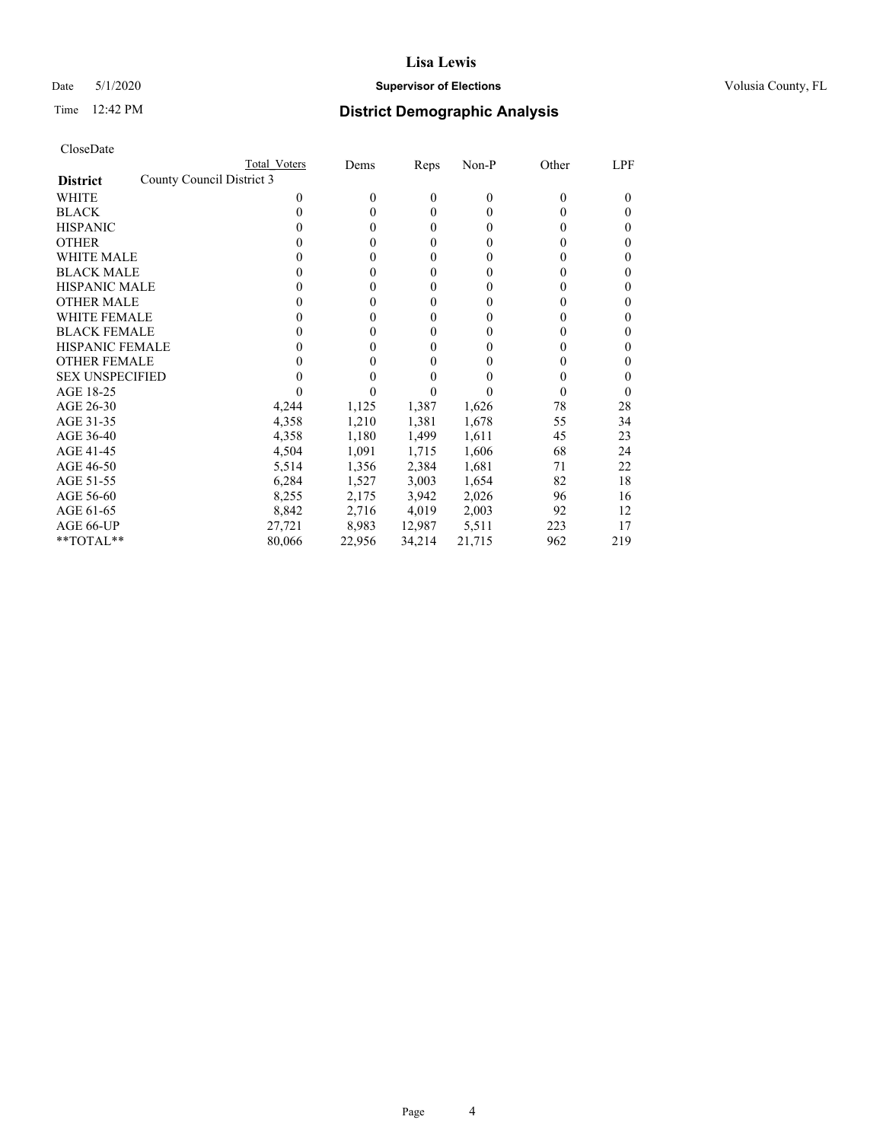### Date 5/1/2020 **Supervisor of Elections Supervisor of Elections** Volusia County, FL

| CloseDate |
|-----------|
|-----------|

|                                              | Total Voters | Dems     | Reps         | Non-P          | Other | LPF      |
|----------------------------------------------|--------------|----------|--------------|----------------|-------|----------|
| County Council District 3<br><b>District</b> |              |          |              |                |       |          |
| WHITE                                        | 0            | $\theta$ | $\mathbf{0}$ | $\overline{0}$ | 0     | $_{0}$   |
| <b>BLACK</b>                                 | 0            | $\theta$ | $\mathbf{0}$ | $\Omega$       | 0     | 0        |
| <b>HISPANIC</b>                              | 0            | $\theta$ | $\mathbf{0}$ | $\Omega$       | 0     | 0        |
| <b>OTHER</b>                                 |              | 0        | $\mathbf{0}$ | 0              | 0     | 0        |
| WHITE MALE                                   | 0            | 0        | 0            | 0              | 0     | 0        |
| <b>BLACK MALE</b>                            | 0            | 0        | 0            | 0              | 0     | 0        |
| <b>HISPANIC MALE</b>                         | 0            | 0        | 0            | $_{0}$         | 0     | 0        |
| <b>OTHER MALE</b>                            | 0            | 0        | 0            | 0              | 0     | 0        |
| <b>WHITE FEMALE</b>                          | 0            | 0        | $\mathbf{0}$ | 0              | 0     | 0        |
| <b>BLACK FEMALE</b>                          | 0            | $\theta$ | $\mathbf{0}$ | $\Omega$       | 0     | 0        |
| HISPANIC FEMALE                              |              | 0        | 0            | 0              | 0     | 0        |
| <b>OTHER FEMALE</b>                          | 0            | 0        | $\mathbf{0}$ | 0              | 0     | 0        |
| <b>SEX UNSPECIFIED</b>                       |              | 0        | 0            |                | 0     | 0        |
| AGE 18-25                                    |              |          | 0            |                | 0     | $\theta$ |
| AGE 26-30                                    | 4,244        | 1,125    | 1,387        | 1,626          | 78    | 28       |
| AGE 31-35                                    | 4,358        | 1,210    | 1,381        | 1,678          | 55    | 34       |
| AGE 36-40                                    | 4,358        | 1,180    | 1,499        | 1,611          | 45    | 23       |
| AGE 41-45                                    | 4,504        | 1,091    | 1,715        | 1,606          | 68    | 24       |
| AGE 46-50                                    | 5,514        | 1,356    | 2,384        | 1,681          | 71    | 22       |
| AGE 51-55                                    | 6,284        | 1,527    | 3,003        | 1,654          | 82    | 18       |
| AGE 56-60                                    | 8,255        | 2,175    | 3,942        | 2,026          | 96    | 16       |
| AGE 61-65                                    | 8,842        | 2,716    | 4,019        | 2,003          | 92    | 12       |
| AGE 66-UP                                    | 27,721       | 8,983    | 12,987       | 5,511          | 223   | 17       |
| **TOTAL**                                    | 80,066       | 22,956   | 34,214       | 21,715         | 962   | 219      |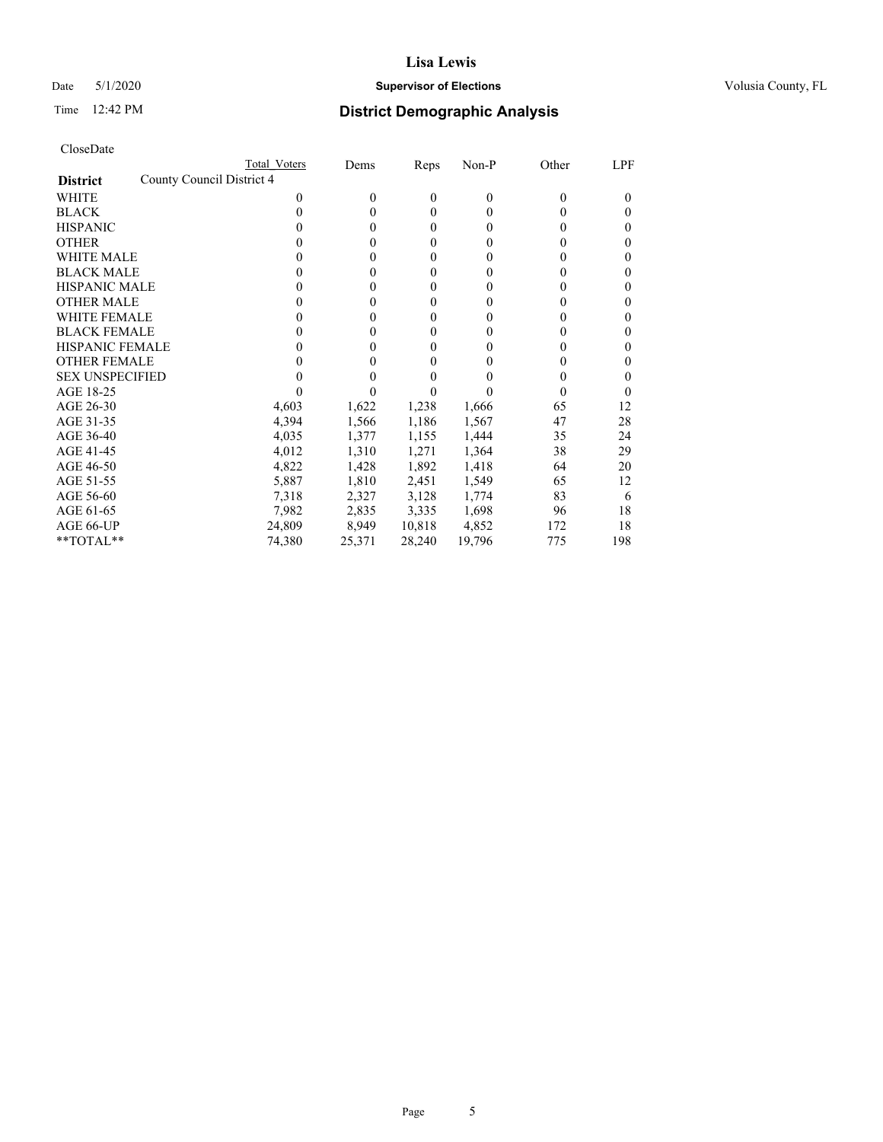### Date 5/1/2020 **Supervisor of Elections Supervisor of Elections** Volusia County, FL

|                                              | Total Voters | Dems         | Reps   | Non-P  | Other    | LPF      |
|----------------------------------------------|--------------|--------------|--------|--------|----------|----------|
| County Council District 4<br><b>District</b> |              |              |        |        |          |          |
| WHITE                                        | 0            | $\theta$     | 0      | 0      | $\theta$ | $\Omega$ |
| <b>BLACK</b>                                 | 0            | $\theta$     | 0      | 0      | 0        | $\theta$ |
| <b>HISPANIC</b>                              |              | $\mathbf{0}$ | 0      | 0      | 0        | $\theta$ |
| <b>OTHER</b>                                 |              | 0            | 0      | 0      | 0        | $\theta$ |
| <b>WHITE MALE</b>                            |              | $\theta$     | 0      | 0      | 0        | $\theta$ |
| <b>BLACK MALE</b>                            |              | $\theta$     | 0      | 0      | 0        | 0        |
| <b>HISPANIC MALE</b>                         |              | 0            | 0      | 0      | 0        |          |
| <b>OTHER MALE</b>                            |              | 0            | 0      | 0      | 0        | 0        |
| <b>WHITE FEMALE</b>                          |              | 0            | 0      | 0      | 0        | 0        |
| <b>BLACK FEMALE</b>                          | 0            | $\theta$     | 0      | 0      | 0        | $\theta$ |
| <b>HISPANIC FEMALE</b>                       |              | 0            | 0      | 0      | 0        | 0        |
| <b>OTHER FEMALE</b>                          |              | 0            | 0      | 0      | 0        | $\theta$ |
| <b>SEX UNSPECIFIED</b>                       |              | 0            |        |        | 0        | $\theta$ |
| AGE 18-25                                    |              |              |        |        | 0        |          |
| AGE 26-30                                    | 4,603        | 1,622        | 1,238  | 1,666  | 65       | 12       |
| AGE 31-35                                    | 4,394        | 1,566        | 1,186  | 1,567  | 47       | 28       |
| AGE 36-40                                    | 4,035        | 1,377        | 1,155  | 1,444  | 35       | 24       |
| AGE 41-45                                    | 4,012        | 1,310        | 1,271  | 1,364  | 38       | 29       |
| AGE 46-50                                    | 4,822        | 1,428        | 1,892  | 1,418  | 64       | 20       |
| AGE 51-55                                    | 5,887        | 1,810        | 2,451  | 1,549  | 65       | 12       |
| AGE 56-60                                    | 7,318        | 2,327        | 3,128  | 1,774  | 83       | 6        |
| AGE 61-65                                    | 7,982        | 2,835        | 3,335  | 1,698  | 96       | 18       |
| AGE 66-UP                                    | 24,809       | 8,949        | 10,818 | 4,852  | 172      | 18       |
| **TOTAL**                                    | 74,380       | 25,371       | 28,240 | 19,796 | 775      | 198      |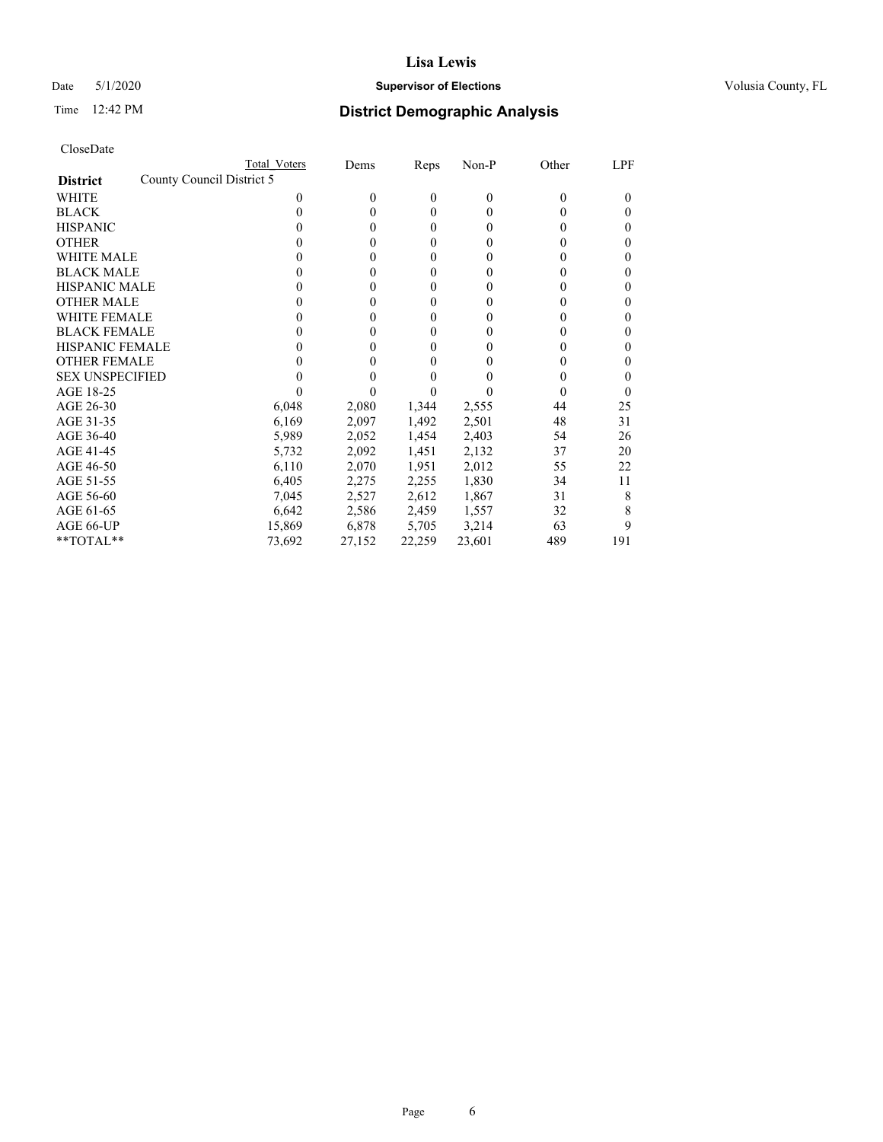## Date 5/1/2020 **Supervisor of Elections Supervisor of Elections** Volusia County, FL

| CloseDate |
|-----------|
|-----------|

|                                              | Total Voters | Dems     | Reps   | Non-P  | Other    | LPF      |
|----------------------------------------------|--------------|----------|--------|--------|----------|----------|
| County Council District 5<br><b>District</b> |              |          |        |        |          |          |
| WHITE                                        | 0            | $\theta$ | 0      | 0      | $\theta$ | $\Omega$ |
| <b>BLACK</b>                                 | 0            | $\theta$ | 0      | 0      | 0        | $\theta$ |
| <b>HISPANIC</b>                              |              | $\theta$ | 0      | 0      | 0        | $\theta$ |
| <b>OTHER</b>                                 |              | 0        | 0      | 0      | 0        | 0        |
| <b>WHITE MALE</b>                            |              | 0        | 0      | 0      | 0        | 0        |
| <b>BLACK MALE</b>                            |              | 0        | 0      | 0      | 0        | 0        |
| <b>HISPANIC MALE</b>                         |              | 0        | 0      | 0      | $_{0}$   |          |
| <b>OTHER MALE</b>                            |              | 0        | 0      | 0      | $_{0}$   |          |
| <b>WHITE FEMALE</b>                          |              | 0        | 0      | 0      | $_{0}$   |          |
| <b>BLACK FEMALE</b>                          |              | $\theta$ | 0      | 0      | 0        | $\theta$ |
| <b>HISPANIC FEMALE</b>                       |              | 0        | 0      | 0      | 0        | 0        |
| <b>OTHER FEMALE</b>                          |              | 0        | 0      | 0      | $_{0}$   |          |
| <b>SEX UNSPECIFIED</b>                       |              | 0        |        |        | $_{0}$   |          |
| AGE 18-25                                    |              |          |        |        | $\theta$ |          |
| AGE 26-30                                    | 6,048        | 2,080    | 1,344  | 2,555  | 44       | 25       |
| AGE 31-35                                    | 6,169        | 2,097    | 1,492  | 2,501  | 48       | 31       |
| AGE 36-40                                    | 5,989        | 2,052    | 1,454  | 2,403  | 54       | 26       |
| AGE 41-45                                    | 5,732        | 2,092    | 1,451  | 2,132  | 37       | 20       |
| AGE 46-50                                    | 6,110        | 2,070    | 1,951  | 2,012  | 55       | 22       |
| AGE 51-55                                    | 6,405        | 2,275    | 2,255  | 1,830  | 34       | 11       |
| AGE 56-60                                    | 7,045        | 2,527    | 2,612  | 1,867  | 31       | 8        |
| AGE 61-65                                    | 6,642        | 2,586    | 2,459  | 1,557  | 32       | 8        |
| AGE 66-UP                                    | 15,869       | 6,878    | 5,705  | 3,214  | 63       | 9        |
| **TOTAL**                                    | 73,692       | 27,152   | 22,259 | 23,601 | 489      | 191      |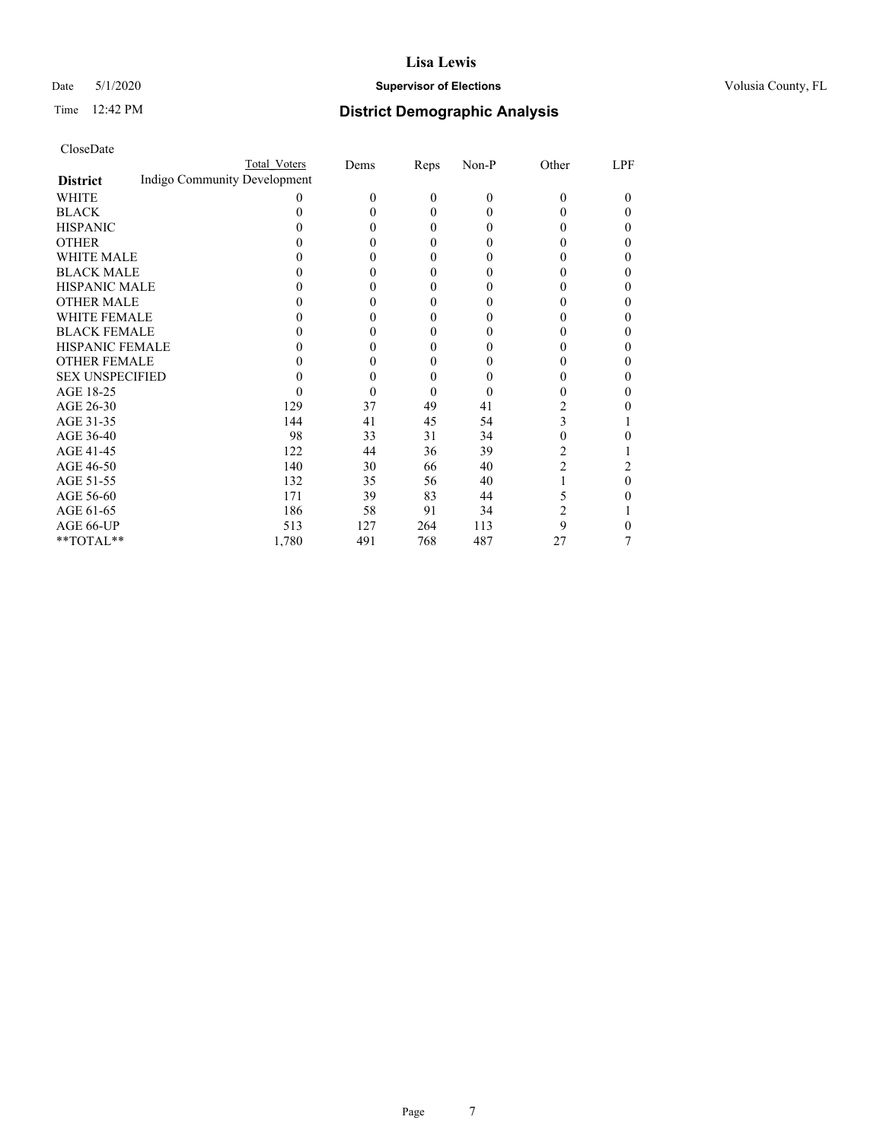### Date 5/1/2020 **Supervisor of Elections Supervisor of Elections** Volusia County, FL

## Time 12:42 PM **District Demographic Analysis**

|                        |                              | Total Voters | Dems | Reps | Non-P    | Other          | LPF |
|------------------------|------------------------------|--------------|------|------|----------|----------------|-----|
| <b>District</b>        | Indigo Community Development |              |      |      |          |                |     |
| WHITE                  |                              |              | 0    | 0    | $\Omega$ | 0              | 0   |
| <b>BLACK</b>           |                              |              | 0    | 0    | $\theta$ |                | 0   |
| <b>HISPANIC</b>        |                              |              | 0    | 0    | 0        |                |     |
| <b>OTHER</b>           |                              |              | 0    | 0    | $\theta$ |                | 0   |
| WHITE MALE             |                              |              | 0    | 0    | $\theta$ |                | 0   |
| <b>BLACK MALE</b>      |                              |              | 0    | 0    | 0        |                |     |
| <b>HISPANIC MALE</b>   |                              |              | 0    | 0    | 0        |                |     |
| <b>OTHER MALE</b>      |                              |              | 0    | 0    | 0        |                | 0   |
| WHITE FEMALE           |                              |              |      | 0    |          |                |     |
| <b>BLACK FEMALE</b>    |                              |              | 0    | 0    | $\theta$ |                | 0   |
| <b>HISPANIC FEMALE</b> |                              |              | 0    | 0    | $\theta$ |                | 0   |
| <b>OTHER FEMALE</b>    |                              |              | 0    | 0    | 0        |                | 0   |
| <b>SEX UNSPECIFIED</b> |                              |              | 0    | 0    | 0        |                | 0   |
| AGE 18-25              |                              |              | 0    | 0    | 0        |                |     |
| AGE 26-30              |                              | 129          | 37   | 49   | 41       |                |     |
| AGE 31-35              |                              | 144          | 41   | 45   | 54       | 3              |     |
| AGE 36-40              |                              | 98           | 33   | 31   | 34       | 0              |     |
| AGE 41-45              |                              | 122          | 44   | 36   | 39       | 2              |     |
| AGE 46-50              |                              | 140          | 30   | 66   | 40       | $\overline{2}$ | 2   |
| AGE 51-55              |                              | 132          | 35   | 56   | 40       |                | 0   |
| AGE 56-60              |                              | 171          | 39   | 83   | 44       | 5              |     |
| AGE 61-65              |                              | 186          | 58   | 91   | 34       | 2              |     |
| AGE 66-UP              |                              | 513          | 127  | 264  | 113      | 9              |     |
| **TOTAL**              |                              | 1,780        | 491  | 768  | 487      | 27             |     |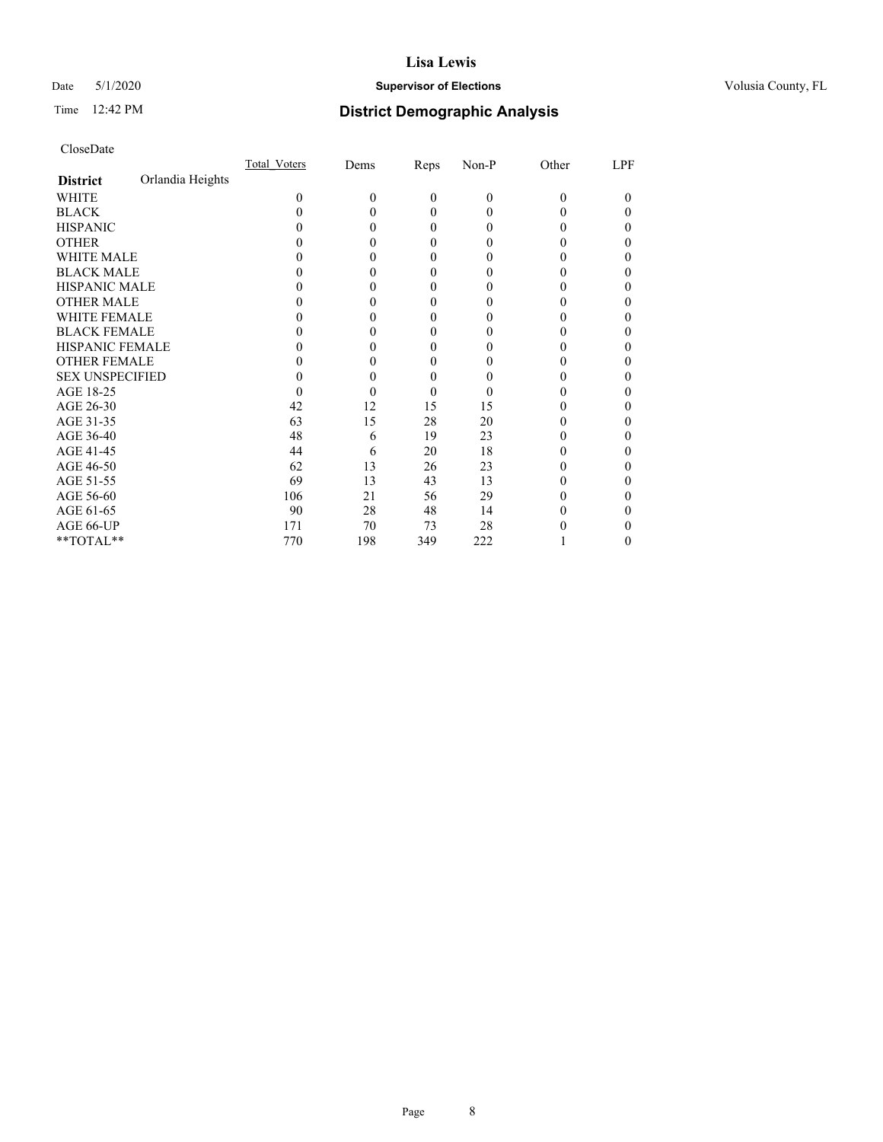### Date 5/1/2020 **Supervisor of Elections Supervisor of Elections** Volusia County, FL

# Time 12:42 PM **District Demographic Analysis**

|                        |                  | Total Voters | Dems     | Reps         | Non-P    | Other    | LPF |
|------------------------|------------------|--------------|----------|--------------|----------|----------|-----|
| <b>District</b>        | Orlandia Heights |              |          |              |          |          |     |
| WHITE                  |                  | 0            | $\theta$ | $\mathbf{0}$ | $\theta$ | $\Omega$ | 0   |
| <b>BLACK</b>           |                  |              |          | $\Omega$     | $\Omega$ | 0        | 0   |
| <b>HISPANIC</b>        |                  |              | 0        | $\Omega$     | 0        | 0        | 0   |
| <b>OTHER</b>           |                  |              |          | 0            | 0        |          | 0   |
| <b>WHITE MALE</b>      |                  |              |          | 0            | 0        |          | 0   |
| <b>BLACK MALE</b>      |                  |              |          | 0            | 0        |          | 0   |
| <b>HISPANIC MALE</b>   |                  |              |          | 0            | 0        |          | 0   |
| <b>OTHER MALE</b>      |                  |              |          | 0            | 0        |          | 0   |
| <b>WHITE FEMALE</b>    |                  |              |          | 0            | $\theta$ |          | 0   |
| <b>BLACK FEMALE</b>    |                  |              |          | $\Omega$     | 0        | 0        | 0   |
| <b>HISPANIC FEMALE</b> |                  |              |          | 0            | 0        |          | 0   |
| <b>OTHER FEMALE</b>    |                  |              |          | 0            | 0        |          | 0   |
| <b>SEX UNSPECIFIED</b> |                  |              |          | 0            | 0        |          | 0   |
| AGE 18-25              |                  |              |          | 0            | $\theta$ |          | 0   |
| AGE 26-30              |                  | 42           | 12       | 15           | 15       |          | 0   |
| AGE 31-35              |                  | 63           | 15       | 28           | 20       |          | 0   |
| AGE 36-40              |                  | 48           | 6        | 19           | 23       |          | 0   |
| AGE 41-45              |                  | 44           | 6        | 20           | 18       |          | 0   |
| AGE 46-50              |                  | 62           | 13       | 26           | 23       | 0        | 0   |
| AGE 51-55              |                  | 69           | 13       | 43           | 13       |          |     |
| AGE 56-60              |                  | 106          | 21       | 56           | 29       |          | 0   |
| AGE 61-65              |                  | 90           | 28       | 48           | 14       |          | 0   |
| AGE 66-UP              |                  | 171          | 70       | 73           | 28       |          | 0   |
| **TOTAL**              |                  | 770          | 198      | 349          | 222      |          | 0   |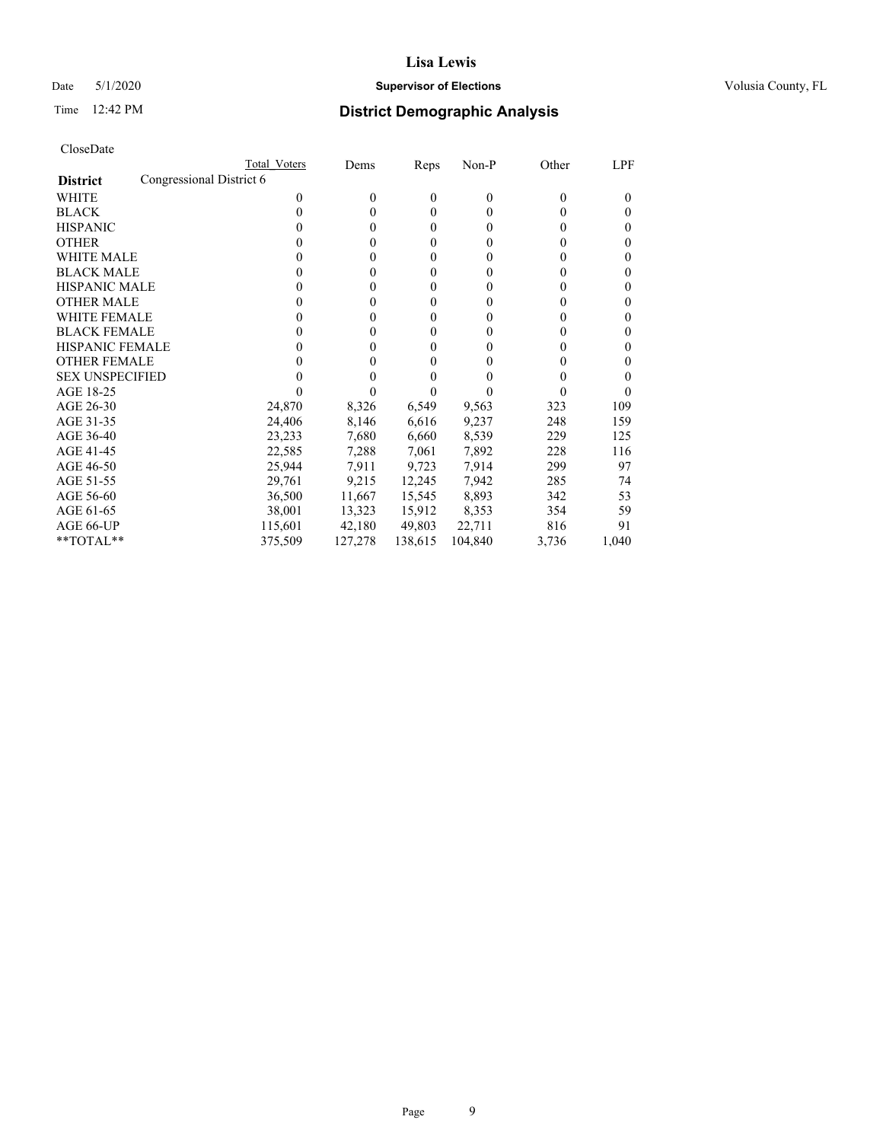### Date 5/1/2020 **Supervisor of Elections Supervisor of Elections** Volusia County, FL

| CloseDate |
|-----------|
|-----------|

|                                             | Total Voters | Dems     | Reps         | Non-P    | Other    | LPF   |
|---------------------------------------------|--------------|----------|--------------|----------|----------|-------|
| Congressional District 6<br><b>District</b> |              |          |              |          |          |       |
| <b>WHITE</b>                                | 0            | $\theta$ | $\mathbf{0}$ | $\theta$ | $\Omega$ | 0     |
| <b>BLACK</b>                                | 0            | $\Omega$ | $\theta$     | 0        | $_{0}$   | 0     |
| <b>HISPANIC</b>                             | 0            | $\Omega$ | $\theta$     | 0        | $_{0}$   | 0     |
| <b>OTHER</b>                                |              | $\theta$ | $\theta$     | 0        | $_{0}$   | 0     |
| <b>WHITE MALE</b>                           | 0            | $\theta$ | $\theta$     | 0        | $_{0}$   | 0     |
| <b>BLACK MALE</b>                           |              | $\theta$ | $\theta$     | 0        | 0        | 0     |
| <b>HISPANIC MALE</b>                        | 0            | 0        | $\theta$     | 0        |          | 0     |
| <b>OTHER MALE</b>                           | 0            | 0        | $\theta$     | 0        | 0        | 0     |
| <b>WHITE FEMALE</b>                         | 0            | 0        | $\theta$     | 0        | 0        | 0     |
| <b>BLACK FEMALE</b>                         | 0            | 0        | $\theta$     | 0        | $_{0}$   | 0     |
| <b>HISPANIC FEMALE</b>                      |              | 0        | 0            | 0        | 0        | 0     |
| <b>OTHER FEMALE</b>                         |              | 0        | 0            | 0        | $\theta$ | 0     |
| <b>SEX UNSPECIFIED</b>                      |              |          |              |          |          | 0     |
| AGE 18-25                                   |              |          |              |          |          |       |
| AGE 26-30                                   | 24,870       | 8,326    | 6,549        | 9,563    | 323      | 109   |
| AGE 31-35                                   | 24,406       | 8,146    | 6,616        | 9,237    | 248      | 159   |
| AGE 36-40                                   | 23,233       | 7,680    | 6,660        | 8,539    | 229      | 125   |
| AGE 41-45                                   | 22,585       | 7,288    | 7,061        | 7,892    | 228      | 116   |
| AGE 46-50                                   | 25,944       | 7,911    | 9,723        | 7,914    | 299      | 97    |
| AGE 51-55                                   | 29,761       | 9,215    | 12,245       | 7,942    | 285      | 74    |
| AGE 56-60                                   | 36,500       | 11,667   | 15,545       | 8,893    | 342      | 53    |
| AGE 61-65                                   | 38,001       | 13,323   | 15,912       | 8,353    | 354      | 59    |
| AGE 66-UP                                   | 115,601      | 42,180   | 49,803       | 22,711   | 816      | 91    |
| **TOTAL**                                   | 375,509      | 127,278  | 138,615      | 104,840  | 3,736    | 1,040 |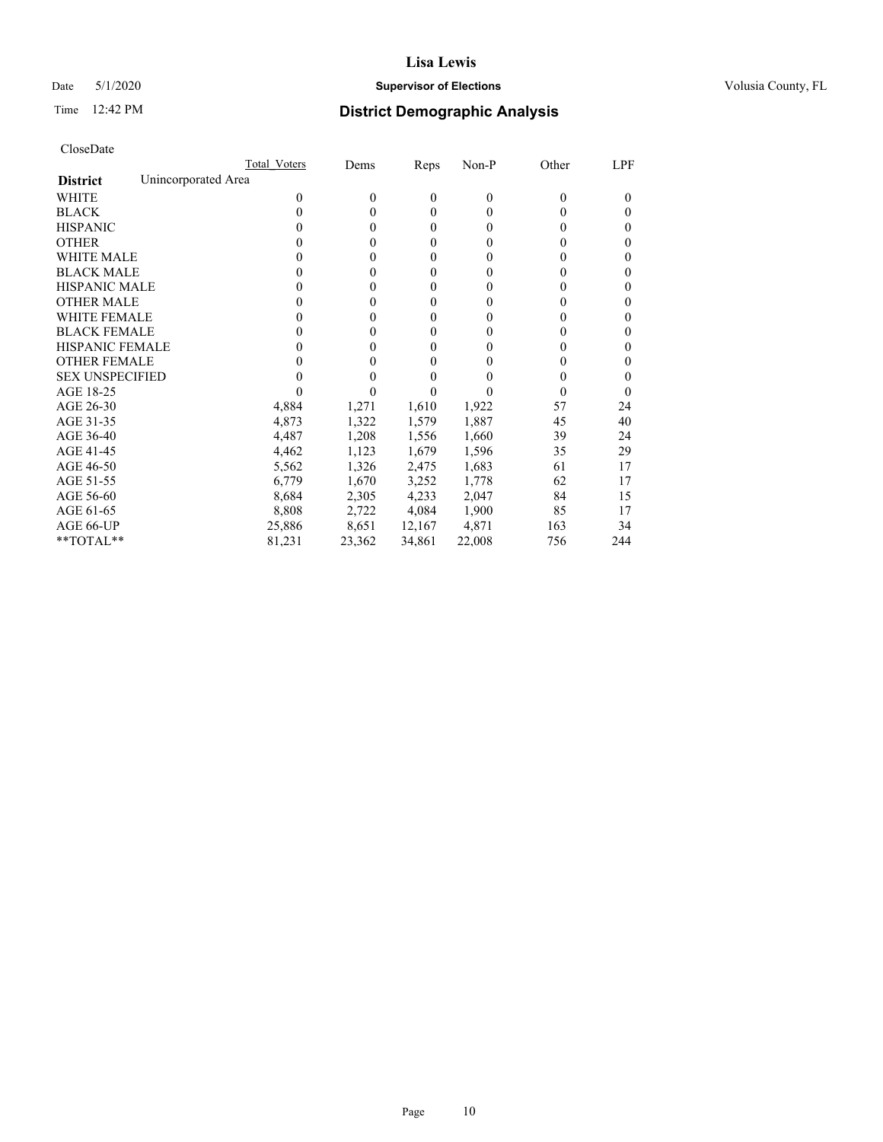### Date 5/1/2020 **Supervisor of Elections Supervisor of Elections** Volusia County, FL

## Time 12:42 PM **District Demographic Analysis**

|                                        | Total Voters | Dems     | Reps         | Non-P    | Other    | LPF |
|----------------------------------------|--------------|----------|--------------|----------|----------|-----|
| Unincorporated Area<br><b>District</b> |              |          |              |          |          |     |
| <b>WHITE</b>                           | 0            | $\theta$ | $\mathbf{0}$ | $\theta$ | $\Omega$ | 0   |
| <b>BLACK</b>                           | 0            | 0        | $\theta$     | $\theta$ | 0        | 0   |
| <b>HISPANIC</b>                        | 0            | 0        | $\theta$     | $\theta$ | $\theta$ | 0   |
| <b>OTHER</b>                           |              | 0        | $\theta$     | 0        | $_{0}$   | 0   |
| WHITE MALE                             |              | $_{0}$   | $\theta$     | 0        | $_{0}$   | 0   |
| <b>BLACK MALE</b>                      |              | 0        | $\theta$     | 0        | 0        | 0   |
| <b>HISPANIC MALE</b>                   |              | 0        | $\theta$     | 0        | 0        | 0   |
| <b>OTHER MALE</b>                      | $\theta$     | 0        | $\theta$     | 0        | 0        | 0   |
| WHITE FEMALE                           |              | 0        | $\theta$     | 0        | 0        | 0   |
| <b>BLACK FEMALE</b>                    | $\theta$     | 0        | $\theta$     | $\theta$ | $_{0}$   | 0   |
| <b>HISPANIC FEMALE</b>                 |              |          | 0            | 0        | 0        | 0   |
| <b>OTHER FEMALE</b>                    |              |          | 0            | 0        | $_{0}$   | 0   |
| <b>SEX UNSPECIFIED</b>                 |              |          | 0            | 0        | $_{0}$   | 0   |
| AGE 18-25                              |              |          |              |          |          | 0   |
| AGE 26-30                              | 4,884        | 1,271    | 1,610        | 1,922    | 57       | 24  |
| AGE 31-35                              | 4,873        | 1,322    | 1,579        | 1,887    | 45       | 40  |
| AGE 36-40                              | 4,487        | 1,208    | 1,556        | 1,660    | 39       | 24  |
| AGE 41-45                              | 4,462        | 1,123    | 1,679        | 1,596    | 35       | 29  |
| AGE 46-50                              | 5,562        | 1,326    | 2,475        | 1,683    | 61       | 17  |
| AGE 51-55                              | 6,779        | 1,670    | 3,252        | 1,778    | 62       | 17  |
| AGE 56-60                              | 8,684        | 2,305    | 4,233        | 2,047    | 84       | 15  |
| AGE 61-65                              | 8,808        | 2,722    | 4,084        | 1,900    | 85       | 17  |
| AGE 66-UP                              | 25,886       | 8,651    | 12,167       | 4,871    | 163      | 34  |
| **TOTAL**                              | 81,231       | 23,362   | 34,861       | 22,008   | 756      | 244 |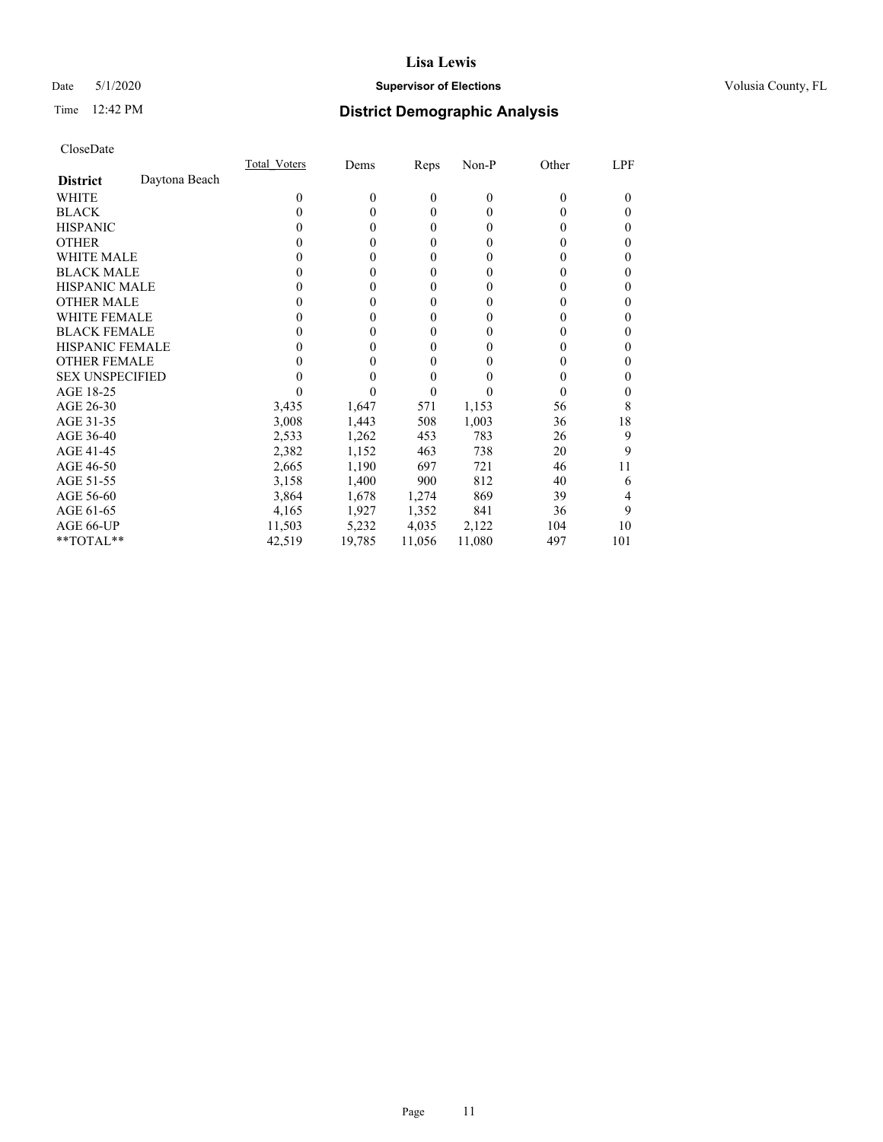## Date 5/1/2020 **Supervisor of Elections Supervisor of Elections** Volusia County, FL

## Time 12:42 PM **District Demographic Analysis**

|                        |               | Total Voters | Dems     | Reps           | Non-P    | Other    | LPF |
|------------------------|---------------|--------------|----------|----------------|----------|----------|-----|
| <b>District</b>        | Daytona Beach |              |          |                |          |          |     |
| WHITE                  |               | 0            | $\theta$ | $\theta$       | $\theta$ | $\Omega$ | 0   |
| <b>BLACK</b>           |               | 0            | 0        | $\theta$       | $\theta$ | $_{0}$   | 0   |
| <b>HISPANIC</b>        |               | $\theta$     | 0        | $\theta$       | $\theta$ | $_{0}$   | 0   |
| <b>OTHER</b>           |               |              | 0        | $\theta$       | 0        | 0        | 0   |
| WHITE MALE             |               |              | 0        | $\overline{0}$ | 0        | $_{0}$   | 0   |
| <b>BLACK MALE</b>      |               |              | 0        | 0              | 0        | 0        | 0   |
| <b>HISPANIC MALE</b>   |               |              | 0        | 0              | 0        | 0        | 0   |
| <b>OTHER MALE</b>      |               |              | 0        | $\theta$       | 0        | 0        | 0   |
| <b>WHITE FEMALE</b>    |               |              | 0        | $\theta$       | 0        | 0        | 0   |
| <b>BLACK FEMALE</b>    |               | $\theta$     | 0        | $\theta$       | $\theta$ | 0        | 0   |
| <b>HISPANIC FEMALE</b> |               |              |          | 0              | 0        | 0        | 0   |
| <b>OTHER FEMALE</b>    |               |              |          | 0              | 0        | 0        | 0   |
| <b>SEX UNSPECIFIED</b> |               |              |          | 0              | 0        | $\theta$ | 0   |
| AGE 18-25              |               |              |          | 0              |          | 0        | 0   |
| AGE 26-30              |               | 3,435        | 1,647    | 571            | 1,153    | 56       | 8   |
| AGE 31-35              |               | 3,008        | 1,443    | 508            | 1,003    | 36       | 18  |
| AGE 36-40              |               | 2,533        | 1,262    | 453            | 783      | 26       | 9   |
| AGE 41-45              |               | 2,382        | 1,152    | 463            | 738      | 20       | 9   |
| AGE 46-50              |               | 2,665        | 1,190    | 697            | 721      | 46       | 11  |
| AGE 51-55              |               | 3,158        | 1,400    | 900            | 812      | 40       | 6   |
| AGE 56-60              |               | 3,864        | 1,678    | 1,274          | 869      | 39       | 4   |
| AGE 61-65              |               | 4,165        | 1,927    | 1,352          | 841      | 36       | 9   |
| AGE 66-UP              |               | 11,503       | 5,232    | 4,035          | 2,122    | 104      | 10  |
| **TOTAL**              |               | 42,519       | 19,785   | 11,056         | 11,080   | 497      | 101 |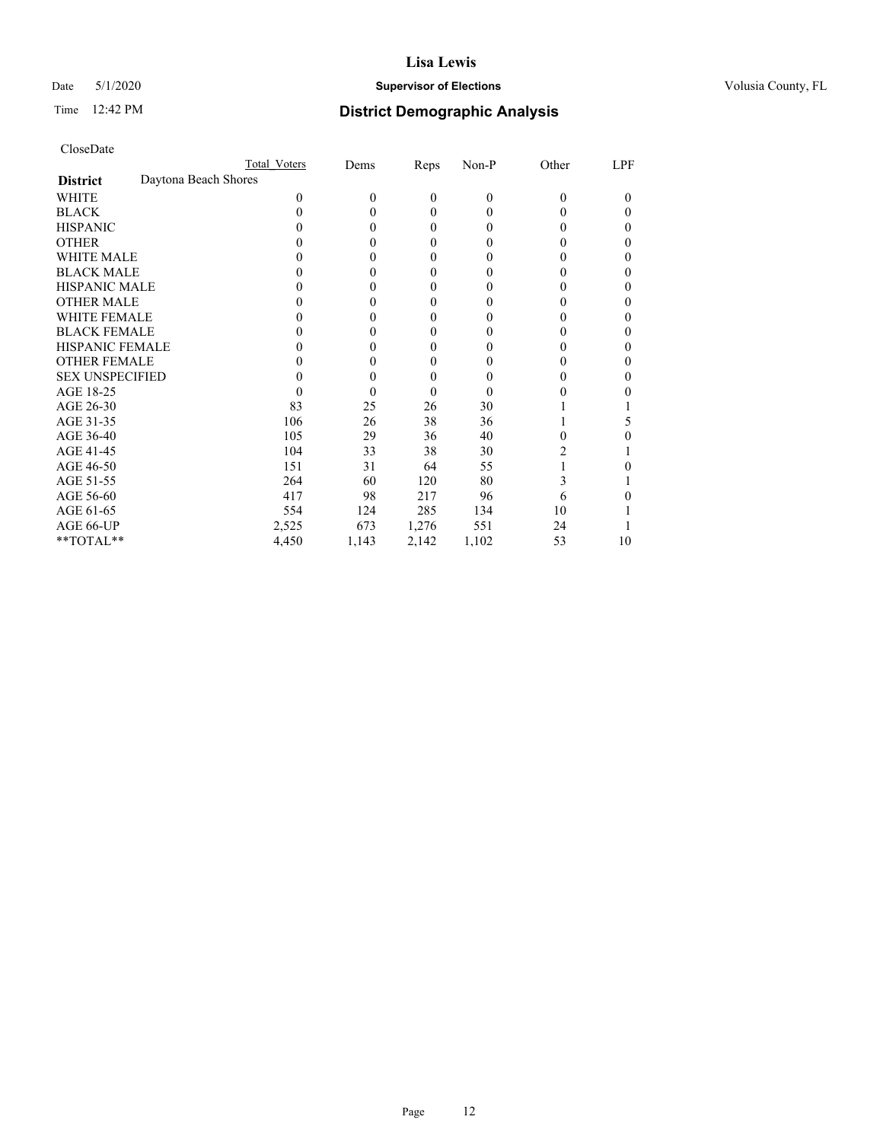## Date 5/1/2020 **Supervisor of Elections Supervisor of Elections** Volusia County, FL

## Time 12:42 PM **District Demographic Analysis**

|                                         | Total Voters | Dems     | Reps             | $Non-P$  | Other | <b>LPF</b> |
|-----------------------------------------|--------------|----------|------------------|----------|-------|------------|
| Daytona Beach Shores<br><b>District</b> |              |          |                  |          |       |            |
| WHITE                                   | $\Omega$     | $\theta$ | $\boldsymbol{0}$ | $\theta$ | 0     | 0          |
| <b>BLACK</b>                            | 0            | $\theta$ | $\theta$         | $\Omega$ | 0     | 0          |
| <b>HISPANIC</b>                         | 0            | $\theta$ | $\mathbf{0}$     | $\theta$ | 0     | 0          |
| <b>OTHER</b>                            | 0            | 0        | $\boldsymbol{0}$ | 0        | 0     | 0          |
| <b>WHITE MALE</b>                       | 0            | 0        | 0                | 0        | 0     | 0          |
| <b>BLACK MALE</b>                       | 0            | $\theta$ | $\mathbf{0}$     | 0        | 0     | 0          |
| HISPANIC MALE                           | 0            | $\Omega$ | $\boldsymbol{0}$ | 0        | 0     | 0          |
| <b>OTHER MALE</b>                       | $_{0}$       | $\theta$ | $\mathbf{0}$     | $\Omega$ | 0     | 0          |
| <b>WHITE FEMALE</b>                     |              | 0        | $\theta$         | 0        | 0     | 0          |
| <b>BLACK FEMALE</b>                     | 0            | 0        | $\boldsymbol{0}$ | 0        | 0     | 0          |
| <b>HISPANIC FEMALE</b>                  | 0            | 0        | $\boldsymbol{0}$ | 0        | 0     | 0          |
| <b>OTHER FEMALE</b>                     | 0            | 0        | 0                | $_{0}$   | 0     | 0          |
| <b>SEX UNSPECIFIED</b>                  | 0            | $\theta$ | $\mathbf{0}$     | 0        | 0     | 0          |
| AGE 18-25                               | 0            | 0        | $\mathbf{0}$     | $\Omega$ | 0     |            |
| AGE 26-30                               | 83           | 25       | 26               | 30       |       |            |
| AGE 31-35                               | 106          | 26       | 38               | 36       |       | 5          |
| AGE 36-40                               | 105          | 29       | 36               | 40       | 0     |            |
| AGE 41-45                               | 104          | 33       | 38               | 30       | 2     |            |
| AGE 46-50                               | 151          | 31       | 64               | 55       |       |            |
| AGE 51-55                               | 264          | 60       | 120              | 80       | 3     |            |
| AGE 56-60                               | 417          | 98       | 217              | 96       | 6     | 0          |
| AGE 61-65                               | 554          | 124      | 285              | 134      | 10    |            |
| AGE 66-UP                               | 2,525        | 673      | 1,276            | 551      | 24    |            |
| **TOTAL**                               | 4,450        | 1,143    | 2,142            | 1,102    | 53    | 10         |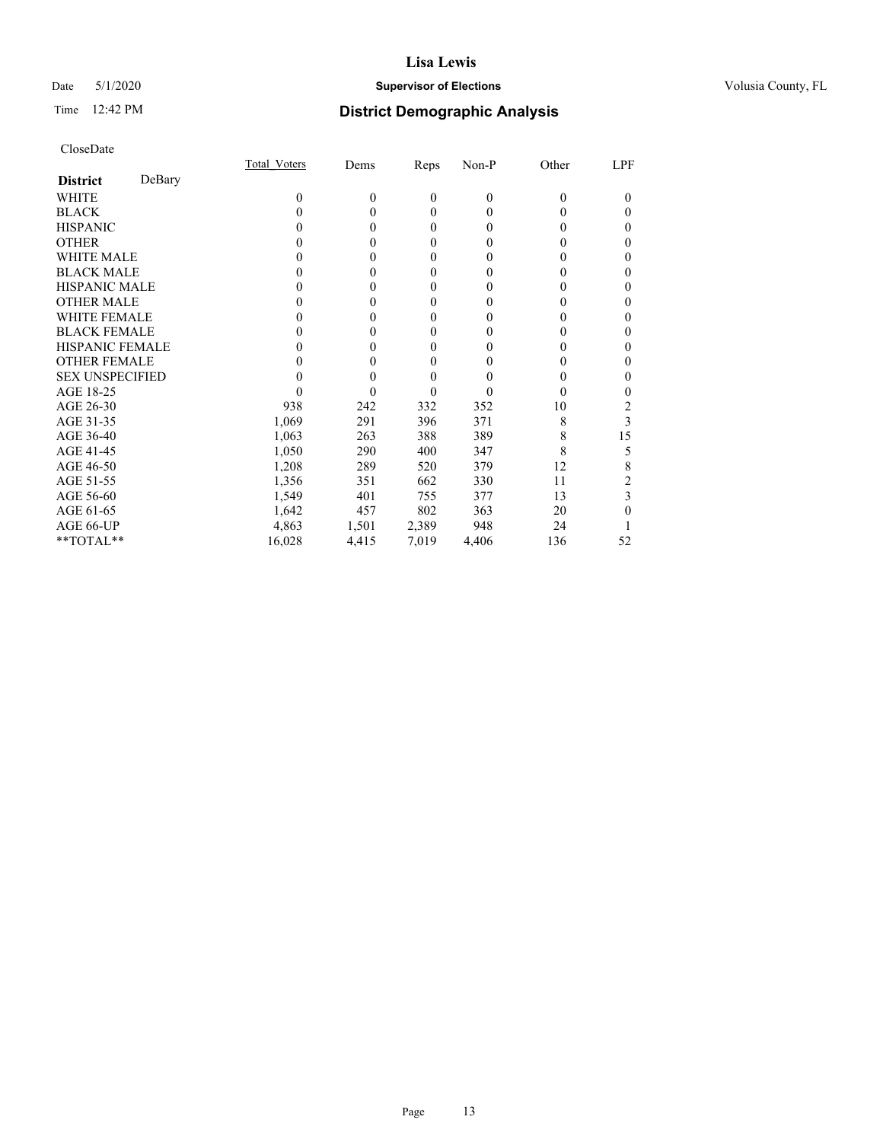## Date 5/1/2020 **Supervisor of Elections Supervisor of Elections** Volusia County, FL

# Time 12:42 PM **District Demographic Analysis**

|                        |        | Total Voters | Dems     | Reps         | Non-P        | Other    | LPF |
|------------------------|--------|--------------|----------|--------------|--------------|----------|-----|
| <b>District</b>        | DeBary |              |          |              |              |          |     |
| WHITE                  |        | 0            | $\theta$ | $\mathbf{0}$ | $\mathbf{0}$ | $\Omega$ | 0   |
| <b>BLACK</b>           |        | 0            | 0        | $\theta$     | $\theta$     | $\theta$ | 0   |
| <b>HISPANIC</b>        |        | $\theta$     | 0        | $\theta$     | $\theta$     | $_{0}$   | 0   |
| <b>OTHER</b>           |        |              |          | 0            | 0            | 0        | 0   |
| WHITE MALE             |        |              |          | 0            | 0            | 0        | 0   |
| <b>BLACK MALE</b>      |        |              | 0        | 0            | 0            | 0        | 0   |
| <b>HISPANIC MALE</b>   |        |              |          | 0            | 0            |          | 0   |
| <b>OTHER MALE</b>      |        |              | 0        | $\theta$     | 0            | 0        | 0   |
| <b>WHITE FEMALE</b>    |        |              |          | 0            | 0            |          | 0   |
| <b>BLACK FEMALE</b>    |        |              | 0        | $\theta$     | 0            | 0        | 0   |
| <b>HISPANIC FEMALE</b> |        |              |          | 0            | 0            | 0        | 0   |
| <b>OTHER FEMALE</b>    |        |              | 0        | 0            | 0            | 0        | 0   |
| <b>SEX UNSPECIFIED</b> |        |              |          | 0            | 0            | 0        | 0   |
| AGE 18-25              |        |              |          | 0            | 0            | $_{0}$   | 0   |
| AGE 26-30              |        | 938          | 242      | 332          | 352          | 10       | 2   |
| AGE 31-35              |        | 1,069        | 291      | 396          | 371          | 8        | 3   |
| AGE 36-40              |        | 1,063        | 263      | 388          | 389          | 8        | 15  |
| AGE 41-45              |        | 1,050        | 290      | 400          | 347          | 8        | 5   |
| AGE 46-50              |        | 1,208        | 289      | 520          | 379          | 12       | 8   |
| AGE 51-55              |        | 1,356        | 351      | 662          | 330          | 11       |     |
| AGE 56-60              |        | 1,549        | 401      | 755          | 377          | 13       | 3   |
| AGE 61-65              |        | 1,642        | 457      | 802          | 363          | 20       | 0   |
| AGE 66-UP              |        | 4,863        | 1,501    | 2,389        | 948          | 24       |     |
| **TOTAL**              |        | 16,028       | 4,415    | 7,019        | 4,406        | 136      | 52  |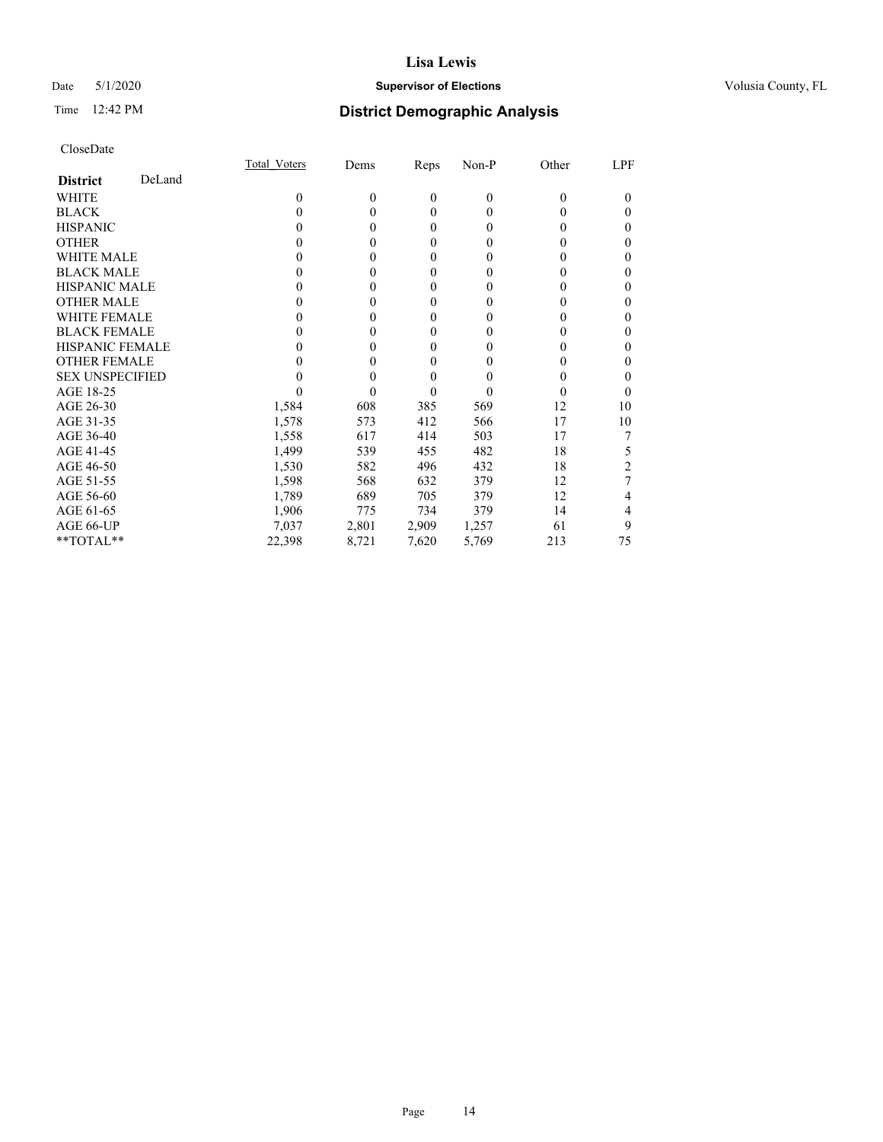## Date 5/1/2020 **Supervisor of Elections Supervisor of Elections** Volusia County, FL

## Time 12:42 PM **District Demographic Analysis**

|                           | Total Voters | Dems     | Reps         | Non-P        | Other    | LPF |
|---------------------------|--------------|----------|--------------|--------------|----------|-----|
| DeLand<br><b>District</b> |              |          |              |              |          |     |
| WHITE                     | $\theta$     | $\theta$ | $\theta$     | $\mathbf{0}$ | $\Omega$ | 0   |
| <b>BLACK</b>              | 0            | 0        | $\theta$     | $\theta$     | 0        | 0   |
| <b>HISPANIC</b>           | 0            | 0        | $\theta$     | $\theta$     | $_{0}$   | 0   |
| <b>OTHER</b>              |              | 0        | $\theta$     | 0            | 0        | 0   |
| <b>WHITE MALE</b>         | 0            | 0        | $\mathbf{0}$ | 0            | $_{0}$   | 0   |
| <b>BLACK MALE</b>         |              | 0        | $\theta$     | 0            | 0        | 0   |
| <b>HISPANIC MALE</b>      | $\theta$     | 0        | $\theta$     | 0            | 0        | 0   |
| <b>OTHER MALE</b>         | $\theta$     | 0        | $\theta$     | 0            | 0        | 0   |
| <b>WHITE FEMALE</b>       | 0            | 0        | $\theta$     | 0            | 0        | 0   |
| <b>BLACK FEMALE</b>       | 0            | 0        | $\theta$     | 0            | 0        | 0   |
| <b>HISPANIC FEMALE</b>    |              | $_{0}$   | $\theta$     | 0            | $_{0}$   | 0   |
| <b>OTHER FEMALE</b>       |              | 0        | $\theta$     | 0            | 0        | 0   |
| <b>SEX UNSPECIFIED</b>    |              | 0        | $\theta$     | 0            | 0        | 0   |
| AGE 18-25                 |              | 0        | $\theta$     | 0            | 0        | 0   |
| AGE 26-30                 | 1,584        | 608      | 385          | 569          | 12       | 10  |
| AGE 31-35                 | 1,578        | 573      | 412          | 566          | 17       | 10  |
| AGE 36-40                 | 1,558        | 617      | 414          | 503          | 17       |     |
| AGE 41-45                 | 1,499        | 539      | 455          | 482          | 18       | 5   |
| AGE 46-50                 | 1,530        | 582      | 496          | 432          | 18       | 2   |
| AGE 51-55                 | 1,598        | 568      | 632          | 379          | 12       |     |
| AGE 56-60                 | 1,789        | 689      | 705          | 379          | 12       | 4   |
| AGE 61-65                 | 1,906        | 775      | 734          | 379          | 14       | 4   |
| AGE 66-UP                 | 7,037        | 2,801    | 2,909        | 1,257        | 61       | 9   |
| $*$ TOTAL $*$             | 22,398       | 8,721    | 7,620        | 5,769        | 213      | 75  |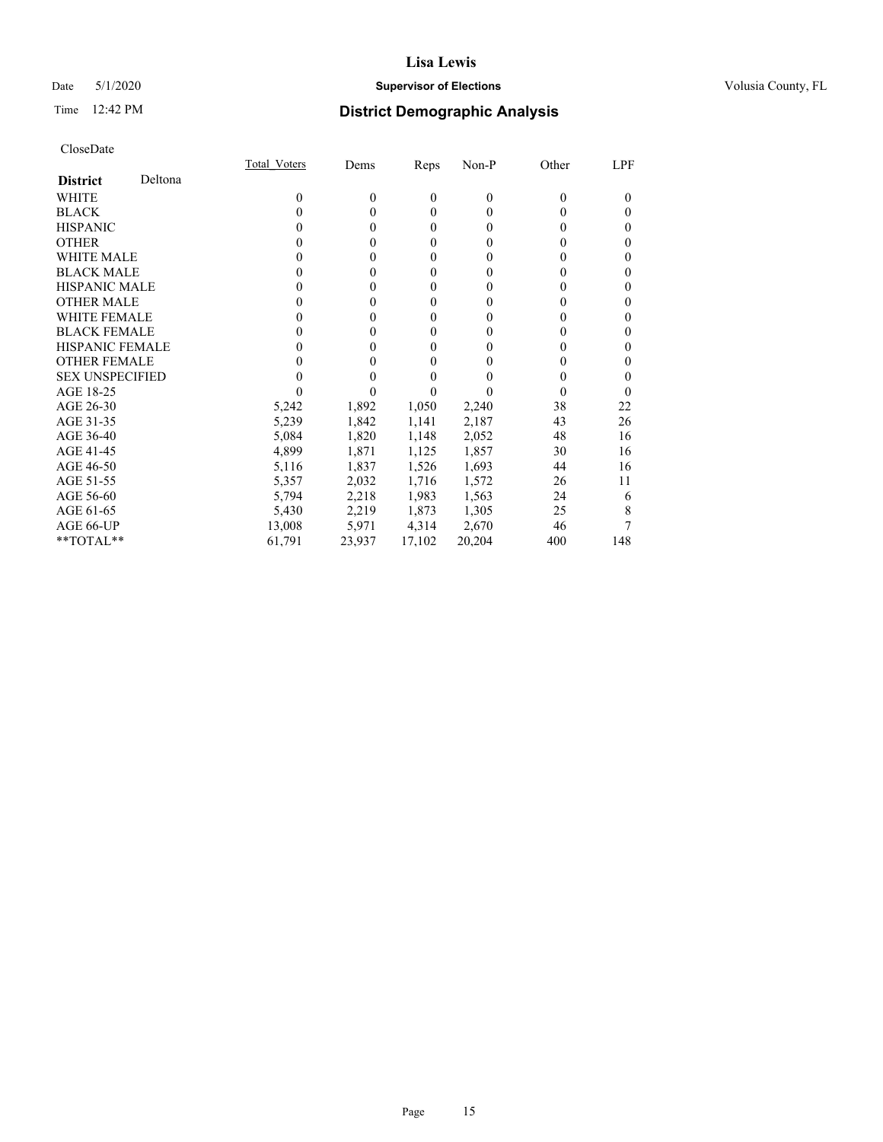## Date 5/1/2020 **Supervisor of Elections Supervisor of Elections** Volusia County, FL

# Time 12:42 PM **District Demographic Analysis**

|                        |         | Total Voters | Dems     | Reps         | Non-P    | Other    | LPF |
|------------------------|---------|--------------|----------|--------------|----------|----------|-----|
| <b>District</b>        | Deltona |              |          |              |          |          |     |
| WHITE                  |         | $\theta$     | $\theta$ | $\theta$     | $\theta$ | $\theta$ | 0   |
| <b>BLACK</b>           |         | 0            | 0        | $\theta$     | $\theta$ | $_{0}$   | 0   |
| <b>HISPANIC</b>        |         | 0            | 0        | $\theta$     | $\theta$ | $_{0}$   | 0   |
| <b>OTHER</b>           |         |              | 0        | $\theta$     | 0        | $_{0}$   | 0   |
| WHITE MALE             |         | $\theta$     | 0        | $\theta$     | 0        | $_{0}$   | 0   |
| <b>BLACK MALE</b>      |         |              | 0        | $\theta$     | 0        | 0        | 0   |
| <b>HISPANIC MALE</b>   |         |              | 0        | $\theta$     | 0        | 0        | 0   |
| <b>OTHER MALE</b>      |         |              | 0        | $\mathbf{0}$ | 0        | 0        | 0   |
| <b>WHITE FEMALE</b>    |         |              | 0        | $\theta$     | 0        | 0        | 0   |
| <b>BLACK FEMALE</b>    |         | 0            | 0        | $\theta$     | 0        | 0        | 0   |
| <b>HISPANIC FEMALE</b> |         |              |          | $\theta$     | 0        | 0        | 0   |
| <b>OTHER FEMALE</b>    |         |              |          | $\theta$     | 0        | 0        | 0   |
| <b>SEX UNSPECIFIED</b> |         |              |          | $\theta$     | 0        | $_{0}$   | 0   |
| AGE 18-25              |         |              |          | 0            |          | 0        | 0   |
| AGE 26-30              |         | 5,242        | 1,892    | 1,050        | 2,240    | 38       | 22  |
| AGE 31-35              |         | 5,239        | 1,842    | 1,141        | 2,187    | 43       | 26  |
| AGE 36-40              |         | 5,084        | 1,820    | 1,148        | 2,052    | 48       | 16  |
| AGE 41-45              |         | 4,899        | 1,871    | 1,125        | 1,857    | 30       | 16  |
| AGE 46-50              |         | 5,116        | 1,837    | 1,526        | 1,693    | 44       | 16  |
| AGE 51-55              |         | 5,357        | 2,032    | 1,716        | 1,572    | 26       | 11  |
| AGE 56-60              |         | 5,794        | 2,218    | 1,983        | 1,563    | 24       | 6   |
| AGE 61-65              |         | 5,430        | 2,219    | 1,873        | 1,305    | 25       | 8   |
| AGE 66-UP              |         | 13,008       | 5,971    | 4,314        | 2,670    | 46       |     |
| $*$ TOTAL $*$          |         | 61,791       | 23,937   | 17,102       | 20,204   | 400      | 148 |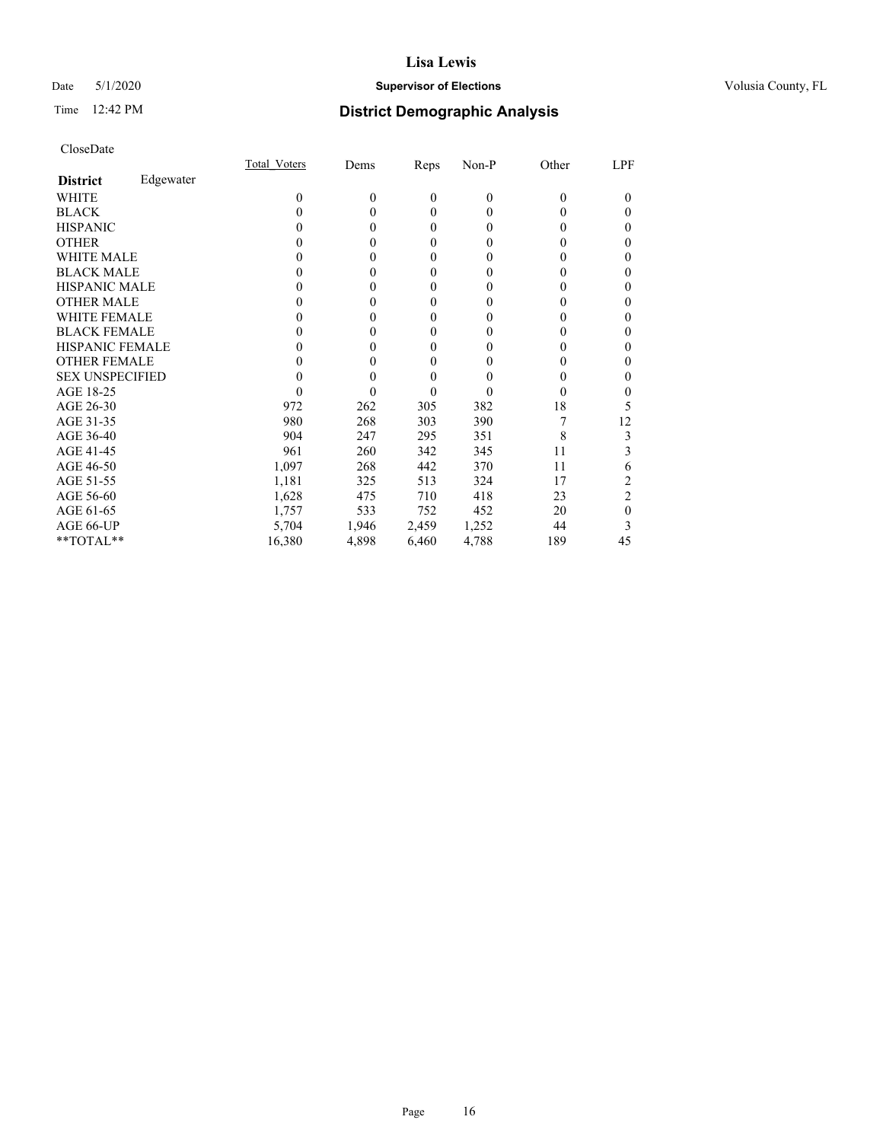## Date 5/1/2020 **Supervisor of Elections Supervisor of Elections** Volusia County, FL

## Time 12:42 PM **District Demographic Analysis**

|                        |           | Total Voters | Dems     | Reps     | Non-P    | Other    | LPF            |
|------------------------|-----------|--------------|----------|----------|----------|----------|----------------|
| <b>District</b>        | Edgewater |              |          |          |          |          |                |
| WHITE                  |           | $\theta$     | $\theta$ | $\theta$ | $\theta$ | $\Omega$ | 0              |
| <b>BLACK</b>           |           | 0            | 0        | $\theta$ | 0        | 0        | 0              |
| <b>HISPANIC</b>        |           | 0            | 0        | $\theta$ | 0        | 0        | 0              |
| <b>OTHER</b>           |           | 0            | 0        | $\theta$ | 0        | $_{0}$   | 0              |
| WHITE MALE             |           | 0            | 0        | $\theta$ | 0        | $_{0}$   | 0              |
| <b>BLACK MALE</b>      |           | 0            | 0        | $\theta$ | 0        | $_{0}$   | 0              |
| <b>HISPANIC MALE</b>   |           | $_{0}$       | 0        | $\theta$ | 0        | $_{0}$   | 0              |
| <b>OTHER MALE</b>      |           | $_{0}$       | 0        | $\theta$ | 0        | 0        | 0              |
| WHITE FEMALE           |           |              | 0        | $\theta$ | 0        | 0        | 0              |
| <b>BLACK FEMALE</b>    |           | $_{0}$       | 0        | $\theta$ | 0        | $_{0}$   | 0              |
| <b>HISPANIC FEMALE</b> |           | 0            | 0        | $\theta$ | 0        | $_{0}$   | 0              |
| <b>OTHER FEMALE</b>    |           | 0            | 0        | $\theta$ | 0        | $_{0}$   | 0              |
| <b>SEX UNSPECIFIED</b> |           | 0            | 0        | $\theta$ | 0        | $\theta$ | 0              |
| AGE 18-25              |           | 0            | 0        | $\theta$ | 0        | 0        | 0              |
| AGE 26-30              |           | 972          | 262      | 305      | 382      | 18       | 5              |
| AGE 31-35              |           | 980          | 268      | 303      | 390      |          | 12             |
| AGE 36-40              |           | 904          | 247      | 295      | 351      | 8        | 3              |
| AGE 41-45              |           | 961          | 260      | 342      | 345      | 11       | 3              |
| AGE 46-50              |           | 1,097        | 268      | 442      | 370      | 11       | 6              |
| AGE 51-55              |           | 1,181        | 325      | 513      | 324      | 17       | 2              |
| AGE 56-60              |           | 1,628        | 475      | 710      | 418      | 23       | $\overline{2}$ |
| AGE 61-65              |           | 1,757        | 533      | 752      | 452      | 20       | 0              |
| AGE 66-UP              |           | 5,704        | 1,946    | 2,459    | 1,252    | 44       | 3              |
| **TOTAL**              |           | 16,380       | 4,898    | 6,460    | 4,788    | 189      | 45             |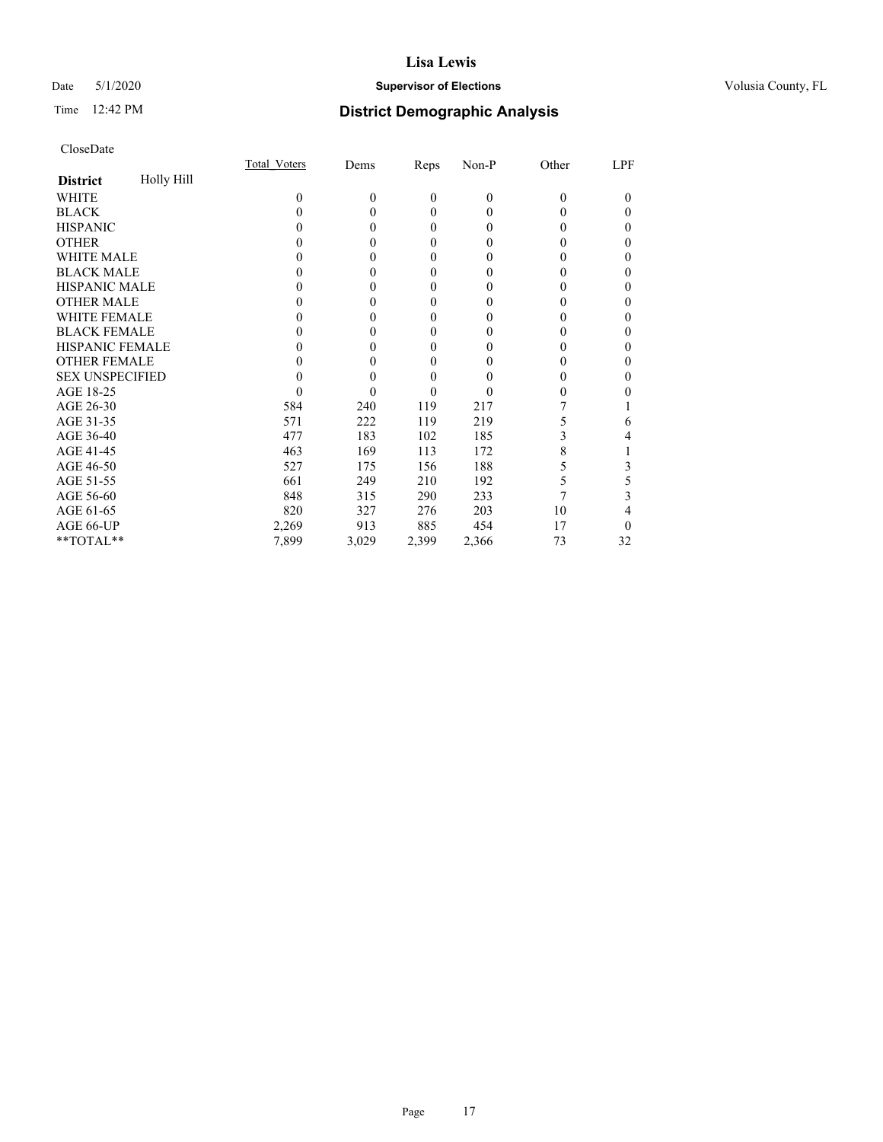## Date 5/1/2020 **Supervisor of Elections Supervisor of Elections** Volusia County, FL

# Time 12:42 PM **District Demographic Analysis**

|                        |            | Total Voters | Dems     | Reps     | Non-P        | Other    | LPF    |
|------------------------|------------|--------------|----------|----------|--------------|----------|--------|
| <b>District</b>        | Holly Hill |              |          |          |              |          |        |
| WHITE                  |            | $\Omega$     | $\theta$ | $\theta$ | $\mathbf{0}$ | $\Omega$ | $_{0}$ |
| <b>BLACK</b>           |            | 0            | 0        | $\theta$ | 0            | $_{0}$   | 0      |
| <b>HISPANIC</b>        |            | 0            | 0        | $\theta$ | 0            | $\theta$ | 0      |
| <b>OTHER</b>           |            |              |          | $\theta$ | 0            | 0        | 0      |
| WHITE MALE             |            | 0            | 0        | $\theta$ | 0            | 0        | 0      |
| <b>BLACK MALE</b>      |            |              |          | $\theta$ | 0            | 0        | 0      |
| <b>HISPANIC MALE</b>   |            |              |          | $\theta$ | 0            | 0        | 0      |
| <b>OTHER MALE</b>      |            |              |          | $\theta$ | 0            | 0        | 0      |
| WHITE FEMALE           |            |              |          | $\theta$ | 0            | 0        | 0      |
| <b>BLACK FEMALE</b>    |            |              | 0        | $\theta$ | 0            | 0        | 0      |
| <b>HISPANIC FEMALE</b> |            |              |          | $\theta$ | 0            | 0        | 0      |
| <b>OTHER FEMALE</b>    |            | 0            |          | $\theta$ | 0            | 0        | 0      |
| <b>SEX UNSPECIFIED</b> |            |              |          | $\theta$ | 0            | 0        | 0      |
| AGE 18-25              |            | 0            | 0        | $\theta$ | 0            | 0        | 0      |
| AGE 26-30              |            | 584          | 240      | 119      | 217          |          |        |
| AGE 31-35              |            | 571          | 222      | 119      | 219          | 5        | 6      |
| AGE 36-40              |            | 477          | 183      | 102      | 185          | 3        | 4      |
| AGE 41-45              |            | 463          | 169      | 113      | 172          | 8        |        |
| AGE 46-50              |            | 527          | 175      | 156      | 188          | 5        | 3      |
| AGE 51-55              |            | 661          | 249      | 210      | 192          | 5        | 5      |
| AGE 56-60              |            | 848          | 315      | 290      | 233          |          | 3      |
| AGE 61-65              |            | 820          | 327      | 276      | 203          | 10       | 4      |
| AGE 66-UP              |            | 2,269        | 913      | 885      | 454          | 17       | 0      |
| **TOTAL**              |            | 7,899        | 3,029    | 2,399    | 2,366        | 73       | 32     |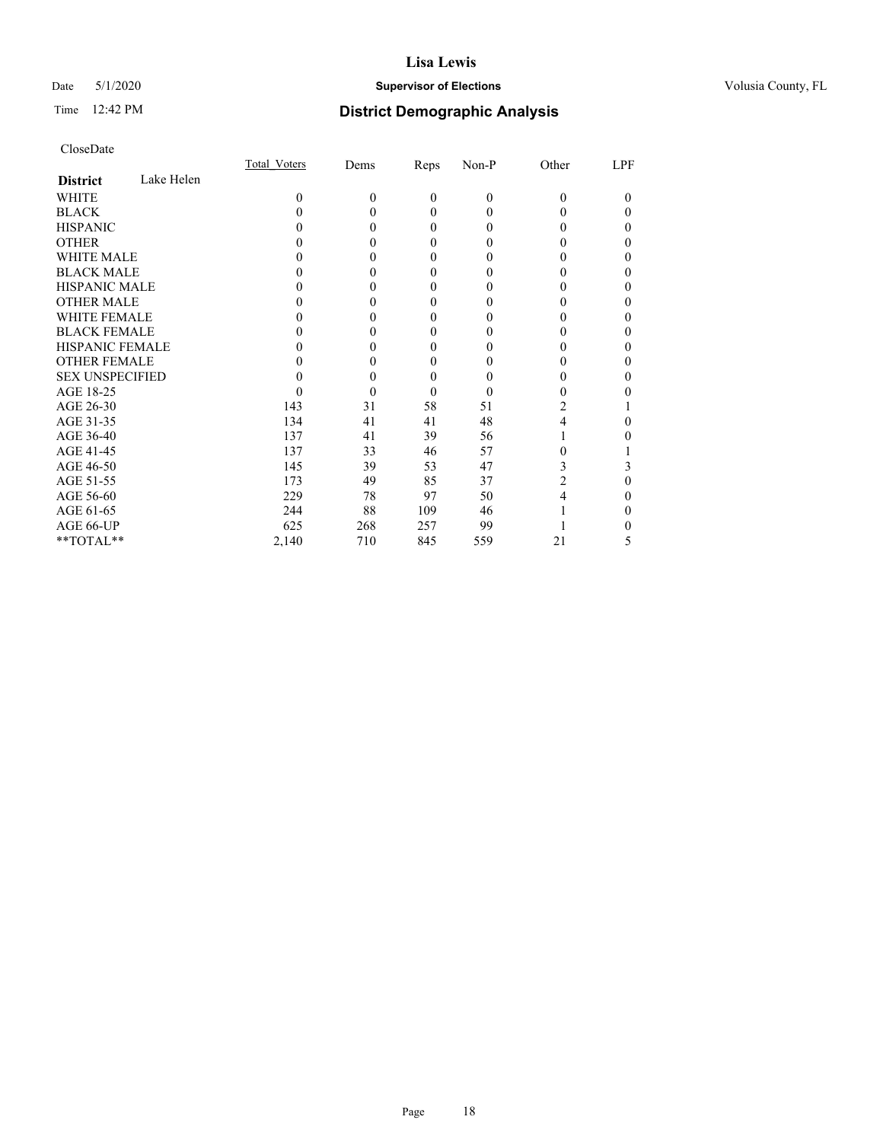## Date 5/1/2020 **Supervisor of Elections Supervisor of Elections** Volusia County, FL

## Time 12:42 PM **District Demographic Analysis**

|                        |            | Total Voters | Dems     | Reps     | Non-P        | Other    | LPF    |
|------------------------|------------|--------------|----------|----------|--------------|----------|--------|
| <b>District</b>        | Lake Helen |              |          |          |              |          |        |
| WHITE                  |            | $\Omega$     | $\Omega$ | $\theta$ | $\mathbf{0}$ | $\Omega$ | $_{0}$ |
| <b>BLACK</b>           |            | 0            |          | $\theta$ | 0            | 0        | 0      |
| <b>HISPANIC</b>        |            |              | 0        | $\theta$ | 0            | 0        | 0      |
| <b>OTHER</b>           |            |              |          | $\Omega$ | 0            | 0        | 0      |
| WHITE MALE             |            | 0            |          | $\theta$ | 0            | 0        | 0      |
| <b>BLACK MALE</b>      |            |              |          | $\theta$ | 0            |          | 0      |
| <b>HISPANIC MALE</b>   |            |              |          | $\theta$ | 0            | 0        | 0      |
| <b>OTHER MALE</b>      |            |              |          | $\theta$ | 0            | 0        | 0      |
| WHITE FEMALE           |            |              |          | $\theta$ | 0            |          | 0      |
| <b>BLACK FEMALE</b>    |            |              |          | $\theta$ | 0            | 0        | 0      |
| <b>HISPANIC FEMALE</b> |            |              |          | $\Omega$ | 0            | 0        | 0      |
| <b>OTHER FEMALE</b>    |            |              |          | $\theta$ | 0            | 0        | 0      |
| <b>SEX UNSPECIFIED</b> |            |              |          | $\theta$ | 0            | 0        | 0      |
| AGE 18-25              |            |              | 0        | $\theta$ | 0            | 0        |        |
| AGE 26-30              |            | 143          | 31       | 58       | 51           | 2        |        |
| AGE 31-35              |            | 134          | 41       | 41       | 48           | 4        | 0      |
| AGE 36-40              |            | 137          | 41       | 39       | 56           |          | 0      |
| AGE 41-45              |            | 137          | 33       | 46       | 57           | 0        |        |
| AGE 46-50              |            | 145          | 39       | 53       | 47           | 3        | 3      |
| AGE 51-55              |            | 173          | 49       | 85       | 37           | 2        | 0      |
| AGE 56-60              |            | 229          | 78       | 97       | 50           | 4        | 0      |
| AGE 61-65              |            | 244          | 88       | 109      | 46           |          | 0      |
| AGE 66-UP              |            | 625          | 268      | 257      | 99           |          |        |
| **TOTAL**              |            | 2,140        | 710      | 845      | 559          | 21       | 5      |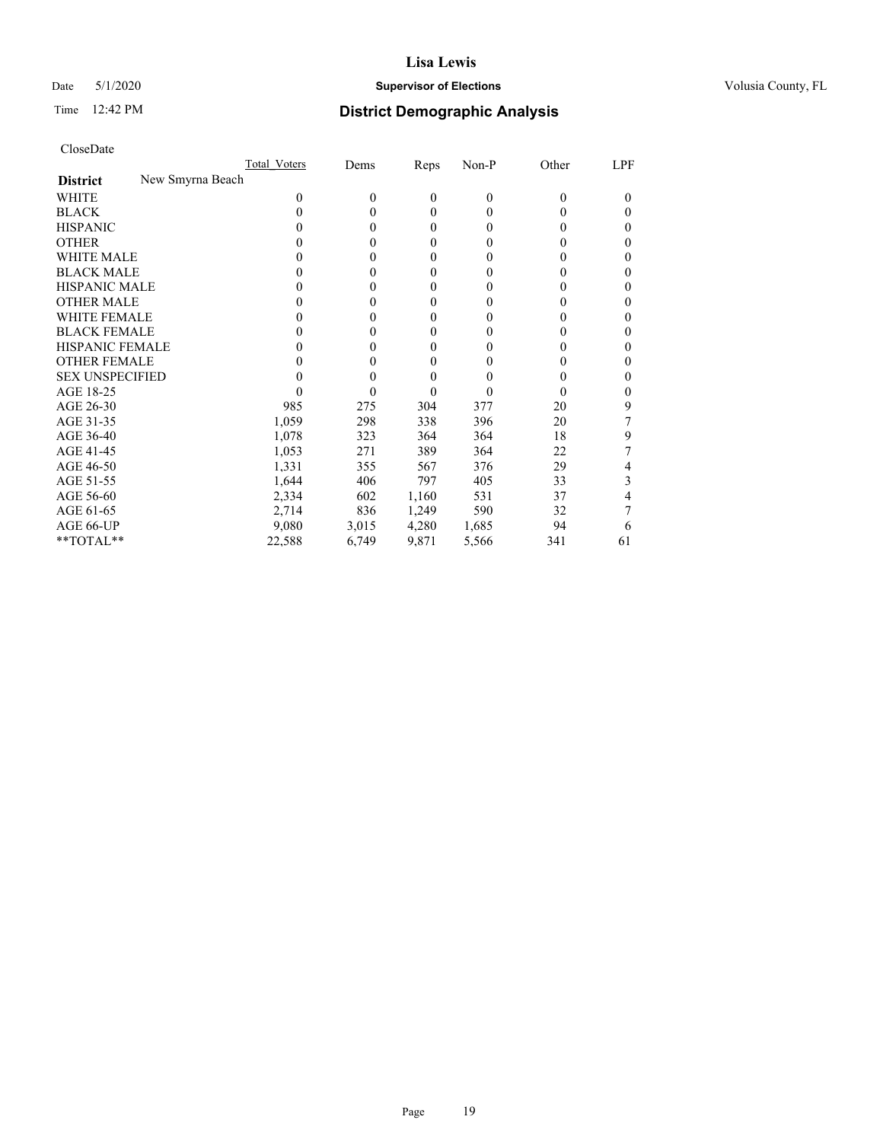## Date 5/1/2020 **Supervisor of Elections Supervisor of Elections** Volusia County, FL

## Time 12:42 PM **District Demographic Analysis**

|                                     | <b>Total Voters</b> | Dems         | Reps             | Non-P          | Other | LPF    |
|-------------------------------------|---------------------|--------------|------------------|----------------|-------|--------|
| New Smyrna Beach<br><b>District</b> |                     |              |                  |                |       |        |
| WHITE                               | $\Omega$            | $\mathbf{0}$ | $\mathbf{0}$     | $\overline{0}$ | 0     | $_{0}$ |
| <b>BLACK</b>                        | 0                   | $\theta$     | $\mathbf{0}$     | $\Omega$       | 0     | 0      |
| <b>HISPANIC</b>                     | $_{0}$              | $\theta$     | $\mathbf{0}$     | $\Omega$       | 0     | 0      |
| <b>OTHER</b>                        |                     | 0            | 0                | 0              | 0     | 0      |
| WHITE MALE                          | 0                   | 0            | $\theta$         | 0              | 0     |        |
| <b>BLACK MALE</b>                   |                     | 0            | $\boldsymbol{0}$ | $_{0}$         | 0     | 0      |
| <b>HISPANIC MALE</b>                | 0                   | 0            | $\boldsymbol{0}$ | $_{0}$         | 0     | 0      |
| <b>OTHER MALE</b>                   | 0                   | 0            | 0                | $_{0}$         | 0     | 0      |
| <b>WHITE FEMALE</b>                 | 0                   | 0            | 0                | 0              | 0     | 0      |
| <b>BLACK FEMALE</b>                 | 0                   | 0            | 0                | 0              | 0     | 0      |
| <b>HISPANIC FEMALE</b>              |                     | 0            | 0                | 0              |       | 0      |
| <b>OTHER FEMALE</b>                 |                     | 0            | $\theta$         | 0              | 0     | 0      |
| <b>SEX UNSPECIFIED</b>              |                     | 0            | $\overline{0}$   | 0              | 0     | 0      |
| AGE 18-25                           |                     | 0            | 0                | $\theta$       | 0     | 0      |
| AGE 26-30                           | 985                 | 275          | 304              | 377            | 20    | 9      |
| AGE 31-35                           | 1,059               | 298          | 338              | 396            | 20    |        |
| AGE 36-40                           | 1,078               | 323          | 364              | 364            | 18    | 9      |
| AGE 41-45                           | 1,053               | 271          | 389              | 364            | 22    |        |
| AGE 46-50                           | 1,331               | 355          | 567              | 376            | 29    | 4      |
| AGE 51-55                           | 1,644               | 406          | 797              | 405            | 33    | 3      |
| AGE 56-60                           | 2,334               | 602          | 1,160            | 531            | 37    | 4      |
| AGE 61-65                           | 2,714               | 836          | 1,249            | 590            | 32    |        |
| AGE 66-UP                           | 9,080               | 3,015        | 4,280            | 1,685          | 94    | 6      |
| **TOTAL**                           | 22,588              | 6,749        | 9,871            | 5,566          | 341   | 61     |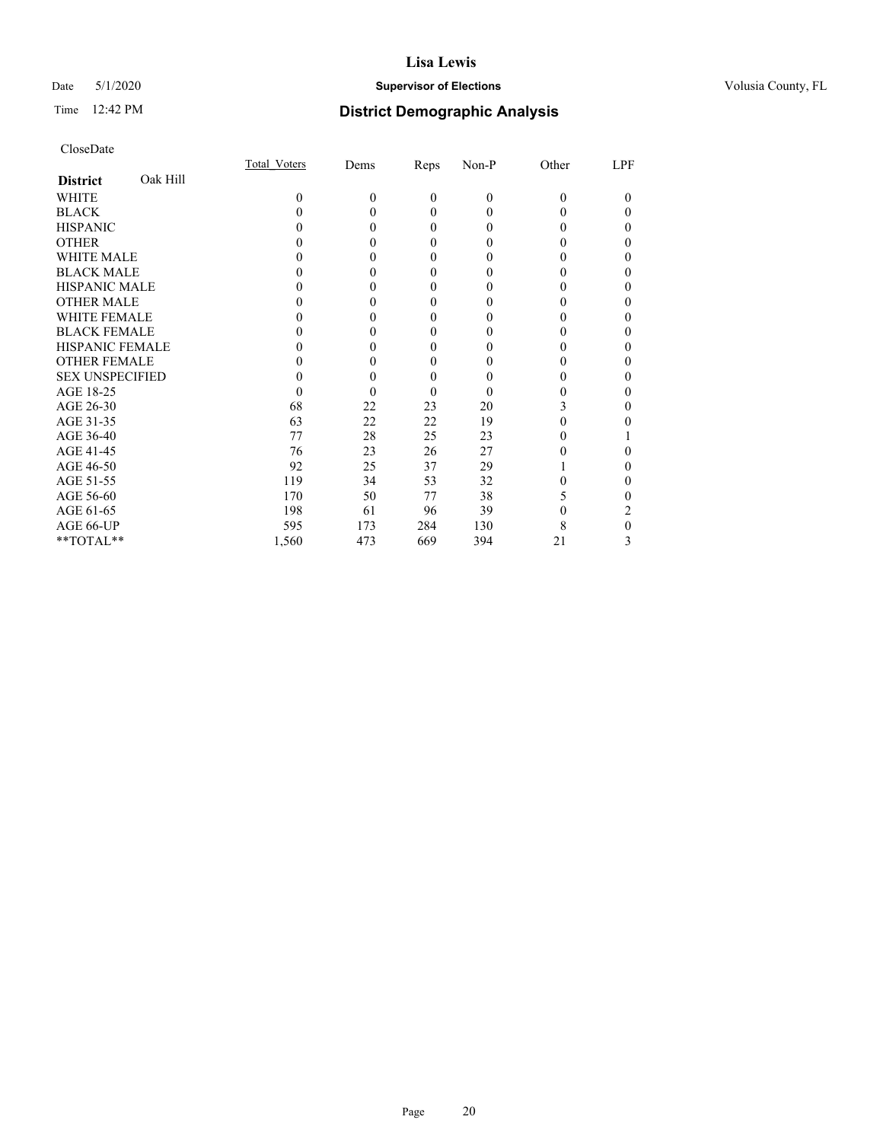## Date 5/1/2020 **Supervisor of Elections Supervisor of Elections** Volusia County, FL

# Time 12:42 PM **District Demographic Analysis**

|                        |          | Total Voters | Dems     | Reps         | Non-P        | Other    | LPF    |
|------------------------|----------|--------------|----------|--------------|--------------|----------|--------|
| <b>District</b>        | Oak Hill |              |          |              |              |          |        |
| WHITE                  |          | $\theta$     | $\theta$ | $\theta$     | $\mathbf{0}$ | $\Omega$ | $_{0}$ |
| <b>BLACK</b>           |          | 0            | 0        | $\theta$     | 0            | 0        | 0      |
| <b>HISPANIC</b>        |          | 0            | 0        | $\theta$     | 0            | 0        | 0      |
| <b>OTHER</b>           |          |              |          | $\theta$     | 0            | 0        | 0      |
| WHITE MALE             |          |              |          | $\theta$     | 0            | 0        | 0      |
| <b>BLACK MALE</b>      |          |              |          | $\theta$     | 0            | 0        | 0      |
| <b>HISPANIC MALE</b>   |          |              |          | $\theta$     | 0            | 0        | 0      |
| <b>OTHER MALE</b>      |          |              |          | $\theta$     | 0            | 0        | 0      |
| WHITE FEMALE           |          |              |          | $\theta$     | 0            |          | 0      |
| <b>BLACK FEMALE</b>    |          |              |          | $\theta$     | 0            | 0        | 0      |
| <b>HISPANIC FEMALE</b> |          |              |          | $\Omega$     | 0            | 0        | 0      |
| <b>OTHER FEMALE</b>    |          | 0            |          | $\mathbf{0}$ | 0            | 0        | 0      |
| <b>SEX UNSPECIFIED</b> |          |              |          | $\theta$     | 0            |          | 0      |
| AGE 18-25              |          | 0            | 0        | $\Omega$     | 0            | 0        | 0      |
| AGE 26-30              |          | 68           | 22       | 23           | 20           | 3        | 0      |
| AGE 31-35              |          | 63           | 22       | 22           | 19           |          | 0      |
| AGE 36-40              |          | 77           | 28       | 25           | 23           | 0        |        |
| AGE 41-45              |          | 76           | 23       | 26           | 27           |          | 0      |
| AGE 46-50              |          | 92           | 25       | 37           | 29           |          | 0      |
| AGE 51-55              |          | 119          | 34       | 53           | 32           |          | 0      |
| AGE 56-60              |          | 170          | 50       | 77           | 38           | 5        | 0      |
| AGE 61-65              |          | 198          | 61       | 96           | 39           | 0        | 2      |
| AGE 66-UP              |          | 595          | 173      | 284          | 130          | 8        | 0      |
| **TOTAL**              |          | 1,560        | 473      | 669          | 394          | 21       | 3      |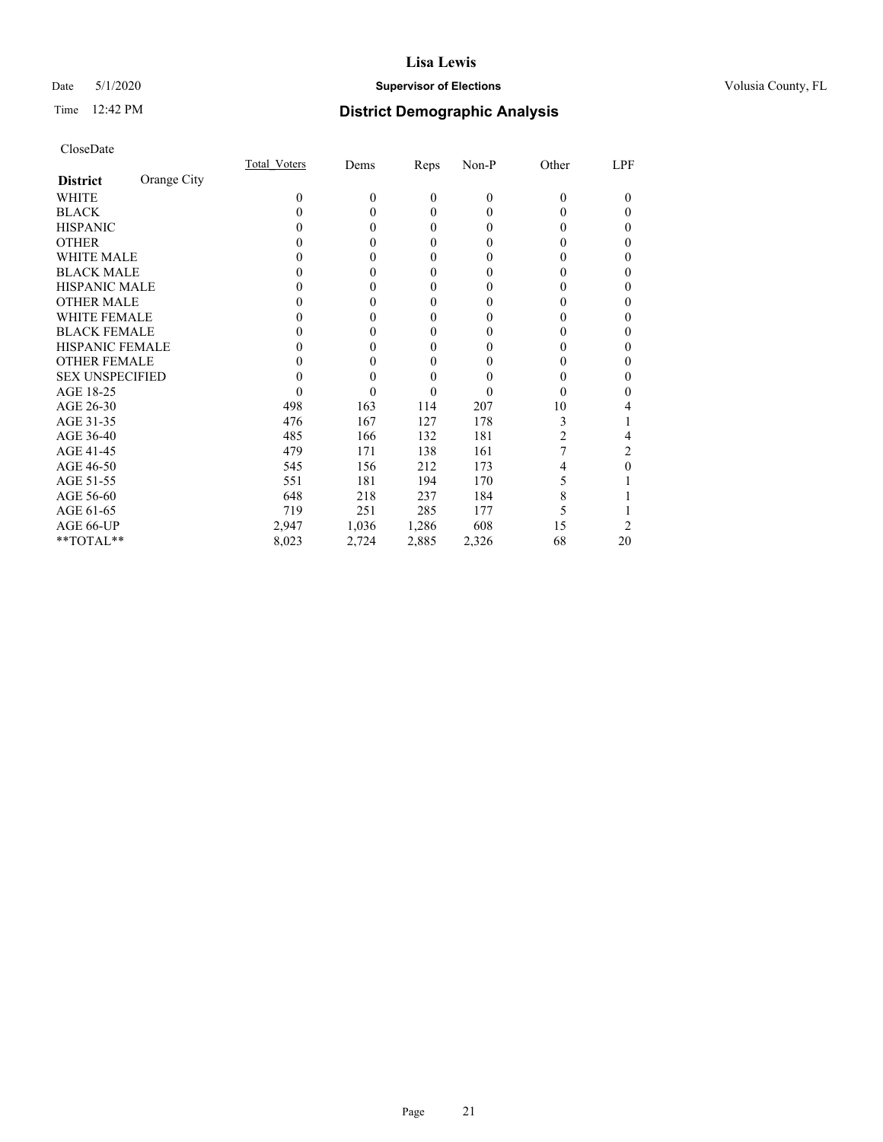## Date 5/1/2020 **Supervisor of Elections Supervisor of Elections** Volusia County, FL

## Time 12:42 PM **District Demographic Analysis**

|                        |             | Total Voters | Dems     | Reps     | $Non-P$  | Other    | LPF    |
|------------------------|-------------|--------------|----------|----------|----------|----------|--------|
| <b>District</b>        | Orange City |              |          |          |          |          |        |
| WHITE                  |             | 0            | $\theta$ | $\theta$ | $\theta$ | $\Omega$ | $_{0}$ |
| <b>BLACK</b>           |             | 0            | 0        | $\theta$ | 0        | $_{0}$   | 0      |
| <b>HISPANIC</b>        |             | $\theta$     | 0        | $\Omega$ | $\theta$ | 0        | 0      |
| <b>OTHER</b>           |             |              |          | 0        | 0        | 0        | 0      |
| WHITE MALE             |             |              | 0        | 0        | 0        | 0        | 0      |
| <b>BLACK MALE</b>      |             |              |          | 0        | 0        | 0        | 0      |
| <b>HISPANIC MALE</b>   |             |              |          | 0        | 0        |          | 0      |
| <b>OTHER MALE</b>      |             |              | 0        | 0        | 0        | 0        | 0      |
| <b>WHITE FEMALE</b>    |             |              |          | 0        | 0        |          | 0      |
| <b>BLACK FEMALE</b>    |             |              | 0        | $\theta$ | 0        | 0        | 0      |
| <b>HISPANIC FEMALE</b> |             |              |          | 0        | 0        | 0        | 0      |
| <b>OTHER FEMALE</b>    |             |              | 0        | $\theta$ | 0        | 0        | 0      |
| <b>SEX UNSPECIFIED</b> |             |              |          | 0        | 0        |          | 0      |
| AGE 18-25              |             |              |          | 0        | 0        | 0        | 0      |
| AGE 26-30              |             | 498          | 163      | 114      | 207      | 10       | 4      |
| AGE 31-35              |             | 476          | 167      | 127      | 178      | 3        |        |
| AGE 36-40              |             | 485          | 166      | 132      | 181      | 2        | 4      |
| AGE 41-45              |             | 479          | 171      | 138      | 161      |          | 2      |
| AGE 46-50              |             | 545          | 156      | 212      | 173      | 4        | 0      |
| AGE 51-55              |             | 551          | 181      | 194      | 170      | 5        |        |
| AGE 56-60              |             | 648          | 218      | 237      | 184      | 8        |        |
| AGE 61-65              |             | 719          | 251      | 285      | 177      |          |        |
| AGE 66-UP              |             | 2,947        | 1,036    | 1,286    | 608      | 15       |        |
| **TOTAL**              |             | 8,023        | 2,724    | 2,885    | 2,326    | 68       | 20     |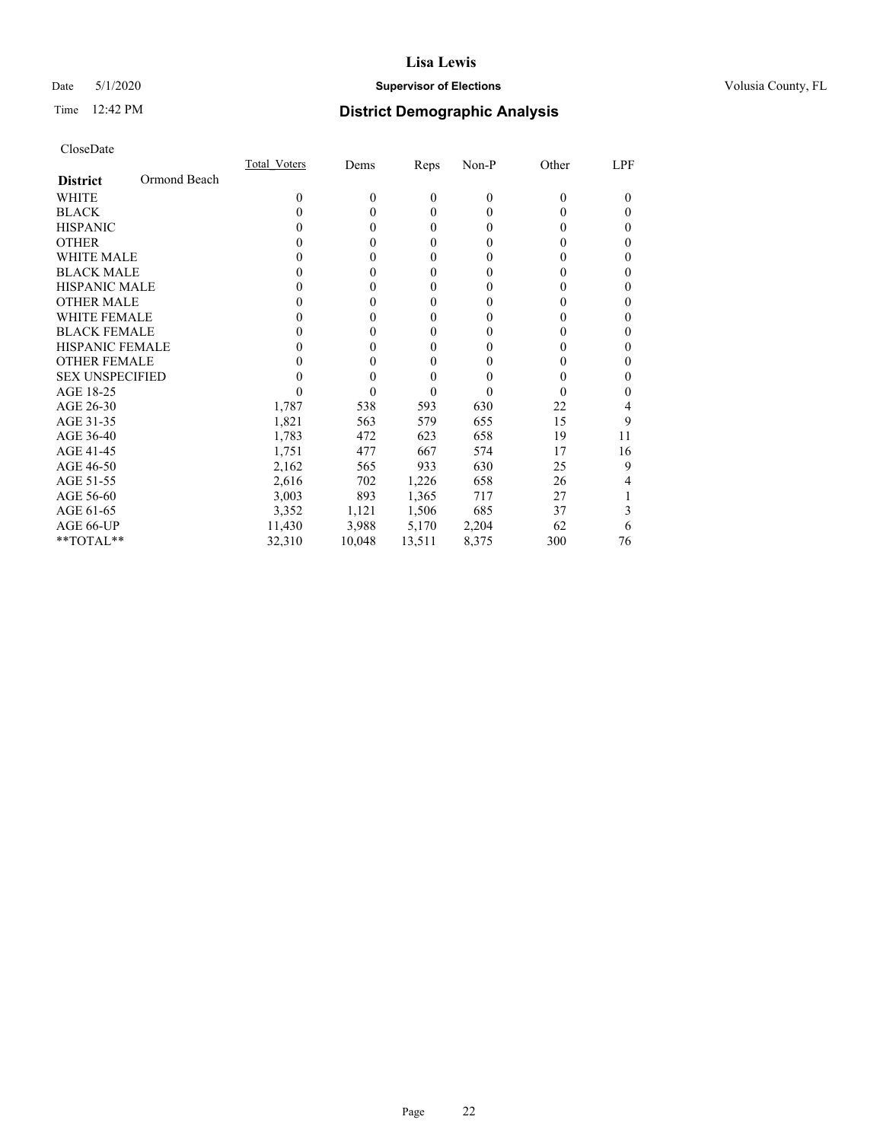## Date 5/1/2020 **Supervisor of Elections Supervisor of Elections** Volusia County, FL

# Time 12:42 PM **District Demographic Analysis**

|                        |              | <b>Total Voters</b> | Dems     | Reps           | Non-P    | Other    | LPF |
|------------------------|--------------|---------------------|----------|----------------|----------|----------|-----|
| <b>District</b>        | Ormond Beach |                     |          |                |          |          |     |
| WHITE                  |              | 0                   | $\theta$ | $\mathbf{0}$   | $\theta$ | $\Omega$ | 0   |
| <b>BLACK</b>           |              | $\theta$            | 0        | $\theta$       | $\theta$ | $_{0}$   | 0   |
| <b>HISPANIC</b>        |              | $\theta$            | 0        | $\theta$       | $\theta$ | $_{0}$   | 0   |
| <b>OTHER</b>           |              |                     | 0        | 0              | 0        | 0        | 0   |
| WHITE MALE             |              |                     | 0        | $\overline{0}$ | 0        | $_{0}$   | 0   |
| <b>BLACK MALE</b>      |              |                     | 0        | 0              | 0        | 0        | 0   |
| <b>HISPANIC MALE</b>   |              |                     |          | 0              | 0        |          | 0   |
| <b>OTHER MALE</b>      |              |                     | 0        | $\theta$       | 0        | 0        | 0   |
| <b>WHITE FEMALE</b>    |              |                     | 0        | $\theta$       | 0        | 0        | 0   |
| <b>BLACK FEMALE</b>    |              | $\mathbf{0}$        | 0        | $\theta$       | $\theta$ | 0        | 0   |
| <b>HISPANIC FEMALE</b> |              |                     |          | 0              | 0        | 0        | 0   |
| <b>OTHER FEMALE</b>    |              |                     |          | 0              | 0        | 0        | 0   |
| <b>SEX UNSPECIFIED</b> |              |                     |          | 0              | 0        | $\theta$ | 0   |
| AGE 18-25              |              |                     |          | 0              | $\theta$ | $\theta$ | 0   |
| AGE 26-30              |              | 1,787               | 538      | 593            | 630      | 22       | 4   |
| AGE 31-35              |              | 1,821               | 563      | 579            | 655      | 15       | 9   |
| AGE 36-40              |              | 1,783               | 472      | 623            | 658      | 19       | 11  |
| AGE 41-45              |              | 1,751               | 477      | 667            | 574      | 17       | 16  |
| AGE 46-50              |              | 2,162               | 565      | 933            | 630      | 25       | 9   |
| AGE 51-55              |              | 2,616               | 702      | 1,226          | 658      | 26       | 4   |
| AGE 56-60              |              | 3,003               | 893      | 1,365          | 717      | 27       |     |
| AGE 61-65              |              | 3,352               | 1,121    | 1,506          | 685      | 37       | 3   |
| AGE 66-UP              |              | 11,430              | 3,988    | 5,170          | 2,204    | 62       | 6   |
| **TOTAL**              |              | 32,310              | 10,048   | 13,511         | 8,375    | 300      | 76  |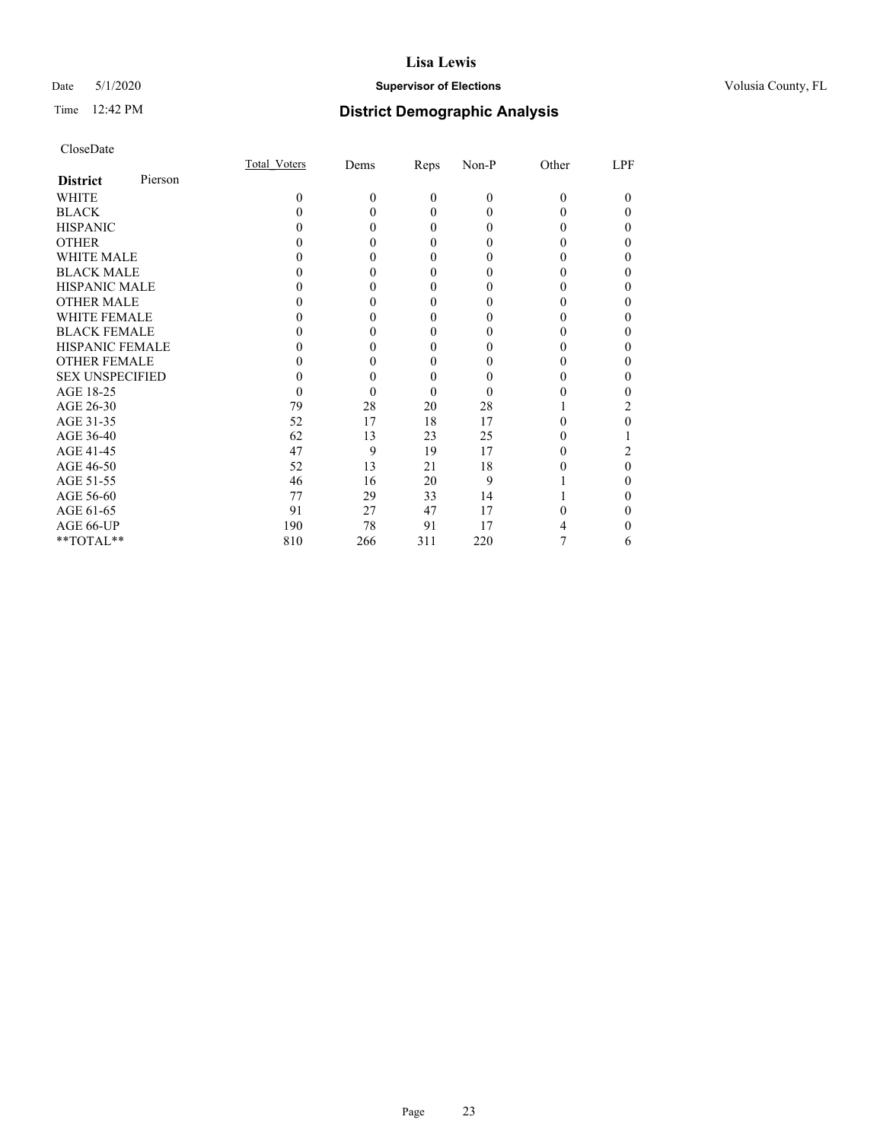## Date 5/1/2020 **Supervisor of Elections Supervisor of Elections** Volusia County, FL

| CloseDate |
|-----------|
|-----------|

|                        |         | Total Voters | Dems     | Reps         | Non-P    | Other    | LPF    |
|------------------------|---------|--------------|----------|--------------|----------|----------|--------|
| <b>District</b>        | Pierson |              |          |              |          |          |        |
| WHITE                  |         | $\Omega$     | $\theta$ | $\mathbf{0}$ | $\theta$ | $\Omega$ | $_{0}$ |
| <b>BLACK</b>           |         |              | 0        | 0            | 0        |          | 0      |
| <b>HISPANIC</b>        |         |              | $\theta$ | 0            | $\theta$ |          | 0      |
| <b>OTHER</b>           |         |              |          | 0            |          |          | 0      |
| <b>WHITE MALE</b>      |         |              |          | 0            |          |          |        |
| <b>BLACK MALE</b>      |         |              |          | 0            |          |          | 0      |
| <b>HISPANIC MALE</b>   |         |              |          | 0            |          |          | 0      |
| <b>OTHER MALE</b>      |         |              | 0        | 0            |          |          | 0      |
| WHITE FEMALE           |         |              |          | 0            |          |          |        |
| <b>BLACK FEMALE</b>    |         |              | 0        | 0            | 0        |          | 0      |
| <b>HISPANIC FEMALE</b> |         |              |          |              |          |          |        |
| <b>OTHER FEMALE</b>    |         |              | 0        | 0            | 0        |          | 0      |
| <b>SEX UNSPECIFIED</b> |         |              |          | 0            |          |          | 0      |
| AGE 18-25              |         |              | 0        | 0            | $\theta$ |          |        |
| AGE 26-30              |         | 79           | 28       | 20           | 28       |          | 2      |
| AGE 31-35              |         | 52           | 17       | 18           | 17       |          | 0      |
| AGE 36-40              |         | 62           | 13       | 23           | 25       |          |        |
| AGE 41-45              |         | 47           | 9        | 19           | 17       |          |        |
| AGE 46-50              |         | 52           | 13       | 21           | 18       |          | 0      |
| AGE 51-55              |         | 46           | 16       | 20           | 9        |          | 0      |
| AGE 56-60              |         | 77           | 29       | 33           | 14       |          |        |
| AGE 61-65              |         | 91           | 27       | 47           | 17       |          |        |
| AGE 66-UP              |         | 190          | 78       | 91           | 17       |          |        |
| **TOTAL**              |         | 810          | 266      | 311          | 220      |          | 6      |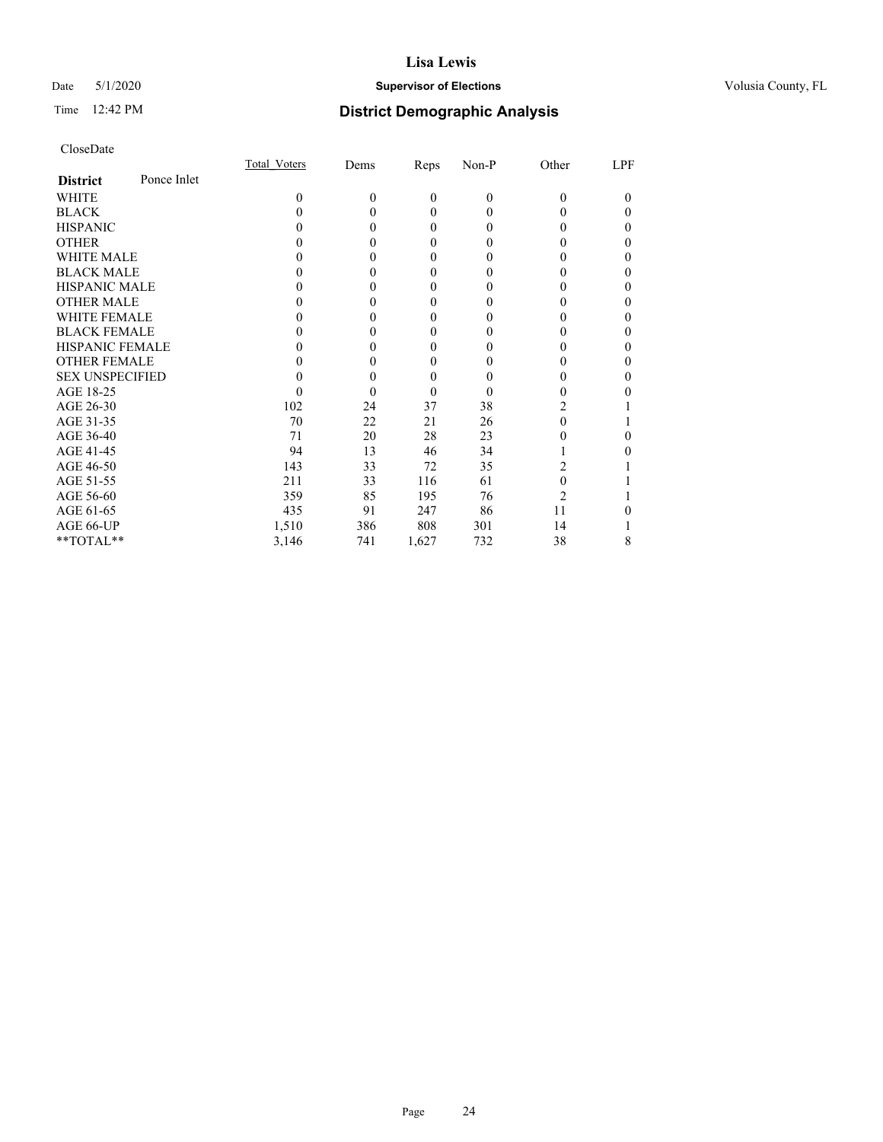## Date 5/1/2020 **Supervisor of Elections Supervisor of Elections** Volusia County, FL

## Time 12:42 PM **District Demographic Analysis**

|                        |             | Total Voters | Dems         | Reps         | Non-P    | Other          | LPF |
|------------------------|-------------|--------------|--------------|--------------|----------|----------------|-----|
| <b>District</b>        | Ponce Inlet |              |              |              |          |                |     |
| WHITE                  |             | 0            | $\mathbf{0}$ | $\mathbf{0}$ | $\theta$ | $\theta$       | 0   |
| <b>BLACK</b>           |             | 0            | 0            | $\theta$     | 0        | 0              | 0   |
| <b>HISPANIC</b>        |             | 0            | 0            | $\theta$     | 0        | 0              | 0   |
| <b>OTHER</b>           |             |              | 0            | $\Omega$     | 0        | 0              | 0   |
| WHITE MALE             |             |              | 0            | $\theta$     | 0        | 0              | 0   |
| <b>BLACK MALE</b>      |             |              |              | $\theta$     | 0        | 0              | 0   |
| <b>HISPANIC MALE</b>   |             |              | 0            | $\theta$     | $\theta$ | 0              |     |
| <b>OTHER MALE</b>      |             |              | 0            | $\theta$     | 0        | 0              | 0   |
| WHITE FEMALE           |             |              |              | $\theta$     |          |                |     |
| <b>BLACK FEMALE</b>    |             |              | 0            | $\theta$     | $\theta$ | 0              | 0   |
| <b>HISPANIC FEMALE</b> |             |              | 0            | $\theta$     | $\theta$ | 0              | 0   |
| <b>OTHER FEMALE</b>    |             |              | 0            | $\mathbf{0}$ | 0        | 0              | 0   |
| <b>SEX UNSPECIFIED</b> |             |              | 0            | $\theta$     | 0        |                | 0   |
| AGE 18-25              |             | $\theta$     | 0            | $\theta$     | 0        | 0              |     |
| AGE 26-30              |             | 102          | 24           | 37           | 38       | $\mathfrak{D}$ |     |
| AGE 31-35              |             | 70           | 22           | 21           | 26       | 0              |     |
| AGE 36-40              |             | 71           | 20           | 28           | 23       | 0              |     |
| AGE 41-45              |             | 94           | 13           | 46           | 34       |                |     |
| AGE 46-50              |             | 143          | 33           | 72           | 35       | 2              |     |
| AGE 51-55              |             | 211          | 33           | 116          | 61       | 0              |     |
| AGE 56-60              |             | 359          | 85           | 195          | 76       | $\overline{c}$ |     |
| AGE 61-65              |             | 435          | 91           | 247          | 86       | 11             |     |
| AGE 66-UP              |             | 1,510        | 386          | 808          | 301      | 14             |     |
| **TOTAL**              |             | 3,146        | 741          | 1,627        | 732      | 38             | 8   |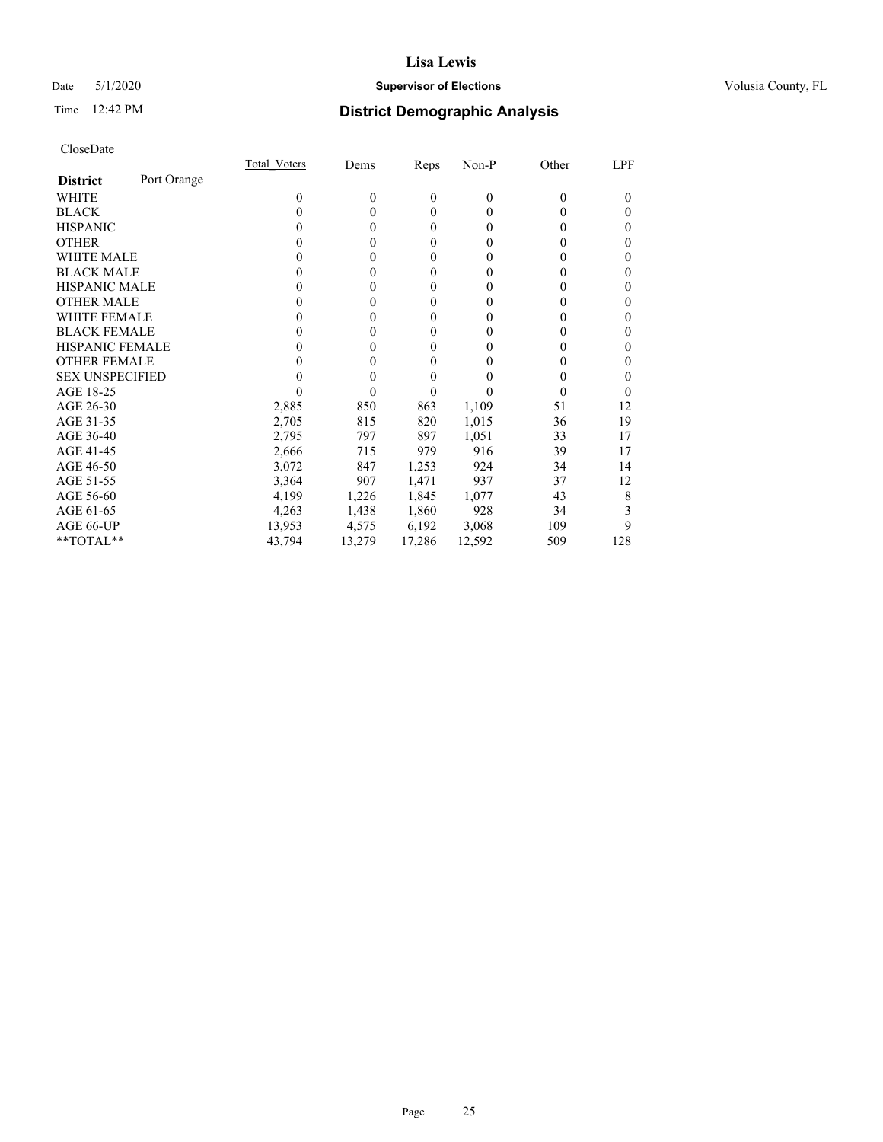## Date 5/1/2020 **Supervisor of Elections Supervisor of Elections** Volusia County, FL

## Time 12:42 PM **District Demographic Analysis**

|                        |             | Total Voters | Dems     | Reps     | Non-P    | Other | LPF |
|------------------------|-------------|--------------|----------|----------|----------|-------|-----|
| <b>District</b>        | Port Orange |              |          |          |          |       |     |
| WHITE                  |             | $\theta$     | $\theta$ | $\theta$ | $\theta$ | 0     | 0   |
| <b>BLACK</b>           |             | 0            | 0        | $\theta$ | 0        | 0     | 0   |
| <b>HISPANIC</b>        |             | 0            | 0        | $\theta$ | 0        | 0     | 0   |
| <b>OTHER</b>           |             | 0            | 0        | 0        | 0        | 0     | 0   |
| <b>WHITE MALE</b>      |             | 0            | 0        | 0        | 0        | 0     | 0   |
| <b>BLACK MALE</b>      |             | 0            | 0        | 0        | 0        | 0     | 0   |
| <b>HISPANIC MALE</b>   |             | $_{0}$       | 0        | 0        | 0        | 0     | 0   |
| <b>OTHER MALE</b>      |             | $_{0}$       | 0        | 0        | 0        | 0     | 0   |
| WHITE FEMALE           |             | 0            | 0        | 0        | 0        |       | 0   |
| <b>BLACK FEMALE</b>    |             | 0            | 0        | 0        | 0        | 0     | 0   |
| <b>HISPANIC FEMALE</b> |             | 0            | 0        | 0        | 0        | 0     | 0   |
| <b>OTHER FEMALE</b>    |             | $\theta$     | 0        | 0        | $\theta$ | 0     | 0   |
| <b>SEX UNSPECIFIED</b> |             |              | 0        | 0        |          |       | 0   |
| AGE 18-25              |             |              | 0        | 0        |          |       | 0   |
| AGE 26-30              |             | 2,885        | 850      | 863      | 1,109    | 51    | 12  |
| AGE 31-35              |             | 2,705        | 815      | 820      | 1,015    | 36    | 19  |
| AGE 36-40              |             | 2,795        | 797      | 897      | 1,051    | 33    | 17  |
| AGE 41-45              |             | 2,666        | 715      | 979      | 916      | 39    | 17  |
| AGE 46-50              |             | 3,072        | 847      | 1,253    | 924      | 34    | 14  |
| AGE 51-55              |             | 3,364        | 907      | 1,471    | 937      | 37    | 12  |
| AGE 56-60              |             | 4,199        | 1,226    | 1,845    | 1,077    | 43    | 8   |
| AGE 61-65              |             | 4,263        | 1,438    | 1,860    | 928      | 34    | 3   |
| AGE 66-UP              |             | 13,953       | 4,575    | 6,192    | 3,068    | 109   | 9   |
| **TOTAL**              |             | 43,794       | 13,279   | 17,286   | 12,592   | 509   | 128 |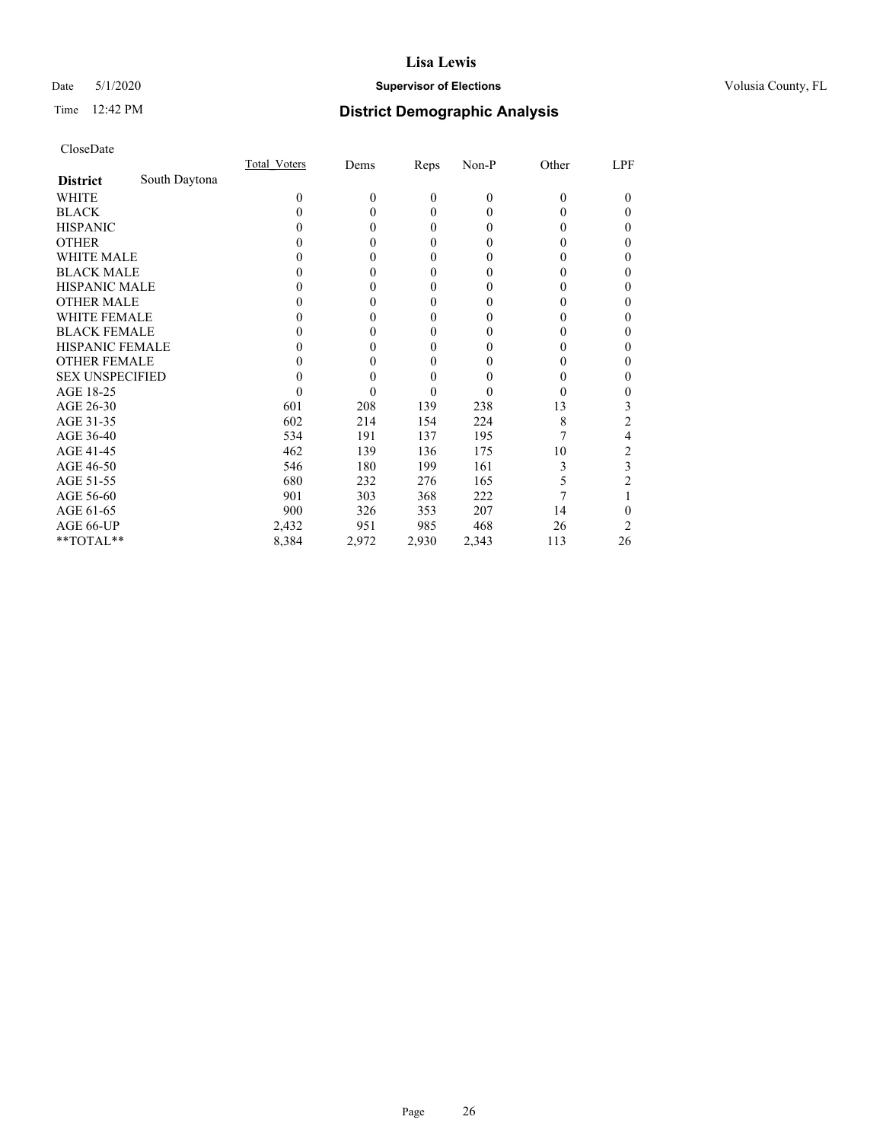## Date 5/1/2020 **Supervisor of Elections Supervisor of Elections** Volusia County, FL

## Time 12:42 PM **District Demographic Analysis**

|                        |               | <b>Total Voters</b> | Dems     | Reps         | Non-P        | Other    | LPF |
|------------------------|---------------|---------------------|----------|--------------|--------------|----------|-----|
| <b>District</b>        | South Daytona |                     |          |              |              |          |     |
| WHITE                  |               | 0                   | $\theta$ | $\mathbf{0}$ | $\mathbf{0}$ | $\Omega$ | 0   |
| <b>BLACK</b>           |               | 0                   | 0        | $\theta$     | $\theta$     | $\theta$ | 0   |
| <b>HISPANIC</b>        |               | $\theta$            | 0        | $\theta$     | $\theta$     | $_{0}$   | 0   |
| <b>OTHER</b>           |               |                     |          | 0            | 0            | 0        | 0   |
| WHITE MALE             |               |                     |          | 0            | 0            | 0        | 0   |
| <b>BLACK MALE</b>      |               |                     | 0        | 0            | 0            | 0        | 0   |
| <b>HISPANIC MALE</b>   |               |                     |          | 0            | 0            | 0        | 0   |
| <b>OTHER MALE</b>      |               |                     | 0        | $\Omega$     | 0            | 0        | 0   |
| WHITE FEMALE           |               |                     |          | 0            | 0            |          | 0   |
| <b>BLACK FEMALE</b>    |               |                     | 0        | $\theta$     | 0            | 0        | 0   |
| <b>HISPANIC FEMALE</b> |               |                     |          | 0            | 0            | 0        | 0   |
| <b>OTHER FEMALE</b>    |               |                     | 0        | 0            | 0            | 0        | 0   |
| <b>SEX UNSPECIFIED</b> |               |                     |          | 0            | 0            | 0        | 0   |
| AGE 18-25              |               |                     |          | 0            | 0            | $\theta$ | 0   |
| AGE 26-30              |               | 601                 | 208      | 139          | 238          | 13       | 3   |
| AGE 31-35              |               | 602                 | 214      | 154          | 224          | 8        | 2   |
| AGE 36-40              |               | 534                 | 191      | 137          | 195          |          | 4   |
| AGE 41-45              |               | 462                 | 139      | 136          | 175          | 10       | 2   |
| AGE 46-50              |               | 546                 | 180      | 199          | 161          | 3        | 3   |
| AGE 51-55              |               | 680                 | 232      | 276          | 165          | 5        |     |
| AGE 56-60              |               | 901                 | 303      | 368          | 222          |          |     |
| AGE 61-65              |               | 900                 | 326      | 353          | 207          | 14       | 0   |
| AGE 66-UP              |               | 2,432               | 951      | 985          | 468          | 26       | 2   |
| **TOTAL**              |               | 8,384               | 2,972    | 2,930        | 2,343        | 113      | 26  |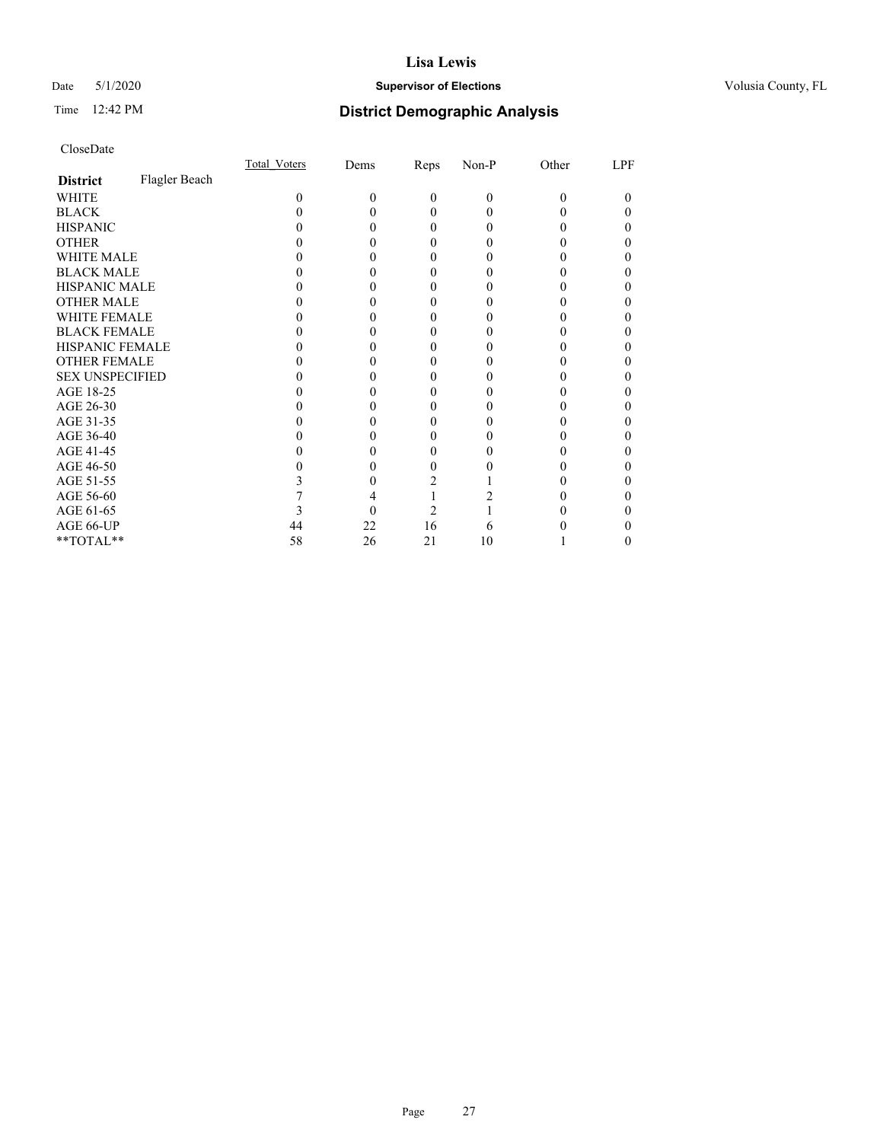## Date 5/1/2020 **Supervisor of Elections Supervisor of Elections** Volusia County, FL

# Time 12:42 PM **District Demographic Analysis**

|                        |               | Total Voters | Dems | Reps     | Non-P | Other | LPF |
|------------------------|---------------|--------------|------|----------|-------|-------|-----|
| <b>District</b>        | Flagler Beach |              |      |          |       |       |     |
| WHITE                  |               | 0            | 0    | $\theta$ | 0     | 0     | 0   |
| <b>BLACK</b>           |               |              |      | 0        | 0     |       | 0   |
| <b>HISPANIC</b>        |               |              |      | 0        | 0     |       | 0   |
| <b>OTHER</b>           |               |              |      |          |       |       |     |
| WHITE MALE             |               |              |      |          |       |       |     |
| <b>BLACK MALE</b>      |               |              |      |          |       |       |     |
| <b>HISPANIC MALE</b>   |               |              |      |          |       |       |     |
| <b>OTHER MALE</b>      |               |              |      |          |       |       | 0   |
| <b>WHITE FEMALE</b>    |               |              |      |          |       |       |     |
| <b>BLACK FEMALE</b>    |               |              |      | 0        |       |       | 0   |
| <b>HISPANIC FEMALE</b> |               |              |      |          |       |       |     |
| <b>OTHER FEMALE</b>    |               |              |      |          |       |       |     |
| <b>SEX UNSPECIFIED</b> |               |              |      |          |       |       |     |
| AGE 18-25              |               |              |      |          |       |       |     |
| AGE 26-30              |               |              |      |          |       |       |     |
| AGE 31-35              |               |              |      |          |       |       |     |
| AGE 36-40              |               |              |      |          |       |       | 0   |
| AGE 41-45              |               |              |      |          |       |       |     |
| AGE 46-50              |               |              |      |          |       |       |     |
| AGE 51-55              |               |              |      |          |       |       |     |
| AGE 56-60              |               |              |      |          |       |       |     |
| AGE 61-65              |               |              |      | 2        |       |       |     |
| AGE 66-UP              |               | 44           | 22   | 16       |       |       |     |
| **TOTAL**              |               | 58           | 26   | 21       | 10    |       | 0   |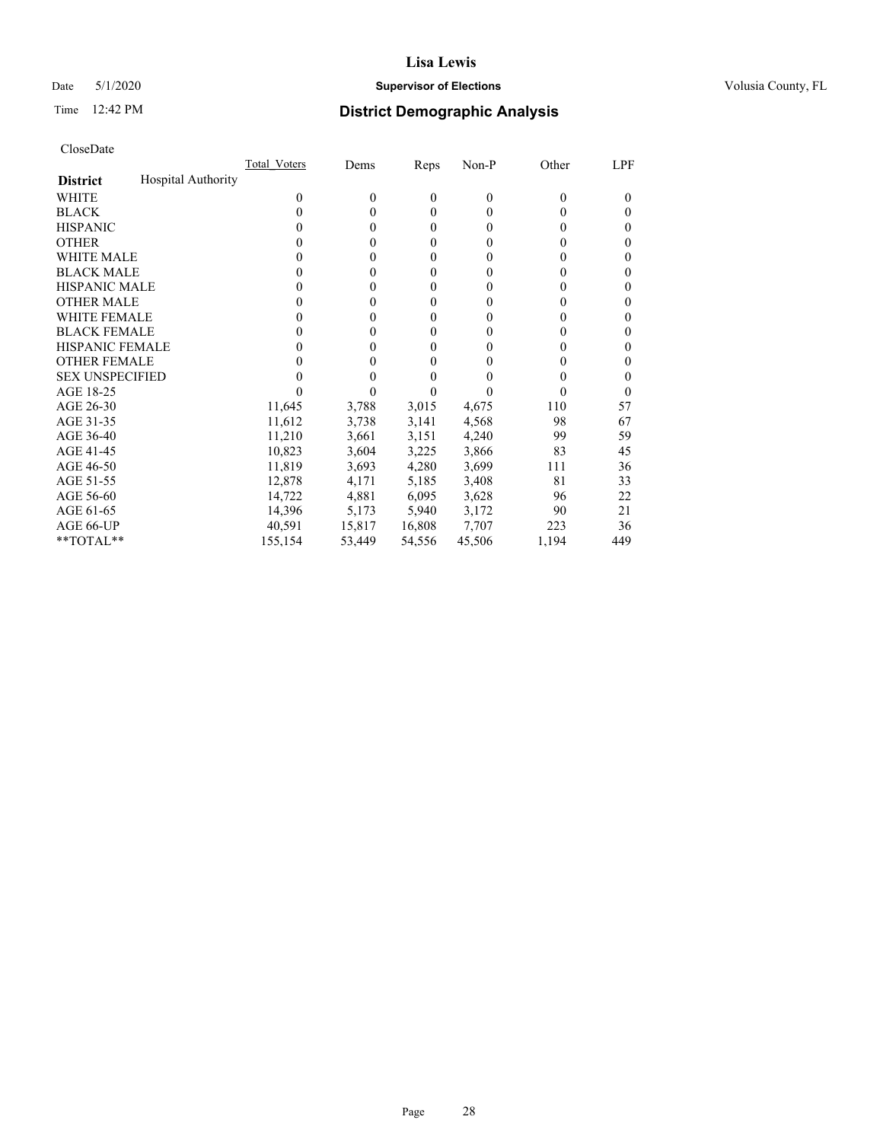## Date 5/1/2020 **Supervisor of Elections Supervisor of Elections** Volusia County, FL

## Time 12:42 PM **District Demographic Analysis**

|                        | Total Voters              | Dems   | Reps     | Non-P    | Other | LPF |
|------------------------|---------------------------|--------|----------|----------|-------|-----|
| <b>District</b>        | <b>Hospital Authority</b> |        |          |          |       |     |
| WHITE                  | $\theta$                  | 0      | $\theta$ | $\theta$ | 0     | 0   |
| <b>BLACK</b>           | 0                         | 0      | $\theta$ | $\theta$ | 0     | 0   |
| <b>HISPANIC</b>        | 0                         | 0      | $\Omega$ | 0        | 0     | 0   |
| <b>OTHER</b>           |                           | 0      | 0        | 0        | 0     | 0   |
| WHITE MALE             | $_{0}$                    | 0      | 0        | 0        | 0     | 0   |
| <b>BLACK MALE</b>      | $_{0}$                    | 0      | 0        | $_{0}$   | 0     | 0   |
| <b>HISPANIC MALE</b>   | $_{0}$                    | 0      | 0        | $_{0}$   | 0     | 0   |
| <b>OTHER MALE</b>      | $_{0}$                    | 0      | 0        | 0        | 0     | 0   |
| WHITE FEMALE           | $\theta$                  | 0      | 0        | 0        |       | 0   |
| <b>BLACK FEMALE</b>    | 0                         | 0      | 0        | 0        | 0     | 0   |
| <b>HISPANIC FEMALE</b> | $_{0}$                    | 0      | 0        | 0        | 0     | 0   |
| <b>OTHER FEMALE</b>    | $_{0}$                    | 0      | 0        | $\theta$ | 0     | 0   |
| <b>SEX UNSPECIFIED</b> |                           |        |          |          |       | 0   |
| AGE 18-25              |                           |        |          |          |       | 0   |
| AGE 26-30              | 11,645                    | 3,788  | 3,015    | 4,675    | 110   | 57  |
| AGE 31-35              | 11,612                    | 3,738  | 3,141    | 4,568    | 98    | 67  |
| AGE 36-40              | 11,210                    | 3,661  | 3,151    | 4,240    | 99    | 59  |
| AGE 41-45              | 10,823                    | 3,604  | 3,225    | 3,866    | 83    | 45  |
| AGE 46-50              | 11,819                    | 3,693  | 4,280    | 3,699    | 111   | 36  |
| AGE 51-55              | 12,878                    | 4,171  | 5,185    | 3,408    | 81    | 33  |
| AGE 56-60              | 14,722                    | 4,881  | 6,095    | 3,628    | 96    | 22  |
| AGE 61-65              | 14,396                    | 5,173  | 5,940    | 3,172    | 90    | 21  |
| AGE 66-UP              | 40.591                    | 15,817 | 16,808   | 7,707    | 223   | 36  |
| $*$ TOTAL $*$          | 155,154                   | 53,449 | 54,556   | 45,506   | 1,194 | 449 |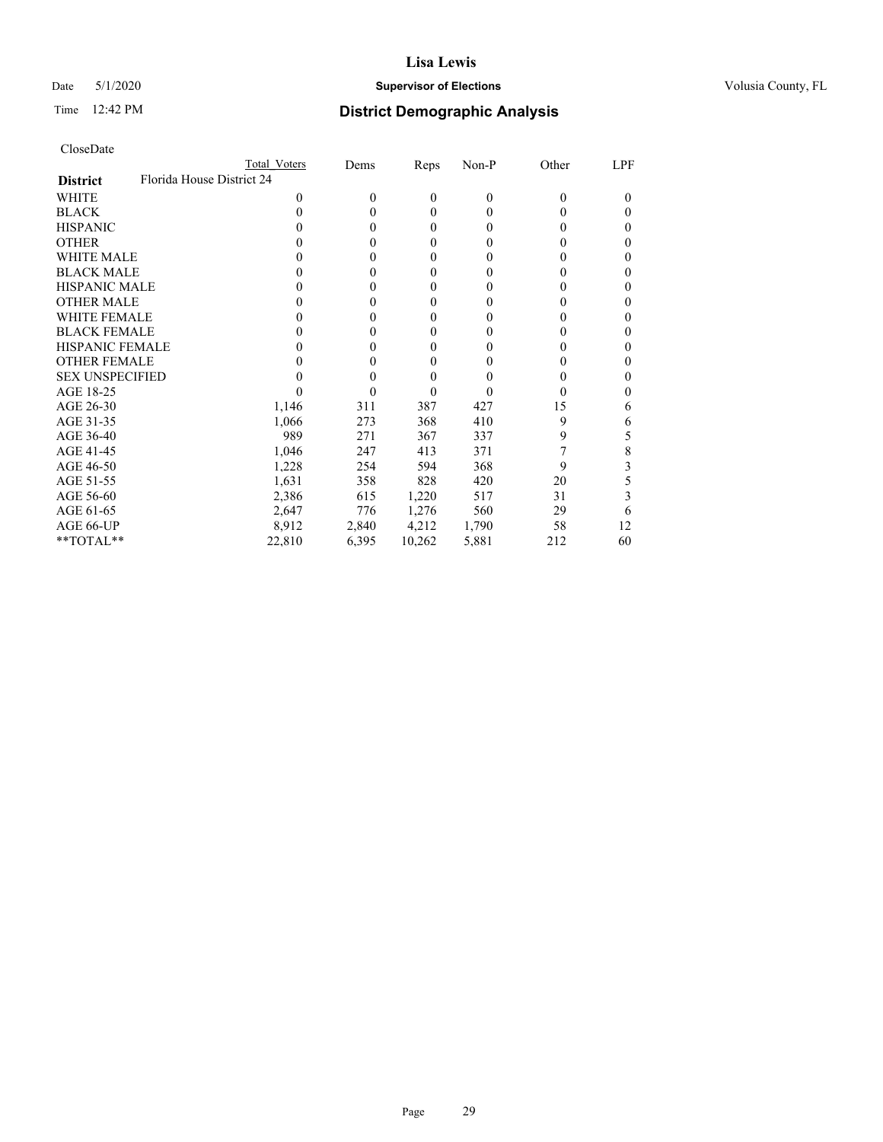## Date 5/1/2020 **Supervisor of Elections Supervisor of Elections** Volusia County, FL

| CloseDate |
|-----------|
|-----------|

|                                              | Total Voters | Dems     | Reps         | $Non-P$  | Other    | LPF      |
|----------------------------------------------|--------------|----------|--------------|----------|----------|----------|
| Florida House District 24<br><b>District</b> |              |          |              |          |          |          |
| WHITE                                        | 0            | $\theta$ | $\mathbf{0}$ | $\theta$ | $\theta$ | $\theta$ |
| <b>BLACK</b>                                 | 0            | 0        | 0            | 0        | 0        | 0        |
| <b>HISPANIC</b>                              |              | 0        | $\theta$     | 0        | $\theta$ | 0        |
| <b>OTHER</b>                                 |              | 0        | 0            | 0        | 0        | 0        |
| <b>WHITE MALE</b>                            |              | 0        | 0            | 0        | $\theta$ | 0        |
| <b>BLACK MALE</b>                            |              | 0        | 0            | 0        | $\theta$ | 0        |
| <b>HISPANIC MALE</b>                         |              | 0        | 0            | 0        | $\theta$ |          |
| <b>OTHER MALE</b>                            |              | 0        | 0            | 0        | $\theta$ | 0        |
| WHITE FEMALE                                 |              | 0        | 0            | 0        |          |          |
| <b>BLACK FEMALE</b>                          |              | 0        | 0            | 0        | $\theta$ | 0        |
| <b>HISPANIC FEMALE</b>                       |              | 0        | 0            | $\theta$ | $\theta$ | 0        |
| <b>OTHER FEMALE</b>                          |              | 0        | 0            | 0        | 0        | 0        |
| <b>SEX UNSPECIFIED</b>                       |              | 0        | 0            |          | 0        |          |
| AGE 18-25                                    |              | 0        | 0            | 0        | 0        | 0        |
| AGE 26-30                                    | 1,146        | 311      | 387          | 427      | 15       | 6        |
| AGE 31-35                                    | 1,066        | 273      | 368          | 410      | 9        | 6        |
| AGE 36-40                                    | 989          | 271      | 367          | 337      | 9        | 5        |
| AGE 41-45                                    | 1,046        | 247      | 413          | 371      |          | 8        |
| AGE 46-50                                    | 1,228        | 254      | 594          | 368      | 9        | 3        |
| AGE 51-55                                    | 1,631        | 358      | 828          | 420      | 20       | ć.       |
| AGE 56-60                                    | 2,386        | 615      | 1,220        | 517      | 31       | 3        |
| AGE 61-65                                    | 2,647        | 776      | 1,276        | 560      | 29       | 6        |
| AGE 66-UP                                    | 8,912        | 2,840    | 4,212        | 1,790    | 58       | 12       |
| **TOTAL**                                    | 22,810       | 6,395    | 10,262       | 5,881    | 212      | 60       |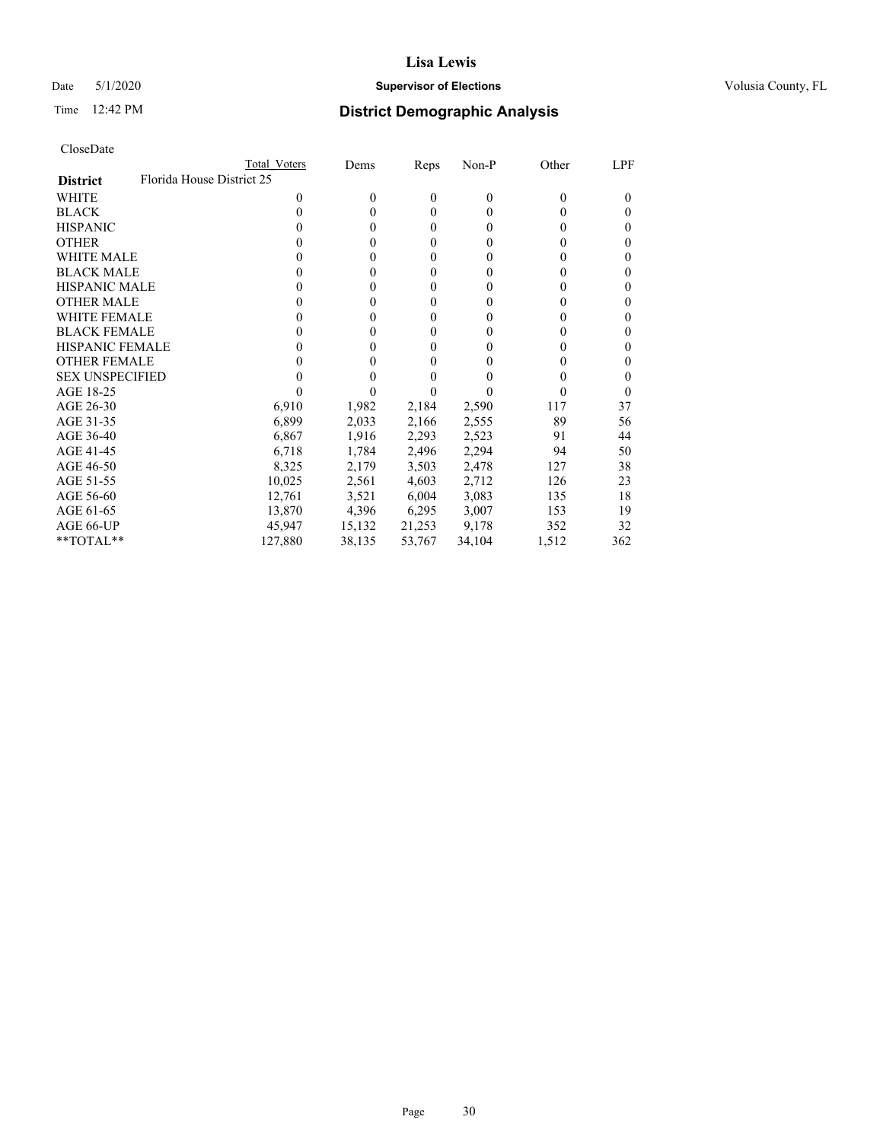## Date 5/1/2020 **Supervisor of Elections Supervisor of Elections** Volusia County, FL

| CloseDate |
|-----------|
|-----------|

|                                              | Total Voters | Dems     | Reps             | Non-P    | Other | LPF      |
|----------------------------------------------|--------------|----------|------------------|----------|-------|----------|
| Florida House District 25<br><b>District</b> |              |          |                  |          |       |          |
| <b>WHITE</b>                                 | 0            | $\theta$ | $\theta$         | $\theta$ | 0     | $\Omega$ |
| <b>BLACK</b>                                 | 0            | 0        | $\theta$         | $\Omega$ | 0     | $_{0}$   |
| <b>HISPANIC</b>                              | 0            | 0        | $\boldsymbol{0}$ | 0        | 0     | $_{0}$   |
| <b>OTHER</b>                                 |              | 0        | 0                | 0        |       | $_{0}$   |
| <b>WHITE MALE</b>                            |              | 0        | 0                | 0        |       | 0        |
| <b>BLACK MALE</b>                            |              | 0        | $\boldsymbol{0}$ | 0        |       | 0        |
| HISPANIC MALE                                | 0            | 0        | $\boldsymbol{0}$ | 0        |       | 0        |
| <b>OTHER MALE</b>                            | 0            | 0        | $\boldsymbol{0}$ | 0        |       | 0        |
| <b>WHITE FEMALE</b>                          | 0            | 0        | 0                | 0        |       | 0        |
| <b>BLACK FEMALE</b>                          | 0            | 0        | 0                | 0        | 0     | $_{0}$   |
| <b>HISPANIC FEMALE</b>                       |              | 0        | 0                | 0        |       | 0        |
| <b>OTHER FEMALE</b>                          |              | 0        | 0                | 0        |       | 0        |
| <b>SEX UNSPECIFIED</b>                       |              |          | 0                |          |       | $_{0}$   |
| AGE 18-25                                    |              |          |                  |          |       | $_{0}$   |
| AGE 26-30                                    | 6,910        | 1,982    | 2,184            | 2,590    | 117   | 37       |
| AGE 31-35                                    | 6,899        | 2,033    | 2,166            | 2,555    | 89    | 56       |
| AGE 36-40                                    | 6,867        | 1,916    | 2,293            | 2,523    | 91    | 44       |
| AGE 41-45                                    | 6,718        | 1,784    | 2,496            | 2,294    | 94    | 50       |
| AGE 46-50                                    | 8,325        | 2,179    | 3,503            | 2,478    | 127   | 38       |
| AGE 51-55                                    | 10,025       | 2,561    | 4,603            | 2,712    | 126   | 23       |
| AGE 56-60                                    | 12,761       | 3,521    | 6,004            | 3,083    | 135   | 18       |
| AGE 61-65                                    | 13,870       | 4,396    | 6,295            | 3,007    | 153   | 19       |
| AGE 66-UP                                    | 45,947       | 15,132   | 21,253           | 9,178    | 352   | 32       |
| **TOTAL**                                    | 127,880      | 38,135   | 53,767           | 34,104   | 1,512 | 362      |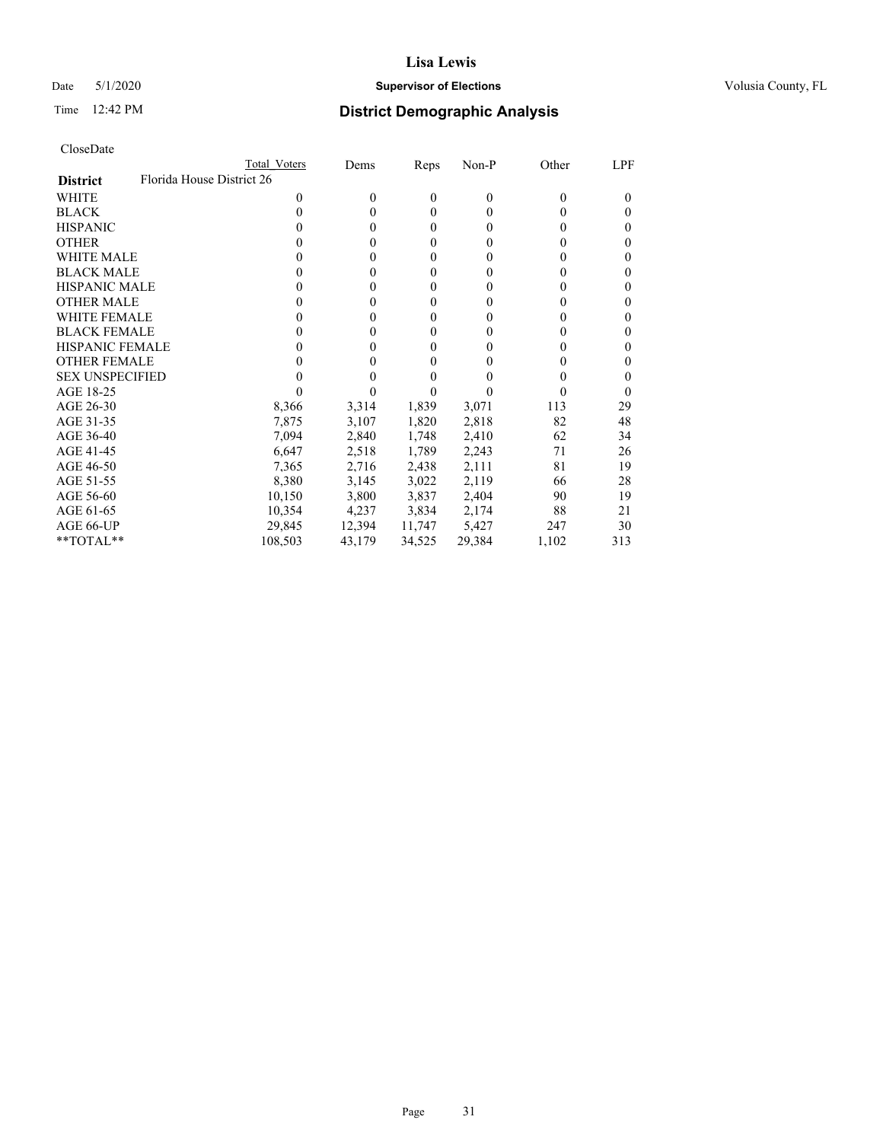## Date 5/1/2020 **Supervisor of Elections Supervisor of Elections** Volusia County, FL

|                                              | Total Voters | Dems     | Reps             | Non-P    | Other | LPF      |
|----------------------------------------------|--------------|----------|------------------|----------|-------|----------|
| Florida House District 26<br><b>District</b> |              |          |                  |          |       |          |
| WHITE                                        | 0            | $\theta$ | $\theta$         | $\theta$ | 0     | $_{0}$   |
| <b>BLACK</b>                                 | 0            | 0        | $\theta$         | $\theta$ | 0     | 0        |
| <b>HISPANIC</b>                              | 0            | 0        | $\boldsymbol{0}$ | $\Omega$ | 0     | 0        |
| <b>OTHER</b>                                 |              | 0        | $\theta$         | 0        | 0     | 0        |
| WHITE MALE                                   |              | 0        | 0                | $\theta$ | 0     | 0        |
| <b>BLACK MALE</b>                            |              | 0        | 0                | $\theta$ | 0     | 0        |
| <b>HISPANIC MALE</b>                         |              | 0        | 0                | 0        | 0     | 0        |
| <b>OTHER MALE</b>                            | 0            | 0        | $\boldsymbol{0}$ | $\theta$ | 0     | 0        |
| WHITE FEMALE                                 |              | 0        | $\boldsymbol{0}$ | 0        | 0     | 0        |
| <b>BLACK FEMALE</b>                          | 0            | 0        | 0                | $\theta$ | 0     | 0        |
| <b>HISPANIC FEMALE</b>                       |              | 0        | 0                | 0        |       | 0        |
| <b>OTHER FEMALE</b>                          |              | 0        | 0                | 0        | 0     | 0        |
| <b>SEX UNSPECIFIED</b>                       |              |          | 0                | 0        | 0     | 0        |
| AGE 18-25                                    |              |          |                  |          | 0     | $\theta$ |
| AGE 26-30                                    | 8,366        | 3,314    | 1,839            | 3,071    | 113   | 29       |
| AGE 31-35                                    | 7,875        | 3,107    | 1,820            | 2,818    | 82    | 48       |
| AGE 36-40                                    | 7,094        | 2,840    | 1,748            | 2,410    | 62    | 34       |
| AGE 41-45                                    | 6,647        | 2,518    | 1,789            | 2,243    | 71    | 26       |
| AGE 46-50                                    | 7,365        | 2,716    | 2,438            | 2,111    | 81    | 19       |
| AGE 51-55                                    | 8,380        | 3,145    | 3,022            | 2,119    | 66    | 28       |
| AGE 56-60                                    | 10,150       | 3,800    | 3,837            | 2,404    | 90    | 19       |
| AGE 61-65                                    | 10,354       | 4,237    | 3,834            | 2,174    | 88    | 21       |
| AGE 66-UP                                    | 29,845       | 12,394   | 11,747           | 5,427    | 247   | 30       |
| $*$ TOTAL $*$                                | 108,503      | 43,179   | 34,525           | 29,384   | 1,102 | 313      |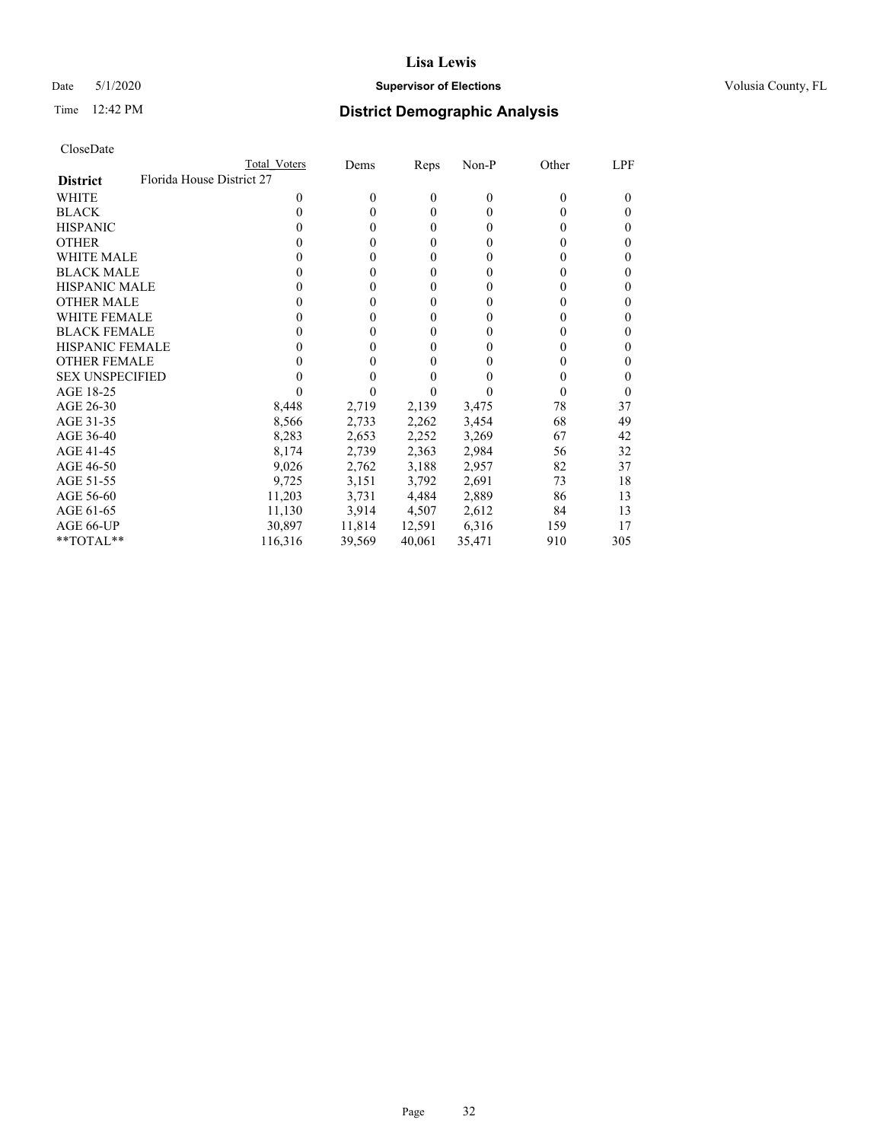## Date 5/1/2020 **Supervisor of Elections Supervisor of Elections** Volusia County, FL

| CloseDate |
|-----------|
|-----------|

|                                              | Total Voters | Dems     | Reps     | Non-P    | Other    | LPF    |
|----------------------------------------------|--------------|----------|----------|----------|----------|--------|
| Florida House District 27<br><b>District</b> |              |          |          |          |          |        |
| WHITE                                        | 0            | $\theta$ | $\theta$ | $\theta$ | 0        | $_{0}$ |
| <b>BLACK</b>                                 | 0            | 0        | $\theta$ | $\Omega$ | $\theta$ | $_{0}$ |
| <b>HISPANIC</b>                              | 0            | 0        | $\theta$ | 0        | 0        | 0      |
| <b>OTHER</b>                                 |              | 0        | $\theta$ | 0        | 0        | 0      |
| WHITE MALE                                   | 0            | 0        | $\theta$ | 0        | 0        | 0      |
| <b>BLACK MALE</b>                            |              | 0        | $\theta$ | 0        | 0        | 0      |
| <b>HISPANIC MALE</b>                         |              | 0        | $\theta$ | $_{0}$   |          | 0      |
| <b>OTHER MALE</b>                            | 0            | 0        | $\theta$ | 0        |          | 0      |
| <b>WHITE FEMALE</b>                          |              | 0        | $\theta$ | 0        |          | 0      |
| <b>BLACK FEMALE</b>                          | 0            | 0        | $\theta$ | $\theta$ | 0        | 0      |
| <b>HISPANIC FEMALE</b>                       |              | 0        | $\theta$ | 0        |          | 0      |
| <b>OTHER FEMALE</b>                          |              | 0        | $\theta$ | 0        | 0        | 0      |
| <b>SEX UNSPECIFIED</b>                       |              | 0        |          |          | 0        | 0      |
| AGE 18-25                                    |              |          |          |          |          | $_{0}$ |
| AGE 26-30                                    | 8,448        | 2,719    | 2,139    | 3,475    | 78       | 37     |
| AGE 31-35                                    | 8,566        | 2,733    | 2,262    | 3,454    | 68       | 49     |
| AGE 36-40                                    | 8,283        | 2,653    | 2,252    | 3,269    | 67       | 42     |
| AGE 41-45                                    | 8,174        | 2,739    | 2,363    | 2,984    | 56       | 32     |
| AGE 46-50                                    | 9,026        | 2,762    | 3,188    | 2,957    | 82       | 37     |
| AGE 51-55                                    | 9,725        | 3,151    | 3,792    | 2,691    | 73       | 18     |
| AGE 56-60                                    | 11,203       | 3,731    | 4,484    | 2,889    | 86       | 13     |
| AGE 61-65                                    | 11,130       | 3,914    | 4,507    | 2,612    | 84       | 13     |
| AGE 66-UP                                    | 30,897       | 11,814   | 12,591   | 6,316    | 159      | 17     |
| **TOTAL**                                    | 116,316      | 39,569   | 40,061   | 35,471   | 910      | 305    |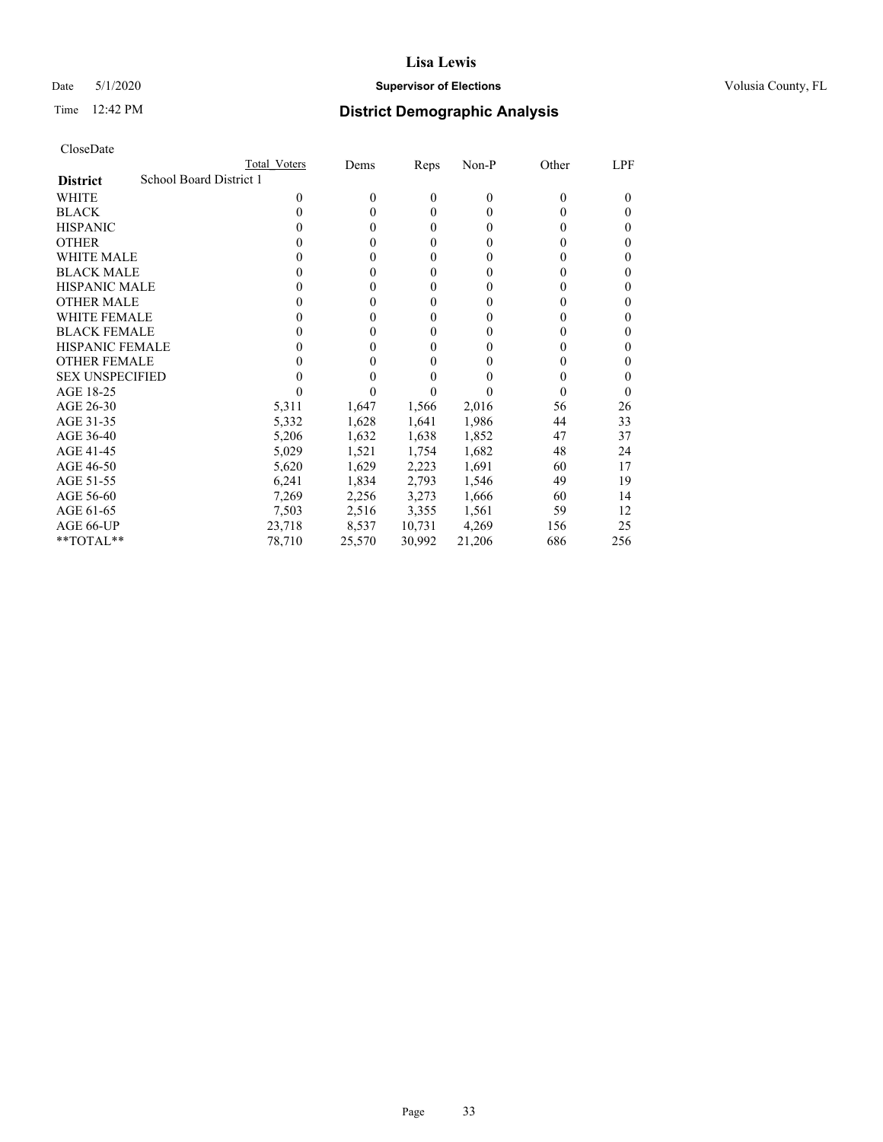## Date 5/1/2020 **Supervisor of Elections Supervisor of Elections** Volusia County, FL

|                                            | <b>Total Voters</b> | Dems         | Reps           | Non-P    | Other | LPF    |
|--------------------------------------------|---------------------|--------------|----------------|----------|-------|--------|
| School Board District 1<br><b>District</b> |                     |              |                |          |       |        |
| WHITE                                      | $\Omega$            | $\mathbf{0}$ | $\overline{0}$ | $\theta$ | 0     | $_{0}$ |
| <b>BLACK</b>                               | 0                   | $\theta$     | 0              | 0        | 0     | 0      |
| <b>HISPANIC</b>                            | 0                   | $\theta$     | 0              | 0        | 0     | 0      |
| <b>OTHER</b>                               |                     | 0            | 0              | 0        | 0     | 0      |
| WHITE MALE                                 |                     | 0            | 0              | $\theta$ | 0     | 0      |
| <b>BLACK MALE</b>                          |                     | 0            | 0              | $\theta$ | 0     | 0      |
| <b>HISPANIC MALE</b>                       |                     | 0            | 0              | $\theta$ |       | 0      |
| <b>OTHER MALE</b>                          | 0                   | 0            | 0              | $\theta$ |       | 0      |
| <b>WHITE FEMALE</b>                        |                     | 0            | 0              | $\theta$ |       | 0      |
| <b>BLACK FEMALE</b>                        | 0                   | 0            | 0              | 0        |       | 0      |
| <b>HISPANIC FEMALE</b>                     |                     | 0            | 0              | $\theta$ |       | 0      |
| <b>OTHER FEMALE</b>                        |                     | 0            | 0              | $\theta$ | 0     | 0      |
| <b>SEX UNSPECIFIED</b>                     |                     |              | 0              |          | 0     | 0      |
| AGE 18-25                                  |                     |              |                |          | 0     | 0      |
| AGE 26-30                                  | 5,311               | 1,647        | 1,566          | 2,016    | 56    | 26     |
| AGE 31-35                                  | 5,332               | 1,628        | 1,641          | 1,986    | 44    | 33     |
| AGE 36-40                                  | 5,206               | 1,632        | 1,638          | 1,852    | 47    | 37     |
| AGE 41-45                                  | 5,029               | 1,521        | 1,754          | 1,682    | 48    | 24     |
| AGE 46-50                                  | 5,620               | 1,629        | 2,223          | 1,691    | 60    | 17     |
| AGE 51-55                                  | 6,241               | 1,834        | 2,793          | 1,546    | 49    | 19     |
| AGE 56-60                                  | 7,269               | 2,256        | 3,273          | 1,666    | 60    | 14     |
| AGE 61-65                                  | 7,503               | 2,516        | 3,355          | 1,561    | 59    | 12     |
| AGE 66-UP                                  | 23,718              | 8,537        | 10,731         | 4,269    | 156   | 25     |
| $*$ TOTAL $*$                              | 78,710              | 25,570       | 30,992         | 21,206   | 686   | 256    |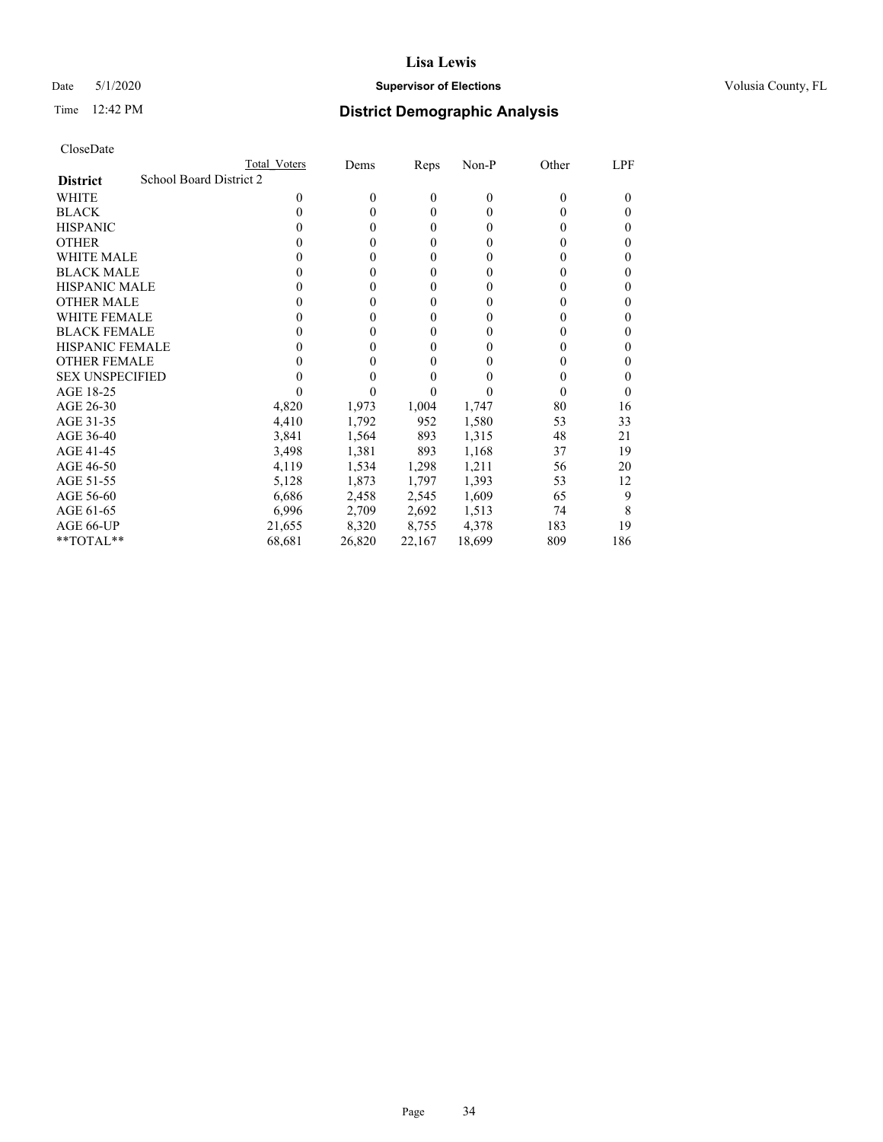## Date 5/1/2020 **Supervisor of Elections Supervisor of Elections** Volusia County, FL

|                                            | Total Voters | Dems             | Reps         | Non-P    | Other | LPF    |
|--------------------------------------------|--------------|------------------|--------------|----------|-------|--------|
| School Board District 2<br><b>District</b> |              |                  |              |          |       |        |
| WHITE                                      | 0            | $\boldsymbol{0}$ | $\theta$     | $\theta$ | 0     | $_{0}$ |
| <b>BLACK</b>                               | 0            | 0                | $\theta$     | $\theta$ | 0     | 0      |
| <b>HISPANIC</b>                            | 0            | 0                | $\mathbf{0}$ | $\Omega$ | 0     | 0      |
| <b>OTHER</b>                               |              | 0                | $\theta$     | 0        | 0     | 0      |
| WHITE MALE                                 |              | 0                | 0            | $\theta$ | 0     | 0      |
| <b>BLACK MALE</b>                          |              | 0                | 0            | $\theta$ | 0     | 0      |
| <b>HISPANIC MALE</b>                       |              | 0                | 0            | $_{0}$   | 0     | 0      |
| <b>OTHER MALE</b>                          |              | 0                | $\mathbf{0}$ | 0        | 0     | 0      |
| WHITE FEMALE                               |              | 0                | 0            | 0        | 0     | 0      |
| <b>BLACK FEMALE</b>                        | 0            | 0                | 0            | $\theta$ | 0     | 0      |
| <b>HISPANIC FEMALE</b>                     |              | 0                | 0            | 0        |       | 0      |
| <b>OTHER FEMALE</b>                        |              | 0                | 0            | 0        | 0     |        |
| <b>SEX UNSPECIFIED</b>                     |              |                  | 0            |          | 0     | 0      |
| AGE 18-25                                  |              |                  |              |          | 0     | 0      |
| AGE 26-30                                  | 4,820        | 1,973            | 1,004        | 1,747    | 80    | 16     |
| AGE 31-35                                  | 4,410        | 1,792            | 952          | 1,580    | 53    | 33     |
| AGE 36-40                                  | 3,841        | 1,564            | 893          | 1,315    | 48    | 21     |
| AGE 41-45                                  | 3,498        | 1,381            | 893          | 1,168    | 37    | 19     |
| AGE 46-50                                  | 4,119        | 1,534            | 1,298        | 1,211    | 56    | 20     |
| AGE 51-55                                  | 5,128        | 1,873            | 1,797        | 1,393    | 53    | 12     |
| AGE 56-60                                  | 6,686        | 2,458            | 2,545        | 1,609    | 65    | 9      |
| AGE 61-65                                  | 6,996        | 2,709            | 2,692        | 1,513    | 74    | 8      |
| AGE 66-UP                                  | 21,655       | 8,320            | 8,755        | 4,378    | 183   | 19     |
| $*$ TOTAL $*$                              | 68,681       | 26,820           | 22,167       | 18,699   | 809   | 186    |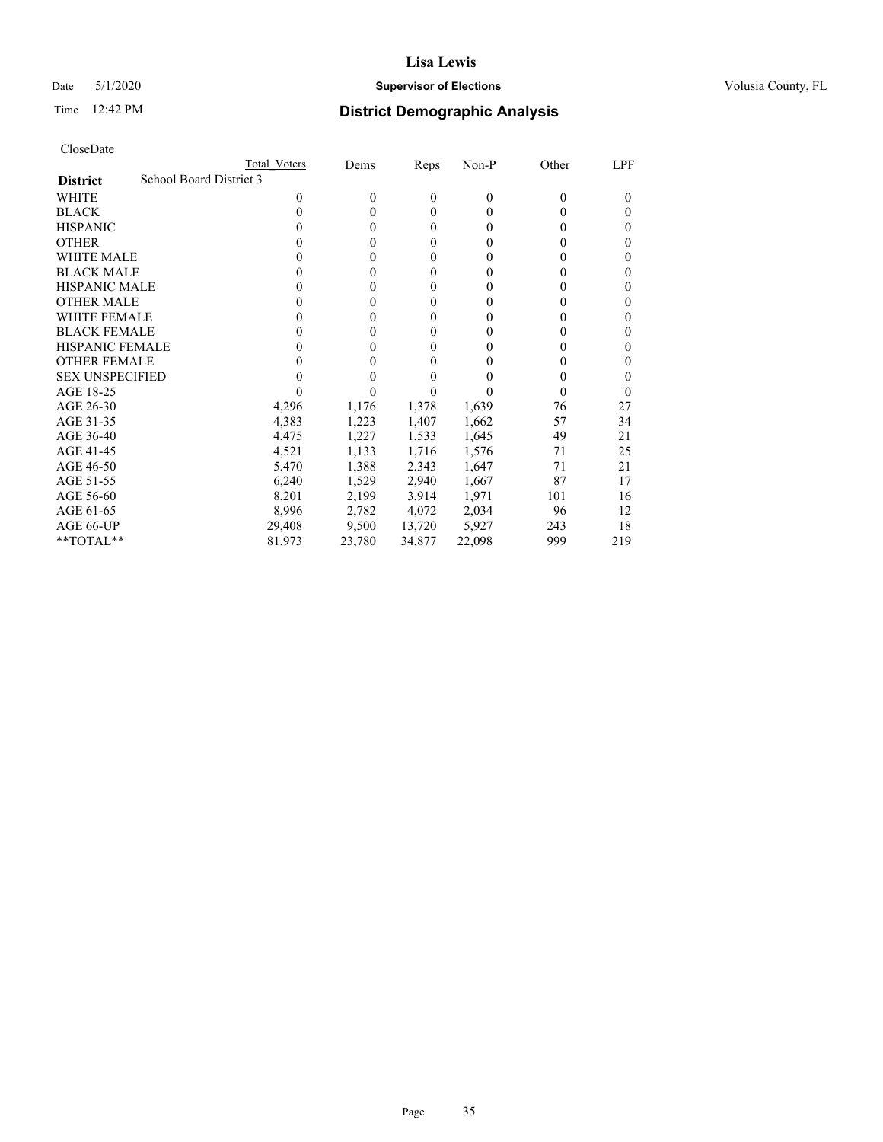## Date 5/1/2020 **Supervisor of Elections Supervisor of Elections** Volusia County, FL

|                                            | <b>Total Voters</b> | Dems     | Reps           | Non-P    | Other | LPF    |
|--------------------------------------------|---------------------|----------|----------------|----------|-------|--------|
| School Board District 3<br><b>District</b> |                     |          |                |          |       |        |
| <b>WHITE</b>                               | $\Omega$            | $\theta$ | 0              | $\theta$ | 0     | $_{0}$ |
| <b>BLACK</b>                               | 0                   | $\theta$ | $\theta$       | $\Omega$ | 0     | $_{0}$ |
| <b>HISPANIC</b>                            | 0                   | $\theta$ | $\overline{0}$ | 0        | 0     | 0      |
| <b>OTHER</b>                               |                     | 0        | 0              | 0        | 0     | 0      |
| WHITE MALE                                 | 0                   | 0        | 0              | $_{0}$   | 0     | 0      |
| <b>BLACK MALE</b>                          |                     | 0        | $\overline{0}$ | $\theta$ | 0     | 0      |
| <b>HISPANIC MALE</b>                       | 0                   | 0        | 0              | $\theta$ |       | 0      |
| <b>OTHER MALE</b>                          | 0                   | 0        | $\overline{0}$ | 0        | 0     | 0      |
| <b>WHITE FEMALE</b>                        | 0                   | 0        | 0              | 0        |       | 0      |
| <b>BLACK FEMALE</b>                        | 0                   | 0        | $\overline{0}$ | 0        | 0     | 0      |
| <b>HISPANIC FEMALE</b>                     |                     | 0        | $\theta$       | 0        |       | 0      |
| <b>OTHER FEMALE</b>                        |                     | 0        | 0              | 0        | 0     | 0      |
| <b>SEX UNSPECIFIED</b>                     |                     | 0        | 0              |          | 0     | 0      |
| AGE 18-25                                  |                     |          |                |          |       | 0      |
| AGE 26-30                                  | 4,296               | 1,176    | 1,378          | 1,639    | 76    | 27     |
| AGE 31-35                                  | 4,383               | 1,223    | 1,407          | 1,662    | 57    | 34     |
| AGE 36-40                                  | 4,475               | 1,227    | 1,533          | 1,645    | 49    | 21     |
| AGE 41-45                                  | 4,521               | 1,133    | 1,716          | 1,576    | 71    | 25     |
| AGE 46-50                                  | 5,470               | 1,388    | 2,343          | 1,647    | 71    | 21     |
| AGE 51-55                                  | 6,240               | 1,529    | 2,940          | 1,667    | 87    | 17     |
| AGE 56-60                                  | 8,201               | 2,199    | 3,914          | 1,971    | 101   | 16     |
| AGE 61-65                                  | 8,996               | 2,782    | 4,072          | 2,034    | 96    | 12     |
| AGE 66-UP                                  | 29,408              | 9,500    | 13,720         | 5,927    | 243   | 18     |
| **TOTAL**                                  | 81,973              | 23,780   | 34,877         | 22,098   | 999   | 219    |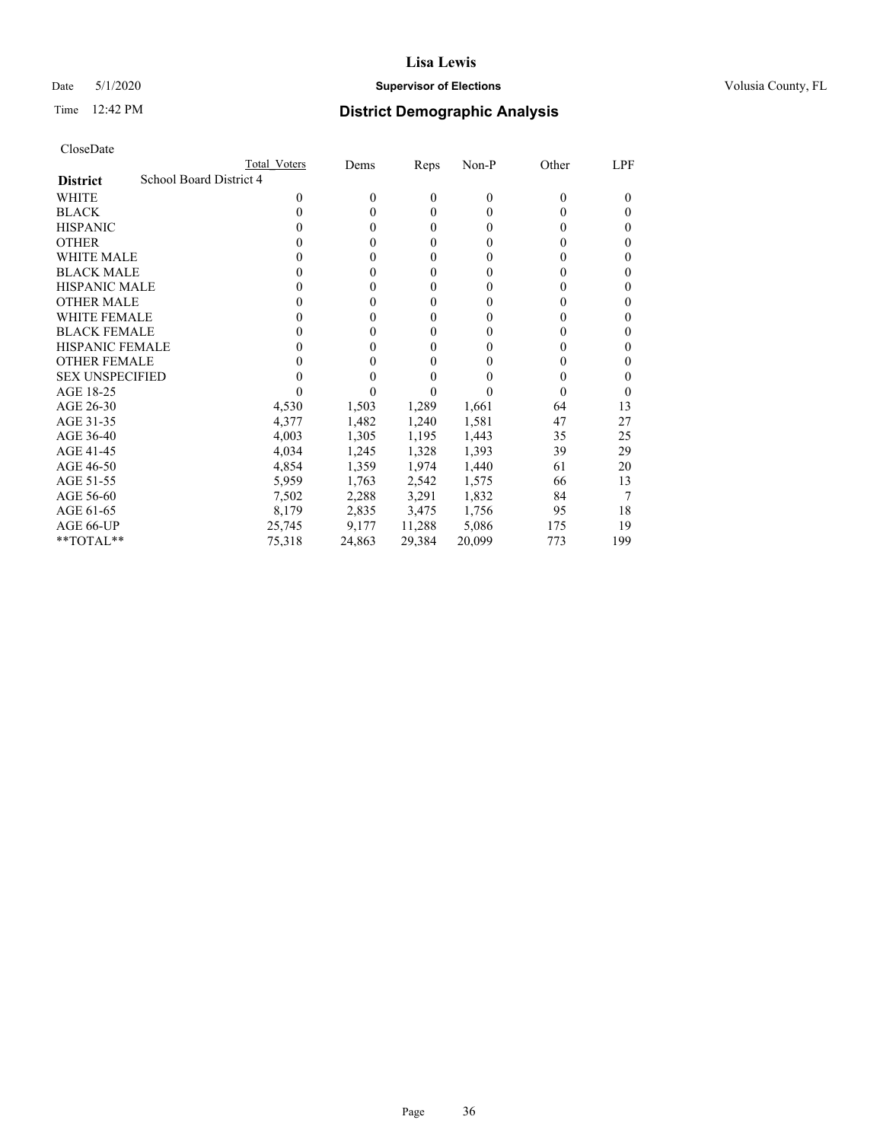## Date 5/1/2020 **Supervisor of Elections Supervisor of Elections** Volusia County, FL

|                                            | Total Voters | Dems   | Reps         | Non-P    | Other | LPF      |
|--------------------------------------------|--------------|--------|--------------|----------|-------|----------|
| School Board District 4<br><b>District</b> |              |        |              |          |       |          |
| WHITE                                      | 0            | 0      | 0            | $\theta$ | 0     | $_{0}$   |
| <b>BLACK</b>                               | 0            | 0      | $\mathbf{0}$ | 0        | 0     | 0        |
| <b>HISPANIC</b>                            | 0            | 0      | 0            | $\theta$ | 0     | 0        |
| <b>OTHER</b>                               |              | 0      | 0            | $\theta$ | 0     | 0        |
| <b>WHITE MALE</b>                          |              | 0      | $\mathbf{0}$ | $\theta$ | 0     | 0        |
| <b>BLACK MALE</b>                          |              | 0      | $\mathbf{0}$ | $\theta$ | 0     | 0        |
| <b>HISPANIC MALE</b>                       |              | 0      | 0            | $\theta$ | 0     | 0        |
| <b>OTHER MALE</b>                          |              | 0      | $\mathbf{0}$ | 0        | 0     | 0        |
| WHITE FEMALE                               |              | 0      | $\mathbf{0}$ | 0        | 0     | 0        |
| <b>BLACK FEMALE</b>                        | 0            | 0      | 0            | $\theta$ | 0     | 0        |
| <b>HISPANIC FEMALE</b>                     |              | 0      | 0            | 0        |       | 0        |
| <b>OTHER FEMALE</b>                        |              | 0      | $\theta$     | $\Omega$ | 0     | 0        |
| <b>SEX UNSPECIFIED</b>                     |              | 0      | 0            |          | 0     | 0        |
| AGE 18-25                                  |              |        | 0            |          | 0     | $\theta$ |
| AGE 26-30                                  | 4,530        | 1,503  | 1,289        | 1,661    | 64    | 13       |
| AGE 31-35                                  | 4,377        | 1,482  | 1,240        | 1,581    | 47    | 27       |
| AGE 36-40                                  | 4,003        | 1,305  | 1,195        | 1,443    | 35    | 25       |
| AGE 41-45                                  | 4,034        | 1,245  | 1,328        | 1,393    | 39    | 29       |
| AGE 46-50                                  | 4,854        | 1,359  | 1,974        | 1,440    | 61    | 20       |
| AGE 51-55                                  | 5,959        | 1,763  | 2,542        | 1,575    | 66    | 13       |
| AGE 56-60                                  | 7,502        | 2,288  | 3,291        | 1,832    | 84    |          |
| AGE 61-65                                  | 8,179        | 2,835  | 3,475        | 1,756    | 95    | 18       |
| AGE 66-UP                                  | 25,745       | 9,177  | 11,288       | 5,086    | 175   | 19       |
| **TOTAL**                                  | 75,318       | 24,863 | 29,384       | 20,099   | 773   | 199      |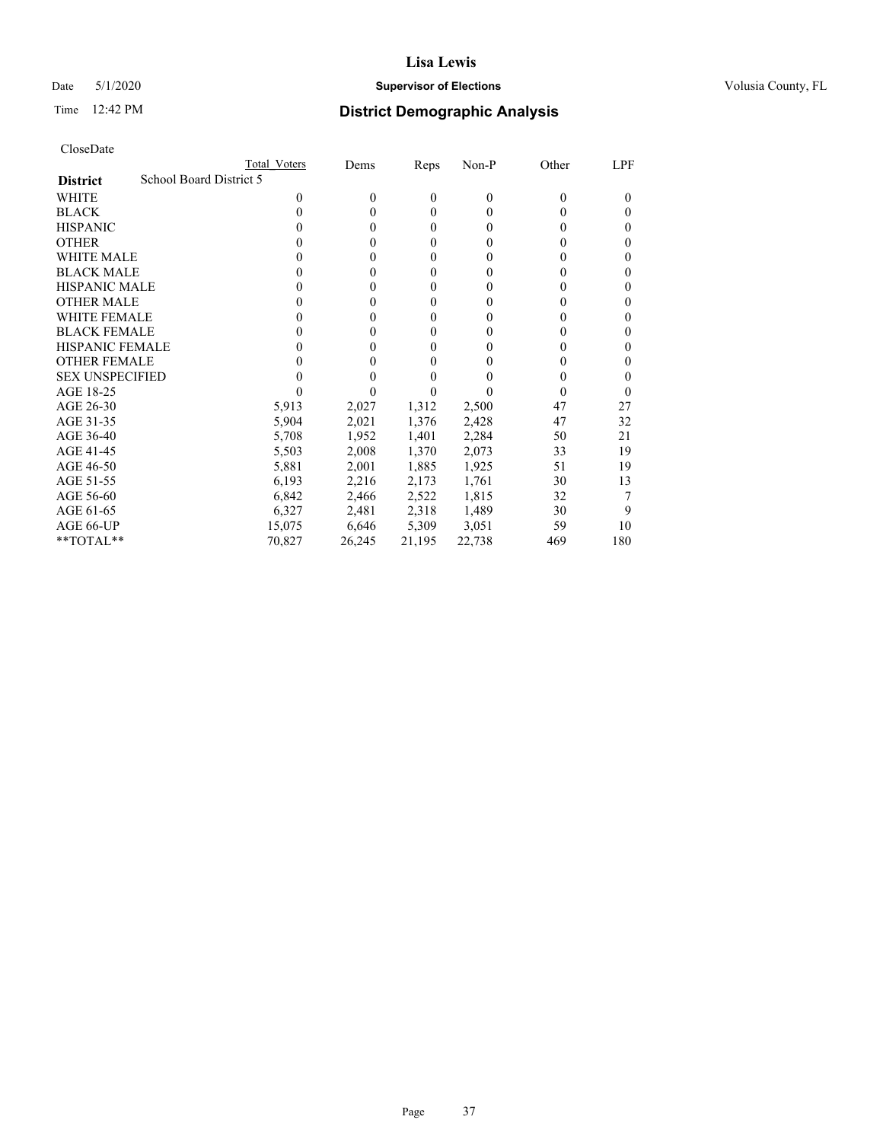# Date 5/1/2020 **Supervisor of Elections Supervisor of Elections** Volusia County, FL

|                                            | Total Voters | Dems     | Reps         | Non-P    | Other    | LPF      |
|--------------------------------------------|--------------|----------|--------------|----------|----------|----------|
| School Board District 5<br><b>District</b> |              |          |              |          |          |          |
| WHITE                                      | 0            | $\theta$ | $\mathbf{0}$ | $\theta$ | $\theta$ | $\theta$ |
| <b>BLACK</b>                               | 0            | $\theta$ | $\theta$     | 0        | 0        | $\theta$ |
| <b>HISPANIC</b>                            | 0            | $\theta$ | $\theta$     | 0        | 0        | $\theta$ |
| <b>OTHER</b>                               |              | $\Omega$ | 0            | 0        | 0        | $\theta$ |
| <b>WHITE MALE</b>                          | 0            | $\theta$ | $\theta$     | 0        | 0        | 0        |
| <b>BLACK MALE</b>                          |              | 0        | 0            | 0        | 0        | $\theta$ |
| <b>HISPANIC MALE</b>                       | 0            | $\theta$ | $\mathbf{0}$ | 0        | 0        |          |
| <b>OTHER MALE</b>                          | 0            | 0        | $\theta$     | 0        | 0        | 0        |
| <b>WHITE FEMALE</b>                        |              | 0        | 0            | 0        | 0        |          |
| <b>BLACK FEMALE</b>                        | 0            | $\theta$ | $\theta$     | 0        | $\theta$ | $\theta$ |
| <b>HISPANIC FEMALE</b>                     |              | 0        | 0            | 0        | $\theta$ | 0        |
| <b>OTHER FEMALE</b>                        | 0            | 0        | 0            | 0        | 0        | $\theta$ |
| <b>SEX UNSPECIFIED</b>                     |              |          | 0            |          | 0        |          |
| AGE 18-25                                  |              |          |              |          | 0        | $_{0}$   |
| AGE 26-30                                  | 5,913        | 2,027    | 1,312        | 2,500    | 47       | 27       |
| AGE 31-35                                  | 5,904        | 2,021    | 1,376        | 2,428    | 47       | 32       |
| AGE 36-40                                  | 5,708        | 1,952    | 1,401        | 2,284    | 50       | 21       |
| AGE 41-45                                  | 5,503        | 2,008    | 1,370        | 2,073    | 33       | 19       |
| AGE 46-50                                  | 5,881        | 2,001    | 1,885        | 1,925    | 51       | 19       |
| AGE 51-55                                  | 6,193        | 2,216    | 2,173        | 1,761    | 30       | 13       |
| AGE 56-60                                  | 6,842        | 2,466    | 2,522        | 1,815    | 32       |          |
| AGE 61-65                                  | 6,327        | 2,481    | 2,318        | 1,489    | 30       | 9        |
| AGE 66-UP                                  | 15,075       | 6,646    | 5,309        | 3,051    | 59       | 10       |
| **TOTAL**                                  | 70,827       | 26,245   | 21,195       | 22,738   | 469      | 180      |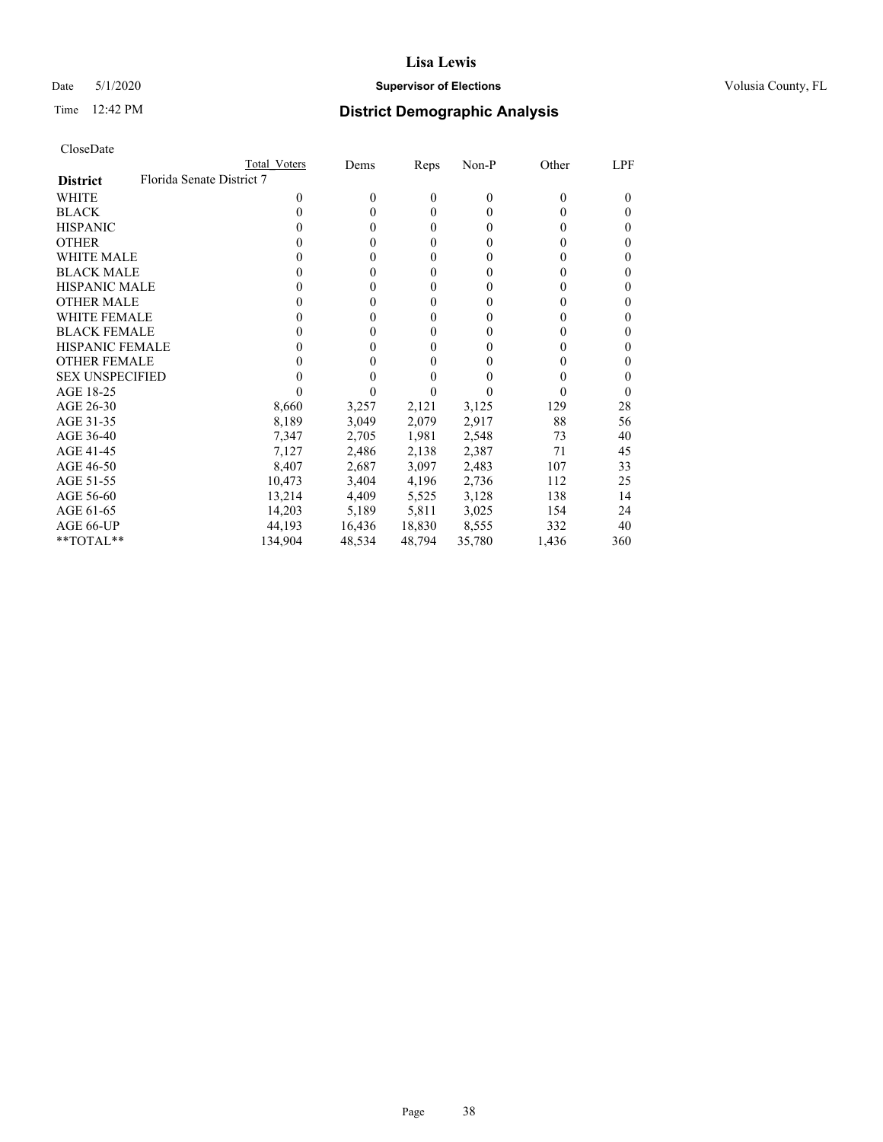# Date 5/1/2020 **Supervisor of Elections Supervisor of Elections** Volusia County, FL

|                                              | Total Voters | Dems   | Reps         | Non-P        | Other | LPF      |
|----------------------------------------------|--------------|--------|--------------|--------------|-------|----------|
| Florida Senate District 7<br><b>District</b> |              |        |              |              |       |          |
| WHITE                                        | 0            | 0      | $\mathbf{0}$ | $\mathbf{0}$ | 0     | $_{0}$   |
| <b>BLACK</b>                                 | 0            | 0      | 0            | $\theta$     | 0     | 0        |
| <b>HISPANIC</b>                              | 0            | 0      | 0            | $\theta$     | 0     | 0        |
| <b>OTHER</b>                                 |              | 0      | 0            | 0            | 0     | 0        |
| WHITE MALE                                   |              | 0      | $\theta$     | $\theta$     | 0     | 0        |
| <b>BLACK MALE</b>                            |              | 0      | $\mathbf{0}$ | $\theta$     | 0     | 0        |
| <b>HISPANIC MALE</b>                         |              | 0      | $\mathbf{0}$ | 0            | 0     | 0        |
| <b>OTHER MALE</b>                            | 0            | 0      | 0            | $\theta$     | 0     | 0        |
| <b>WHITE FEMALE</b>                          |              | 0      | 0            | 0            | 0     | 0        |
| <b>BLACK FEMALE</b>                          | 0            | 0      | 0            | $\theta$     | 0     | 0        |
| <b>HISPANIC FEMALE</b>                       |              | 0      | 0            | 0            |       | 0        |
| <b>OTHER FEMALE</b>                          |              | 0      | 0            | $\Omega$     | 0     | 0        |
| <b>SEX UNSPECIFIED</b>                       |              | 0      | 0            |              | 0     | 0        |
| AGE 18-25                                    |              |        | 0            |              | 0     | $\theta$ |
| AGE 26-30                                    | 8,660        | 3,257  | 2,121        | 3,125        | 129   | 28       |
| AGE 31-35                                    | 8,189        | 3,049  | 2,079        | 2,917        | 88    | 56       |
| AGE 36-40                                    | 7,347        | 2,705  | 1,981        | 2,548        | 73    | 40       |
| AGE 41-45                                    | 7,127        | 2,486  | 2,138        | 2,387        | 71    | 45       |
| AGE 46-50                                    | 8,407        | 2,687  | 3,097        | 2,483        | 107   | 33       |
| AGE 51-55                                    | 10,473       | 3,404  | 4,196        | 2,736        | 112   | 25       |
| AGE 56-60                                    | 13,214       | 4,409  | 5,525        | 3,128        | 138   | 14       |
| AGE 61-65                                    | 14,203       | 5,189  | 5,811        | 3,025        | 154   | 24       |
| AGE 66-UP                                    | 44.193       | 16,436 | 18,830       | 8,555        | 332   | 40       |
| $*$ TOTAL $*$                                | 134,904      | 48,534 | 48,794       | 35,780       | 1,436 | 360      |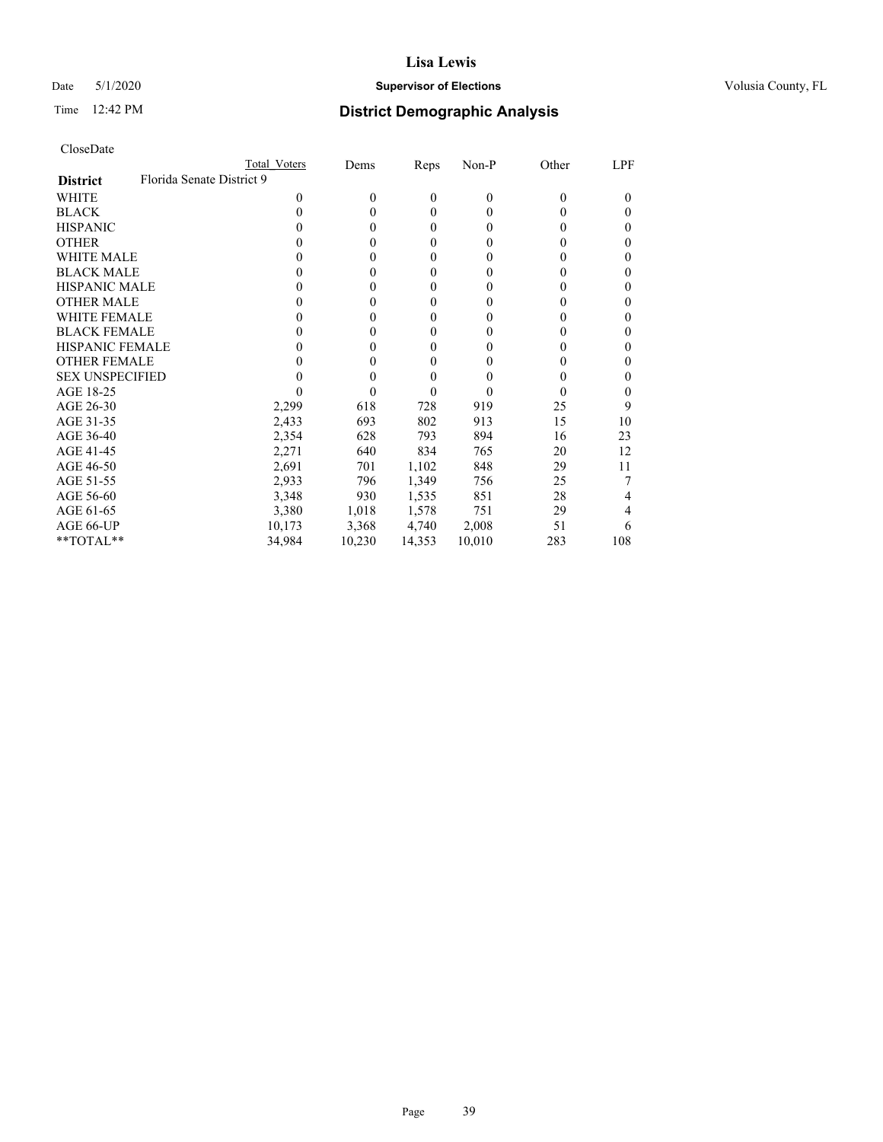# Date 5/1/2020 **Supervisor of Elections Supervisor of Elections** Volusia County, FL

| CloseDate |
|-----------|
|-----------|

|                                              | Total Voters | Dems     | Reps   | Non-P  | Other    | LPF      |
|----------------------------------------------|--------------|----------|--------|--------|----------|----------|
| Florida Senate District 9<br><b>District</b> |              |          |        |        |          |          |
| WHITE                                        | 0            | $\theta$ | 0      | 0      | $\theta$ | $_{0}$   |
| <b>BLACK</b>                                 | 0            | 0        | 0      | 0      | 0        | $\theta$ |
| <b>HISPANIC</b>                              | 0            | 0        | 0      | 0      | 0        | $\theta$ |
| <b>OTHER</b>                                 |              | 0        | 0      | 0      | 0        | $\theta$ |
| <b>WHITE MALE</b>                            |              | 0        | 0      | 0      | 0        | 0        |
| <b>BLACK MALE</b>                            |              | 0        | 0      | 0      | 0        | $\theta$ |
| <b>HISPANIC MALE</b>                         |              | 0        | 0      | 0      | 0        |          |
| <b>OTHER MALE</b>                            |              | 0        | 0      | 0      | 0        | 0        |
| <b>WHITE FEMALE</b>                          |              | 0        | 0      | 0      | 0        |          |
| <b>BLACK FEMALE</b>                          |              | 0        | 0      | 0      | $\theta$ | 0        |
| <b>HISPANIC FEMALE</b>                       |              | 0        | 0      | 0      | 0        | 0        |
| <b>OTHER FEMALE</b>                          |              | 0        | 0      | 0      | 0        | 0        |
| <b>SEX UNSPECIFIED</b>                       |              | 0        | 0      |        | 0        |          |
| AGE 18-25                                    |              | 0        | 0      | 0      | 0        | $_{0}$   |
| AGE 26-30                                    | 2,299        | 618      | 728    | 919    | 25       | 9        |
| AGE 31-35                                    | 2,433        | 693      | 802    | 913    | 15       | 10       |
| AGE 36-40                                    | 2,354        | 628      | 793    | 894    | 16       | 23       |
| AGE 41-45                                    | 2,271        | 640      | 834    | 765    | 20       | 12       |
| AGE 46-50                                    | 2,691        | 701      | 1,102  | 848    | 29       | 11       |
| AGE 51-55                                    | 2,933        | 796      | 1,349  | 756    | 25       |          |
| AGE 56-60                                    | 3,348        | 930      | 1,535  | 851    | 28       | 4        |
| AGE 61-65                                    | 3,380        | 1,018    | 1,578  | 751    | 29       | 4        |
| AGE 66-UP                                    | 10,173       | 3,368    | 4,740  | 2,008  | 51       | 6        |
| **TOTAL**                                    | 34,984       | 10,230   | 14,353 | 10,010 | 283      | 108      |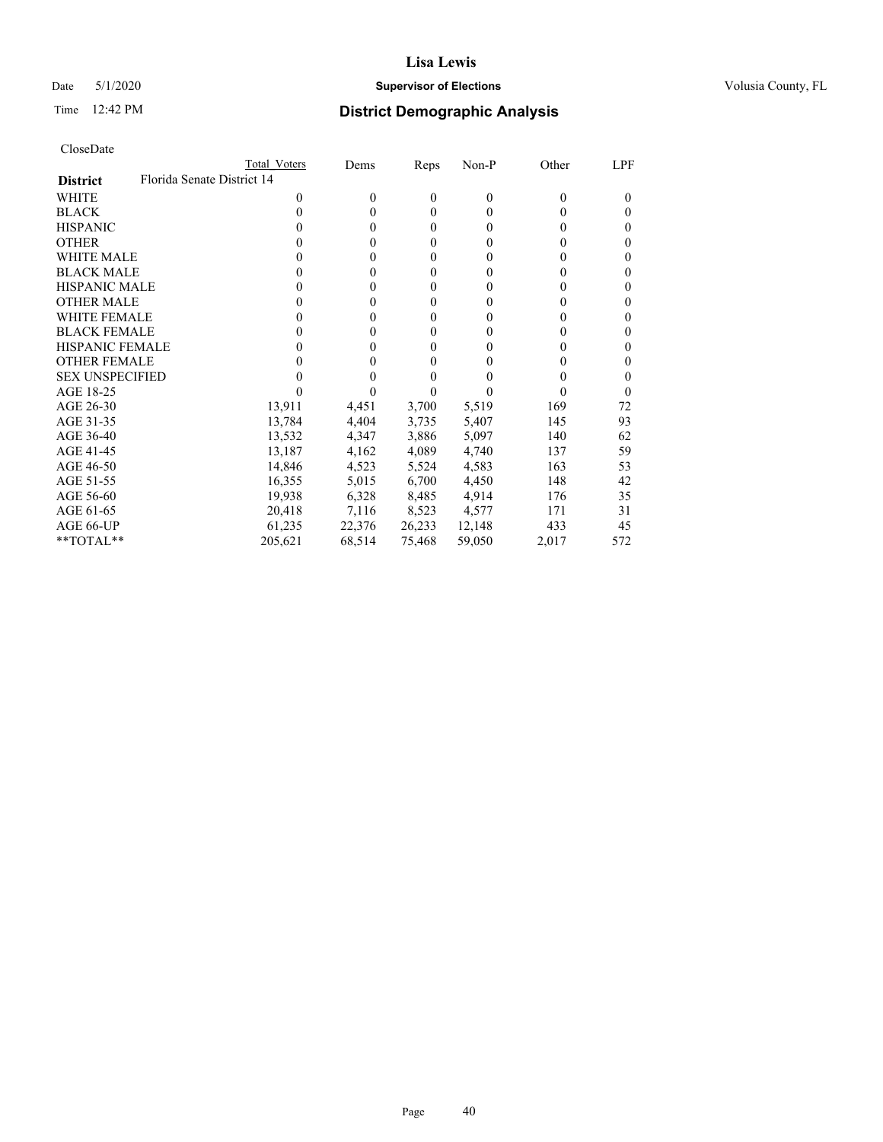# Date 5/1/2020 **Supervisor of Elections Supervisor of Elections** Volusia County, FL

| CloseDate |
|-----------|
|-----------|

|                                               | Total Voters | Dems         | Reps   | Non-P    | Other    | LPF      |
|-----------------------------------------------|--------------|--------------|--------|----------|----------|----------|
| Florida Senate District 14<br><b>District</b> |              |              |        |          |          |          |
| WHITE                                         | 0            | $\mathbf{0}$ | 0      | $\theta$ | $\Omega$ | $_{0}$   |
| <b>BLACK</b>                                  | 0            | $\theta$     | 0      | $\Omega$ | 0        | 0        |
| <b>HISPANIC</b>                               |              | $\theta$     | 0      | 0        | 0        | 0        |
| <b>OTHER</b>                                  |              | 0            | 0      | 0        | 0        | 0        |
| WHITE MALE                                    |              | 0            | 0      | 0        | 0        | 0        |
| <b>BLACK MALE</b>                             |              | 0            | 0      | 0        | 0        | 0        |
| <b>HISPANIC MALE</b>                          |              | 0            | 0      | 0        | 0        | 0        |
| <b>OTHER MALE</b>                             |              | 0            | 0      | 0        | 0        | 0        |
| <b>WHITE FEMALE</b>                           |              | 0            | 0      | 0        | 0        | 0        |
| <b>BLACK FEMALE</b>                           |              | 0            | 0      | 0        | 0        | 0        |
| HISPANIC FEMALE                               |              | 0            | 0      | 0        |          | 0        |
| <b>OTHER FEMALE</b>                           |              | 0            | 0      | 0        | 0        | 0        |
| <b>SEX UNSPECIFIED</b>                        |              | 0            | 0      |          |          | 0        |
| AGE 18-25                                     |              |              |        |          | 0        | $\theta$ |
| AGE 26-30                                     | 13,911       | 4,451        | 3,700  | 5,519    | 169      | 72       |
| AGE 31-35                                     | 13,784       | 4,404        | 3,735  | 5,407    | 145      | 93       |
| AGE 36-40                                     | 13,532       | 4,347        | 3,886  | 5,097    | 140      | 62       |
| AGE 41-45                                     | 13,187       | 4,162        | 4,089  | 4,740    | 137      | 59       |
| AGE 46-50                                     | 14,846       | 4,523        | 5,524  | 4,583    | 163      | 53       |
| AGE 51-55                                     | 16,355       | 5,015        | 6,700  | 4,450    | 148      | 42       |
| AGE 56-60                                     | 19,938       | 6,328        | 8,485  | 4,914    | 176      | 35       |
| AGE 61-65                                     | 20,418       | 7,116        | 8,523  | 4,577    | 171      | 31       |
| AGE 66-UP                                     | 61,235       | 22,376       | 26,233 | 12,148   | 433      | 45       |
| $*$ TOTAL $*$                                 | 205,621      | 68,514       | 75,468 | 59,050   | 2,017    | 572      |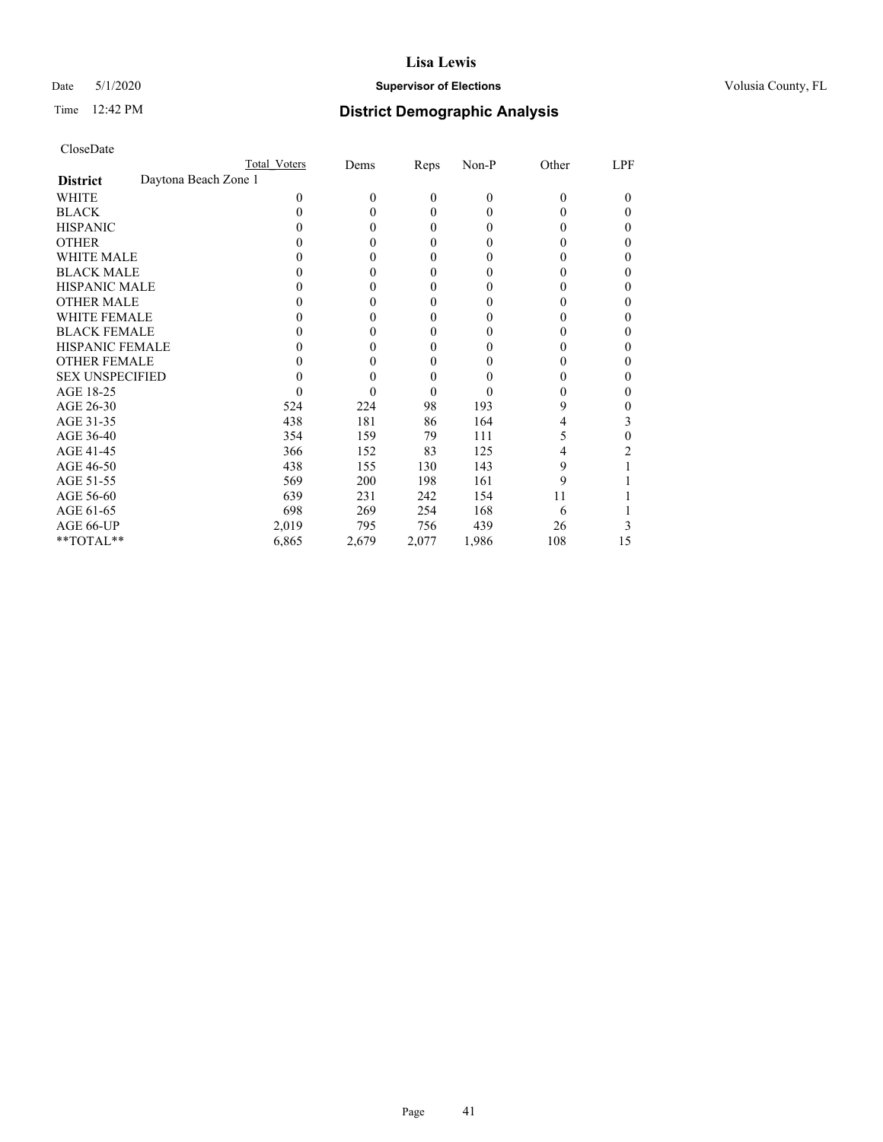# Date 5/1/2020 **Supervisor of Elections Supervisor of Elections** Volusia County, FL

| CloseDate |  |
|-----------|--|
|-----------|--|

|                                         | Total Voters | Dems     | Reps         | Non-P    | Other    | LPF      |
|-----------------------------------------|--------------|----------|--------------|----------|----------|----------|
| Daytona Beach Zone 1<br><b>District</b> |              |          |              |          |          |          |
| WHITE                                   | $\Omega$     | $\theta$ | $\mathbf{0}$ | $\theta$ | $\theta$ | $\theta$ |
| <b>BLACK</b>                            | 0            | $\Omega$ | $\theta$     | 0        | 0        | $\theta$ |
| <b>HISPANIC</b>                         |              | $\theta$ | $\theta$     | 0        | 0        | 0        |
| <b>OTHER</b>                            |              | $\Omega$ | $\theta$     | 0        | 0        | $\theta$ |
| <b>WHITE MALE</b>                       |              | 0        | $\mathbf{0}$ | 0        | 0        |          |
| <b>BLACK MALE</b>                       | 0            | $\theta$ | $\mathbf{0}$ | 0        | 0        | 0        |
| <b>HISPANIC MALE</b>                    | 0            | $\Omega$ | 0            | 0        | 0        |          |
| <b>OTHER MALE</b>                       | 0            | $\theta$ | $\mathbf{0}$ | 0        | 0        | $\theta$ |
| <b>WHITE FEMALE</b>                     |              | 0        | 0            | 0        | 0        | 0        |
| <b>BLACK FEMALE</b>                     |              | 0        | $\theta$     | 0        | $\theta$ | 0        |
| <b>HISPANIC FEMALE</b>                  |              | 0        | $\mathbf{0}$ | 0        | 0        | 0        |
| <b>OTHER FEMALE</b>                     | 0            | 0        | 0            | 0        | 0        |          |
| <b>SEX UNSPECIFIED</b>                  |              | $\theta$ | $\theta$     | 0        | 0        | $\theta$ |
| AGE 18-25                               |              | 0        | 0            | 0        | 0        | 0        |
| AGE 26-30                               | 524          | 224      | 98           | 193      | 9        | 0        |
| AGE 31-35                               | 438          | 181      | 86           | 164      | 4        | 3        |
| AGE 36-40                               | 354          | 159      | 79           | 111      | 5        | 0        |
| AGE 41-45                               | 366          | 152      | 83           | 125      | 4        | 2        |
| AGE 46-50                               | 438          | 155      | 130          | 143      | 9        |          |
| AGE 51-55                               | 569          | 200      | 198          | 161      | 9        |          |
| AGE 56-60                               | 639          | 231      | 242          | 154      | 11       |          |
| AGE 61-65                               | 698          | 269      | 254          | 168      | 6        |          |
| AGE 66-UP                               | 2,019        | 795      | 756          | 439      | 26       |          |
| **TOTAL**                               | 6,865        | 2,679    | 2,077        | 1,986    | 108      | 15       |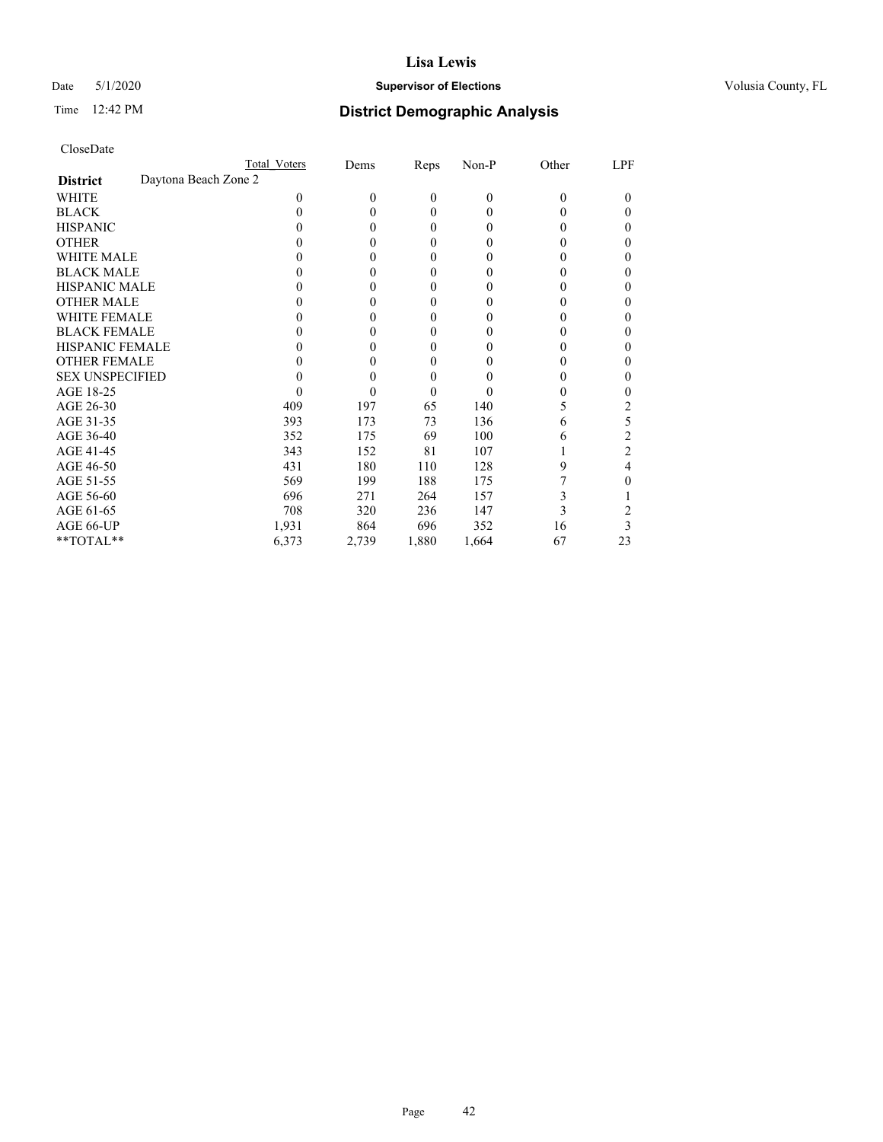# Date 5/1/2020 **Supervisor of Elections Supervisor of Elections** Volusia County, FL

|                        | Total Voters         | Dems         | Reps         | Non-P    | Other | LPF    |
|------------------------|----------------------|--------------|--------------|----------|-------|--------|
| <b>District</b>        | Daytona Beach Zone 2 |              |              |          |       |        |
| WHITE                  | 0                    | $\mathbf{0}$ | $\mathbf{0}$ | $\theta$ | 0     | $_{0}$ |
| <b>BLACK</b>           |                      | $\theta$     | 0            | 0        |       | 0      |
| <b>HISPANIC</b>        |                      | $\theta$     | 0            | $_{0}$   |       | 0      |
| <b>OTHER</b>           |                      | 0            | 0            |          |       | 0      |
| <b>WHITE MALE</b>      |                      | 0            | 0            | 0        |       | 0      |
| <b>BLACK MALE</b>      |                      | 0            | 0            |          |       | 0      |
| <b>HISPANIC MALE</b>   |                      | 0            | 0            |          |       | 0      |
| <b>OTHER MALE</b>      |                      | 0            | 0            |          |       | 0      |
| <b>WHITE FEMALE</b>    |                      | 0            | 0            |          |       |        |
| <b>BLACK FEMALE</b>    |                      | 0            | 0            | $_{0}$   |       | 0      |
| <b>HISPANIC FEMALE</b> |                      | 0            | 0            |          |       | 0      |
| <b>OTHER FEMALE</b>    |                      | 0            | 0            | 0        |       | 0      |
| <b>SEX UNSPECIFIED</b> |                      | 0            | 0            |          |       | 0      |
| AGE 18-25              |                      | 0            | 0            |          |       | 0      |
| AGE 26-30              | 409                  | 197          | 65           | 140      |       | 2      |
| AGE 31-35              | 393                  | 173          | 73           | 136      | 6     | 5      |
| AGE 36-40              | 352                  | 175          | 69           | 100      | 6     | 2      |
| AGE 41-45              | 343                  | 152          | 81           | 107      |       | 2      |
| AGE 46-50              | 431                  | 180          | 110          | 128      | 9     | 4      |
| AGE 51-55              | 569                  | 199          | 188          | 175      |       | 0      |
| AGE 56-60              | 696                  | 271          | 264          | 157      | 3     |        |
| AGE 61-65              | 708                  | 320          | 236          | 147      | 3     |        |
| AGE 66-UP              | 1,931                | 864          | 696          | 352      | 16    | 3      |
| **TOTAL**              | 6,373                | 2,739        | 1,880        | 1,664    | 67    | 23     |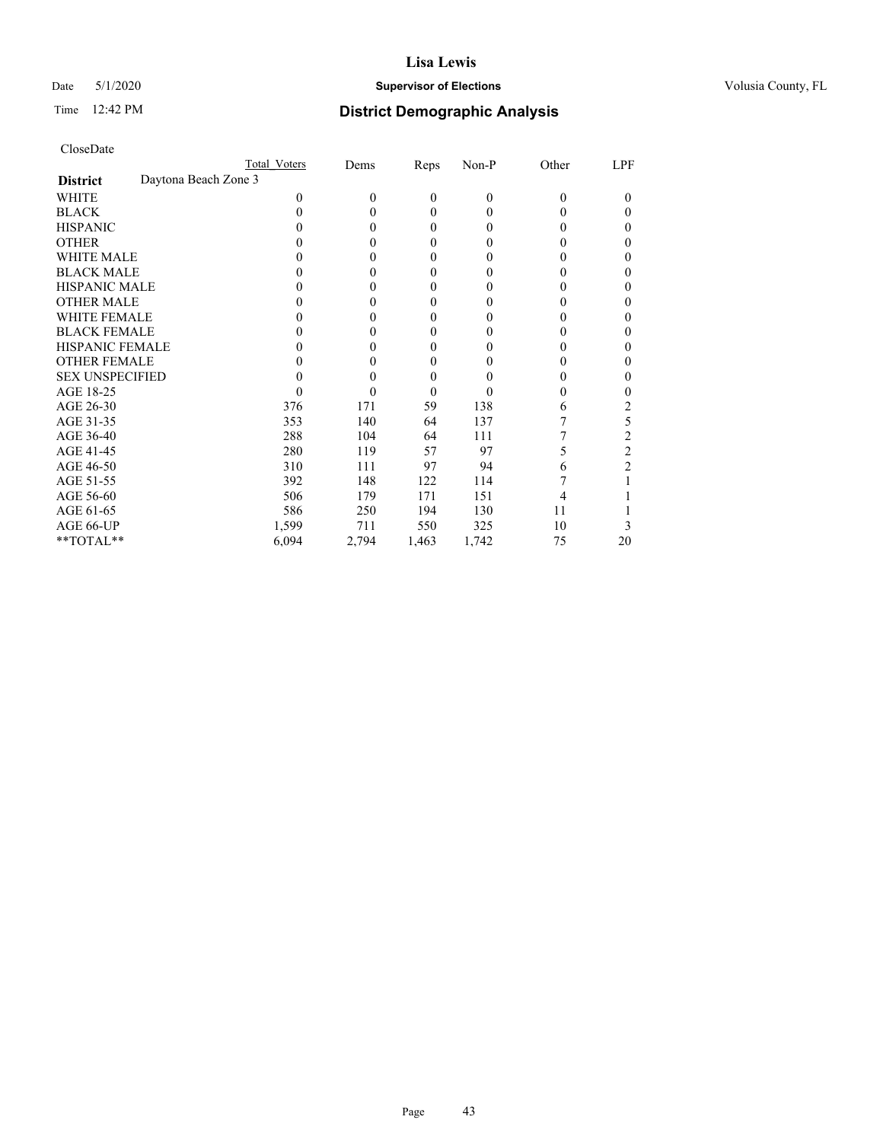# Date 5/1/2020 **Supervisor of Elections Supervisor of Elections** Volusia County, FL

|                        | Total Voters         | Dems     | Reps  | Non-P    | Other    | LPF      |
|------------------------|----------------------|----------|-------|----------|----------|----------|
| <b>District</b>        | Daytona Beach Zone 3 |          |       |          |          |          |
| WHITE                  | 0                    | $\theta$ | 0     | $\theta$ | $\theta$ | $\theta$ |
| <b>BLACK</b>           | 0                    | 0        | 0     | 0        | 0        | 0        |
| <b>HISPANIC</b>        |                      | 0        | 0     | 0        | $_{0}$   | 0        |
| <b>OTHER</b>           |                      | 0        | 0     | 0        | 0        |          |
| <b>WHITE MALE</b>      |                      | 0        | 0     | 0        | 0        |          |
| <b>BLACK MALE</b>      |                      | 0        | 0     | 0        | 0        |          |
| <b>HISPANIC MALE</b>   |                      | 0        | 0     |          | 0        |          |
| <b>OTHER MALE</b>      |                      | 0        | 0     | 0        | 0        |          |
| <b>WHITE FEMALE</b>    |                      | 0        | 0     | 0        |          |          |
| <b>BLACK FEMALE</b>    |                      | 0        | 0     | 0        | 0        | 0        |
| <b>HISPANIC FEMALE</b> |                      | 0        | 0     |          | 0        |          |
| <b>OTHER FEMALE</b>    |                      | 0        | 0     | 0        | 0        | 0        |
| <b>SEX UNSPECIFIED</b> |                      | 0        | 0     |          | 0        |          |
| AGE 18-25              |                      | 0        | 0     |          | 0        |          |
| AGE 26-30              | 376                  | 171      | 59    | 138      | 6        | 2        |
| AGE 31-35              | 353                  | 140      | 64    | 137      |          | 5        |
| AGE 36-40              | 288                  | 104      | 64    | 111      |          | 2        |
| AGE 41-45              | 280                  | 119      | 57    | 97       |          | 2        |
| AGE 46-50              | 310                  | 111      | 97    | 94       | 6        | 2        |
| AGE 51-55              | 392                  | 148      | 122   | 114      |          |          |
| AGE 56-60              | 506                  | 179      | 171   | 151      | 4        |          |
| AGE 61-65              | 586                  | 250      | 194   | 130      | 11       |          |
| AGE 66-UP              | 1,599                | 711      | 550   | 325      | 10       | 3        |
| **TOTAL**              | 6,094                | 2,794    | 1,463 | 1,742    | 75       | 20       |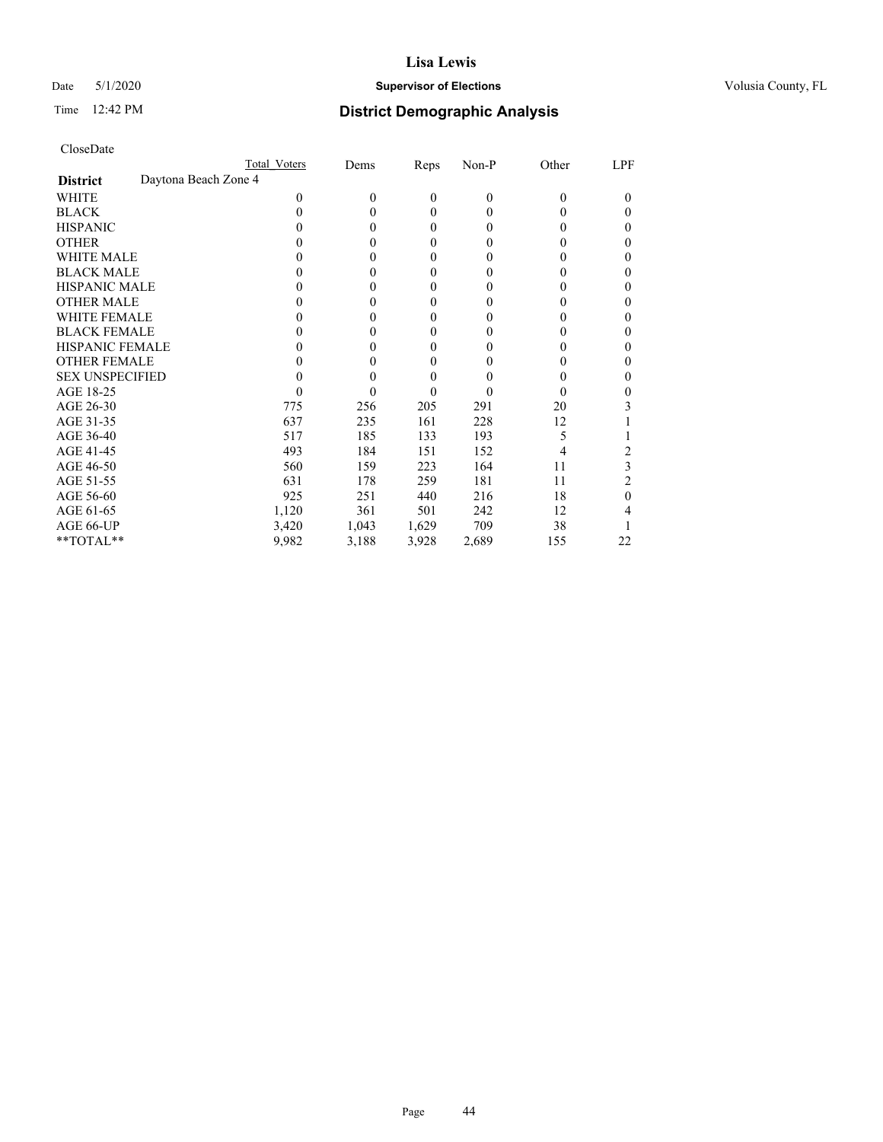# Date 5/1/2020 **Supervisor of Elections Supervisor of Elections** Volusia County, FL

|                                         | Total Voters | Dems     | Reps         | Non-P    | Other    | LPF      |
|-----------------------------------------|--------------|----------|--------------|----------|----------|----------|
| Daytona Beach Zone 4<br><b>District</b> |              |          |              |          |          |          |
| WHITE                                   | $\Omega$     | $\theta$ | $\mathbf{0}$ | $\theta$ | $\theta$ | $\theta$ |
| <b>BLACK</b>                            | 0            | $\Omega$ | $\theta$     | 0        | 0        | $\theta$ |
| <b>HISPANIC</b>                         | 0            | $\theta$ | $\theta$     | 0        | 0        | $\theta$ |
| <b>OTHER</b>                            |              | $\theta$ | $\theta$     | 0        | 0        | $\theta$ |
| <b>WHITE MALE</b>                       | 0            | $\theta$ | $\mathbf{0}$ | 0        | 0        | 0        |
| <b>BLACK MALE</b>                       | 0            | $\theta$ | $\mathbf{0}$ | 0        | 0        | $_{0}$   |
| <b>HISPANIC MALE</b>                    | 0            | $\Omega$ | $\theta$     | 0        | 0        | 0        |
| <b>OTHER MALE</b>                       | 0            | $\theta$ | $\mathbf{0}$ | 0        | 0        | $\theta$ |
| <b>WHITE FEMALE</b>                     |              | 0        | 0            | 0        | 0        | 0        |
| <b>BLACK FEMALE</b>                     |              | 0        | $\theta$     | 0        | 0        | $\theta$ |
| <b>HISPANIC FEMALE</b>                  | 0            | $\theta$ | $\mathbf{0}$ | 0        | 0        | 0        |
| <b>OTHER FEMALE</b>                     | 0            | 0        | 0            | 0        | 0        |          |
| <b>SEX UNSPECIFIED</b>                  | 0            | $\theta$ | $\theta$     | 0        | 0        | $\theta$ |
| AGE 18-25                               |              | 0        | 0            | 0        | 0        | 0        |
| AGE 26-30                               | 775          | 256      | 205          | 291      | 20       |          |
| AGE 31-35                               | 637          | 235      | 161          | 228      | 12       |          |
| AGE 36-40                               | 517          | 185      | 133          | 193      | 5        |          |
| AGE 41-45                               | 493          | 184      | 151          | 152      | 4        | 2        |
| AGE 46-50                               | 560          | 159      | 223          | 164      | 11       | 3        |
| AGE 51-55                               | 631          | 178      | 259          | 181      | 11       | 2        |
| AGE 56-60                               | 925          | 251      | 440          | 216      | 18       | 0        |
| AGE 61-65                               | 1,120        | 361      | 501          | 242      | 12       | 4        |
| AGE 66-UP                               | 3,420        | 1,043    | 1,629        | 709      | 38       |          |
| **TOTAL**                               | 9,982        | 3,188    | 3,928        | 2,689    | 155      | 22       |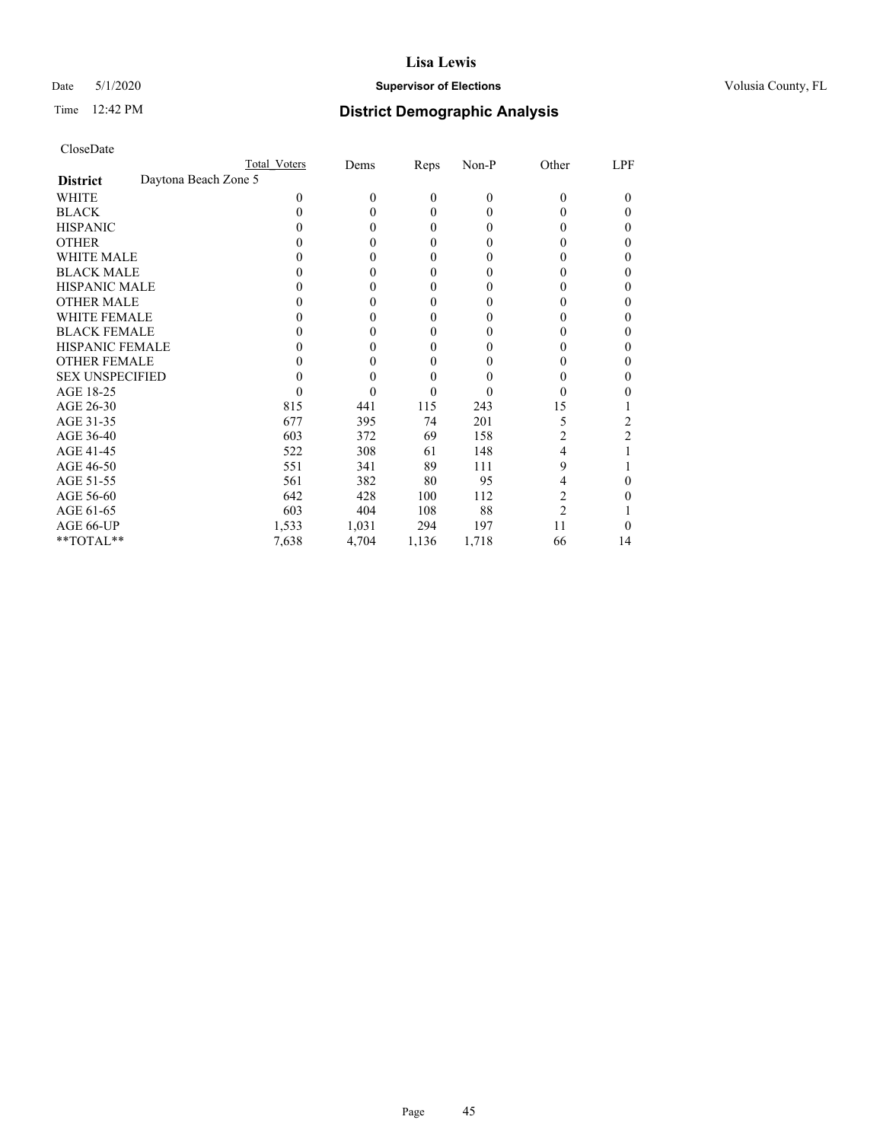# Date 5/1/2020 **Supervisor of Elections Supervisor of Elections** Volusia County, FL

| CloseDate |
|-----------|
|-----------|

|                        | Total Voters         | Dems     | Reps  | Non-P    | Other          | LPF      |
|------------------------|----------------------|----------|-------|----------|----------------|----------|
| <b>District</b>        | Daytona Beach Zone 5 |          |       |          |                |          |
| WHITE                  | 0                    | $\theta$ | 0     | $\theta$ | $\theta$       | $\theta$ |
| <b>BLACK</b>           | 0                    | 0        | 0     | 0        | 0              | 0        |
| <b>HISPANIC</b>        |                      | 0        | 0     | 0        | $_{0}$         | 0        |
| <b>OTHER</b>           |                      | 0        | 0     | 0        | 0              |          |
| <b>WHITE MALE</b>      |                      | 0        | 0     | 0        | 0              |          |
| <b>BLACK MALE</b>      |                      | 0        | 0     | 0        | 0              |          |
| <b>HISPANIC MALE</b>   |                      | 0        | 0     | 0        | 0              |          |
| <b>OTHER MALE</b>      |                      | 0        | 0     | 0        | 0              |          |
| <b>WHITE FEMALE</b>    |                      | 0        | 0     | 0        | 0              |          |
| <b>BLACK FEMALE</b>    |                      | 0        | 0     | 0        | 0              | 0        |
| <b>HISPANIC FEMALE</b> |                      | 0        | 0     |          | 0              |          |
| <b>OTHER FEMALE</b>    |                      | 0        | 0     | 0        | 0              | 0        |
| <b>SEX UNSPECIFIED</b> |                      | 0        | 0     |          | 0              |          |
| AGE 18-25              |                      | 0        |       |          | 0              |          |
| AGE 26-30              | 815                  | 441      | 115   | 243      | 15             |          |
| AGE 31-35              | 677                  | 395      | 74    | 201      | 5              | 2        |
| AGE 36-40              | 603                  | 372      | 69    | 158      | 2              | 2        |
| AGE 41-45              | 522                  | 308      | 61    | 148      | 4              |          |
| AGE 46-50              | 551                  | 341      | 89    | 111      | 9              |          |
| AGE 51-55              | 561                  | 382      | 80    | 95       | 4              |          |
| AGE 56-60              | 642                  | 428      | 100   | 112      | 2              |          |
| AGE 61-65              | 603                  | 404      | 108   | 88       | $\overline{2}$ |          |
| AGE 66-UP              | 1,533                | 1,031    | 294   | 197      | 11             |          |
| **TOTAL**              | 7,638                | 4,704    | 1,136 | 1,718    | 66             | 14       |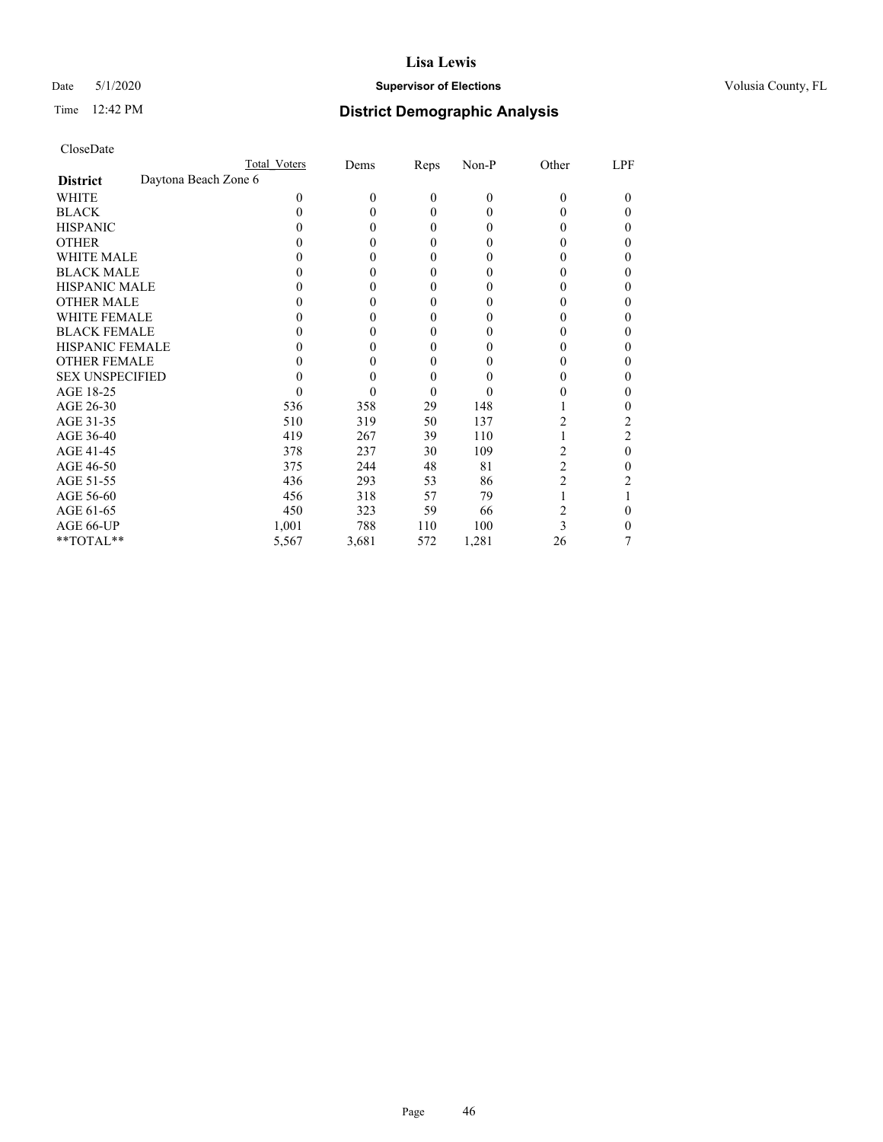# Date 5/1/2020 **Supervisor of Elections Supervisor of Elections** Volusia County, FL

|                        | Total Voters         | Dems         | Reps         | Non-P    | Other | LPF    |
|------------------------|----------------------|--------------|--------------|----------|-------|--------|
| <b>District</b>        | Daytona Beach Zone 6 |              |              |          |       |        |
| WHITE                  | 0                    | $\mathbf{0}$ | $\mathbf{0}$ | $\theta$ | 0     | $_{0}$ |
| <b>BLACK</b>           |                      | $\theta$     | 0            | 0        |       | 0      |
| <b>HISPANIC</b>        |                      | $\theta$     | 0            | $_{0}$   |       | 0      |
| <b>OTHER</b>           |                      | 0            | 0            |          |       | 0      |
| <b>WHITE MALE</b>      |                      | 0            | 0            | 0        |       | 0      |
| <b>BLACK MALE</b>      |                      | 0            | 0            |          |       | 0      |
| <b>HISPANIC MALE</b>   |                      | 0            | 0            |          |       | 0      |
| <b>OTHER MALE</b>      |                      | 0            | 0            |          |       | 0      |
| <b>WHITE FEMALE</b>    |                      | 0            | 0            |          |       |        |
| <b>BLACK FEMALE</b>    |                      | 0            | 0            | $_{0}$   |       | 0      |
| <b>HISPANIC FEMALE</b> |                      | 0            | 0            |          |       | 0      |
| <b>OTHER FEMALE</b>    |                      | 0            | 0            | 0        |       | 0      |
| <b>SEX UNSPECIFIED</b> |                      | 0            | 0            |          |       | 0      |
| AGE 18-25              |                      | 0            | 0            |          |       | 0      |
| AGE 26-30              | 536                  | 358          | 29           | 148      |       | 0      |
| AGE 31-35              | 510                  | 319          | 50           | 137      | 2     | 2      |
| AGE 36-40              | 419                  | 267          | 39           | 110      |       | 2      |
| AGE 41-45              | 378                  | 237          | 30           | 109      | 2     | 0      |
| AGE 46-50              | 375                  | 244          | 48           | 81       | 2     | 0      |
| AGE 51-55              | 436                  | 293          | 53           | 86       | 2     |        |
| AGE 56-60              | 456                  | 318          | 57           | 79       |       |        |
| AGE 61-65              | 450                  | 323          | 59           | 66       | 2     | 0      |
| AGE 66-UP              | 1,001                | 788          | 110          | 100      | 3     | 0      |
| **TOTAL**              | 5,567                | 3,681        | 572          | 1,281    | 26    |        |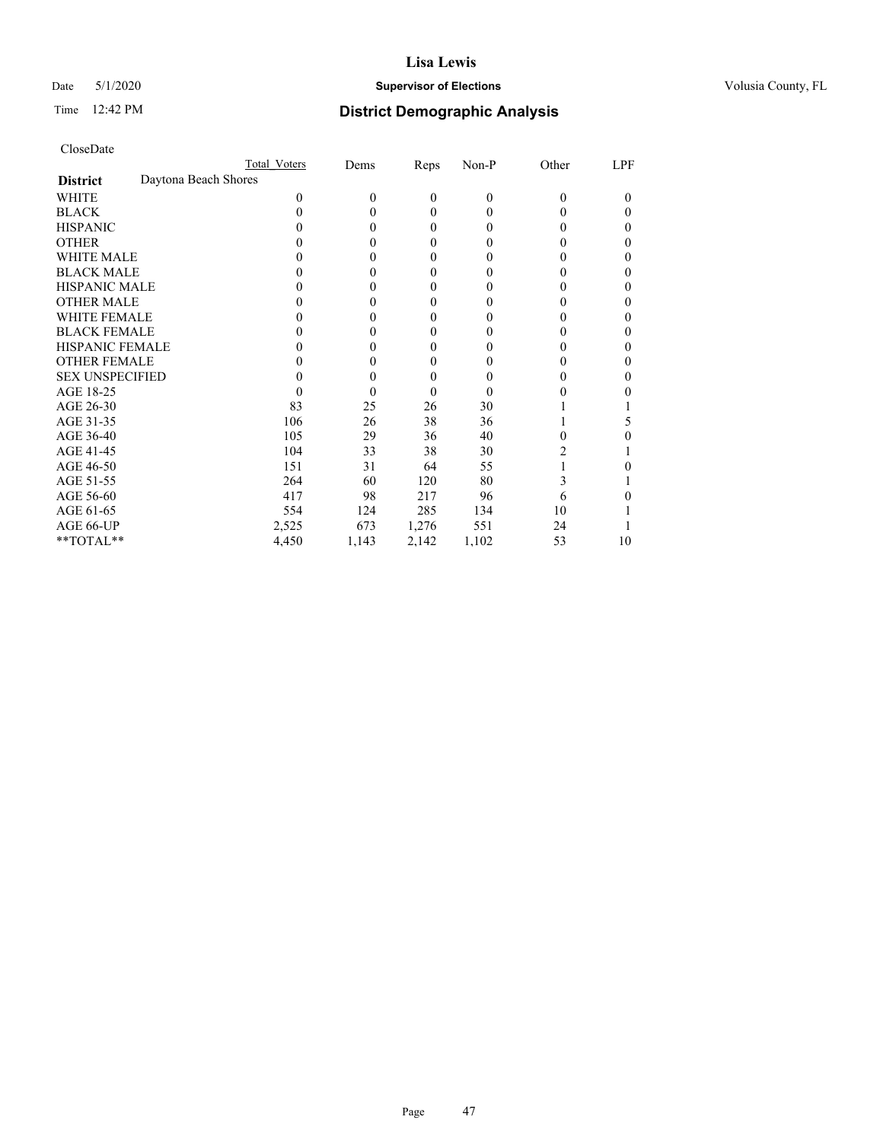# Date 5/1/2020 **Supervisor of Elections Supervisor of Elections** Volusia County, FL

# Time 12:42 PM **District Demographic Analysis**

|                                         | Total Voters | Dems     | <b>Reps</b>      | Non-P    | Other | LPF |
|-----------------------------------------|--------------|----------|------------------|----------|-------|-----|
| Daytona Beach Shores<br><b>District</b> |              |          |                  |          |       |     |
| WHITE                                   | $\Omega$     | $\theta$ | $\boldsymbol{0}$ | $\theta$ | 0     | 0   |
| <b>BLACK</b>                            | 0            | 0        | $\mathbf{0}$     | 0        | 0     | 0   |
| <b>HISPANIC</b>                         | $_{0}$       | 0        | $\mathbf{0}$     | $\Omega$ | 0     | 0   |
| <b>OTHER</b>                            |              | 0        | 0                | 0        | 0     | 0   |
| WHITE MALE                              |              | 0        | 0                | $_{0}$   | 0     |     |
| <b>BLACK MALE</b>                       |              | 0        | 0                | $_{0}$   | 0     | 0   |
| <b>HISPANIC MALE</b>                    |              | $_{0}$   | 0                | $_{0}$   | 0     |     |
| <b>OTHER MALE</b>                       |              | 0        | 0                | $_{0}$   | 0     | 0   |
| <b>WHITE FEMALE</b>                     |              | 0        | 0                | 0        |       |     |
| <b>BLACK FEMALE</b>                     | 0            | 0        | 0                | $_{0}$   | 0     | 0   |
| <b>HISPANIC FEMALE</b>                  |              | $\theta$ | 0                | $_{0}$   | 0     | 0   |
| <b>OTHER FEMALE</b>                     | 0            | 0        | $\mathbf{0}$     | 0        | 0     | 0   |
| <b>SEX UNSPECIFIED</b>                  |              | 0        | 0                | 0        |       | 0   |
| AGE 18-25                               | 0            | 0        | $\theta$         | $\theta$ | 0     |     |
| AGE 26-30                               | 83           | 25       | 26               | 30       |       |     |
| AGE 31-35                               | 106          | 26       | 38               | 36       |       | 5   |
| AGE 36-40                               | 105          | 29       | 36               | 40       | 0     |     |
| AGE 41-45                               | 104          | 33       | 38               | 30       | 2     |     |
| AGE 46-50                               | 151          | 31       | 64               | 55       |       | 0   |
| AGE 51-55                               | 264          | 60       | 120              | 80       | 3     |     |
| AGE 56-60                               | 417          | 98       | 217              | 96       | 6     |     |
| AGE 61-65                               | 554          | 124      | 285              | 134      | 10    |     |
| AGE 66-UP                               | 2,525        | 673      | 1,276            | 551      | 24    |     |
| **TOTAL**                               | 4,450        | 1,143    | 2,142            | 1,102    | 53    | 10  |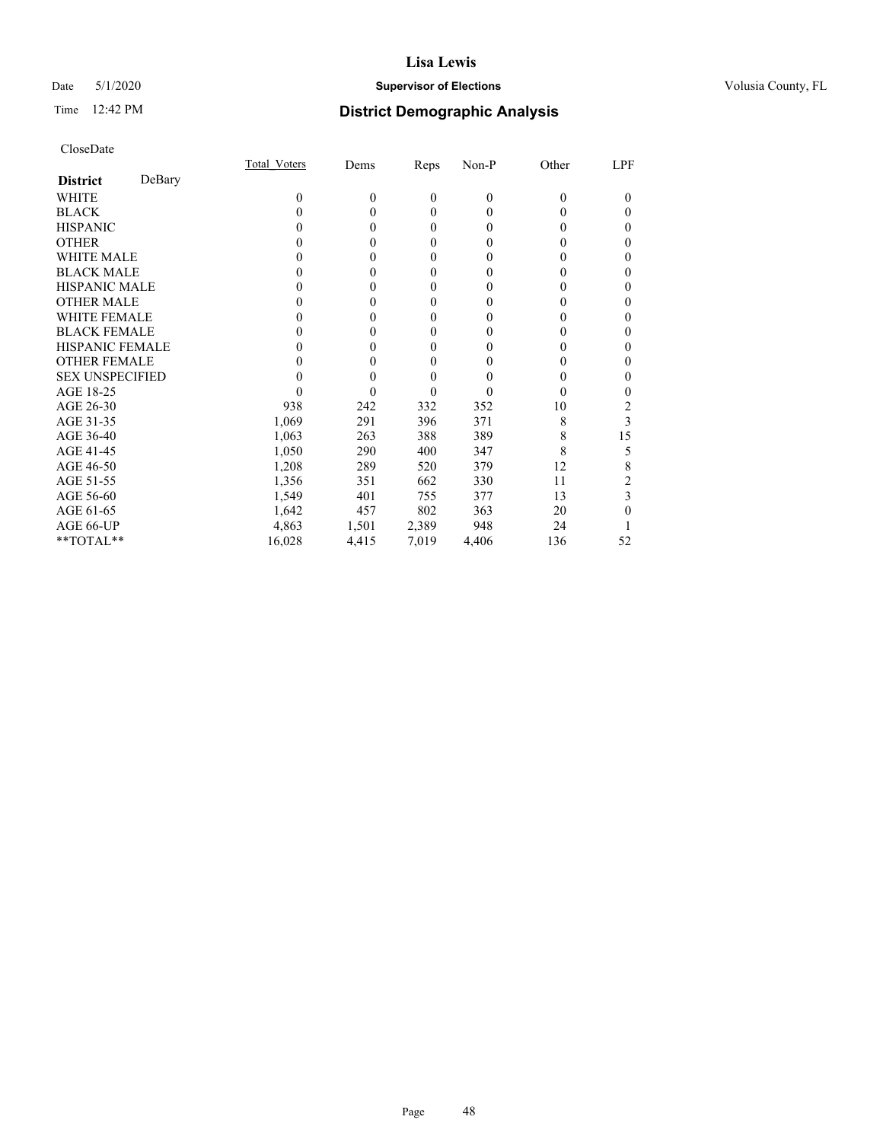# Date 5/1/2020 **Supervisor of Elections Supervisor of Elections** Volusia County, FL

# Time 12:42 PM **District Demographic Analysis**

|                        |        | Total Voters | Dems     | Reps         | Non-P        | Other    | LPF |
|------------------------|--------|--------------|----------|--------------|--------------|----------|-----|
| <b>District</b>        | DeBary |              |          |              |              |          |     |
| WHITE                  |        | 0            | $\theta$ | $\mathbf{0}$ | $\mathbf{0}$ | $\Omega$ | 0   |
| <b>BLACK</b>           |        | 0            | 0        | $\theta$     | $\theta$     | $_{0}$   | 0   |
| <b>HISPANIC</b>        |        | $\theta$     | 0        | $\theta$     | $\theta$     | $_{0}$   | 0   |
| <b>OTHER</b>           |        |              |          | 0            | 0            | 0        | 0   |
| WHITE MALE             |        |              |          | 0            | 0            | 0        | 0   |
| <b>BLACK MALE</b>      |        |              | 0        | 0            | 0            | 0        | 0   |
| <b>HISPANIC MALE</b>   |        |              |          | 0            | 0            |          | 0   |
| <b>OTHER MALE</b>      |        |              | 0        | $\theta$     | 0            | 0        | 0   |
| <b>WHITE FEMALE</b>    |        |              |          | 0            | 0            |          | 0   |
| <b>BLACK FEMALE</b>    |        |              | 0        | $\theta$     | 0            | 0        | 0   |
| <b>HISPANIC FEMALE</b> |        |              |          | 0            | 0            | 0        | 0   |
| <b>OTHER FEMALE</b>    |        |              | 0        | 0            | 0            | 0        | 0   |
| <b>SEX UNSPECIFIED</b> |        |              |          | 0            | 0            | 0        | 0   |
| AGE 18-25              |        |              |          | 0            | 0            | $_{0}$   | 0   |
| AGE 26-30              |        | 938          | 242      | 332          | 352          | 10       | 2   |
| AGE 31-35              |        | 1,069        | 291      | 396          | 371          | 8        | 3   |
| AGE 36-40              |        | 1,063        | 263      | 388          | 389          | 8        | 15  |
| AGE 41-45              |        | 1,050        | 290      | 400          | 347          | 8        | 5   |
| AGE 46-50              |        | 1,208        | 289      | 520          | 379          | 12       | 8   |
| AGE 51-55              |        | 1,356        | 351      | 662          | 330          | 11       |     |
| AGE 56-60              |        | 1,549        | 401      | 755          | 377          | 13       | 3   |
| AGE 61-65              |        | 1,642        | 457      | 802          | 363          | 20       | 0   |
| AGE 66-UP              |        | 4,863        | 1,501    | 2,389        | 948          | 24       |     |
| **TOTAL**              |        | 16,028       | 4,415    | 7,019        | 4,406        | 136      | 52  |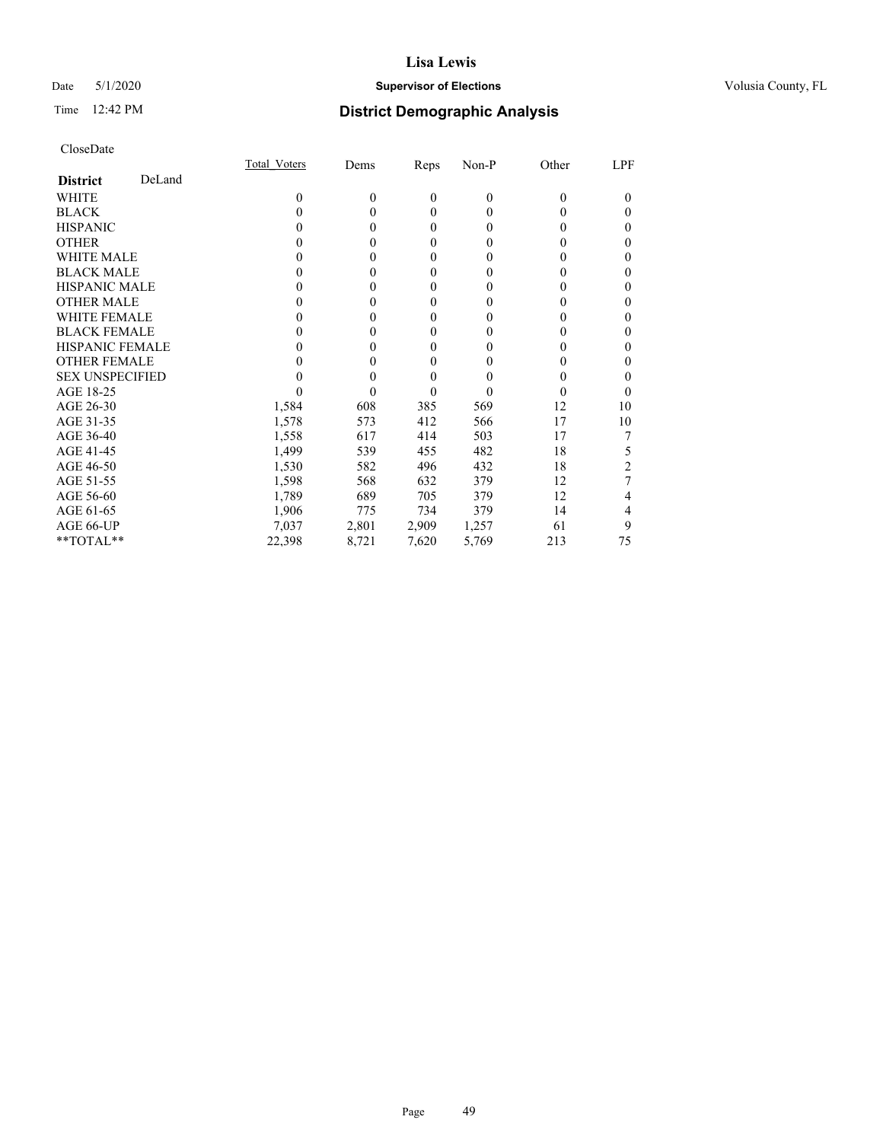# Date 5/1/2020 **Supervisor of Elections Supervisor of Elections** Volusia County, FL

# Time 12:42 PM **District Demographic Analysis**

|                        |        | Total Voters | Dems     | Reps     | Non-P        | Other    | LPF |
|------------------------|--------|--------------|----------|----------|--------------|----------|-----|
| <b>District</b>        | DeLand |              |          |          |              |          |     |
| WHITE                  |        | 0            | $\theta$ | $\theta$ | $\mathbf{0}$ | $\Omega$ | 0   |
| <b>BLACK</b>           |        | 0            | 0        | $\theta$ | $\theta$     | $\theta$ | 0   |
| <b>HISPANIC</b>        |        | $\theta$     | 0        | $\theta$ | $\theta$     | $_{0}$   | 0   |
| <b>OTHER</b>           |        |              | 0        | 0        | 0            | 0        | 0   |
| WHITE MALE             |        |              | 0        | $\theta$ | 0            | $_{0}$   | 0   |
| <b>BLACK MALE</b>      |        |              | 0        | 0        | 0            | 0        | 0   |
| <b>HISPANIC MALE</b>   |        |              | 0        | 0        | 0            | 0        | 0   |
| <b>OTHER MALE</b>      |        |              | 0        | $\theta$ | 0            | 0        | 0   |
| <b>WHITE FEMALE</b>    |        |              |          | $\Omega$ | 0            |          | 0   |
| <b>BLACK FEMALE</b>    |        |              | 0        | $\theta$ | 0            | 0        | 0   |
| <b>HISPANIC FEMALE</b> |        |              |          | 0        | 0            | 0        | 0   |
| <b>OTHER FEMALE</b>    |        |              | 0        | 0        | 0            | 0        | 0   |
| <b>SEX UNSPECIFIED</b> |        |              |          | 0        | 0            | $\theta$ | 0   |
| AGE 18-25              |        |              |          | 0        | 0            | $_{0}$   | 0   |
| AGE 26-30              |        | 1,584        | 608      | 385      | 569          | 12       | 10  |
| AGE 31-35              |        | 1,578        | 573      | 412      | 566          | 17       | 10  |
| AGE 36-40              |        | 1,558        | 617      | 414      | 503          | 17       |     |
| AGE 41-45              |        | 1,499        | 539      | 455      | 482          | 18       | 5   |
| AGE 46-50              |        | 1,530        | 582      | 496      | 432          | 18       | 2   |
| AGE 51-55              |        | 1,598        | 568      | 632      | 379          | 12       |     |
| AGE 56-60              |        | 1,789        | 689      | 705      | 379          | 12       | 4   |
| AGE 61-65              |        | 1,906        | 775      | 734      | 379          | 14       | 4   |
| AGE 66-UP              |        | 7,037        | 2,801    | 2,909    | 1,257        | 61       | 9   |
| **TOTAL**              |        | 22,398       | 8,721    | 7,620    | 5,769        | 213      | 75  |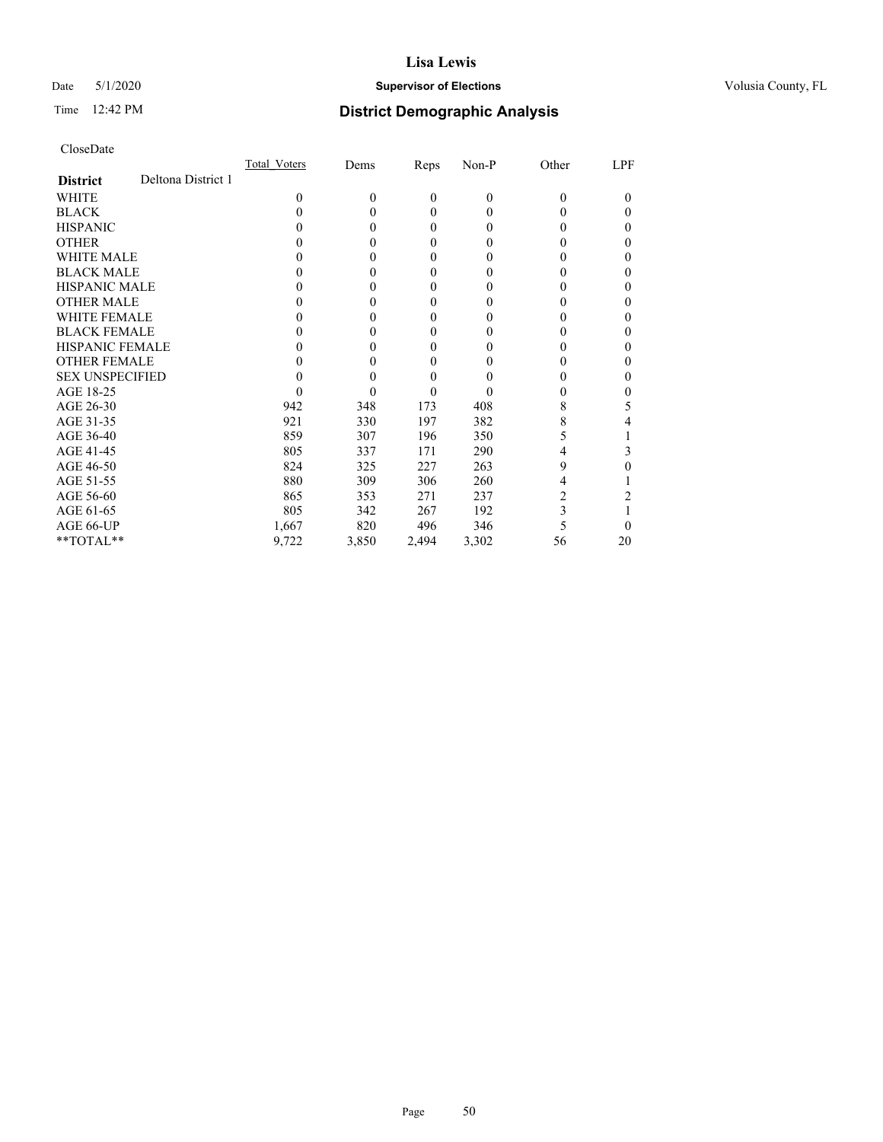# Date 5/1/2020 **Supervisor of Elections Supervisor of Elections** Volusia County, FL

# Time 12:42 PM **District Demographic Analysis**

|                        |                    | Total Voters | Dems     | Reps           | Non-P    | Other    | LPF      |
|------------------------|--------------------|--------------|----------|----------------|----------|----------|----------|
| <b>District</b>        | Deltona District 1 |              |          |                |          |          |          |
| WHITE                  |                    | 0            | $\theta$ | $\overline{0}$ | $\theta$ | 0        | $\theta$ |
| <b>BLACK</b>           |                    | 0            | 0        | 0              | 0        | 0        | 0        |
| <b>HISPANIC</b>        |                    | 0            | 0        | 0              | 0        | $_{0}$   | 0        |
| <b>OTHER</b>           |                    |              | 0        | 0              | 0        |          | 0        |
| WHITE MALE             |                    |              | 0        | 0              | 0        | $\theta$ |          |
| <b>BLACK MALE</b>      |                    |              | 0        | 0              | 0        | 0        | 0        |
| <b>HISPANIC MALE</b>   |                    |              | 0        | 0              | 0        |          |          |
| <b>OTHER MALE</b>      |                    |              | 0        | 0              | 0        | 0        | 0        |
| <b>WHITE FEMALE</b>    |                    |              | 0        | 0              |          | 0        |          |
| <b>BLACK FEMALE</b>    |                    |              | 0        | 0              | 0        | 0        | 0        |
| <b>HISPANIC FEMALE</b> |                    |              | 0        | 0              |          |          | 0        |
| <b>OTHER FEMALE</b>    |                    |              | 0        | 0              | 0        | 0        | 0        |
| <b>SEX UNSPECIFIED</b> |                    |              | 0        | 0              |          |          |          |
| AGE 18-25              |                    |              | 0        | 0              |          | 0        |          |
| AGE 26-30              |                    | 942          | 348      | 173            | 408      | 8        | 5        |
| AGE 31-35              |                    | 921          | 330      | 197            | 382      | 8        |          |
| AGE 36-40              |                    | 859          | 307      | 196            | 350      | 5        |          |
| AGE 41-45              |                    | 805          | 337      | 171            | 290      | 4        | 3        |
| AGE 46-50              |                    | 824          | 325      | 227            | 263      | 9        | 0        |
| AGE 51-55              |                    | 880          | 309      | 306            | 260      | 4        |          |
| AGE 56-60              |                    | 865          | 353      | 271            | 237      | 2        |          |
| AGE 61-65              |                    | 805          | 342      | 267            | 192      | 3        |          |
| AGE 66-UP              |                    | 1,667        | 820      | 496            | 346      |          | 0        |
| **TOTAL**              |                    | 9,722        | 3,850    | 2,494          | 3,302    | 56       | 20       |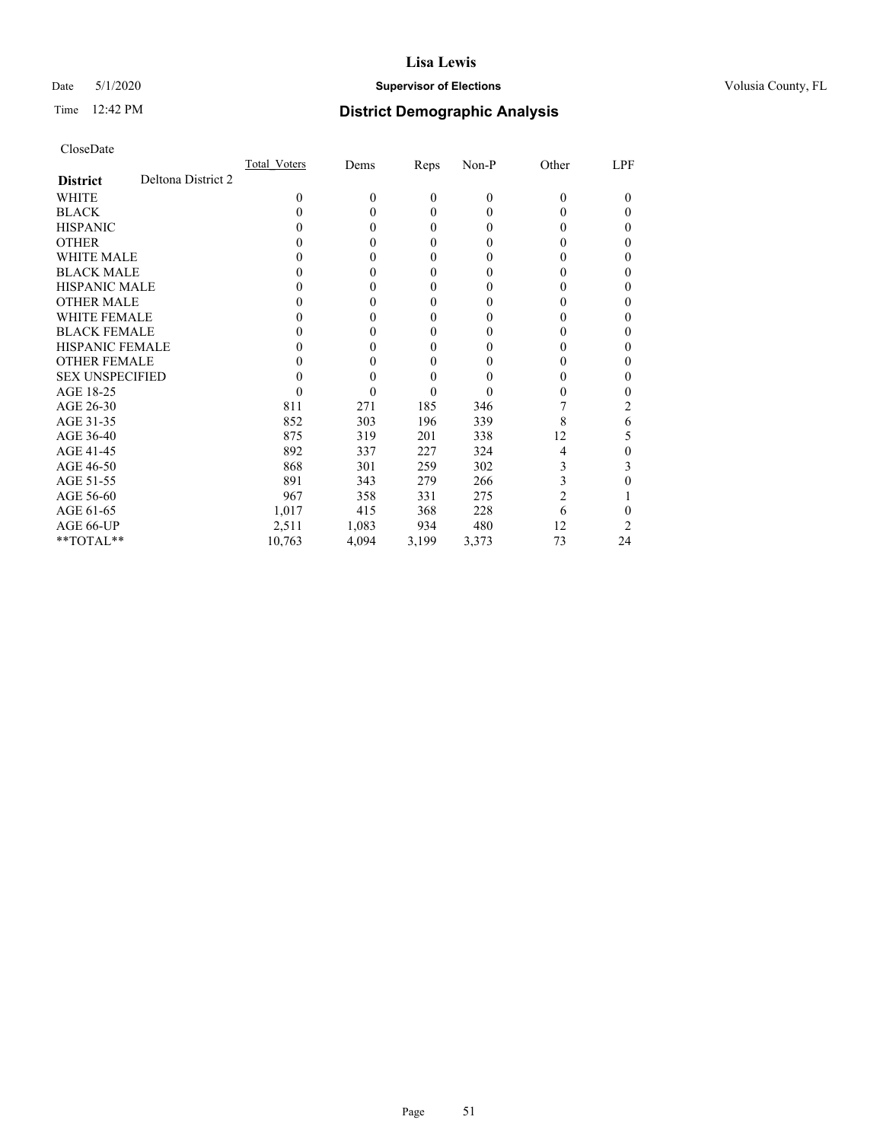# Date 5/1/2020 **Supervisor of Elections Supervisor of Elections** Volusia County, FL

# Time 12:42 PM **District Demographic Analysis**

|                                       | Total Voters | Dems     | Reps         | Non-P          | Other | LPF      |
|---------------------------------------|--------------|----------|--------------|----------------|-------|----------|
| Deltona District 2<br><b>District</b> |              |          |              |                |       |          |
| WHITE                                 | 0            | $\theta$ | $\mathbf{0}$ | $\overline{0}$ | 0     | $\theta$ |
| <b>BLACK</b>                          | 0            | 0        | $\theta$     | 0              | 0     | 0        |
| <b>HISPANIC</b>                       | 0            | 0        | $\theta$     | 0              | 0     | 0        |
| <b>OTHER</b>                          |              | 0        | $\theta$     | 0              |       | 0        |
| WHITE MALE                            |              | 0        | $\theta$     | $\theta$       |       | 0        |
| <b>BLACK MALE</b>                     |              | 0        | $\theta$     | $\theta$       |       | 0        |
| <b>HISPANIC MALE</b>                  |              | 0        | $\theta$     | 0              |       | 0        |
| <b>OTHER MALE</b>                     |              | 0        | $\theta$     | 0              |       | 0        |
| <b>WHITE FEMALE</b>                   |              | 0        | $\Omega$     | 0              |       | 0        |
| <b>BLACK FEMALE</b>                   | 0            | 0        | $\theta$     | 0              |       | 0        |
| <b>HISPANIC FEMALE</b>                |              | 0        | 0            | 0              |       | 0        |
| <b>OTHER FEMALE</b>                   |              | 0        | $\theta$     | $\theta$       |       | 0        |
| <b>SEX UNSPECIFIED</b>                |              | 0        | $\theta$     |                |       | 0        |
| AGE 18-25                             |              | 0        | $\theta$     | $\theta$       |       |          |
| AGE 26-30                             | 811          | 271      | 185          | 346            |       | 2        |
| AGE 31-35                             | 852          | 303      | 196          | 339            | 8     | 6        |
| AGE 36-40                             | 875          | 319      | 201          | 338            | 12    | 5        |
| AGE 41-45                             | 892          | 337      | 227          | 324            | 4     | 0        |
| AGE 46-50                             | 868          | 301      | 259          | 302            | 3     | 3        |
| AGE 51-55                             | 891          | 343      | 279          | 266            | 3     | 0        |
| AGE 56-60                             | 967          | 358      | 331          | 275            | 2     |          |
| AGE 61-65                             | 1,017        | 415      | 368          | 228            | 6     | 0        |
| AGE 66-UP                             | 2,511        | 1,083    | 934          | 480            | 12    | 2        |
| **TOTAL**                             | 10,763       | 4,094    | 3,199        | 3,373          | 73    | 24       |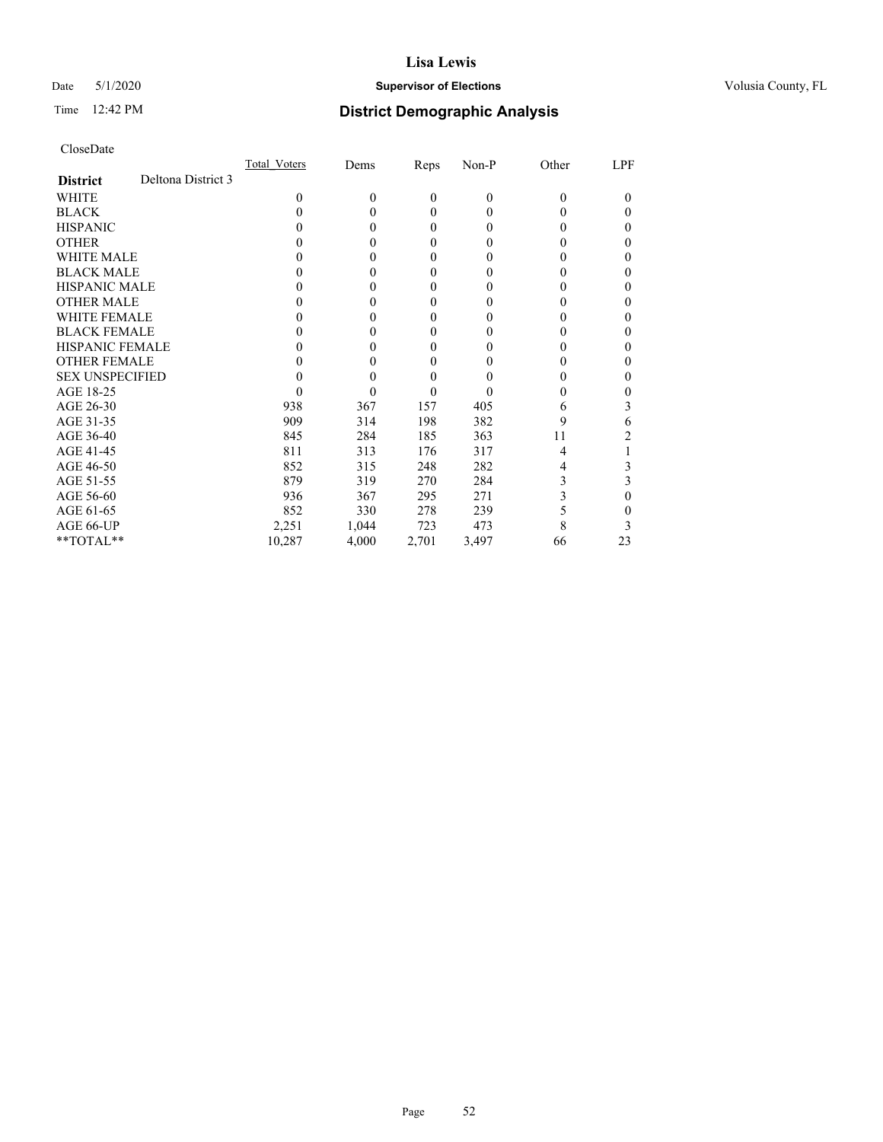# Date 5/1/2020 **Supervisor of Elections Supervisor of Elections** Volusia County, FL

# Time 12:42 PM **District Demographic Analysis**

|                        |                    | Total Voters | Dems     | Reps     | Non-P        | Other    | LPF |
|------------------------|--------------------|--------------|----------|----------|--------------|----------|-----|
| <b>District</b>        | Deltona District 3 |              |          |          |              |          |     |
| WHITE                  |                    | $\Omega$     | $\theta$ | $\theta$ | $\mathbf{0}$ | $\Omega$ | 0   |
| <b>BLACK</b>           |                    | 0            | 0        | $\theta$ | $\theta$     | $\theta$ | 0   |
| <b>HISPANIC</b>        |                    | $\theta$     | 0        | $\theta$ | $\theta$     | $_{0}$   | 0   |
| <b>OTHER</b>           |                    |              |          | $\theta$ | 0            | 0        | 0   |
| WHITE MALE             |                    |              |          | $\theta$ | 0            | 0        | 0   |
| <b>BLACK MALE</b>      |                    |              |          | $\theta$ | 0            | 0        | 0   |
| <b>HISPANIC MALE</b>   |                    |              |          | $\theta$ | 0            | 0        | 0   |
| <b>OTHER MALE</b>      |                    |              |          | $\theta$ | 0            | 0        | 0   |
| <b>WHITE FEMALE</b>    |                    |              |          | $\Omega$ | 0            |          | 0   |
| <b>BLACK FEMALE</b>    |                    |              |          | $\theta$ | 0            | 0        | 0   |
| <b>HISPANIC FEMALE</b> |                    |              |          | $\theta$ | 0            | 0        | 0   |
| <b>OTHER FEMALE</b>    |                    |              |          | $\theta$ | 0            | 0        | 0   |
| <b>SEX UNSPECIFIED</b> |                    |              |          | $\theta$ | 0            |          | 0   |
| AGE 18-25              |                    |              |          | $\theta$ | 0            | 0        | 0   |
| AGE 26-30              |                    | 938          | 367      | 157      | 405          | 6        | 3   |
| AGE 31-35              |                    | 909          | 314      | 198      | 382          | 9        | 6   |
| AGE 36-40              |                    | 845          | 284      | 185      | 363          | 11       | 2   |
| AGE 41-45              |                    | 811          | 313      | 176      | 317          | 4        |     |
| AGE 46-50              |                    | 852          | 315      | 248      | 282          | 4        | 3   |
| AGE 51-55              |                    | 879          | 319      | 270      | 284          | 3        | 3   |
| AGE 56-60              |                    | 936          | 367      | 295      | 271          | 3        | 0   |
| AGE 61-65              |                    | 852          | 330      | 278      | 239          | 5        | 0   |
| AGE 66-UP              |                    | 2,251        | 1,044    | 723      | 473          | 8        | 3   |
| **TOTAL**              |                    | 10,287       | 4,000    | 2,701    | 3,497        | 66       | 23  |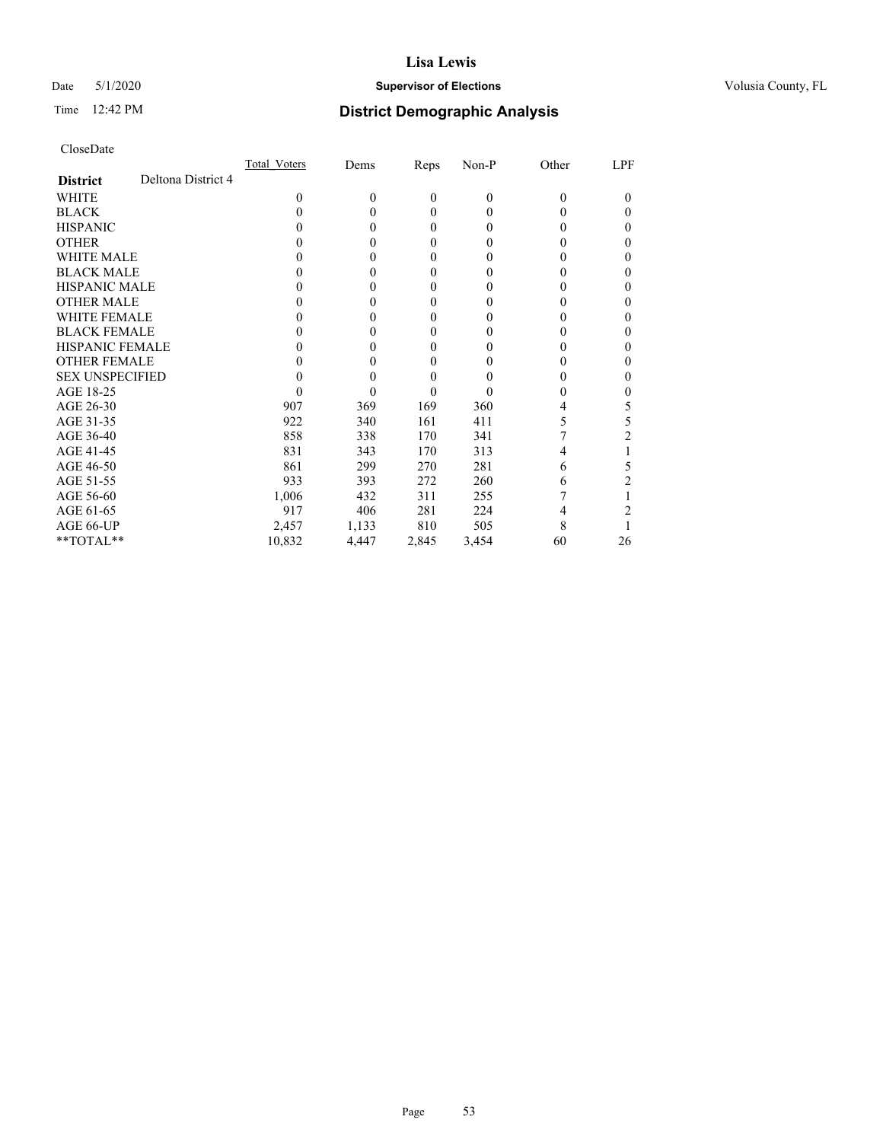# Date 5/1/2020 **Supervisor of Elections Supervisor of Elections** Volusia County, FL

# Time 12:42 PM **District Demographic Analysis**

|                        |                    | Total Voters | Dems         | Reps             | Non-P    | Other    | LPF      |
|------------------------|--------------------|--------------|--------------|------------------|----------|----------|----------|
| <b>District</b>        | Deltona District 4 |              |              |                  |          |          |          |
| WHITE                  |                    | 0            | $\mathbf{0}$ | $\boldsymbol{0}$ | $\theta$ | $\theta$ | $\Omega$ |
| <b>BLACK</b>           |                    | 0            | 0            | 0                | 0        | 0        | $\theta$ |
| <b>HISPANIC</b>        |                    | $_{0}$       | $\theta$     | 0                | 0        | $_{0}$   | $_{0}$   |
| <b>OTHER</b>           |                    |              | 0            | 0                | 0        | 0        | 0        |
| WHITE MALE             |                    |              | 0            | 0                | $_{0}$   | $_{0}$   |          |
| <b>BLACK MALE</b>      |                    |              | 0            | 0                | $_{0}$   | 0        |          |
| <b>HISPANIC MALE</b>   |                    |              | $\theta$     | 0                | 0        | 0        |          |
| <b>OTHER MALE</b>      |                    |              | 0            | 0                | $_{0}$   | 0        |          |
| <b>WHITE FEMALE</b>    |                    |              |              | 0                | $\theta$ |          |          |
| <b>BLACK FEMALE</b>    |                    | 0            | 0            | 0                | 0        | 0        | 0        |
| <b>HISPANIC FEMALE</b> |                    |              | 0            | 0                | 0        | 0        |          |
| <b>OTHER FEMALE</b>    |                    |              | 0            | 0                | 0        | $_{0}$   | 0        |
| <b>SEX UNSPECIFIED</b> |                    |              | 0            | 0                |          |          |          |
| AGE 18-25              |                    | 0            | 0            | 0                | $\theta$ | 0        |          |
| AGE 26-30              |                    | 907          | 369          | 169              | 360      | 4        | 5        |
| AGE 31-35              |                    | 922          | 340          | 161              | 411      | 5        | 5        |
| AGE 36-40              |                    | 858          | 338          | 170              | 341      |          | 2        |
| AGE 41-45              |                    | 831          | 343          | 170              | 313      | 4        |          |
| AGE 46-50              |                    | 861          | 299          | 270              | 281      | 6        | 5        |
| AGE 51-55              |                    | 933          | 393          | 272              | 260      | 6        |          |
| AGE 56-60              |                    | 1,006        | 432          | 311              | 255      |          |          |
| AGE 61-65              |                    | 917          | 406          | 281              | 224      | 4        |          |
| AGE 66-UP              |                    | 2,457        | 1,133        | 810              | 505      | 8        |          |
| **TOTAL**              |                    | 10,832       | 4,447        | 2,845            | 3,454    | 60       | 26       |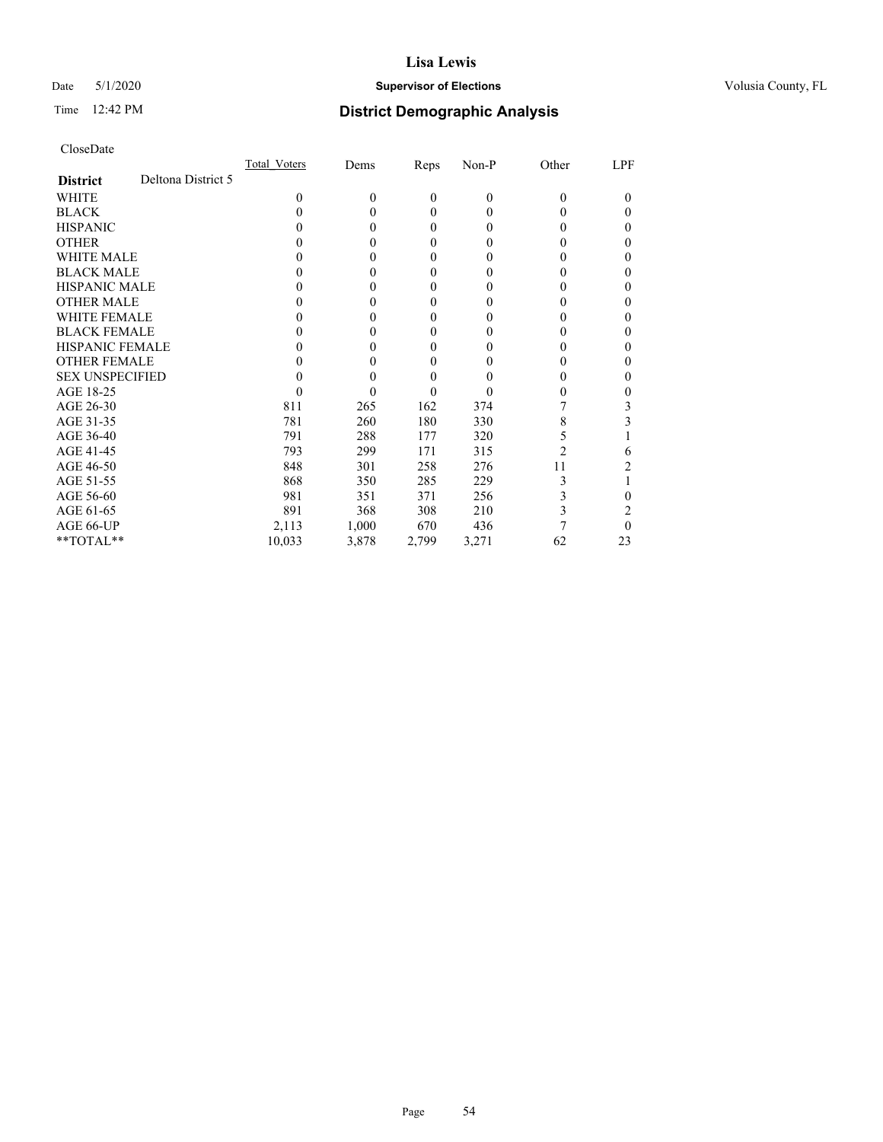# Date 5/1/2020 **Supervisor of Elections Supervisor of Elections** Volusia County, FL

# Time 12:42 PM **District Demographic Analysis**

|                        |                    | Total Voters | Dems     | Reps     | Non-P        | Other    | LPF |
|------------------------|--------------------|--------------|----------|----------|--------------|----------|-----|
| <b>District</b>        | Deltona District 5 |              |          |          |              |          |     |
| WHITE                  |                    | $\Omega$     | $\Omega$ | $\theta$ | $\mathbf{0}$ | $\Omega$ | 0   |
| <b>BLACK</b>           |                    | 0            | 0        | $\theta$ | $\theta$     | $_{0}$   | 0   |
| <b>HISPANIC</b>        |                    | 0            | 0        | $\theta$ | $\theta$     | 0        | 0   |
| <b>OTHER</b>           |                    |              |          | $\theta$ | 0            |          | 0   |
| WHITE MALE             |                    |              |          | $\theta$ | 0            | 0        | 0   |
| <b>BLACK MALE</b>      |                    |              |          | $\theta$ | 0            | 0        | 0   |
| <b>HISPANIC MALE</b>   |                    |              |          | $\theta$ | 0            | 0        | 0   |
| <b>OTHER MALE</b>      |                    |              |          | $\theta$ | 0            | 0        | 0   |
| <b>WHITE FEMALE</b>    |                    |              |          | $\Omega$ | 0            |          | 0   |
| <b>BLACK FEMALE</b>    |                    |              |          | $\theta$ | 0            | 0        | 0   |
| <b>HISPANIC FEMALE</b> |                    |              |          | $\Omega$ | 0            | 0        | 0   |
| <b>OTHER FEMALE</b>    |                    |              |          | $\theta$ | 0            | 0        | 0   |
| <b>SEX UNSPECIFIED</b> |                    |              |          | $\Omega$ | 0            |          | 0   |
| AGE 18-25              |                    |              |          | $\theta$ | $\theta$     | 0        | 0   |
| AGE 26-30              |                    | 811          | 265      | 162      | 374          |          | 3   |
| AGE 31-35              |                    | 781          | 260      | 180      | 330          | 8        | 3   |
| AGE 36-40              |                    | 791          | 288      | 177      | 320          | 5        |     |
| AGE 41-45              |                    | 793          | 299      | 171      | 315          | 2        | 6   |
| AGE 46-50              |                    | 848          | 301      | 258      | 276          | 11       | 2   |
| AGE 51-55              |                    | 868          | 350      | 285      | 229          | 3        |     |
| AGE 56-60              |                    | 981          | 351      | 371      | 256          | 3        | 0   |
| AGE 61-65              |                    | 891          | 368      | 308      | 210          | 3        | 2   |
| AGE 66-UP              |                    | 2,113        | 1,000    | 670      | 436          |          | 0   |
| **TOTAL**              |                    | 10,033       | 3,878    | 2,799    | 3,271        | 62       | 23  |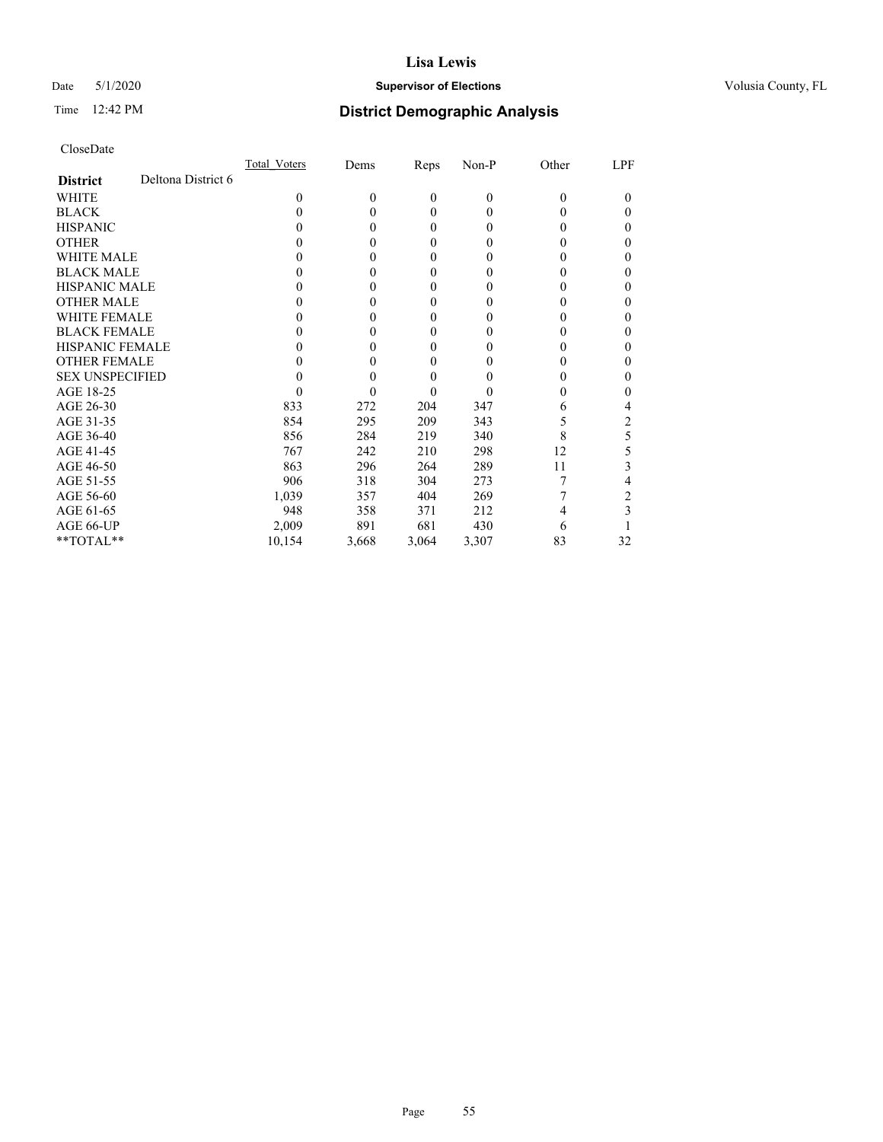# Date 5/1/2020 **Supervisor of Elections Supervisor of Elections** Volusia County, FL

# Time 12:42 PM **District Demographic Analysis**

|                        |                    | Total Voters | Dems     | Reps         | Non-P    | Other    | LPF    |
|------------------------|--------------------|--------------|----------|--------------|----------|----------|--------|
| <b>District</b>        | Deltona District 6 |              |          |              |          |          |        |
| WHITE                  |                    | $\Omega$     | $\theta$ | $\mathbf{0}$ | $\theta$ | $\theta$ | $_{0}$ |
| <b>BLACK</b>           |                    | 0            | 0        | $\theta$     | 0        | 0        | 0      |
| <b>HISPANIC</b>        |                    | $_{0}$       | 0        | $\theta$     | 0        | 0        | 0      |
| <b>OTHER</b>           |                    |              | 0        | $\theta$     | 0        | 0        | 0      |
| WHITE MALE             |                    |              | $_{0}$   | $\theta$     | $\theta$ | $_{0}$   |        |
| <b>BLACK MALE</b>      |                    |              | 0        | $\theta$     | $\theta$ | $_{0}$   | 0      |
| <b>HISPANIC MALE</b>   |                    |              | 0        | $\theta$     | 0        | 0        | 0      |
| <b>OTHER MALE</b>      |                    |              | 0        | $\theta$     | 0        | 0        | 0      |
| <b>WHITE FEMALE</b>    |                    |              | 0        | $\Omega$     | $\theta$ | 0        | 0      |
| <b>BLACK FEMALE</b>    |                    |              | 0        | $\theta$     | 0        | 0        | 0      |
| <b>HISPANIC FEMALE</b> |                    |              |          | 0            | 0        |          | 0      |
| <b>OTHER FEMALE</b>    |                    |              | 0        | $\theta$     | $\theta$ | 0        | 0      |
| <b>SEX UNSPECIFIED</b> |                    |              |          | $\theta$     |          |          | 0      |
| AGE 18-25              |                    |              | 0        | $\theta$     | $\theta$ | 0        | 0      |
| AGE 26-30              |                    | 833          | 272      | 204          | 347      | 6        |        |
| AGE 31-35              |                    | 854          | 295      | 209          | 343      |          | 2      |
| AGE 36-40              |                    | 856          | 284      | 219          | 340      | 8        | 5      |
| AGE 41-45              |                    | 767          | 242      | 210          | 298      | 12       | 5      |
| AGE 46-50              |                    | 863          | 296      | 264          | 289      | 11       | 3      |
| AGE 51-55              |                    | 906          | 318      | 304          | 273      |          | 4      |
| AGE 56-60              |                    | 1,039        | 357      | 404          | 269      |          | 2      |
| AGE 61-65              |                    | 948          | 358      | 371          | 212      |          | 3      |
| AGE 66-UP              |                    | 2,009        | 891      | 681          | 430      | 6        |        |
| **TOTAL**              |                    | 10,154       | 3,668    | 3,064        | 3,307    | 83       | 32     |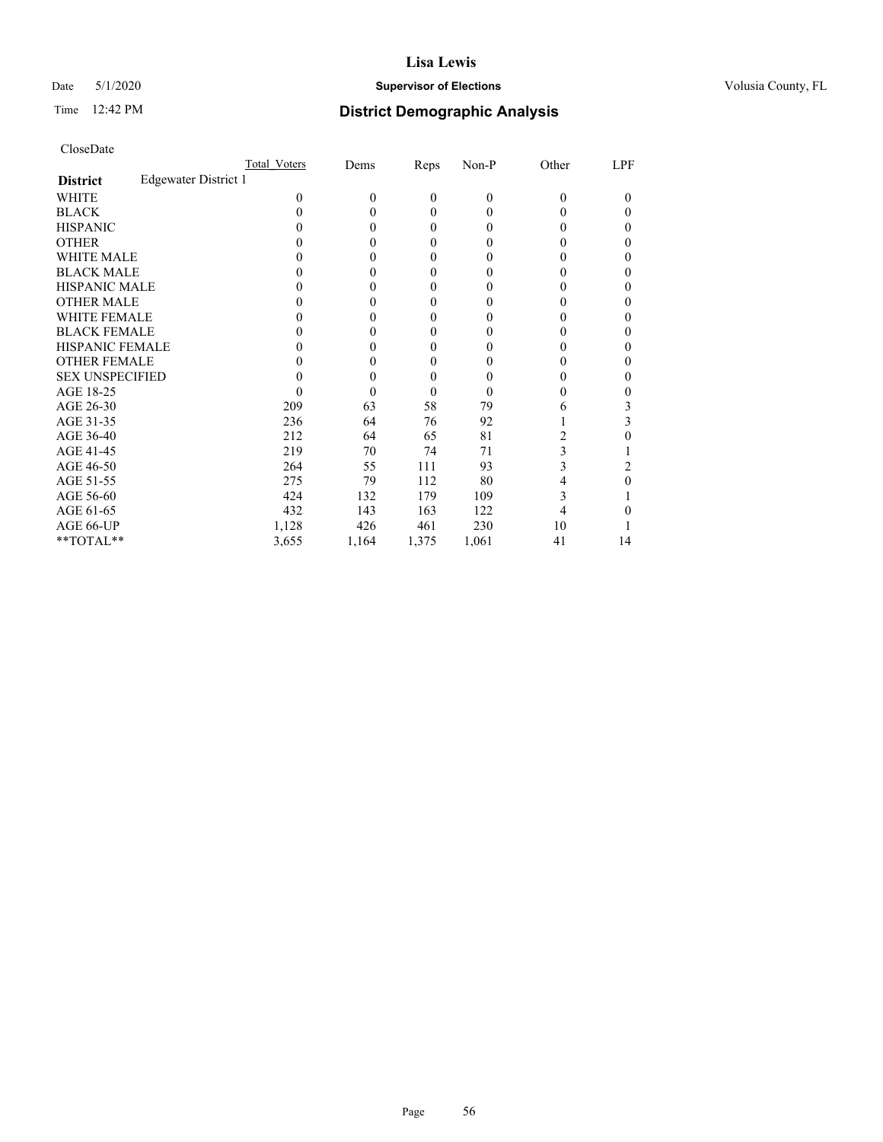# Date 5/1/2020 **Supervisor of Elections Supervisor of Elections** Volusia County, FL

# Time 12:42 PM **District Demographic Analysis**

|                                         | Total Voters | Dems     | Reps             | Non-P          | Other | LPF    |
|-----------------------------------------|--------------|----------|------------------|----------------|-------|--------|
| Edgewater District 1<br><b>District</b> |              |          |                  |                |       |        |
| WHITE                                   | $\theta$     | $\theta$ | $\mathbf{0}$     | $\overline{0}$ | 0     | $_{0}$ |
| <b>BLACK</b>                            | 0            | 0        | $\theta$         | $\Omega$       | 0     | 0      |
| <b>HISPANIC</b>                         | $_{0}$       | 0        | $\theta$         | $\Omega$       | 0     | 0      |
| <b>OTHER</b>                            |              | 0        | 0                | 0              |       | 0      |
| WHITE MALE                              |              | $_{0}$   | $\theta$         | $_{0}$         | 0     |        |
| <b>BLACK MALE</b>                       |              | 0        | 0                | $_{0}$         | 0     | 0      |
| <b>HISPANIC MALE</b>                    |              | 0        | $\boldsymbol{0}$ | 0              |       |        |
| <b>OTHER MALE</b>                       |              | 0        | 0                | $_{0}$         | 0     | 0      |
| <b>WHITE FEMALE</b>                     |              | 0        | 0                | 0              | 0     |        |
| <b>BLACK FEMALE</b>                     | 0            | 0        | 0                | 0              | 0     | 0      |
| <b>HISPANIC FEMALE</b>                  |              | 0        | 0                | 0              |       | 0      |
| <b>OTHER FEMALE</b>                     |              | 0        | $\theta$         | $_{0}$         | 0     | 0      |
| <b>SEX UNSPECIFIED</b>                  |              | 0        | $\overline{0}$   | 0              |       | 0      |
| AGE 18-25                               |              | 0        | $\theta$         | $\theta$       | 0     |        |
| AGE 26-30                               | 209          | 63       | 58               | 79             | 6     | 3      |
| AGE 31-35                               | 236          | 64       | 76               | 92             |       | 3      |
| AGE 36-40                               | 212          | 64       | 65               | 81             | 2     | 0      |
| AGE 41-45                               | 219          | 70       | 74               | 71             | 3     |        |
| AGE 46-50                               | 264          | 55       | 111              | 93             | 3     | 2      |
| AGE 51-55                               | 275          | 79       | 112              | 80             | 4     | 0      |
| AGE 56-60                               | 424          | 132      | 179              | 109            | 3     |        |
| AGE 61-65                               | 432          | 143      | 163              | 122            |       |        |
| AGE 66-UP                               | 1,128        | 426      | 461              | 230            | 10    |        |
| **TOTAL**                               | 3,655        | 1,164    | 1,375            | 1,061          | 41    | 14     |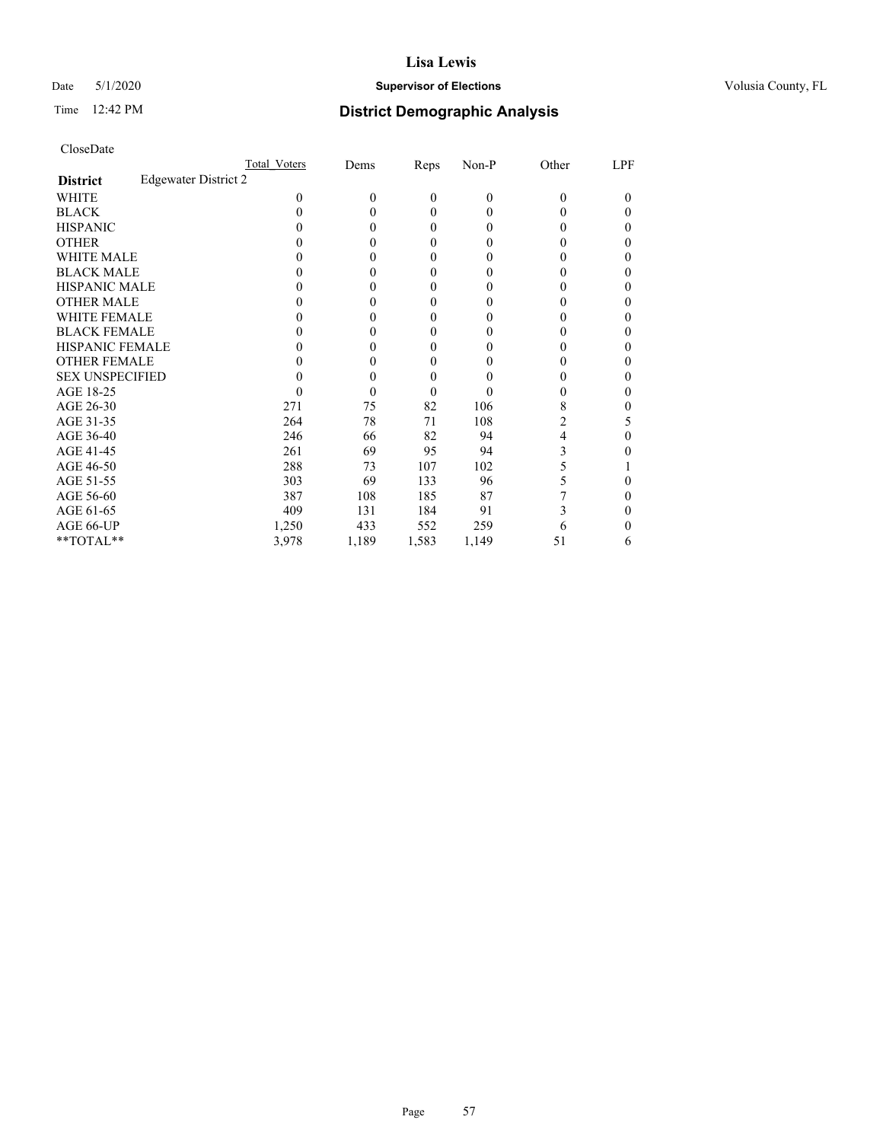# Date 5/1/2020 **Supervisor of Elections Supervisor of Elections** Volusia County, FL

# Time 12:42 PM **District Demographic Analysis**

|                                                | Total Voters | Dems     | Reps           | Non-P          | Other | LPF    |
|------------------------------------------------|--------------|----------|----------------|----------------|-------|--------|
| <b>Edgewater District 2</b><br><b>District</b> |              |          |                |                |       |        |
| WHITE                                          | $\theta$     | $\theta$ | $\mathbf{0}$   | $\overline{0}$ | 0     | $_{0}$ |
| <b>BLACK</b>                                   | 0            | 0        | $\theta$       | $\theta$       | 0     | 0      |
| <b>HISPANIC</b>                                | 0            | 0        | $\theta$       | $\Omega$       | 0     | 0      |
| <b>OTHER</b>                                   |              | 0        | 0              | 0              |       |        |
| WHITE MALE                                     |              | $\theta$ | 0              | $_{0}$         |       |        |
| <b>BLACK MALE</b>                              |              | 0        | 0              | $_{0}$         | 0     | 0      |
| <b>HISPANIC MALE</b>                           |              | 0        | $\mathbf{0}$   | 0              |       |        |
| <b>OTHER MALE</b>                              |              | 0        | 0              | $_{0}$         | 0     | 0      |
| <b>WHITE FEMALE</b>                            |              | $\theta$ | 0              | 0              |       |        |
| <b>BLACK FEMALE</b>                            | 0            | 0        | 0              | 0              | 0     | 0      |
| <b>HISPANIC FEMALE</b>                         |              | 0        | 0              | 0              |       | 0      |
| <b>OTHER FEMALE</b>                            |              | 0        | $\theta$       | $_{0}$         |       | 0      |
| <b>SEX UNSPECIFIED</b>                         |              | 0        | $\overline{0}$ |                |       |        |
| AGE 18-25                                      |              | 0        | $\theta$       |                | 0     |        |
| AGE 26-30                                      | 271          | 75       | 82             | 106            | 8     | 0      |
| AGE 31-35                                      | 264          | 78       | 71             | 108            | 2     | 5      |
| AGE 36-40                                      | 246          | 66       | 82             | 94             | 4     | 0      |
| AGE 41-45                                      | 261          | 69       | 95             | 94             | 3     |        |
| AGE 46-50                                      | 288          | 73       | 107            | 102            | 5     |        |
| AGE 51-55                                      | 303          | 69       | 133            | 96             | 5     | 0      |
| AGE 56-60                                      | 387          | 108      | 185            | 87             |       |        |
| AGE 61-65                                      | 409          | 131      | 184            | 91             | 3     |        |
| AGE 66-UP                                      | 1,250        | 433      | 552            | 259            | 6     |        |
| **TOTAL**                                      | 3,978        | 1,189    | 1,583          | 1,149          | 51    | 6      |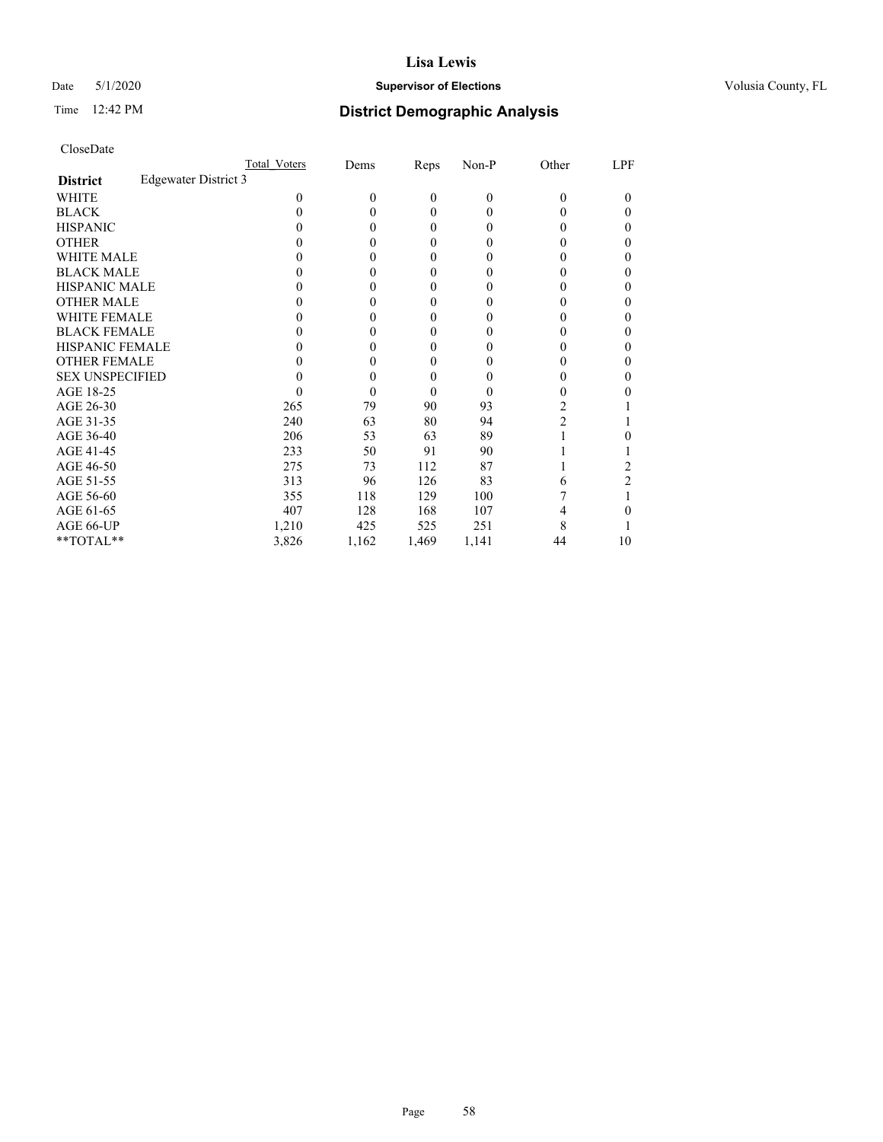# Date 5/1/2020 **Supervisor of Elections Supervisor of Elections** Volusia County, FL

# Time 12:42 PM **District Demographic Analysis**

|                                                | Total Voters | Dems     | Reps           | Non-P          | Other | LPF    |
|------------------------------------------------|--------------|----------|----------------|----------------|-------|--------|
| <b>Edgewater District 3</b><br><b>District</b> |              |          |                |                |       |        |
| WHITE                                          | $\theta$     | $\theta$ | $\mathbf{0}$   | $\overline{0}$ | 0     | $_{0}$ |
| <b>BLACK</b>                                   | 0            | 0        | $\theta$       | $\Omega$       | 0     | 0      |
| <b>HISPANIC</b>                                | 0            | 0        | $\mathbf{0}$   | $\Omega$       | 0     | 0      |
| <b>OTHER</b>                                   |              | 0        | 0              | 0              |       |        |
| WHITE MALE                                     |              | $_{0}$   | 0              | $_{0}$         | 0     |        |
| <b>BLACK MALE</b>                              |              | 0        | 0              | $_{0}$         | 0     | 0      |
| <b>HISPANIC MALE</b>                           |              | 0        | $\mathbf{0}$   | 0              |       |        |
| <b>OTHER MALE</b>                              |              | 0        | 0              | $_{0}$         | 0     | 0      |
| <b>WHITE FEMALE</b>                            |              | $\theta$ | 0              | 0              |       |        |
| <b>BLACK FEMALE</b>                            | 0            | 0        | 0              | 0              | 0     | 0      |
| <b>HISPANIC FEMALE</b>                         |              | 0        | 0              | 0              |       | 0      |
| <b>OTHER FEMALE</b>                            |              | 0        | $\theta$       | $_{0}$         | 0     | 0      |
| <b>SEX UNSPECIFIED</b>                         |              | 0        | $\overline{0}$ |                |       |        |
| AGE 18-25                                      |              | 0        | $\theta$       | $\theta$       | 0     |        |
| AGE 26-30                                      | 265          | 79       | 90             | 93             | 2     |        |
| AGE 31-35                                      | 240          | 63       | 80             | 94             | 2     |        |
| AGE 36-40                                      | 206          | 53       | 63             | 89             |       |        |
| AGE 41-45                                      | 233          | 50       | 91             | 90             |       |        |
| AGE 46-50                                      | 275          | 73       | 112            | 87             |       | 2      |
| AGE 51-55                                      | 313          | 96       | 126            | 83             | 6     | 2      |
| AGE 56-60                                      | 355          | 118      | 129            | 100            |       |        |
| AGE 61-65                                      | 407          | 128      | 168            | 107            |       |        |
| AGE 66-UP                                      | 1,210        | 425      | 525            | 251            | 8     |        |
| **TOTAL**                                      | 3,826        | 1,162    | 1,469          | 1,141          | 44    | 10     |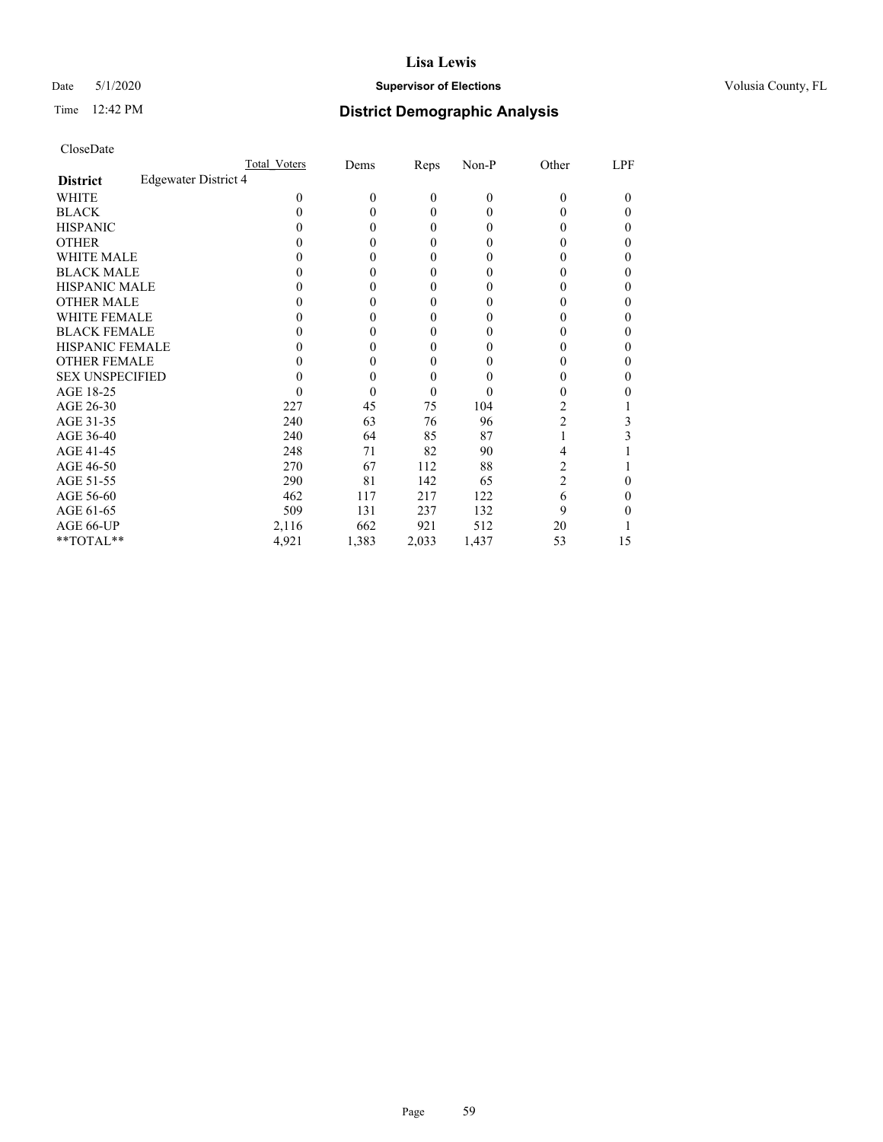# Date 5/1/2020 **Supervisor of Elections Supervisor of Elections** Volusia County, FL

# Time 12:42 PM **District Demographic Analysis**

|                                                | Total Voters | Dems     | Reps             | Non-P          | Other          | LPF    |
|------------------------------------------------|--------------|----------|------------------|----------------|----------------|--------|
| <b>Edgewater District 4</b><br><b>District</b> |              |          |                  |                |                |        |
| WHITE                                          | $\theta$     | $\theta$ | $\mathbf{0}$     | $\overline{0}$ | 0              | $_{0}$ |
| <b>BLACK</b>                                   | 0            | 0        | $\theta$         | $\Omega$       | 0              | 0      |
| <b>HISPANIC</b>                                | $_{0}$       | 0        | $\theta$         | $\Omega$       | 0              | 0      |
| <b>OTHER</b>                                   |              | 0        | $\theta$         | 0              |                | 0      |
| WHITE MALE                                     |              | 0        | $\theta$         | $_{0}$         | 0              |        |
| <b>BLACK MALE</b>                              |              | 0        | $\boldsymbol{0}$ | $_{0}$         | 0              | 0      |
| <b>HISPANIC MALE</b>                           |              | $\theta$ | $\mathbf{0}$     | 0              |                |        |
| <b>OTHER MALE</b>                              |              | 0        | 0                | $_{0}$         | 0              | 0      |
| <b>WHITE FEMALE</b>                            |              | 0        | 0                | 0              | 0              |        |
| <b>BLACK FEMALE</b>                            | 0            | 0        | 0                | 0              | 0              | 0      |
| <b>HISPANIC FEMALE</b>                         |              | 0        | 0                | 0              |                | 0      |
| <b>OTHER FEMALE</b>                            |              | 0        | $\theta$         | $_{0}$         | 0              | 0      |
| <b>SEX UNSPECIFIED</b>                         |              | 0        | $\overline{0}$   |                |                |        |
| AGE 18-25                                      | 0            | 0        | $\theta$         | $\theta$       | 0              |        |
| AGE 26-30                                      | 227          | 45       | 75               | 104            | 2              |        |
| AGE 31-35                                      | 240          | 63       | 76               | 96             | 2              | 3      |
| AGE 36-40                                      | 240          | 64       | 85               | 87             |                | 3      |
| AGE 41-45                                      | 248          | 71       | 82               | 90             | 4              |        |
| AGE 46-50                                      | 270          | 67       | 112              | 88             | 2              |        |
| AGE 51-55                                      | 290          | 81       | 142              | 65             | $\overline{c}$ | 0      |
| AGE 56-60                                      | 462          | 117      | 217              | 122            | 6              |        |
| AGE 61-65                                      | 509          | 131      | 237              | 132            | 9              |        |
| AGE 66-UP                                      | 2,116        | 662      | 921              | 512            | 20             |        |
| **TOTAL**                                      | 4,921        | 1,383    | 2,033            | 1,437          | 53             | 15     |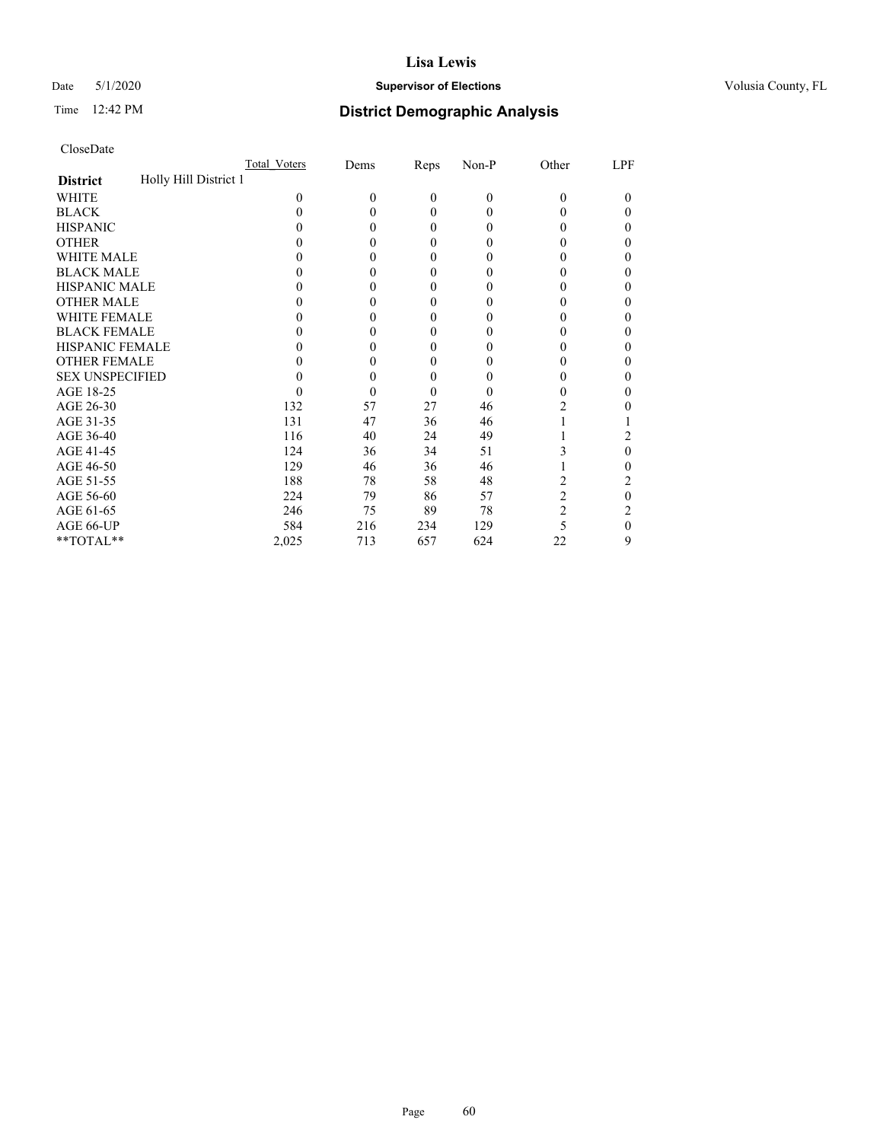# Date 5/1/2020 **Supervisor of Elections Supervisor of Elections** Volusia County, FL

# Time 12:42 PM **District Demographic Analysis**

|                                          | Total Voters | Dems     | Reps         | Non-P          | Other          | LPF      |
|------------------------------------------|--------------|----------|--------------|----------------|----------------|----------|
| Holly Hill District 1<br><b>District</b> |              |          |              |                |                |          |
| WHITE                                    | 0            | $\theta$ | $\mathbf{0}$ | $\overline{0}$ | 0              | $\theta$ |
| <b>BLACK</b>                             | 0            | 0        | $\theta$     | 0              | 0              | 0        |
| <b>HISPANIC</b>                          | 0            | 0        | $\theta$     | 0              | 0              | 0        |
| <b>OTHER</b>                             |              | 0        | $\theta$     | 0              |                | 0        |
| WHITE MALE                               |              | 0        | $\theta$     | 0              |                | 0        |
| <b>BLACK MALE</b>                        |              | 0        | $\theta$     | 0              |                | 0        |
| <b>HISPANIC MALE</b>                     |              | $_{0}$   | $\theta$     | 0              |                | 0        |
| <b>OTHER MALE</b>                        |              | 0        | $\theta$     | 0              |                | 0        |
| <b>WHITE FEMALE</b>                      |              | $\theta$ | 0            | 0              |                |          |
| <b>BLACK FEMALE</b>                      | 0            | 0        | $\theta$     | 0              |                | 0        |
| <b>HISPANIC FEMALE</b>                   |              | 0        | 0            | 0              |                | 0        |
| <b>OTHER FEMALE</b>                      |              | 0        | $\theta$     | $\theta$       |                | 0        |
| <b>SEX UNSPECIFIED</b>                   |              | 0        | $\theta$     |                |                | 0        |
| AGE 18-25                                |              | 0        | $\theta$     | $\theta$       |                | 0        |
| AGE 26-30                                | 132          | 57       | 27           | 46             | 2              | 0        |
| AGE 31-35                                | 131          | 47       | 36           | 46             |                |          |
| AGE 36-40                                | 116          | 40       | 24           | 49             |                | 2        |
| AGE 41-45                                | 124          | 36       | 34           | 51             | 3              | 0        |
| AGE 46-50                                | 129          | 46       | 36           | 46             |                | 0        |
| AGE 51-55                                | 188          | 78       | 58           | 48             |                | 2        |
| AGE 56-60                                | 224          | 79       | 86           | 57             | $\overline{c}$ | 0        |
| AGE 61-65                                | 246          | 75       | 89           | 78             | 2              | 2        |
| AGE 66-UP                                | 584          | 216      | 234          | 129            | 5              | 0        |
| **TOTAL**                                | 2,025        | 713      | 657          | 624            | 22             | 9        |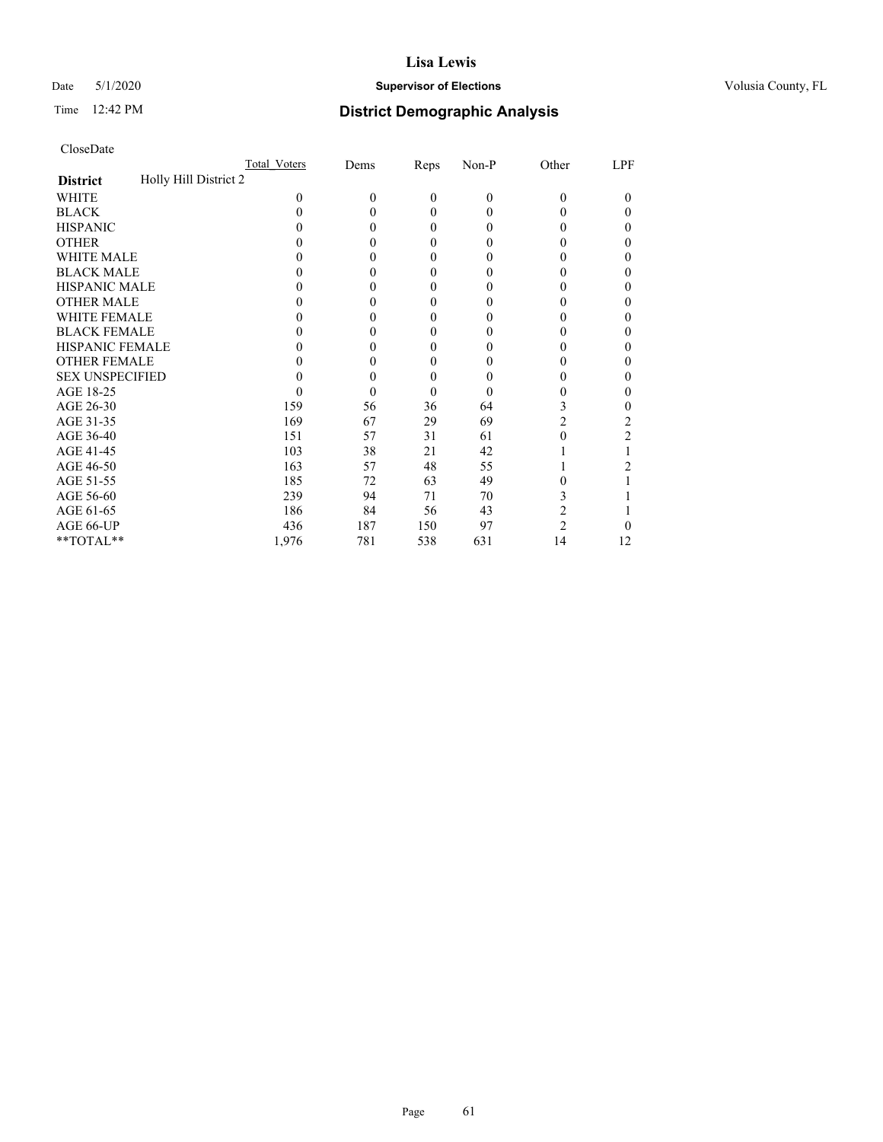# Date 5/1/2020 **Supervisor of Elections Supervisor of Elections** Volusia County, FL

# Time 12:42 PM **District Demographic Analysis**

|                                          | Total Voters | Dems     | Reps           | Non-P        | Other          | LPF |
|------------------------------------------|--------------|----------|----------------|--------------|----------------|-----|
| Holly Hill District 2<br><b>District</b> |              |          |                |              |                |     |
| WHITE                                    | $\theta$     | $\theta$ | $\overline{0}$ | $\mathbf{0}$ | $\Omega$       | 0   |
| <b>BLACK</b>                             | 0            | 0        | $\theta$       | 0            | $_{0}$         | 0   |
| <b>HISPANIC</b>                          | $_{0}$       | 0        | $\theta$       | 0            | $_{0}$         | 0   |
| <b>OTHER</b>                             |              |          | 0              | 0            |                | 0   |
| WHITE MALE                               |              | 0        | $\theta$       | 0            | $_{0}$         | 0   |
| <b>BLACK MALE</b>                        |              | 0        | $\theta$       | 0            | $_{0}$         | 0   |
| <b>HISPANIC MALE</b>                     |              |          | 0              | 0            | 0              | 0   |
| <b>OTHER MALE</b>                        |              | 0        | $\theta$       | 0            | 0              | 0   |
| WHITE FEMALE                             |              | 0        | 0              | 0            |                | 0   |
| <b>BLACK FEMALE</b>                      | $_{0}$       | 0        | $\theta$       | 0            | $_{0}$         | 0   |
| <b>HISPANIC FEMALE</b>                   |              |          | 0              | 0            | 0              | 0   |
| <b>OTHER FEMALE</b>                      | $_{0}$       | 0        | $\theta$       | 0            | $^{(1)}$       | 0   |
| <b>SEX UNSPECIFIED</b>                   |              | 0        | 0              | 0            |                | 0   |
| AGE 18-25                                | $\theta$     | 0        | $\theta$       | $\theta$     | $_{0}$         | 0   |
| AGE 26-30                                | 159          | 56       | 36             | 64           | 3              | 0   |
| AGE 31-35                                | 169          | 67       | 29             | 69           | 2              | 2   |
| AGE 36-40                                | 151          | 57       | 31             | 61           | 0              | 2   |
| AGE 41-45                                | 103          | 38       | 21             | 42           |                |     |
| AGE 46-50                                | 163          | 57       | 48             | 55           |                |     |
| AGE 51-55                                | 185          | 72       | 63             | 49           |                |     |
| AGE 56-60                                | 239          | 94       | 71             | 70           | 3              |     |
| AGE 61-65                                | 186          | 84       | 56             | 43           | 2              |     |
| AGE 66-UP                                | 436          | 187      | 150            | 97           | $\overline{c}$ | 0   |
| **TOTAL**                                | 1,976        | 781      | 538            | 631          | 14             | 12  |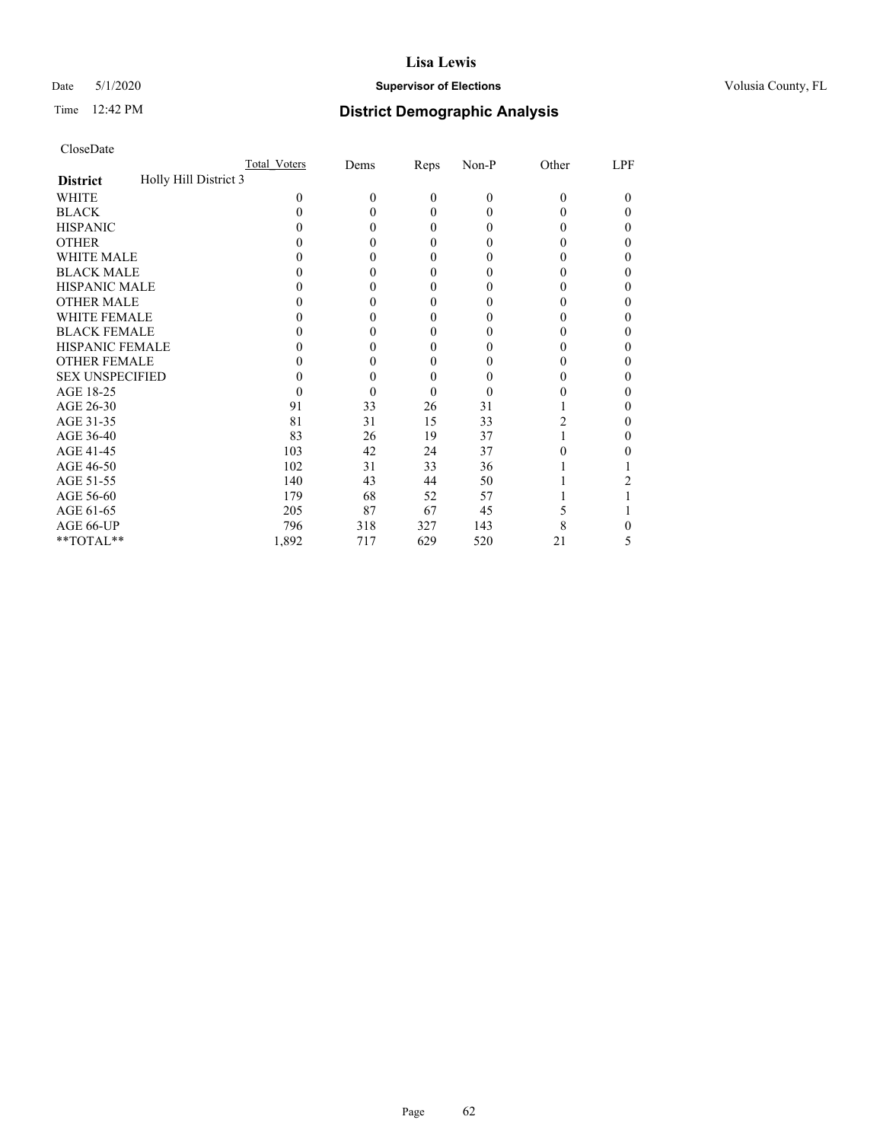# Date 5/1/2020 **Supervisor of Elections Supervisor of Elections** Volusia County, FL

# Time 12:42 PM **District Demographic Analysis**

|                                          | Total Voters | Dems     | Reps         | Non-P    | Other | LPF |
|------------------------------------------|--------------|----------|--------------|----------|-------|-----|
| Holly Hill District 3<br><b>District</b> |              |          |              |          |       |     |
| WHITE                                    | 0            | $\theta$ | $\mathbf{0}$ | $\theta$ | 0     | 0   |
| <b>BLACK</b>                             | 0            | 0        | $\theta$     | 0        |       | 0   |
| <b>HISPANIC</b>                          | 0            | 0        | $\theta$     | 0        |       | 0   |
| <b>OTHER</b>                             |              | 0        | 0            | 0        |       | 0   |
| WHITE MALE                               |              | $_{0}$   | $\theta$     | $\theta$ |       | 0   |
| <b>BLACK MALE</b>                        |              | $_{0}$   | 0            | 0        |       | 0   |
| <b>HISPANIC MALE</b>                     |              | $_{0}$   | $\theta$     | 0        |       | 0   |
| <b>OTHER MALE</b>                        |              | 0        | $\theta$     | 0        |       | 0   |
| <b>WHITE FEMALE</b>                      |              | 0        | $\theta$     |          |       | 0   |
| <b>BLACK FEMALE</b>                      | 0            | $_{0}$   | $\theta$     | $_{0}$   |       | 0   |
| <b>HISPANIC FEMALE</b>                   |              | $\theta$ | 0            | 0        |       | 0   |
| <b>OTHER FEMALE</b>                      |              | 0        | $\theta$     | $_{0}$   |       | 0   |
| <b>SEX UNSPECIFIED</b>                   |              | 0        | $\theta$     |          |       | 0   |
| AGE 18-25                                | 0            | 0        | $\theta$     | $\theta$ |       | 0   |
| AGE 26-30                                | 91           | 33       | 26           | 31       |       | 0   |
| AGE 31-35                                | 81           | 31       | 15           | 33       | 2     | 0   |
| AGE 36-40                                | 83           | 26       | 19           | 37       |       | 0   |
| AGE 41-45                                | 103          | 42       | 24           | 37       |       |     |
| AGE 46-50                                | 102          | 31       | 33           | 36       |       |     |
| AGE 51-55                                | 140          | 43       | 44           | 50       |       |     |
| AGE 56-60                                | 179          | 68       | 52           | 57       |       |     |
| AGE 61-65                                | 205          | 87       | 67           | 45       |       |     |
| AGE 66-UP                                | 796          | 318      | 327          | 143      | 8     |     |
| **TOTAL**                                | 1,892        | 717      | 629          | 520      | 21    | 5   |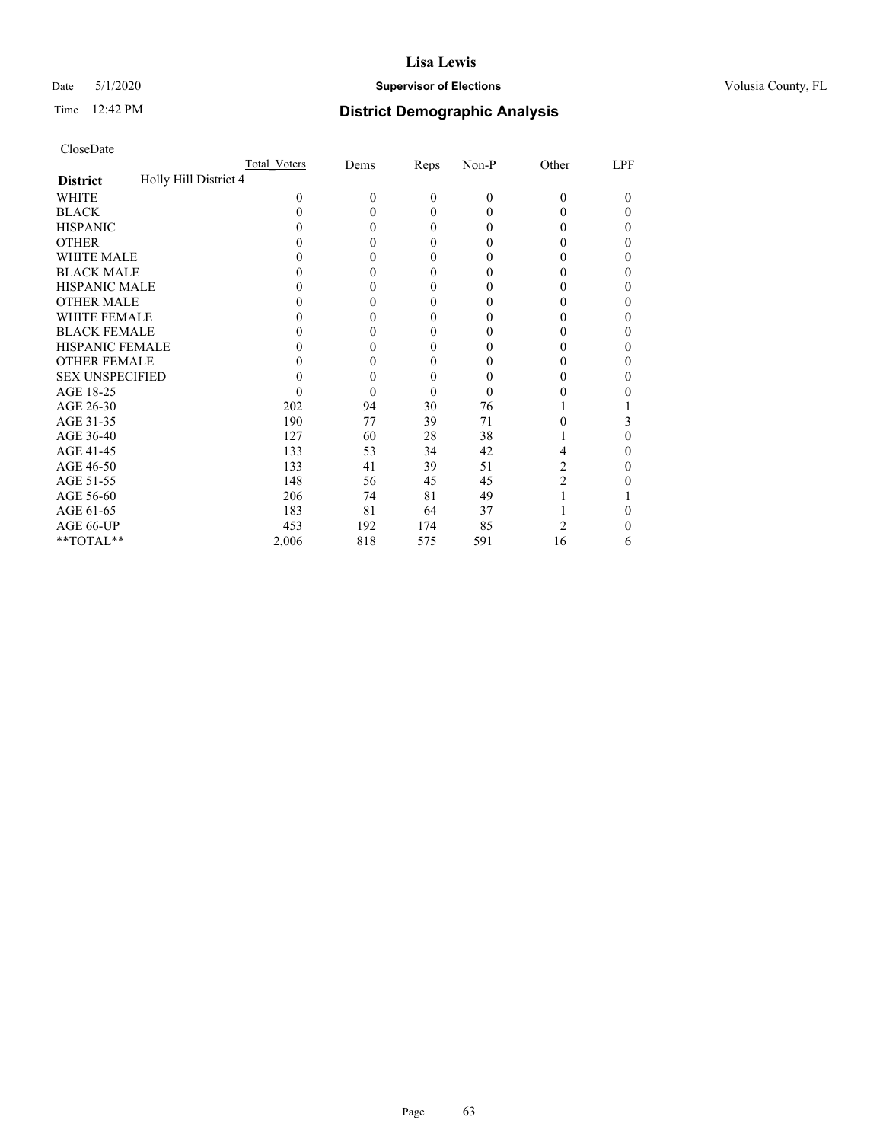# Date 5/1/2020 **Supervisor of Elections Supervisor of Elections** Volusia County, FL

# Time 12:42 PM **District Demographic Analysis**

|                                          | Total Voters | Dems     | Reps             | Non-P          | Other    | LPF      |
|------------------------------------------|--------------|----------|------------------|----------------|----------|----------|
| Holly Hill District 4<br><b>District</b> |              |          |                  |                |          |          |
| WHITE                                    | $\theta$     | $\theta$ | $\mathbf{0}$     | $\overline{0}$ | $\theta$ | $\theta$ |
| <b>BLACK</b>                             | 0            | 0        | $\theta$         | $\Omega$       | 0        | 0        |
| <b>HISPANIC</b>                          | 0            | 0        | $\theta$         | $\Omega$       | 0        | 0        |
| <b>OTHER</b>                             |              | 0        | $\theta$         | 0              |          |          |
| WHITE MALE                               |              | $\theta$ | $\theta$         | $_{0}$         | 0        |          |
| <b>BLACK MALE</b>                        |              | 0        | $\boldsymbol{0}$ | $_{0}$         | 0        | 0        |
| <b>HISPANIC MALE</b>                     |              | 0        | $\boldsymbol{0}$ | 0              |          |          |
| <b>OTHER MALE</b>                        |              | 0        | 0                | $_{0}$         | 0        | 0        |
| <b>WHITE FEMALE</b>                      |              |          | 0                | 0              |          |          |
| <b>BLACK FEMALE</b>                      | 0            | 0        | 0                | 0              | 0        | 0        |
| <b>HISPANIC FEMALE</b>                   |              | 0        | 0                | 0              |          | 0        |
| <b>OTHER FEMALE</b>                      |              | 0        | $\theta$         | $_{0}$         | 0        | 0        |
| <b>SEX UNSPECIFIED</b>                   |              | 0        | $\overline{0}$   | 0              |          |          |
| AGE 18-25                                |              | 0        | $\theta$         | $\theta$       | 0        |          |
| AGE 26-30                                | 202          | 94       | 30               | 76             |          |          |
| AGE 31-35                                | 190          | 77       | 39               | 71             |          | 3        |
| AGE 36-40                                | 127          | 60       | 28               | 38             |          | 0        |
| AGE 41-45                                | 133          | 53       | 34               | 42             | 4        |          |
| AGE 46-50                                | 133          | 41       | 39               | 51             | 2        | 0        |
| AGE 51-55                                | 148          | 56       | 45               | 45             | 2        |          |
| AGE 56-60                                | 206          | 74       | 81               | 49             |          |          |
| AGE 61-65                                | 183          | 81       | 64               | 37             |          |          |
| AGE 66-UP                                | 453          | 192      | 174              | 85             | 2        |          |
| **TOTAL**                                | 2,006        | 818      | 575              | 591            | 16       | 6        |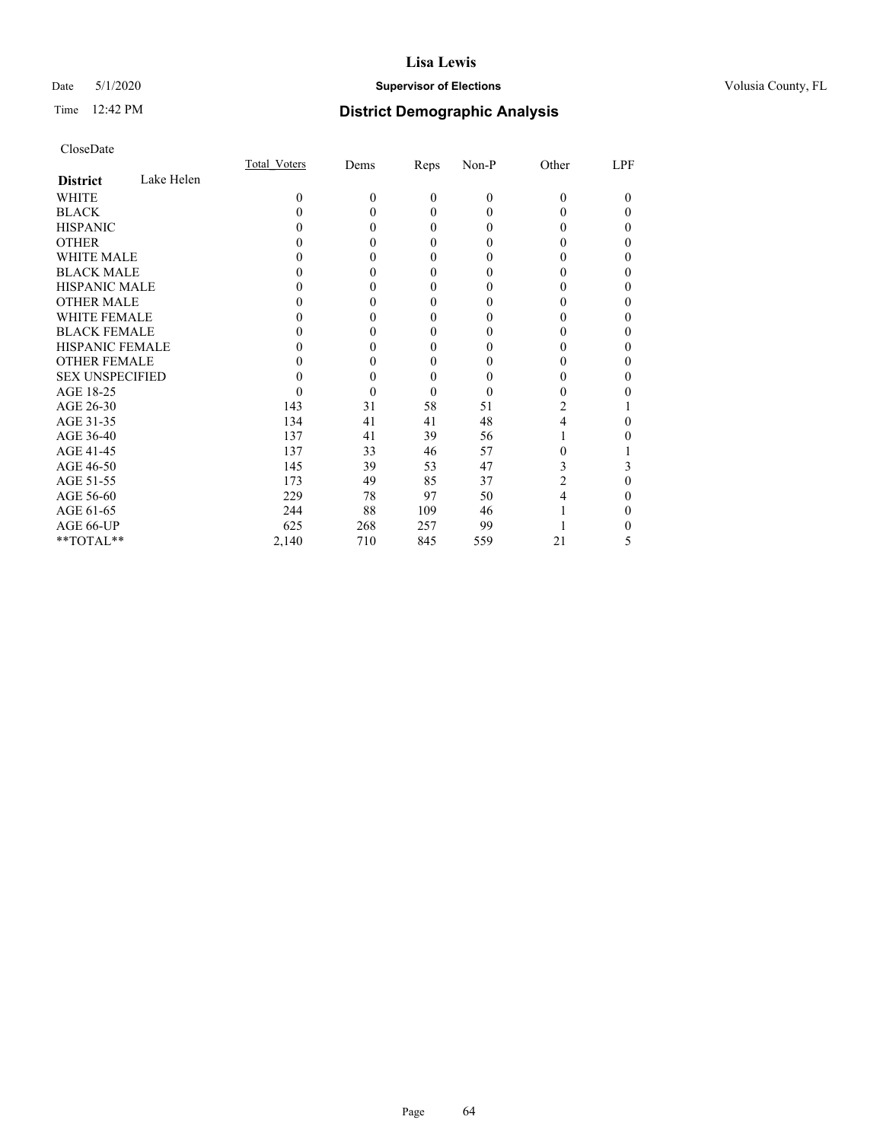# Date 5/1/2020 **Supervisor of Elections Supervisor of Elections** Volusia County, FL

# Time 12:42 PM **District Demographic Analysis**

|                        |            | Total Voters | Dems     | Reps         | Non-P    | Other    | LPF |
|------------------------|------------|--------------|----------|--------------|----------|----------|-----|
| <b>District</b>        | Lake Helen |              |          |              |          |          |     |
| WHITE                  |            | 0            | $\theta$ | $\mathbf{0}$ | $\theta$ | $\theta$ | 0   |
| <b>BLACK</b>           |            | $\theta$     | 0        | $\theta$     | 0        | 0        | 0   |
| <b>HISPANIC</b>        |            |              | 0        | $\theta$     | 0        | $_{0}$   | 0   |
| <b>OTHER</b>           |            |              | 0        | $\Omega$     | 0        | 0        | 0   |
| WHITE MALE             |            |              | 0        | $\theta$     | 0        | 0        | 0   |
| <b>BLACK MALE</b>      |            |              |          | $\theta$     | 0        | 0        | 0   |
| <b>HISPANIC MALE</b>   |            |              | 0        | $\theta$     | $\theta$ | 0        |     |
| <b>OTHER MALE</b>      |            |              | 0        | $\theta$     | 0        | 0        | 0   |
| WHITE FEMALE           |            |              |          | $\theta$     |          |          |     |
| <b>BLACK FEMALE</b>    |            |              | 0        | $\theta$     | $\theta$ | 0        | 0   |
| <b>HISPANIC FEMALE</b> |            |              | 0        | $\Omega$     | $\theta$ | 0        | 0   |
| <b>OTHER FEMALE</b>    |            |              | 0        | $\theta$     | 0        | 0        | 0   |
| <b>SEX UNSPECIFIED</b> |            |              | 0        | $\theta$     | 0        |          | 0   |
| AGE 18-25              |            | $\theta$     | 0        | $\theta$     | 0        | 0        |     |
| AGE 26-30              |            | 143          | 31       | 58           | 51       | 2        |     |
| AGE 31-35              |            | 134          | 41       | 41           | 48       | 4        | 0   |
| AGE 36-40              |            | 137          | 41       | 39           | 56       |          |     |
| AGE 41-45              |            | 137          | 33       | 46           | 57       | 0        |     |
| AGE 46-50              |            | 145          | 39       | 53           | 47       | 3        | 3   |
| AGE 51-55              |            | 173          | 49       | 85           | 37       | 2        | 0   |
| AGE 56-60              |            | 229          | 78       | 97           | 50       | 4        |     |
| AGE 61-65              |            | 244          | 88       | 109          | 46       |          | 0   |
| AGE 66-UP              |            | 625          | 268      | 257          | 99       |          |     |
| **TOTAL**              |            | 2,140        | 710      | 845          | 559      | 21       | 5   |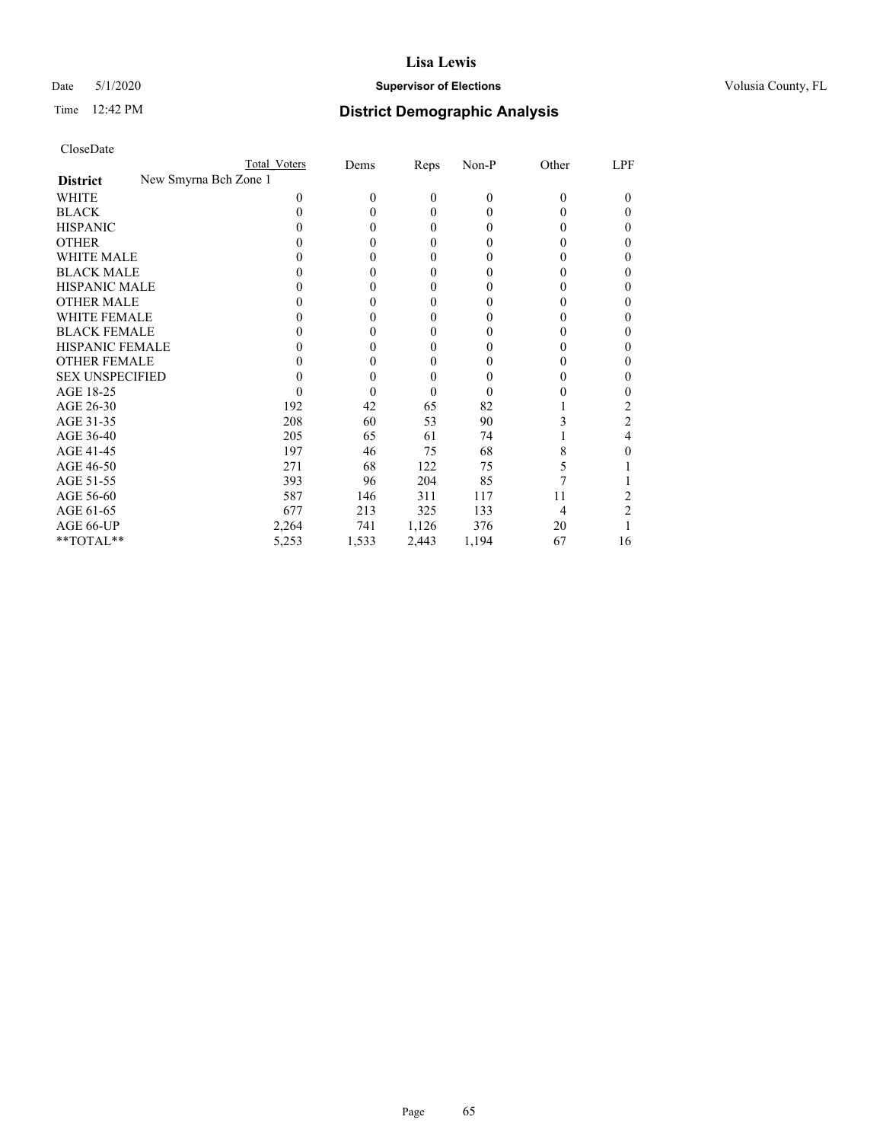# Date 5/1/2020 **Supervisor of Elections Supervisor of Elections** Volusia County, FL

| CloseDate |
|-----------|
|-----------|

|                                          | Total Voters | Dems     | Reps         | Non-P        | Other    | LPF            |
|------------------------------------------|--------------|----------|--------------|--------------|----------|----------------|
| New Smyrna Bch Zone 1<br><b>District</b> |              |          |              |              |          |                |
| WHITE                                    | 0            | $\theta$ | $\mathbf{0}$ | $\mathbf{0}$ | $\theta$ | 0              |
| <b>BLACK</b>                             | 0            | 0        | 0            | 0            | 0        | 0              |
| <b>HISPANIC</b>                          |              | 0        | $\theta$     | 0            | $\theta$ | 0              |
| <b>OTHER</b>                             |              | 0        | 0            | 0            |          |                |
| WHITE MALE                               |              | 0        | 0            | $_{0}$       |          |                |
| <b>BLACK MALE</b>                        |              | 0        | 0            | 0            |          | 0              |
| <b>HISPANIC MALE</b>                     |              | 0        | 0            | 0            |          |                |
| <b>OTHER MALE</b>                        |              | 0        | 0            | 0            | 0        |                |
| WHITE FEMALE                             |              | 0        | 0            | 0            |          |                |
| <b>BLACK FEMALE</b>                      |              | 0        | 0            | 0            | $\theta$ | 0              |
| <b>HISPANIC FEMALE</b>                   |              | 0        | 0            | 0            |          |                |
| <b>OTHER FEMALE</b>                      |              | 0        | 0            | $\theta$     | $\theta$ |                |
| <b>SEX UNSPECIFIED</b>                   |              | 0        | 0            |              |          | 0              |
| AGE 18-25                                |              | 0        | 0            | 0            |          |                |
| AGE 26-30                                | 192          | 42       | 65           | 82           |          | 2              |
| AGE 31-35                                | 208          | 60       | 53           | 90           |          | 2              |
| AGE 36-40                                | 205          | 65       | 61           | 74           |          | 4              |
| AGE 41-45                                | 197          | 46       | 75           | 68           | 8        |                |
| AGE 46-50                                | 271          | 68       | 122          | 75           | 5        |                |
| AGE 51-55                                | 393          | 96       | 204          | 85           |          |                |
| AGE 56-60                                | 587          | 146      | 311          | 117          | 11       |                |
| AGE 61-65                                | 677          | 213      | 325          | 133          | 4        | $\mathfrak{D}$ |
| AGE 66-UP                                | 2,264        | 741      | 1,126        | 376          | 20       |                |
| **TOTAL**                                | 5,253        | 1,533    | 2,443        | 1,194        | 67       | 16             |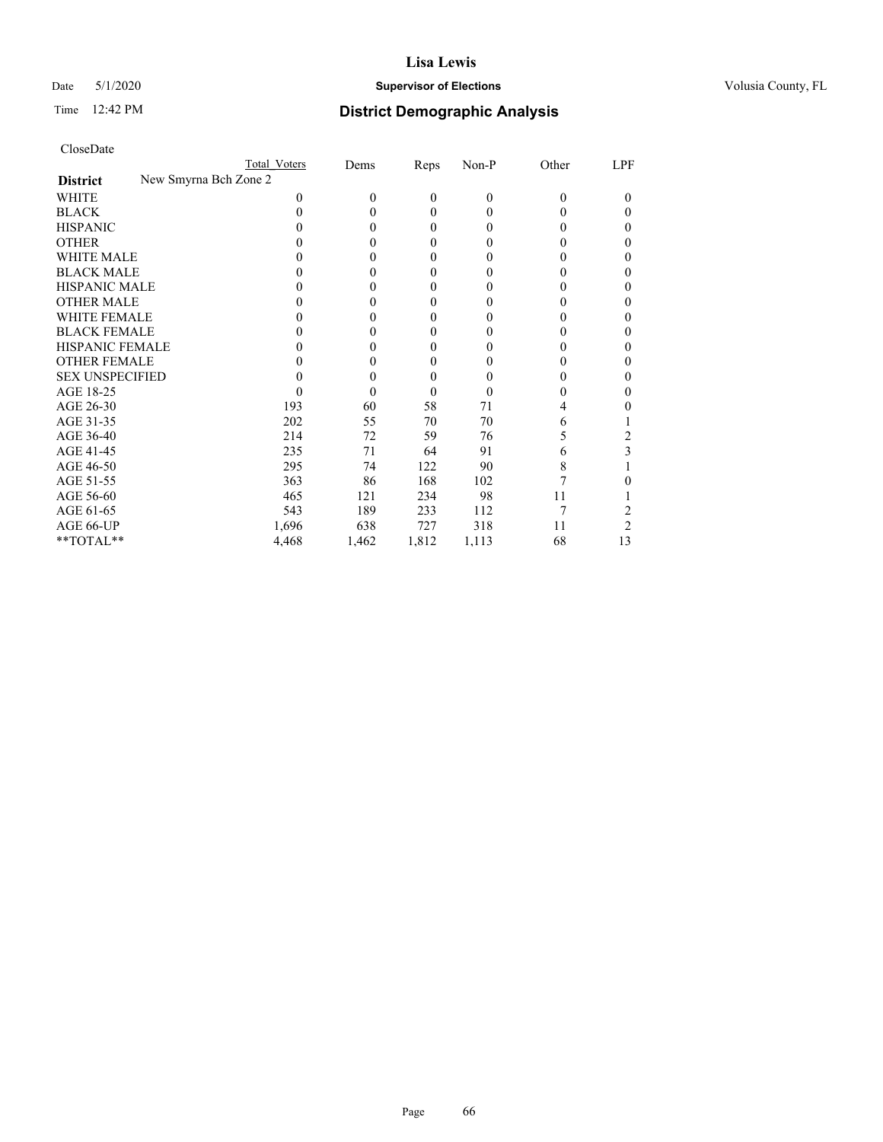# Date 5/1/2020 **Supervisor of Elections Supervisor of Elections** Volusia County, FL

|                                          | Total Voters | Dems     | Reps     | Non-P | Other    | LPF    |
|------------------------------------------|--------------|----------|----------|-------|----------|--------|
| New Smyrna Bch Zone 2<br><b>District</b> |              |          |          |       |          |        |
| <b>WHITE</b>                             | 0            | $\theta$ | $\theta$ | 0     | $\theta$ | $_{0}$ |
| <b>BLACK</b>                             |              | $\theta$ | 0        | 0     | 0        | 0      |
| <b>HISPANIC</b>                          |              | $\theta$ | $\theta$ | 0     | 0        | 0      |
| <b>OTHER</b>                             |              | $\Omega$ | 0        | 0     | 0        | 0      |
| <b>WHITE MALE</b>                        |              | $\theta$ | 0        |       | 0        | 0      |
| <b>BLACK MALE</b>                        |              | $\theta$ | 0        | 0     | 0        | 0      |
| <b>HISPANIC MALE</b>                     |              | $\theta$ | 0        |       | 0        |        |
| <b>OTHER MALE</b>                        |              | $\theta$ | 0        | 0     | 0        | 0      |
| <b>WHITE FEMALE</b>                      |              | $\theta$ | 0        | 0     | 0        | 0      |
| <b>BLACK FEMALE</b>                      |              | $\theta$ | 0        | 0     | 0        | 0      |
| <b>HISPANIC FEMALE</b>                   |              | $\theta$ | 0        | 0     | 0        | 0      |
| <b>OTHER FEMALE</b>                      |              | $\theta$ | 0        | 0     | 0        | 0      |
| <b>SEX UNSPECIFIED</b>                   |              | $\theta$ | 0        | 0     | 0        | 0      |
| AGE 18-25                                |              | $\Omega$ | 0        | 0     | 0        | 0      |
| AGE 26-30                                | 193          | 60       | 58       | 71    | 4        | 0      |
| AGE 31-35                                | 202          | 55       | 70       | 70    | 6        |        |
| AGE 36-40                                | 214          | 72       | 59       | 76    | 5        | 2      |
| AGE 41-45                                | 235          | 71       | 64       | 91    | 6        | 3      |
| AGE 46-50                                | 295          | 74       | 122      | 90    | 8        |        |
| AGE 51-55                                | 363          | 86       | 168      | 102   | 7        |        |
| AGE 56-60                                | 465          | 121      | 234      | 98    | 11       |        |
| AGE 61-65                                | 543          | 189      | 233      | 112   | 7        |        |
| AGE 66-UP                                | 1,696        | 638      | 727      | 318   | 11       | 2      |
| **TOTAL**                                | 4,468        | 1,462    | 1,812    | 1,113 | 68       | 13     |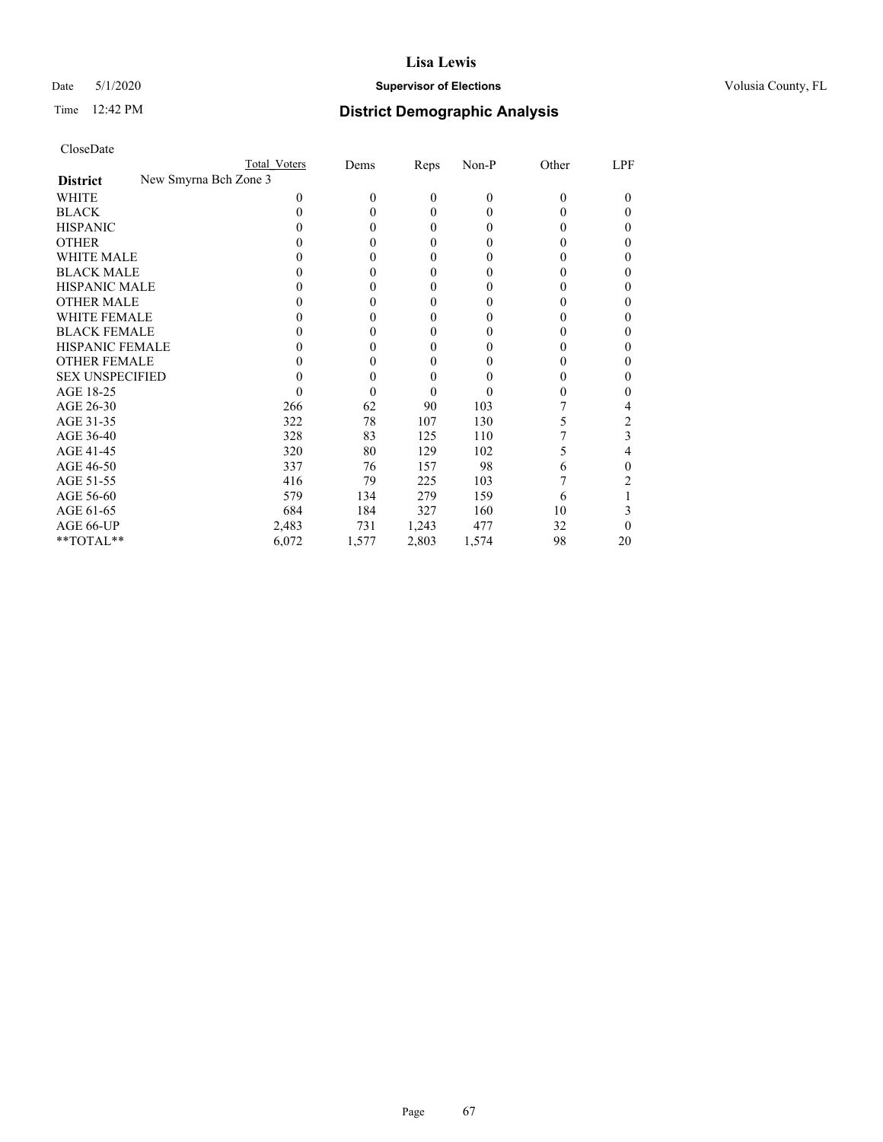# Date 5/1/2020 **Supervisor of Elections Supervisor of Elections** Volusia County, FL

| CloseDate |
|-----------|
|-----------|

|                                          | Total Voters | Dems     | <b>Reps</b> | $Non-P$  | Other | LPF      |
|------------------------------------------|--------------|----------|-------------|----------|-------|----------|
| New Smyrna Bch Zone 3<br><b>District</b> |              |          |             |          |       |          |
| WHITE                                    | $_{0}$       | $\Omega$ | 0           | $\theta$ | 0     | $_{0}$   |
| <b>BLACK</b>                             | 0            | 0        | 0           | 0        | 0     | $\theta$ |
| <b>HISPANIC</b>                          |              | $\theta$ | 0           | 0        | 0     | 0        |
| <b>OTHER</b>                             |              | 0        | 0           | 0        | 0     |          |
| <b>WHITE MALE</b>                        |              | $\theta$ | 0           | 0        | 0     |          |
| <b>BLACK MALE</b>                        |              | $\theta$ | 0           | 0        | 0     | 0        |
| <b>HISPANIC MALE</b>                     |              | $\theta$ | 0           | 0        | 0     |          |
| <b>OTHER MALE</b>                        |              | $\theta$ | 0           | 0        | 0     | 0        |
| <b>WHITE FEMALE</b>                      |              | $\theta$ | 0           | 0        |       |          |
| <b>BLACK FEMALE</b>                      |              | $\theta$ | 0           | 0        | 0     | 0        |
| <b>HISPANIC FEMALE</b>                   |              | $\theta$ | 0           | 0        | 0     |          |
| <b>OTHER FEMALE</b>                      |              | 0        | 0           | 0        | 0     | 0        |
| <b>SEX UNSPECIFIED</b>                   |              | 0        | 0           |          | 0     |          |
| AGE 18-25                                |              | $\theta$ | 0           | 0        | 0     |          |
| AGE 26-30                                | 266          | 62       | 90          | 103      |       | 4        |
| AGE 31-35                                | 322          | 78       | 107         | 130      | 5     | 2        |
| AGE 36-40                                | 328          | 83       | 125         | 110      |       | 3        |
| AGE 41-45                                | 320          | 80       | 129         | 102      | 5     | 4        |
| AGE 46-50                                | 337          | 76       | 157         | 98       | 6     | 0        |
| AGE 51-55                                | 416          | 79       | 225         | 103      |       |          |
| AGE 56-60                                | 579          | 134      | 279         | 159      | 6     |          |
| AGE 61-65                                | 684          | 184      | 327         | 160      | 10    |          |
| AGE 66-UP                                | 2,483        | 731      | 1,243       | 477      | 32    | 0        |
| **TOTAL**                                | 6,072        | 1,577    | 2,803       | 1,574    | 98    | 20       |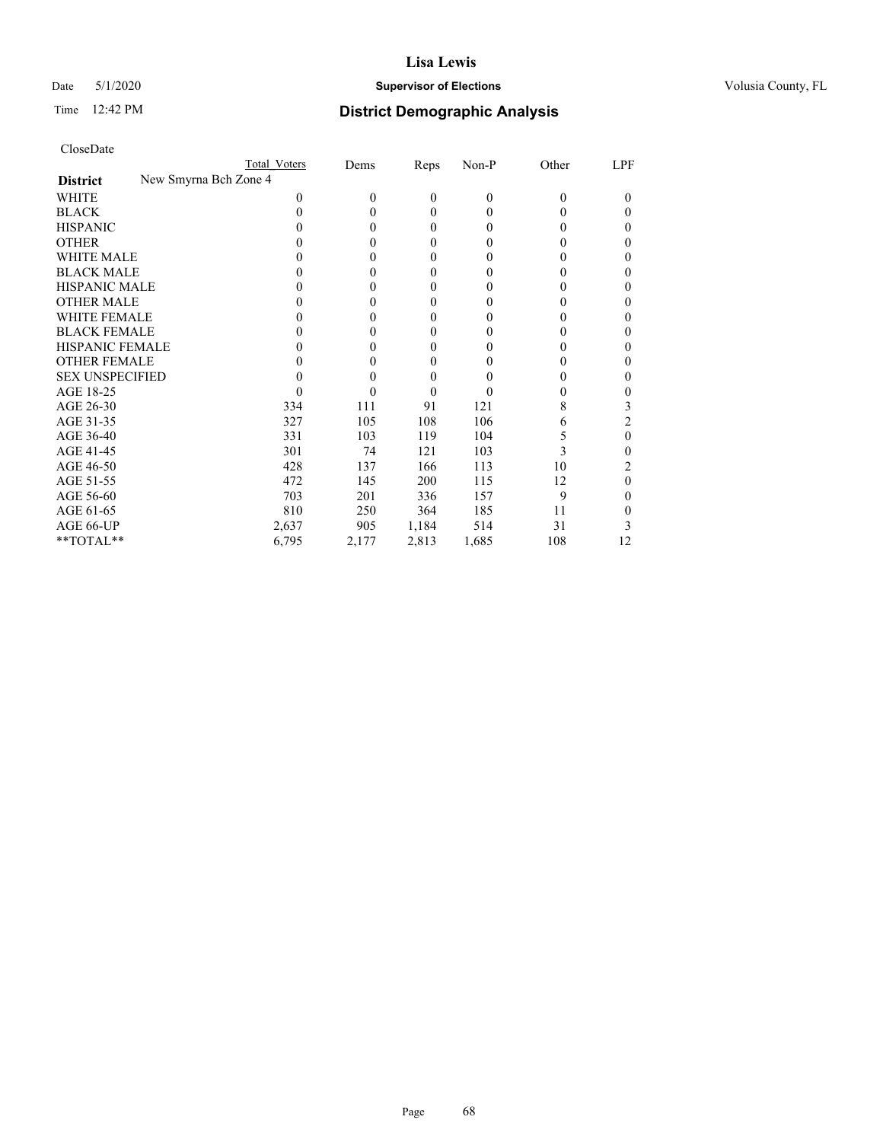### Date 5/1/2020 **Supervisor of Elections Supervisor of Elections** Volusia County, FL

| CloseDate |
|-----------|
|-----------|

|                                          | Total Voters | Dems     | <b>Reps</b> | $Non-P$  | Other | LPF      |
|------------------------------------------|--------------|----------|-------------|----------|-------|----------|
| New Smyrna Bch Zone 4<br><b>District</b> |              |          |             |          |       |          |
| WHITE                                    | 0            | $\theta$ | 0           | $\theta$ | 0     | $_{0}$   |
| <b>BLACK</b>                             | 0            | 0        | 0           | 0        | 0     | $\theta$ |
| <b>HISPANIC</b>                          | 0            | $\theta$ | 0           | 0        | 0     | 0        |
| <b>OTHER</b>                             |              | 0        | 0           | 0        | 0     | 0        |
| <b>WHITE MALE</b>                        |              | 0        | 0           | 0        | 0     |          |
| <b>BLACK MALE</b>                        |              | 0        | 0           | 0        | 0     | 0        |
| <b>HISPANIC MALE</b>                     |              | $\theta$ | 0           | 0        | 0     |          |
| <b>OTHER MALE</b>                        |              | $\theta$ | 0           | 0        | 0     | 0        |
| <b>WHITE FEMALE</b>                      |              | $\theta$ | 0           | 0        |       |          |
| <b>BLACK FEMALE</b>                      |              | $\theta$ | 0           | 0        | 0     | 0        |
| <b>HISPANIC FEMALE</b>                   |              | $\theta$ | 0           | 0        | 0     |          |
| <b>OTHER FEMALE</b>                      |              | 0        | 0           | 0        | 0     | 0        |
| <b>SEX UNSPECIFIED</b>                   |              | 0        | 0           |          | 0     | 0        |
| AGE 18-25                                |              | 0        | 0           | 0        | 0     | 0        |
| AGE 26-30                                | 334          | 111      | 91          | 121      | 8     | 3        |
| AGE 31-35                                | 327          | 105      | 108         | 106      | 6     | 2        |
| AGE 36-40                                | 331          | 103      | 119         | 104      | 5     | 0        |
| AGE 41-45                                | 301          | 74       | 121         | 103      | 3     | 0        |
| AGE 46-50                                | 428          | 137      | 166         | 113      | 10    |          |
| AGE 51-55                                | 472          | 145      | 200         | 115      | 12    | 0        |
| AGE 56-60                                | 703          | 201      | 336         | 157      | 9     | $_{0}$   |
| AGE 61-65                                | 810          | 250      | 364         | 185      | 11    | 0        |
| AGE 66-UP                                | 2,637        | 905      | 1,184       | 514      | 31    |          |
| **TOTAL**                                | 6,795        | 2,177    | 2,813       | 1,685    | 108   | 12       |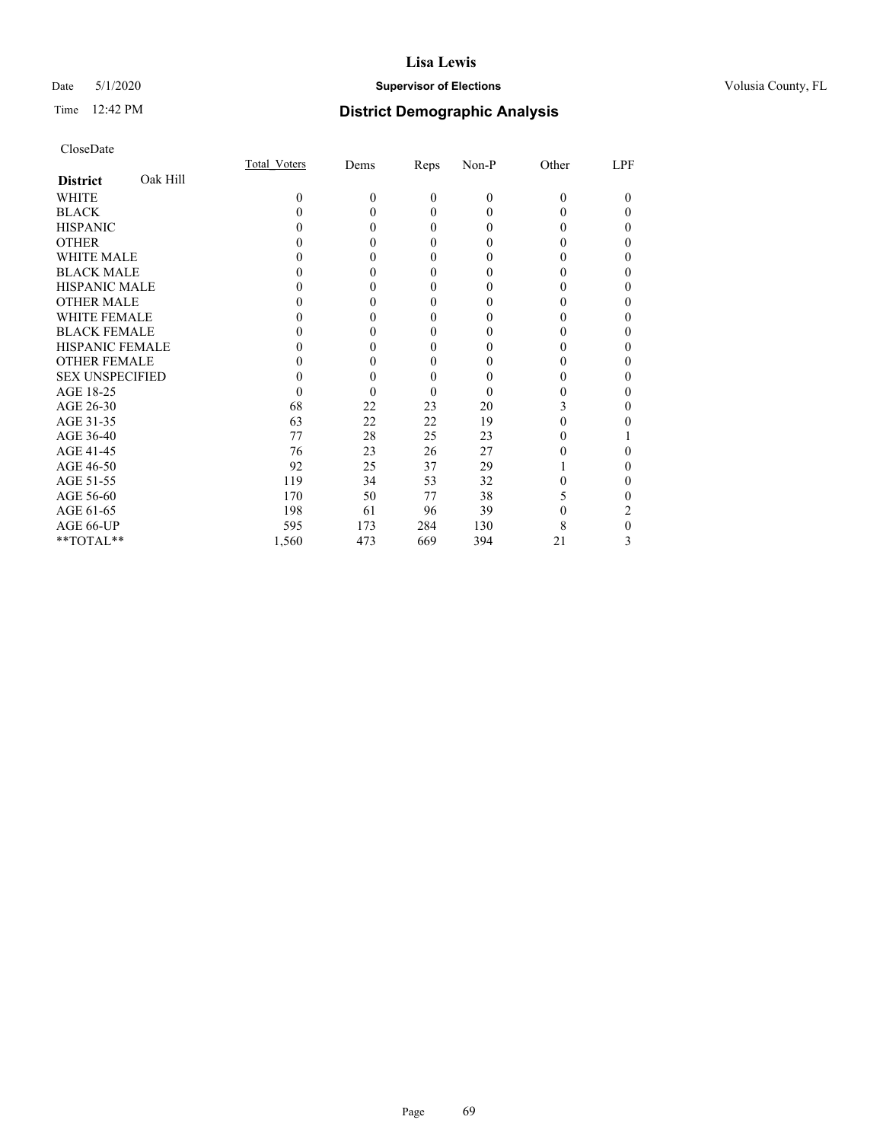# Date 5/1/2020 **Supervisor of Elections Supervisor of Elections** Volusia County, FL

# Time 12:42 PM **District Demographic Analysis**

|                        |          | Total Voters     | Dems     | Reps         | Non-P        | Other    | LPF |
|------------------------|----------|------------------|----------|--------------|--------------|----------|-----|
| <b>District</b>        | Oak Hill |                  |          |              |              |          |     |
| WHITE                  |          | 0                | $\theta$ | $\mathbf{0}$ | $\mathbf{0}$ | $\Omega$ | 0   |
| <b>BLACK</b>           |          | 0                | 0        | $\theta$     | $\theta$     | 0        | 0   |
| <b>HISPANIC</b>        |          | $\theta$         | 0        | $\theta$     | $\theta$     | 0        | 0   |
| <b>OTHER</b>           |          |                  |          | 0            | 0            |          | 0   |
| WHITE MALE             |          |                  |          | 0            | 0            |          | 0   |
| <b>BLACK MALE</b>      |          |                  |          | 0            | 0            |          | 0   |
| <b>HISPANIC MALE</b>   |          |                  |          | 0            | 0            |          | 0   |
| <b>OTHER MALE</b>      |          |                  |          | 0            | 0            |          | 0   |
| <b>WHITE FEMALE</b>    |          |                  |          | 0            | 0            |          | 0   |
| <b>BLACK FEMALE</b>    |          |                  |          | $\theta$     | 0            | 0        | 0   |
| <b>HISPANIC FEMALE</b> |          |                  |          | 0            | 0            |          | 0   |
| <b>OTHER FEMALE</b>    |          |                  |          | 0            | 0            | 0        | 0   |
| <b>SEX UNSPECIFIED</b> |          |                  |          | 0            | 0            |          | 0   |
| AGE 18-25              |          | $\left( \right)$ |          | $\theta$     | 0            |          | 0   |
| AGE 26-30              |          | 68               | 22       | 23           | 20           | 3        | 0   |
| AGE 31-35              |          | 63               | 22       | 22           | 19           |          |     |
| AGE 36-40              |          | 77               | 28       | 25           | 23           | 0        |     |
| AGE 41-45              |          | 76               | 23       | 26           | 27           |          | 0   |
| AGE 46-50              |          | 92               | 25       | 37           | 29           |          | 0   |
| AGE 51-55              |          | 119              | 34       | 53           | 32           |          | 0   |
| AGE 56-60              |          | 170              | 50       | 77           | 38           | 5        | 0   |
| AGE 61-65              |          | 198              | 61       | 96           | 39           |          | 2   |
| AGE 66-UP              |          | 595              | 173      | 284          | 130          | 8        | 0   |
| **TOTAL**              |          | 1,560            | 473      | 669          | 394          | 21       | 3   |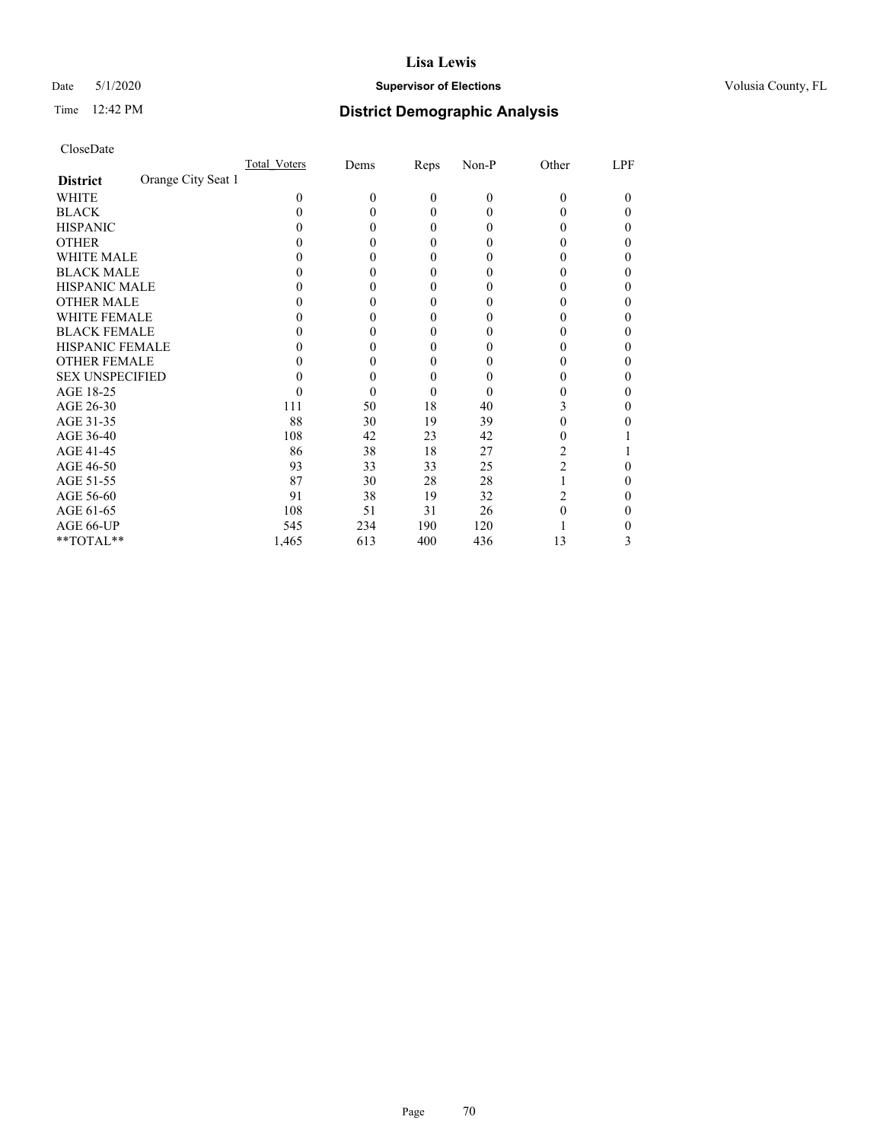# Date 5/1/2020 **Supervisor of Elections Supervisor of Elections** Volusia County, FL

# Time 12:42 PM **District Demographic Analysis**

|                                       | Total Voters | Dems     | Reps         | Non-P        | Other    | LPF |
|---------------------------------------|--------------|----------|--------------|--------------|----------|-----|
| Orange City Seat 1<br><b>District</b> |              |          |              |              |          |     |
| WHITE                                 | 0            | $\Omega$ | $\mathbf{0}$ | $\mathbf{0}$ | $\Omega$ | 0   |
| <b>BLACK</b>                          | $\theta$     | 0        | $\Omega$     | $\theta$     | 0        | 0   |
| <b>HISPANIC</b>                       |              | 0        | $\Omega$     | $\theta$     | 0        | 0   |
| <b>OTHER</b>                          |              |          | 0            | 0            |          | 0   |
| WHITE MALE                            |              |          | 0            | 0            |          | 0   |
| <b>BLACK MALE</b>                     |              |          | 0            | 0            |          | 0   |
| <b>HISPANIC MALE</b>                  |              |          | 0            | $\theta$     |          | 0   |
| <b>OTHER MALE</b>                     |              |          | 0            | 0            |          | 0   |
| <b>WHITE FEMALE</b>                   |              |          | 0            | 0            |          | 0   |
| <b>BLACK FEMALE</b>                   |              |          | $\Omega$     | 0            | 0        | 0   |
| <b>HISPANIC FEMALE</b>                |              |          | 0            | 0            |          | 0   |
| <b>OTHER FEMALE</b>                   |              |          | 0            | 0            |          | 0   |
| <b>SEX UNSPECIFIED</b>                |              |          | 0            | 0            |          | 0   |
| AGE 18-25                             |              |          | $\theta$     | 0            |          | 0   |
| AGE 26-30                             | 111          | 50       | 18           | 40           | 3        | 0   |
| AGE 31-35                             | 88           | 30       | 19           | 39           |          |     |
| AGE 36-40                             | 108          | 42       | 23           | 42           | 0        |     |
| AGE 41-45                             | 86           | 38       | 18           | 27           |          |     |
| AGE 46-50                             | 93           | 33       | 33           | 25           | 2        | 0   |
| AGE 51-55                             | 87           | 30       | 28           | 28           |          | 0   |
| AGE 56-60                             | 91           | 38       | 19           | 32           | 2        | 0   |
| AGE 61-65                             | 108          | 51       | 31           | 26           | 0        | 0   |
| AGE 66-UP                             | 545          | 234      | 190          | 120          |          |     |
| **TOTAL**                             | 1,465        | 613      | 400          | 436          | 13       | 3   |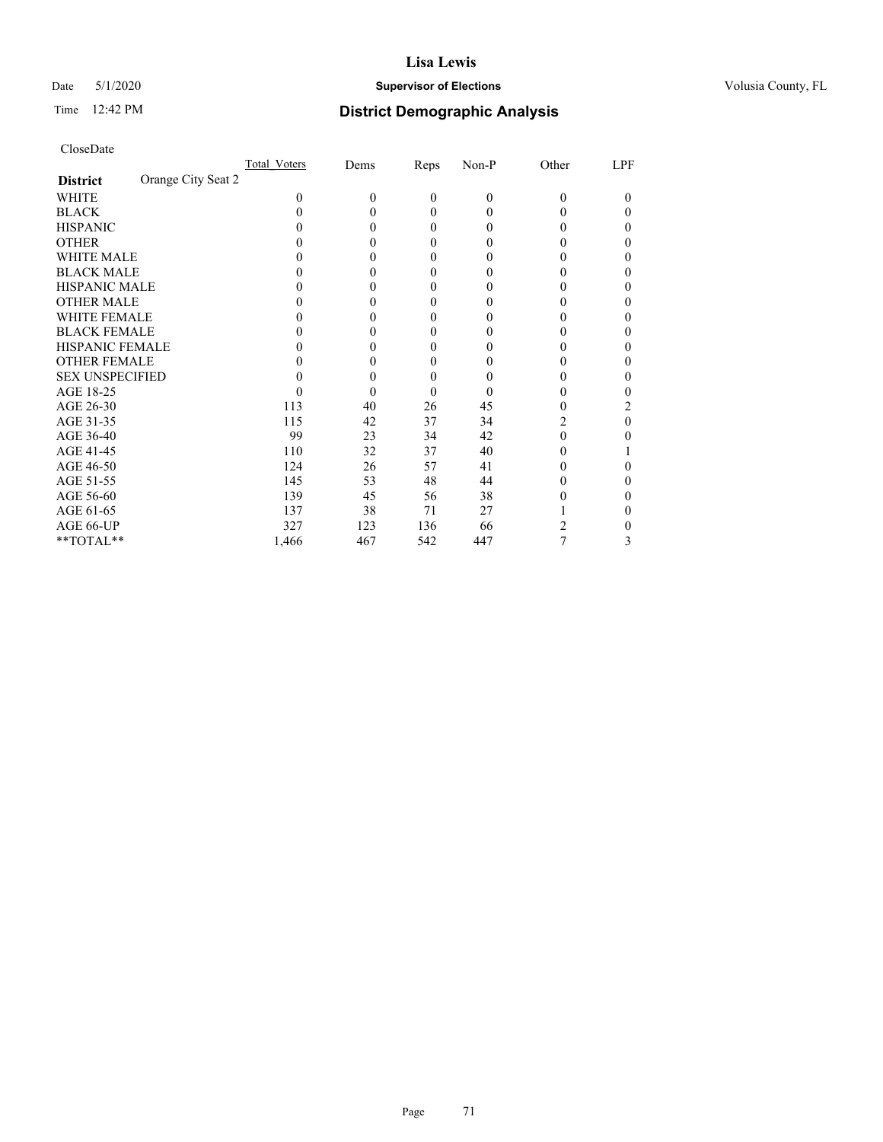# Date 5/1/2020 **Supervisor of Elections Supervisor of Elections** Volusia County, FL

# Time 12:42 PM **District Demographic Analysis**

|                                       | Total Voters | Dems     | Reps         | Non-P    | Other | LPF      |
|---------------------------------------|--------------|----------|--------------|----------|-------|----------|
| Orange City Seat 2<br><b>District</b> |              |          |              |          |       |          |
| WHITE                                 | 0            | $\theta$ | $\mathbf{0}$ | $\theta$ | 0     | $\theta$ |
| <b>BLACK</b>                          | 0            | 0        | $\theta$     | 0        |       | 0        |
| <b>HISPANIC</b>                       | 0            | 0        | $\theta$     | 0        | 0     | 0        |
| <b>OTHER</b>                          |              | 0        | $\Omega$     | 0        |       | 0        |
| WHITE MALE                            |              | $_{0}$   | $\theta$     | 0        |       | 0        |
| <b>BLACK MALE</b>                     |              | 0        | $\theta$     | 0        |       | 0        |
| <b>HISPANIC MALE</b>                  |              | $_{0}$   | $\theta$     | 0        |       | 0        |
| <b>OTHER MALE</b>                     |              | 0        | $\theta$     | 0        |       | 0        |
| <b>WHITE FEMALE</b>                   |              | $\theta$ | 0            | 0        |       |          |
| <b>BLACK FEMALE</b>                   | 0            | 0        | $\theta$     | $_{0}$   |       | 0        |
| <b>HISPANIC FEMALE</b>                |              | 0        | 0            | 0        |       | 0        |
| <b>OTHER FEMALE</b>                   |              | 0        | $\theta$     | $\theta$ |       | 0        |
| <b>SEX UNSPECIFIED</b>                |              | 0        | $\theta$     |          |       | 0        |
| AGE 18-25                             |              | 0        | $\theta$     | $\theta$ |       |          |
| AGE 26-30                             | 113          | 40       | 26           | 45       | 0     | 2        |
| AGE 31-35                             | 115          | 42       | 37           | 34       | 2     | 0        |
| AGE 36-40                             | 99           | 23       | 34           | 42       | 0     | 0        |
| AGE 41-45                             | 110          | 32       | 37           | 40       |       |          |
| AGE 46-50                             | 124          | 26       | 57           | 41       | 0     | 0        |
| AGE 51-55                             | 145          | 53       | 48           | 44       |       | 0        |
| AGE 56-60                             | 139          | 45       | 56           | 38       |       | 0        |
| AGE 61-65                             | 137          | 38       | 71           | 27       |       |          |
| AGE 66-UP                             | 327          | 123      | 136          | 66       |       |          |
| **TOTAL**                             | 1,466        | 467      | 542          | 447      | 7     | 3        |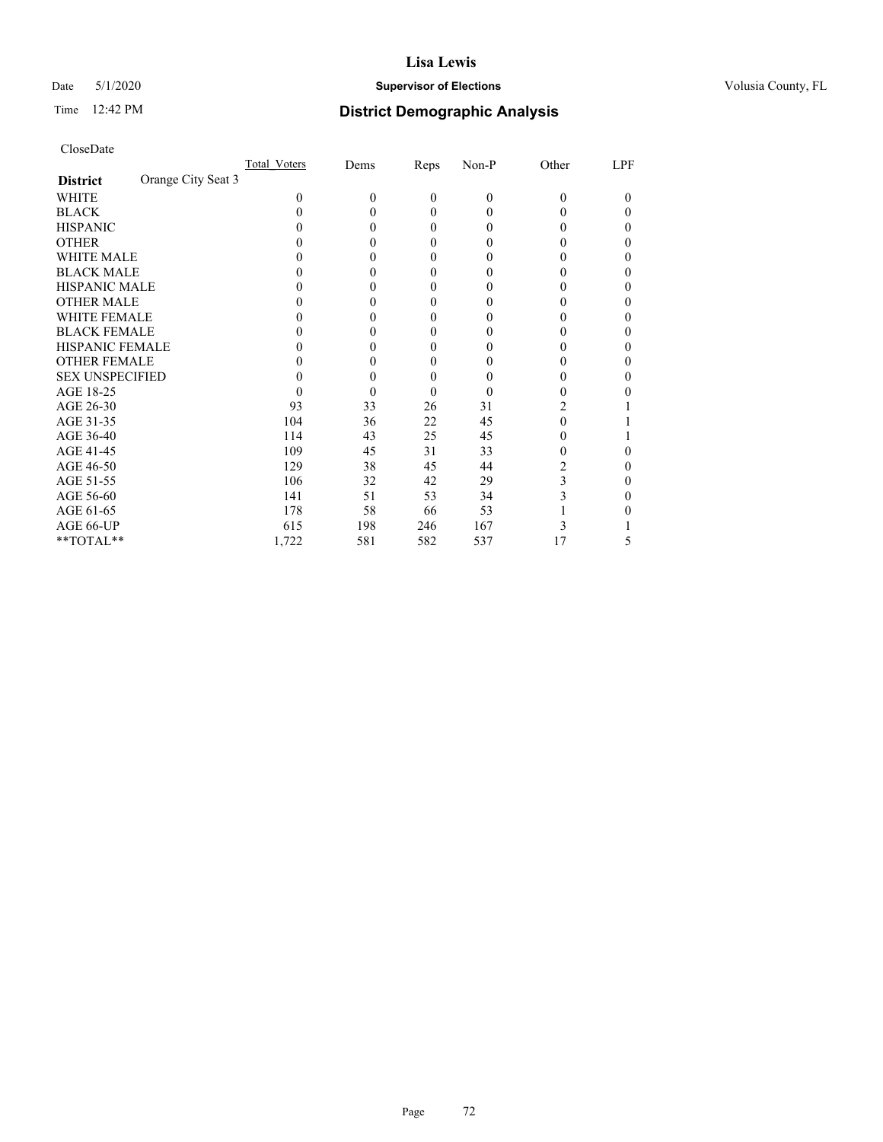# Date 5/1/2020 **Supervisor of Elections Supervisor of Elections** Volusia County, FL

| CloseDate |
|-----------|
|-----------|

|                                       | Total Voters | Dems     | Reps         | $Non-P$  | Other | LPF |
|---------------------------------------|--------------|----------|--------------|----------|-------|-----|
| Orange City Seat 3<br><b>District</b> |              |          |              |          |       |     |
| WHITE                                 | 0            | $\theta$ | $\mathbf{0}$ | $\theta$ | 0     | 0   |
| <b>BLACK</b>                          |              | 0        | 0            | 0        | 0     | 0   |
| <b>HISPANIC</b>                       |              | 0        | 0            | 0        |       | 0   |
| <b>OTHER</b>                          |              | 0        | 0            | $_{0}$   |       | 0   |
| <b>WHITE MALE</b>                     |              | 0        | 0            | $_{0}$   |       |     |
| <b>BLACK MALE</b>                     |              | 0        | 0            | $_{0}$   |       |     |
| <b>HISPANIC MALE</b>                  |              | 0        | 0            | $_{0}$   |       |     |
| <b>OTHER MALE</b>                     |              | 0        | 0            | $_{0}$   |       | 0   |
| <b>WHITE FEMALE</b>                   |              | 0        | 0            | $\theta$ |       |     |
| <b>BLACK FEMALE</b>                   |              | 0        | 0            | $_{0}$   |       | 0   |
| <b>HISPANIC FEMALE</b>                |              | 0        | 0            | $_{0}$   |       |     |
| <b>OTHER FEMALE</b>                   |              | 0        | 0            | $_{0}$   |       | 0   |
| <b>SEX UNSPECIFIED</b>                |              | 0        | 0            | $\theta$ |       |     |
| AGE 18-25                             |              | 0        | 0            | 0        |       |     |
| AGE 26-30                             | 93           | 33       | 26           | 31       | 2     |     |
| AGE 31-35                             | 104          | 36       | 22           | 45       | 0     |     |
| AGE 36-40                             | 114          | 43       | 25           | 45       | 0     |     |
| AGE 41-45                             | 109          | 45       | 31           | 33       |       |     |
| AGE 46-50                             | 129          | 38       | 45           | 44       |       | 0   |
| AGE 51-55                             | 106          | 32       | 42           | 29       | 3     |     |
| AGE 56-60                             | 141          | 51       | 53           | 34       | 3     |     |
| AGE 61-65                             | 178          | 58       | 66           | 53       |       |     |
| AGE 66-UP                             | 615          | 198      | 246          | 167      |       |     |
| **TOTAL**                             | 1,722        | 581      | 582          | 537      | 17    | 5   |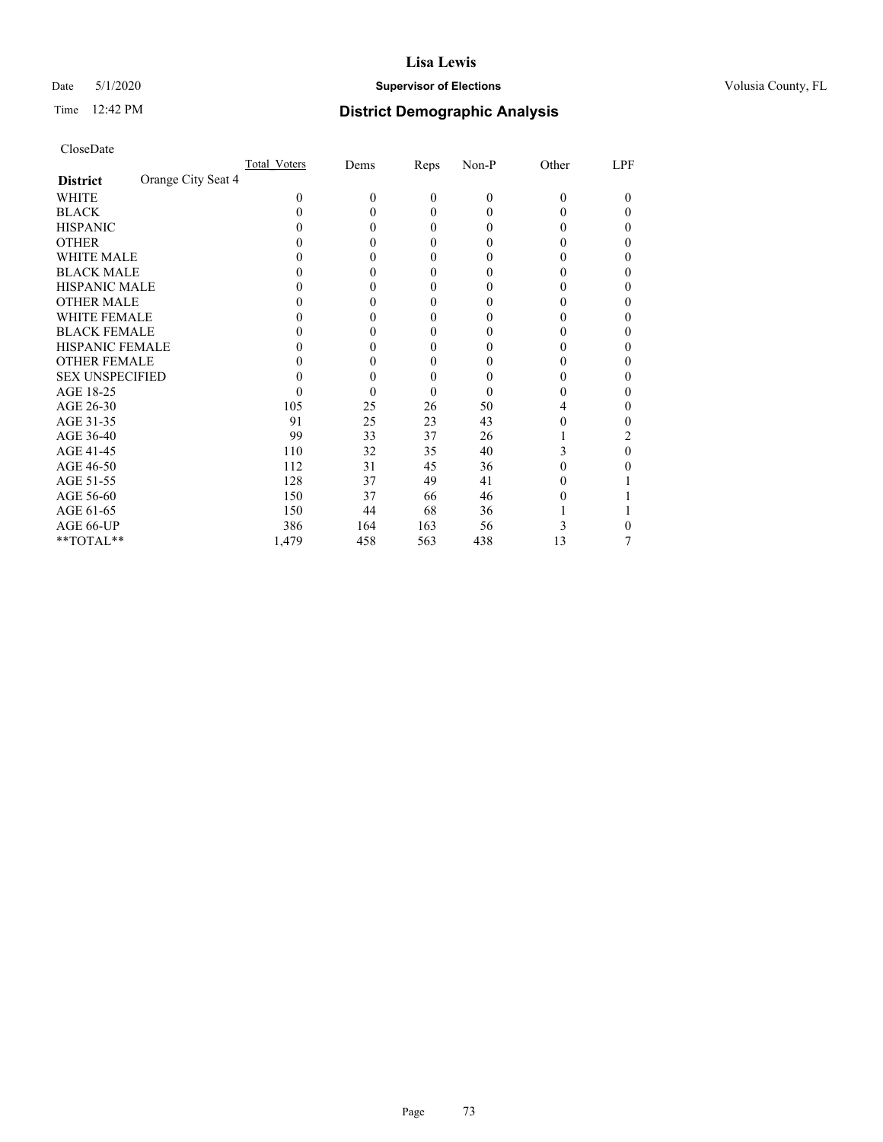## Date 5/1/2020 **Supervisor of Elections Supervisor of Elections** Volusia County, FL

| CloseDate |
|-----------|
|-----------|

|                                       | Total Voters | Dems     | Reps         | $Non-P$  | Other | LPF    |
|---------------------------------------|--------------|----------|--------------|----------|-------|--------|
| Orange City Seat 4<br><b>District</b> |              |          |              |          |       |        |
| WHITE                                 | 0            | $\theta$ | $\mathbf{0}$ | $\theta$ | 0     | $_{0}$ |
| <b>BLACK</b>                          |              | 0        | 0            | $_{0}$   |       | 0      |
| <b>HISPANIC</b>                       |              | 0        | 0            | $_{0}$   |       | 0      |
| <b>OTHER</b>                          |              | 0        | 0            | 0        |       | 0      |
| <b>WHITE MALE</b>                     |              | 0        | 0            | 0        |       | 0      |
| <b>BLACK MALE</b>                     |              | 0        | 0            |          |       | 0      |
| <b>HISPANIC MALE</b>                  |              | 0        | 0            |          |       |        |
| <b>OTHER MALE</b>                     |              | 0        | 0            |          |       | 0      |
| <b>WHITE FEMALE</b>                   |              | 0        | 0            |          |       |        |
| <b>BLACK FEMALE</b>                   |              | 0        | 0            | $\theta$ |       | 0      |
| <b>HISPANIC FEMALE</b>                |              | 0        | 0            |          |       | 0      |
| <b>OTHER FEMALE</b>                   |              | 0        | 0            | 0        |       | 0      |
| <b>SEX UNSPECIFIED</b>                |              | 0        | 0            |          |       |        |
| AGE 18-25                             |              | 0        | 0            | 0        |       |        |
| AGE 26-30                             | 105          | 25       | 26           | 50       |       | 0      |
| AGE 31-35                             | 91           | 25       | 23           | 43       |       |        |
| AGE 36-40                             | 99           | 33       | 37           | 26       |       | 2      |
| AGE 41-45                             | 110          | 32       | 35           | 40       | 3     | 0      |
| AGE 46-50                             | 112          | 31       | 45           | 36       | 0     | 0      |
| AGE 51-55                             | 128          | 37       | 49           | 41       |       |        |
| AGE 56-60                             | 150          | 37       | 66           | 46       |       |        |
| AGE 61-65                             | 150          | 44       | 68           | 36       |       |        |
| AGE 66-UP                             | 386          | 164      | 163          | 56       |       |        |
| **TOTAL**                             | 1,479        | 458      | 563          | 438      | 13    |        |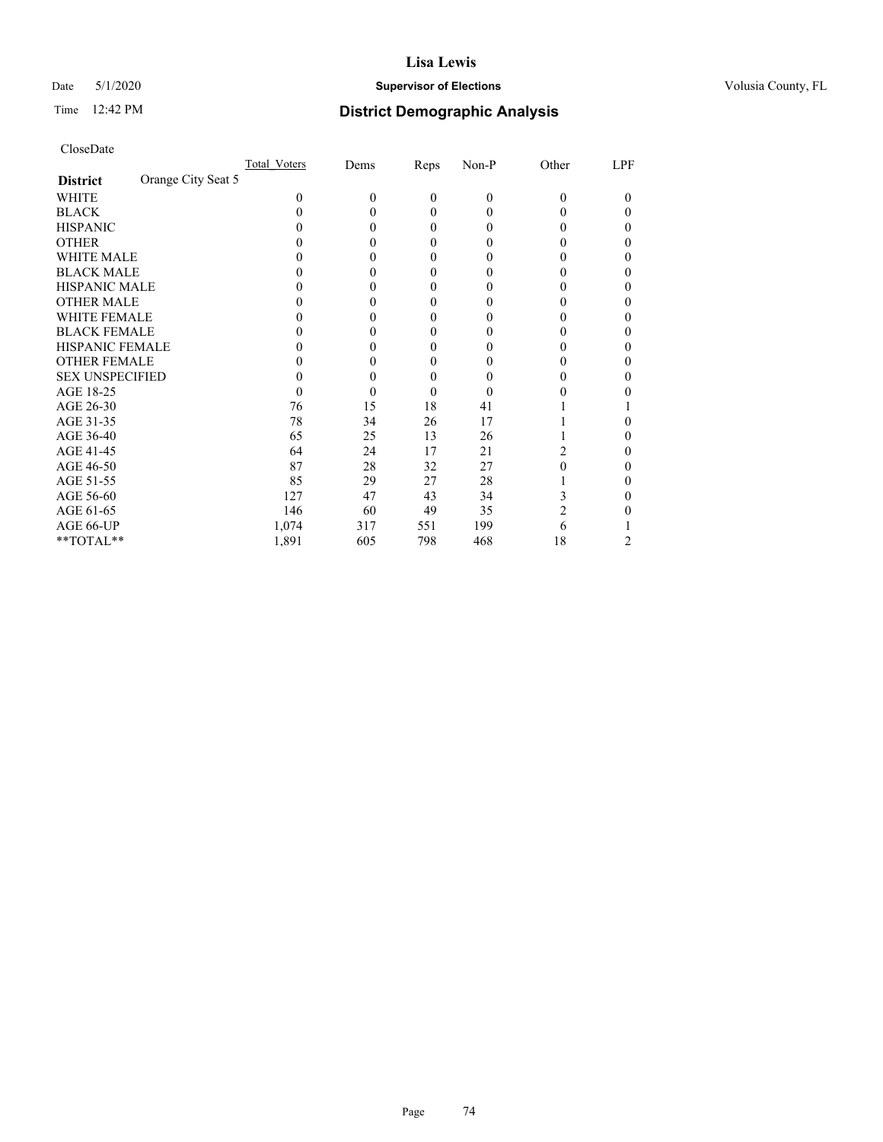## Date 5/1/2020 **Supervisor of Elections Supervisor of Elections** Volusia County, FL

| CloseDate |
|-----------|
|-----------|

|                                       | Total Voters | Dems     | Reps             | $Non-P$  | Other | LPF |
|---------------------------------------|--------------|----------|------------------|----------|-------|-----|
| Orange City Seat 5<br><b>District</b> |              |          |                  |          |       |     |
| WHITE                                 | 0            | $\theta$ | $\boldsymbol{0}$ | $\theta$ | 0     | 0   |
| <b>BLACK</b>                          |              | 0        | 0                | 0        | 0     | 0   |
| <b>HISPANIC</b>                       |              | 0        | 0                | 0        |       | 0   |
| <b>OTHER</b>                          |              | 0        | 0                | $\theta$ |       | 0   |
| <b>WHITE MALE</b>                     |              | 0        | 0                | $_{0}$   |       |     |
| <b>BLACK MALE</b>                     |              | 0        | 0                | $\theta$ |       |     |
| <b>HISPANIC MALE</b>                  |              | 0        | 0                | $_{0}$   |       |     |
| <b>OTHER MALE</b>                     |              | 0        | 0                | $\theta$ |       | 0   |
| <b>WHITE FEMALE</b>                   |              | 0        | 0                |          |       |     |
| <b>BLACK FEMALE</b>                   |              | 0        | 0                | $\theta$ |       | 0   |
| HISPANIC FEMALE                       |              | 0        | 0                | $\theta$ |       |     |
| <b>OTHER FEMALE</b>                   |              | 0        | 0                | $_{0}$   |       | 0   |
| <b>SEX UNSPECIFIED</b>                |              | 0        | 0                |          |       |     |
| AGE 18-25                             |              | 0        | 0                | 0        |       |     |
| AGE 26-30                             | 76           | 15       | 18               | 41       |       |     |
| AGE 31-35                             | 78           | 34       | 26               | 17       |       |     |
| AGE 36-40                             | 65           | 25       | 13               | 26       |       |     |
| AGE 41-45                             | 64           | 24       | 17               | 21       |       |     |
| AGE 46-50                             | 87           | 28       | 32               | 27       | 0     | 0   |
| AGE 51-55                             | 85           | 29       | 27               | 28       |       |     |
| AGE 56-60                             | 127          | 47       | 43               | 34       |       |     |
| AGE 61-65                             | 146          | 60       | 49               | 35       | 2     |     |
| AGE 66-UP                             | 1,074        | 317      | 551              | 199      | 6     |     |
| **TOTAL**                             | 1,891        | 605      | 798              | 468      | 18    | 2   |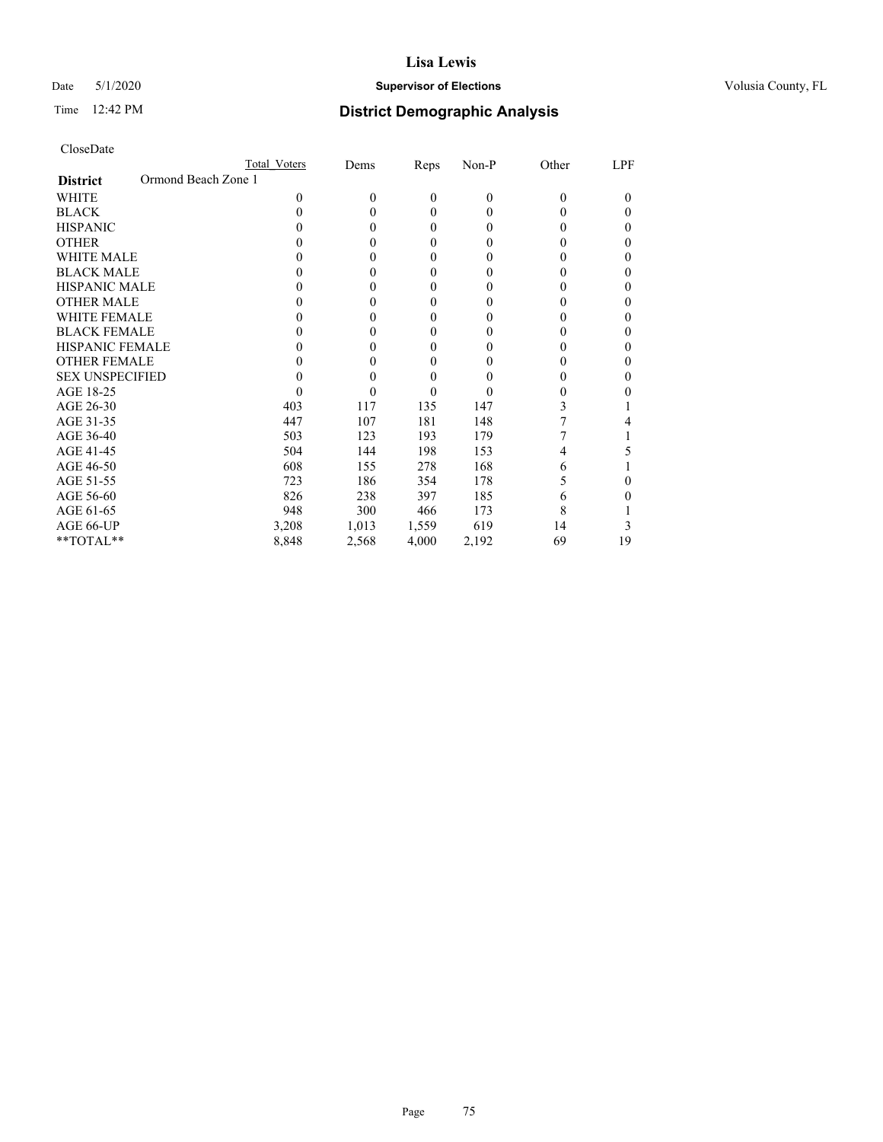## Date 5/1/2020 **Supervisor of Elections Supervisor of Elections** Volusia County, FL

| CloseDate |
|-----------|
|-----------|

|                                        | Total Voters | Dems         | Reps     | Non-P    | Other | LPF    |
|----------------------------------------|--------------|--------------|----------|----------|-------|--------|
| Ormond Beach Zone 1<br><b>District</b> |              |              |          |          |       |        |
| WHITE                                  | 0            | $\mathbf{0}$ | $\theta$ | $\theta$ | 0     | $_{0}$ |
| <b>BLACK</b>                           | 0            | $\theta$     | 0        | 0        | 0     | 0      |
| <b>HISPANIC</b>                        |              | $\theta$     | 0        | 0        |       | 0      |
| <b>OTHER</b>                           |              | 0            | 0        | 0        |       |        |
| WHITE MALE                             |              | 0            | 0        | $_{0}$   |       |        |
| <b>BLACK MALE</b>                      |              | 0            | 0        | $_{0}$   |       | 0      |
| <b>HISPANIC MALE</b>                   |              | 0            | 0        | $_{0}$   |       |        |
| <b>OTHER MALE</b>                      |              | 0            | 0        | $_{0}$   |       | 0      |
| <b>WHITE FEMALE</b>                    |              | 0            | 0        | $\theta$ |       |        |
| <b>BLACK FEMALE</b>                    |              | 0            | 0        | 0        |       | 0      |
| <b>HISPANIC FEMALE</b>                 |              | 0            | 0        | $\theta$ |       | 0      |
| <b>OTHER FEMALE</b>                    |              | 0            | 0        | $_{0}$   |       | 0      |
| <b>SEX UNSPECIFIED</b>                 |              | 0            | 0        |          |       |        |
| AGE 18-25                              |              | 0            | 0        | $\theta$ |       |        |
| AGE 26-30                              | 403          | 117          | 135      | 147      | 3     |        |
| AGE 31-35                              | 447          | 107          | 181      | 148      |       |        |
| AGE 36-40                              | 503          | 123          | 193      | 179      |       |        |
| AGE 41-45                              | 504          | 144          | 198      | 153      |       |        |
| AGE 46-50                              | 608          | 155          | 278      | 168      | 6     |        |
| AGE 51-55                              | 723          | 186          | 354      | 178      |       | 0      |
| AGE 56-60                              | 826          | 238          | 397      | 185      | 6     |        |
| AGE 61-65                              | 948          | 300          | 466      | 173      | 8     |        |
| AGE 66-UP                              | 3,208        | 1,013        | 1,559    | 619      | 14    | 3      |
| **TOTAL**                              | 8,848        | 2,568        | 4,000    | 2,192    | 69    | 19     |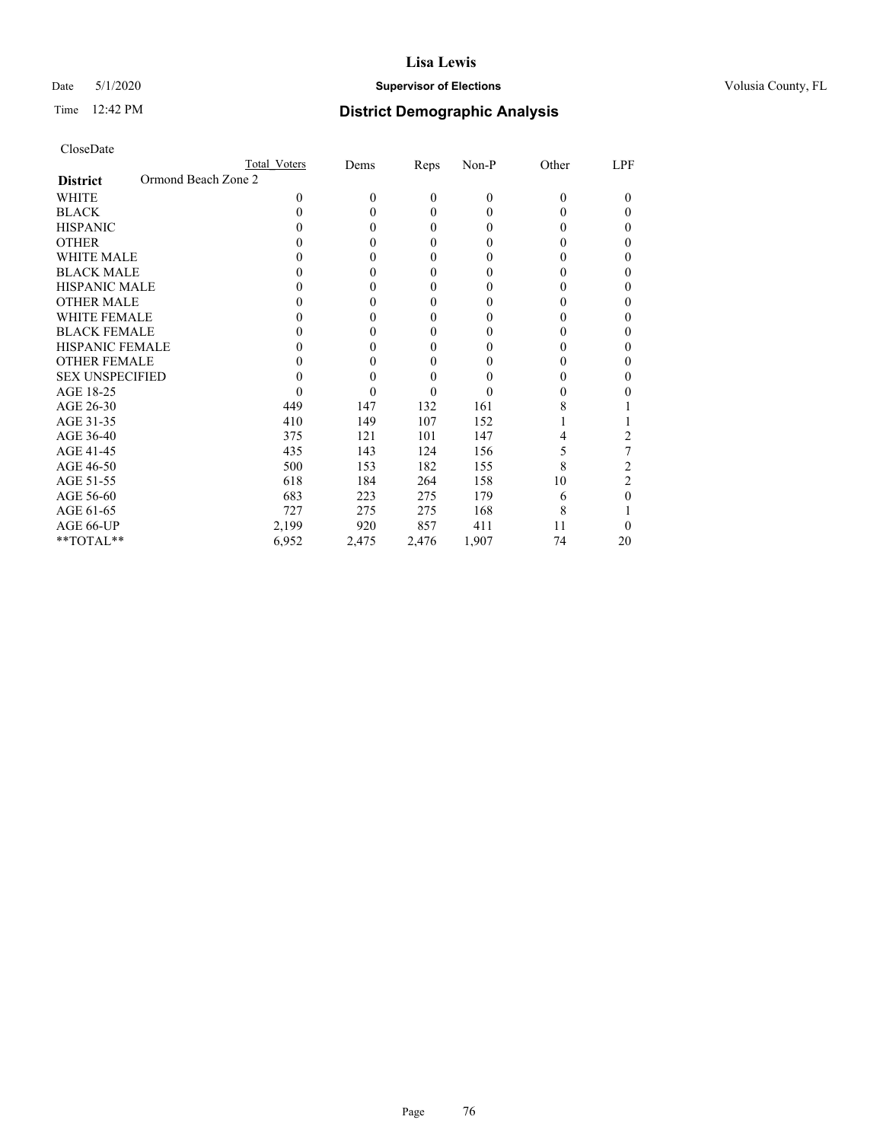## Date 5/1/2020 **Supervisor of Elections Supervisor of Elections** Volusia County, FL

|                                        | Total Voters | Dems             | Reps         | $Non-P$  | Other    | LPF            |
|----------------------------------------|--------------|------------------|--------------|----------|----------|----------------|
| Ormond Beach Zone 2<br><b>District</b> |              |                  |              |          |          |                |
| <b>WHITE</b>                           | 0            | $\theta$         | $\mathbf{0}$ | $\theta$ | $\Omega$ | $\Omega$       |
| <b>BLACK</b>                           | 0            | $\theta$         | 0            | 0        | 0        | $_{0}$         |
| <b>HISPANIC</b>                        |              | $\theta$         | 0            | 0        |          | 0              |
| <b>OTHER</b>                           |              | 0                | 0            | $_{0}$   |          | $_{0}$         |
| <b>WHITE MALE</b>                      |              | $\theta$         | 0            | $_{0}$   |          | 0              |
| <b>BLACK MALE</b>                      |              | $\theta$         | 0            | 0        |          | 0              |
| HISPANIC MALE                          |              | 0                | 0            | $_{0}$   |          | 0              |
| <b>OTHER MALE</b>                      |              | $\theta$         | $\theta$     | 0        | 0        | $_{0}$         |
| <b>WHITE FEMALE</b>                    |              | 0                | 0            | 0        |          | 0              |
| <b>BLACK FEMALE</b>                    |              | 0                | 0            | $_{0}$   |          | 0              |
| <b>HISPANIC FEMALE</b>                 |              | 0                | 0            | 0        |          | 0              |
| <b>OTHER FEMALE</b>                    |              | 0                | 0            |          |          | 0              |
| <b>SEX UNSPECIFIED</b>                 |              | $\boldsymbol{0}$ | 0            | $\theta$ |          | 0              |
| AGE 18-25                              |              | 0                | 0            |          |          | 0              |
| AGE 26-30                              | 449          | 147              | 132          | 161      | 8        |                |
| AGE 31-35                              | 410          | 149              | 107          | 152      |          |                |
| AGE 36-40                              | 375          | 121              | 101          | 147      |          |                |
| AGE 41-45                              | 435          | 143              | 124          | 156      | 5        |                |
| AGE 46-50                              | 500          | 153              | 182          | 155      | 8        | 2              |
| AGE 51-55                              | 618          | 184              | 264          | 158      | 10       | $\overline{c}$ |
| AGE 56-60                              | 683          | 223              | 275          | 179      | 6        | 0              |
| AGE 61-65                              | 727          | 275              | 275          | 168      | 8        |                |
| AGE 66-UP                              | 2,199        | 920              | 857          | 411      | 11       |                |
| **TOTAL**                              | 6,952        | 2,475            | 2,476        | 1,907    | 74       | 20             |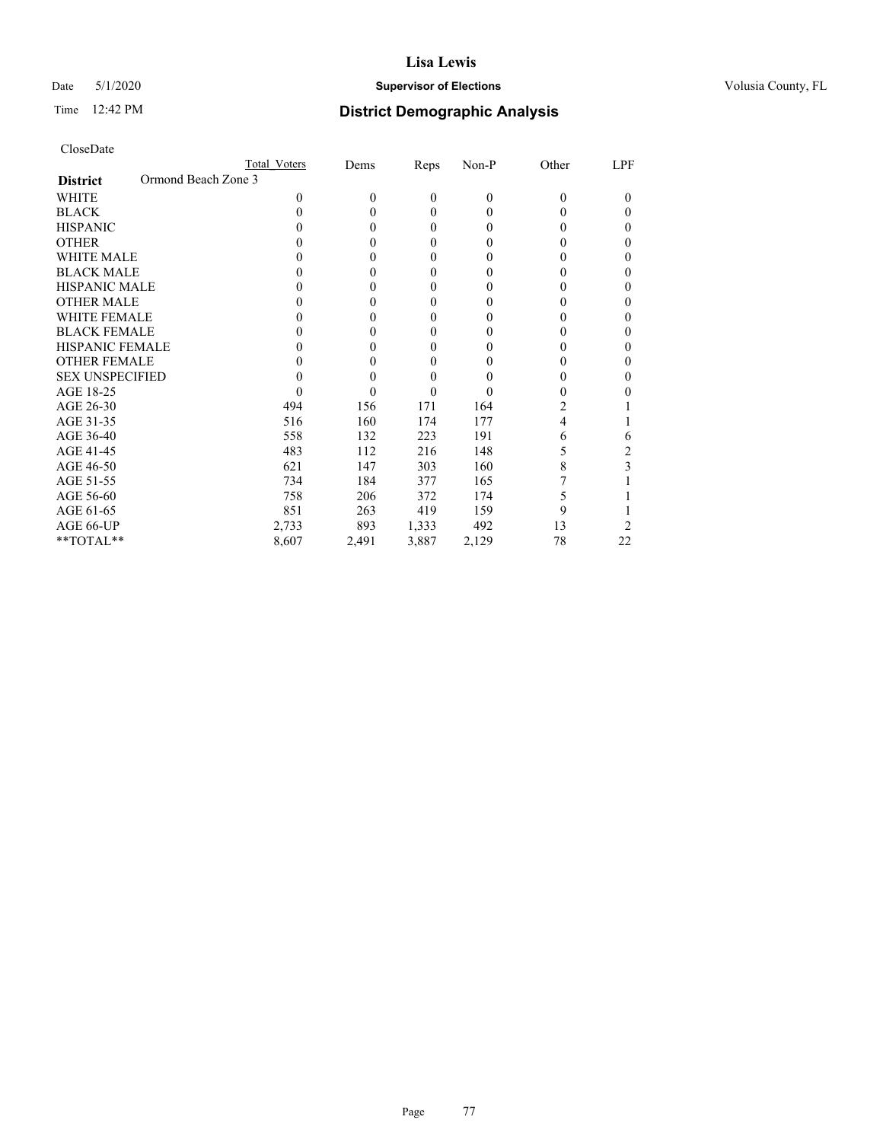## Date 5/1/2020 **Supervisor of Elections Supervisor of Elections** Volusia County, FL

| CloseDate |
|-----------|
|-----------|

| Total Voters        | Dems     | Reps         | $Non-P$  | Other    | LPF |
|---------------------|----------|--------------|----------|----------|-----|
| Ormond Beach Zone 3 |          |              |          |          |     |
| $\theta$            | $\theta$ | $\mathbf{0}$ | $\theta$ | $\Omega$ | 0   |
| 0                   | 0        | 0            | 0        | 0        | 0   |
| 0                   | 0        | 0            | 0        | 0        | 0   |
|                     | 0        | 0            | 0        | 0        | 0   |
|                     | 0        | 0            | 0        |          | 0   |
|                     | 0        | 0            | 0        | 0        | 0   |
|                     | 0        | 0            | 0        | 0        | 0   |
| 0                   | 0        | $\theta$     | 0        | 0        | 0   |
|                     | 0        | 0            | 0        |          | 0   |
|                     | 0        | 0            | $\theta$ |          |     |
|                     | 0        | 0            | 0        |          | 0   |
|                     | 0        | 0            | 0        |          | 0   |
|                     | 0        | 0            | 0        | 0        | 0   |
|                     | 0        | 0            | 0        |          |     |
| 494                 | 156      | 171          | 164      | 2        |     |
| 516                 | 160      | 174          | 177      | 4        |     |
| 558                 | 132      | 223          | 191      | 6        | 6   |
| 483                 | 112      | 216          | 148      | 5        | 2   |
| 621                 | 147      | 303          | 160      | 8        | 3   |
| 734                 | 184      | 377          | 165      |          |     |
| 758                 | 206      | 372          | 174      | 5        |     |
| 851                 | 263      | 419          | 159      | 9        |     |
| 2,733               | 893      | 1,333        | 492      | 13       | 2   |
| 8,607               | 2,491    | 3,887        | 2,129    | 78       | 22  |
|                     |          |              |          |          |     |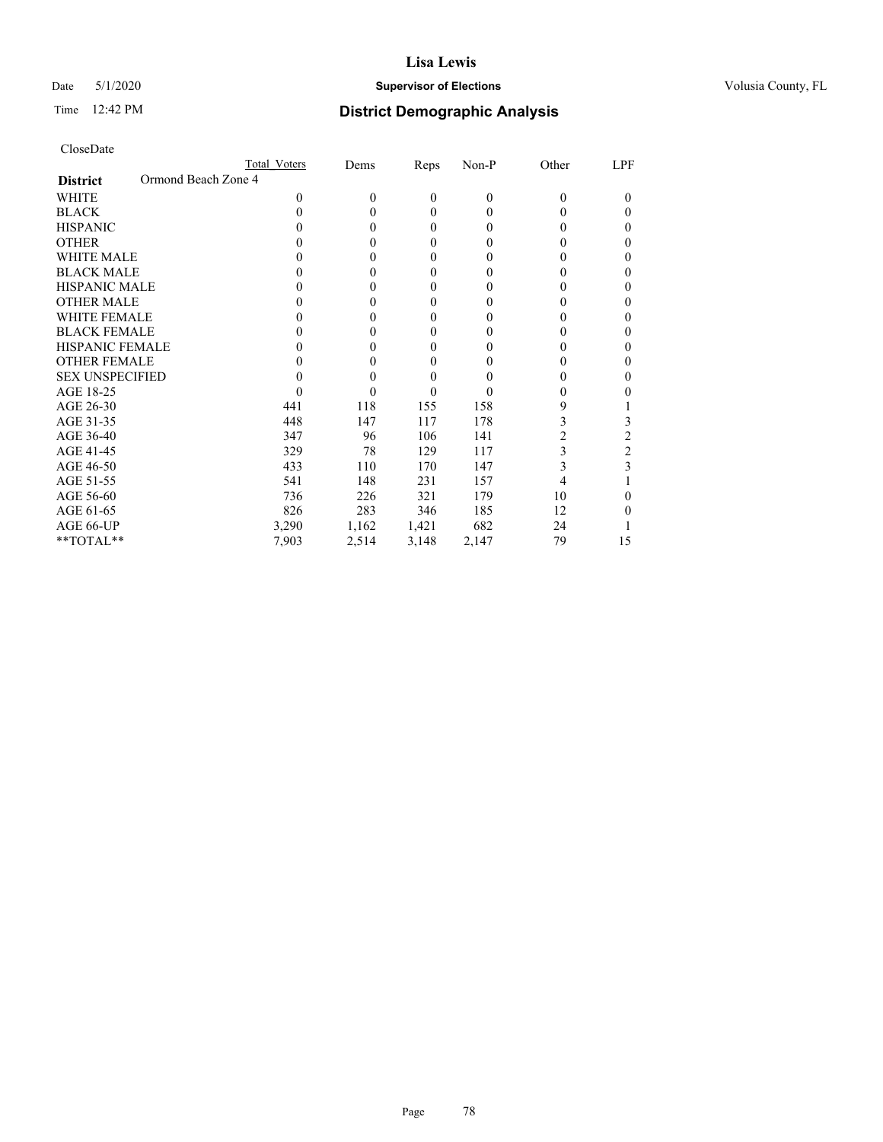## Date 5/1/2020 **Supervisor of Elections Supervisor of Elections** Volusia County, FL

| CloseDate |  |
|-----------|--|
|-----------|--|

|                        |                     | Total Voters | Dems     | <b>Reps</b> | $Non-P$      | Other    | LPF      |
|------------------------|---------------------|--------------|----------|-------------|--------------|----------|----------|
| <b>District</b>        | Ormond Beach Zone 4 |              |          |             |              |          |          |
| <b>WHITE</b>           |                     | $\theta$     | $\theta$ | 0           | $\theta$     | $\Omega$ | $\Omega$ |
| <b>BLACK</b>           |                     | 0            | 0        | 0           | 0            | 0        | $\theta$ |
| <b>HISPANIC</b>        |                     |              | 0        | 0           | 0            | 0        | 0        |
| <b>OTHER</b>           |                     |              | 0        | 0           | 0            |          | $_{0}$   |
| <b>WHITE MALE</b>      |                     |              | 0        | 0           | $_{0}$       |          | 0        |
| <b>BLACK MALE</b>      |                     |              | 0        | 0           | 0            | 0        | 0        |
| HISPANIC MALE          |                     |              | 0        | 0           | $_{0}$       |          | 0        |
| <b>OTHER MALE</b>      |                     | 0            | 0        | 0           | 0            | 0        | $_{0}$   |
| <b>WHITE FEMALE</b>    |                     |              | 0        | 0           | $\theta$     |          | 0        |
| <b>BLACK FEMALE</b>    |                     |              | 0        | 0           | $\theta$     |          | 0        |
| <b>HISPANIC FEMALE</b> |                     |              | 0        | 0           | 0            |          | 0        |
| <b>OTHER FEMALE</b>    |                     |              | 0        | 0           |              |          | 0        |
| <b>SEX UNSPECIFIED</b> |                     |              | 0        | 0           | $\mathbf{0}$ |          | 0        |
| AGE 18-25              |                     |              | 0        | 0           |              |          | 0        |
| AGE 26-30              |                     | 441          | 118      | 155         | 158          | 9        |          |
| AGE 31-35              |                     | 448          | 147      | 117         | 178          | 3        | 3        |
| AGE 36-40              |                     | 347          | 96       | 106         | 141          | 2        | 2        |
| AGE 41-45              |                     | 329          | 78       | 129         | 117          | 3        | 2        |
| AGE 46-50              |                     | 433          | 110      | 170         | 147          | 3        | 3        |
| AGE 51-55              |                     | 541          | 148      | 231         | 157          | 4        |          |
| AGE 56-60              |                     | 736          | 226      | 321         | 179          | 10       | 0        |
| AGE 61-65              |                     | 826          | 283      | 346         | 185          | 12       | 0        |
| AGE 66-UP              |                     | 3,290        | 1,162    | 1,421       | 682          | 24       |          |
| $*$ TOTAL $*$          |                     | 7,903        | 2,514    | 3,148       | 2,147        | 79       | 15       |
|                        |                     |              |          |             |              |          |          |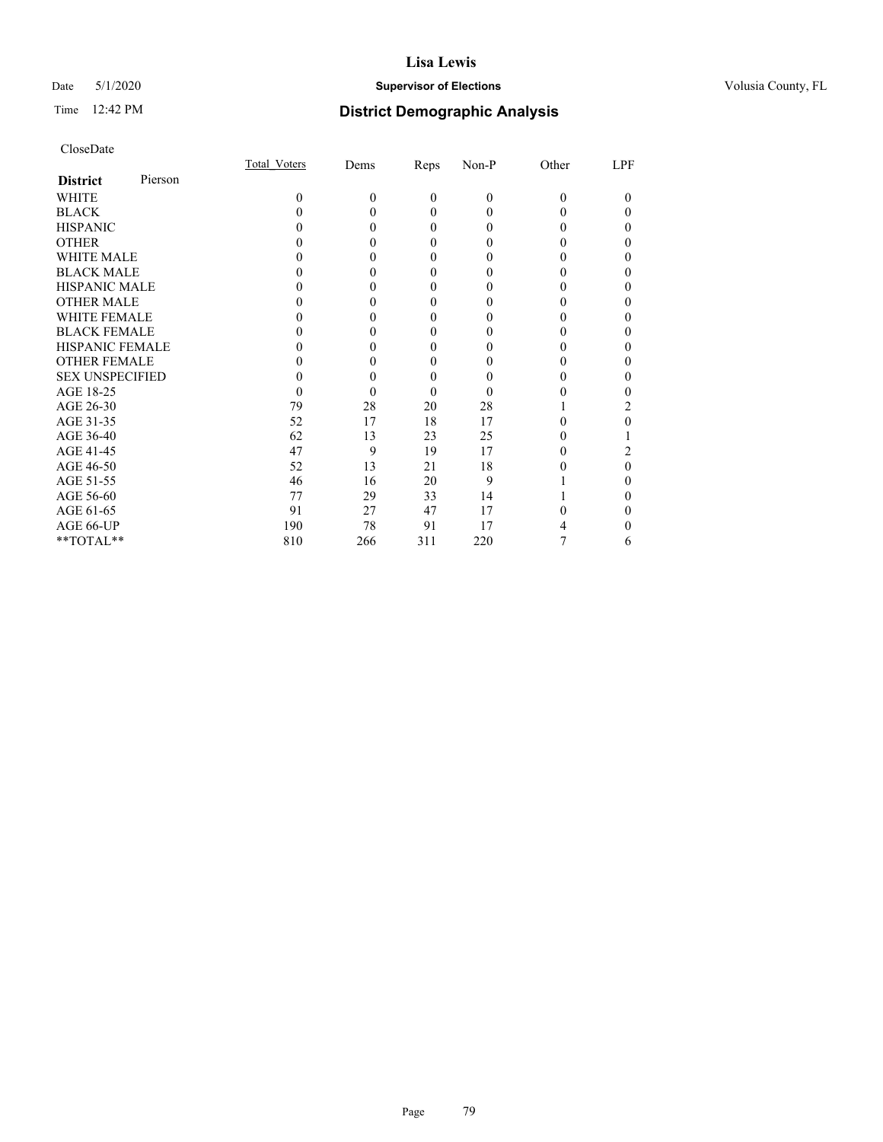## Date 5/1/2020 **Supervisor of Elections Supervisor of Elections** Volusia County, FL

| CloseDate |
|-----------|
|-----------|

|                        |         | Total Voters | Dems     | Reps             | Non-P    | Other    | LPF |
|------------------------|---------|--------------|----------|------------------|----------|----------|-----|
| <b>District</b>        | Pierson |              |          |                  |          |          |     |
| WHITE                  |         | 0            | $\theta$ | $\boldsymbol{0}$ | $\theta$ | $\Omega$ |     |
| <b>BLACK</b>           |         |              | 0        | 0                | 0        | 0        |     |
| <b>HISPANIC</b>        |         |              | 0        | 0                | 0        | 0        |     |
| <b>OTHER</b>           |         |              |          | 0                |          |          |     |
| WHITE MALE             |         |              |          | 0                | 0        |          |     |
| <b>BLACK MALE</b>      |         |              |          | 0                | 0        |          |     |
| <b>HISPANIC MALE</b>   |         |              |          | 0                |          |          |     |
| <b>OTHER MALE</b>      |         |              |          | 0                | 0        |          |     |
| <b>WHITE FEMALE</b>    |         |              |          | 0                | 0        |          |     |
| <b>BLACK FEMALE</b>    |         |              | 0        | 0                | $_{0}$   | 0        | 0   |
| <b>HISPANIC FEMALE</b> |         |              |          | 0                |          |          |     |
| <b>OTHER FEMALE</b>    |         |              |          | 0                |          |          |     |
| <b>SEX UNSPECIFIED</b> |         |              |          | 0                |          |          |     |
| AGE 18-25              |         |              |          | 0                | $\theta$ |          |     |
| AGE 26-30              |         | 79           | 28       | 20               | 28       |          | 2   |
| AGE 31-35              |         | 52           | 17       | 18               | 17       |          |     |
| AGE 36-40              |         | 62           | 13       | 23               | 25       | 0        |     |
| AGE 41-45              |         | 47           | 9        | 19               | 17       |          |     |
| AGE 46-50              |         | 52           | 13       | 21               | 18       |          | 0   |
| AGE 51-55              |         | 46           | 16       | 20               | 9        |          |     |
| AGE 56-60              |         | 77           | 29       | 33               | 14       |          |     |
| AGE 61-65              |         | 91           | 27       | 47               | 17       |          |     |
| AGE 66-UP              |         | 190          | 78       | 91               | 17       |          |     |
| **TOTAL**              |         | 810          | 266      | 311              | 220      |          | 6   |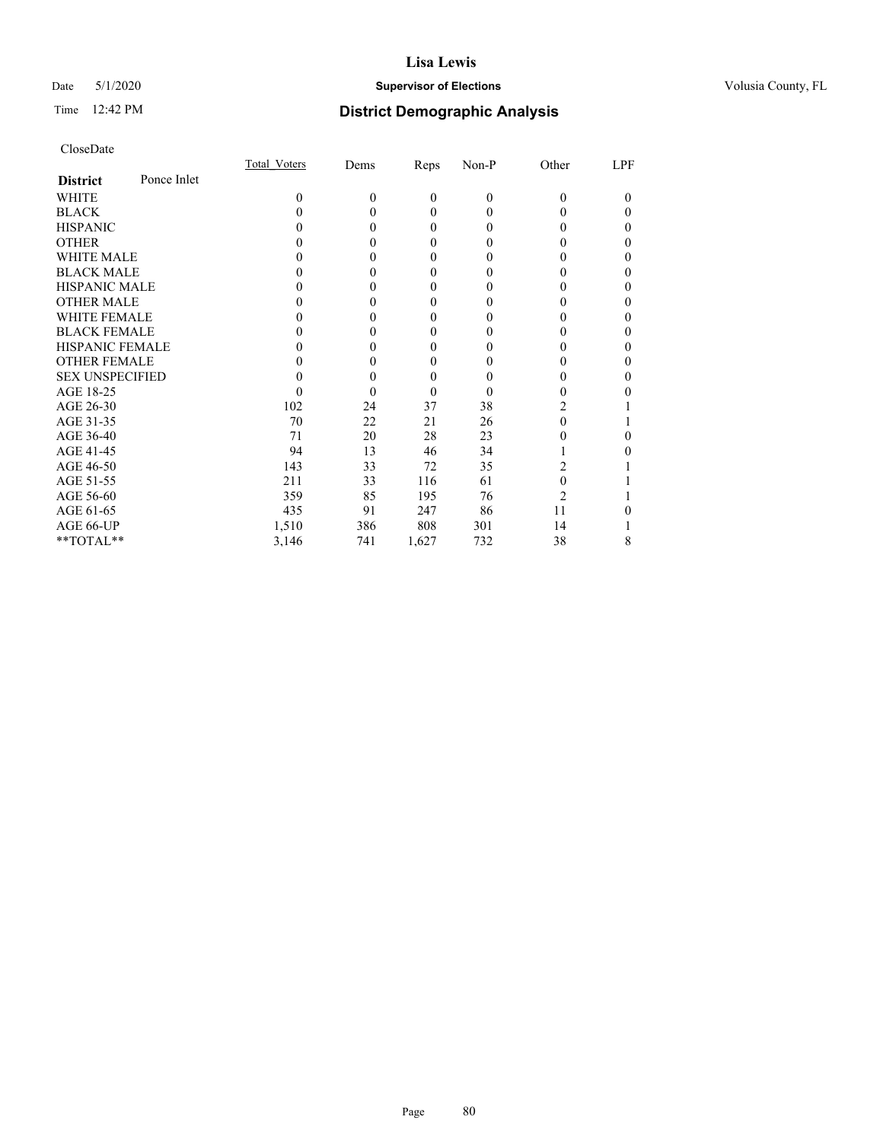## Date 5/1/2020 **Supervisor of Elections Supervisor of Elections** Volusia County, FL

## Time 12:42 PM **District Demographic Analysis**

|                        |             | Total Voters     | Dems     | Reps         | Non-P    | Other          | LPF      |
|------------------------|-------------|------------------|----------|--------------|----------|----------------|----------|
| <b>District</b>        | Ponce Inlet |                  |          |              |          |                |          |
| WHITE                  |             | 0                | $\theta$ | $\mathbf{0}$ | $\theta$ | 0              | $\theta$ |
| <b>BLACK</b>           |             | $\theta$         | 0        | $\theta$     | 0        |                | 0        |
| <b>HISPANIC</b>        |             |                  | 0        | $\theta$     | 0        |                | 0        |
| <b>OTHER</b>           |             |                  | 0        | 0            | 0        |                | 0        |
| WHITE MALE             |             |                  | 0        | $\theta$     | 0        |                | 0        |
| <b>BLACK MALE</b>      |             |                  |          | 0            | 0        |                | 0        |
| <b>HISPANIC MALE</b>   |             |                  |          | 0            | 0        |                | 0        |
| <b>OTHER MALE</b>      |             |                  | 0        | 0            | 0        |                | 0        |
| <b>WHITE FEMALE</b>    |             |                  |          | 0            |          |                | 0        |
| <b>BLACK FEMALE</b>    |             |                  | 0        | $\theta$     | 0        |                | 0        |
| <b>HISPANIC FEMALE</b> |             |                  |          | 0            | 0        |                | 0        |
| <b>OTHER FEMALE</b>    |             |                  | 0        | $\theta$     | 0        |                | 0        |
| <b>SEX UNSPECIFIED</b> |             |                  |          | 0            | 0        |                | 0        |
| AGE 18-25              |             | $\left( \right)$ | 0        | $\theta$     | 0        |                |          |
| AGE 26-30              |             | 102              | 24       | 37           | 38       | 2              |          |
| AGE 31-35              |             | 70               | 22       | 21           | 26       |                |          |
| AGE 36-40              |             | 71               | 20       | 28           | 23       |                | 0        |
| AGE 41-45              |             | 94               | 13       | 46           | 34       |                |          |
| AGE 46-50              |             | 143              | 33       | 72           | 35       | 2              |          |
| AGE 51-55              |             | 211              | 33       | 116          | 61       | 0              |          |
| AGE 56-60              |             | 359              | 85       | 195          | 76       | $\overline{c}$ |          |
| AGE 61-65              |             | 435              | 91       | 247          | 86       | 11             |          |
| AGE 66-UP              |             | 1,510            | 386      | 808          | 301      | 14             |          |
| **TOTAL**              |             | 3,146            | 741      | 1,627        | 732      | 38             | 8        |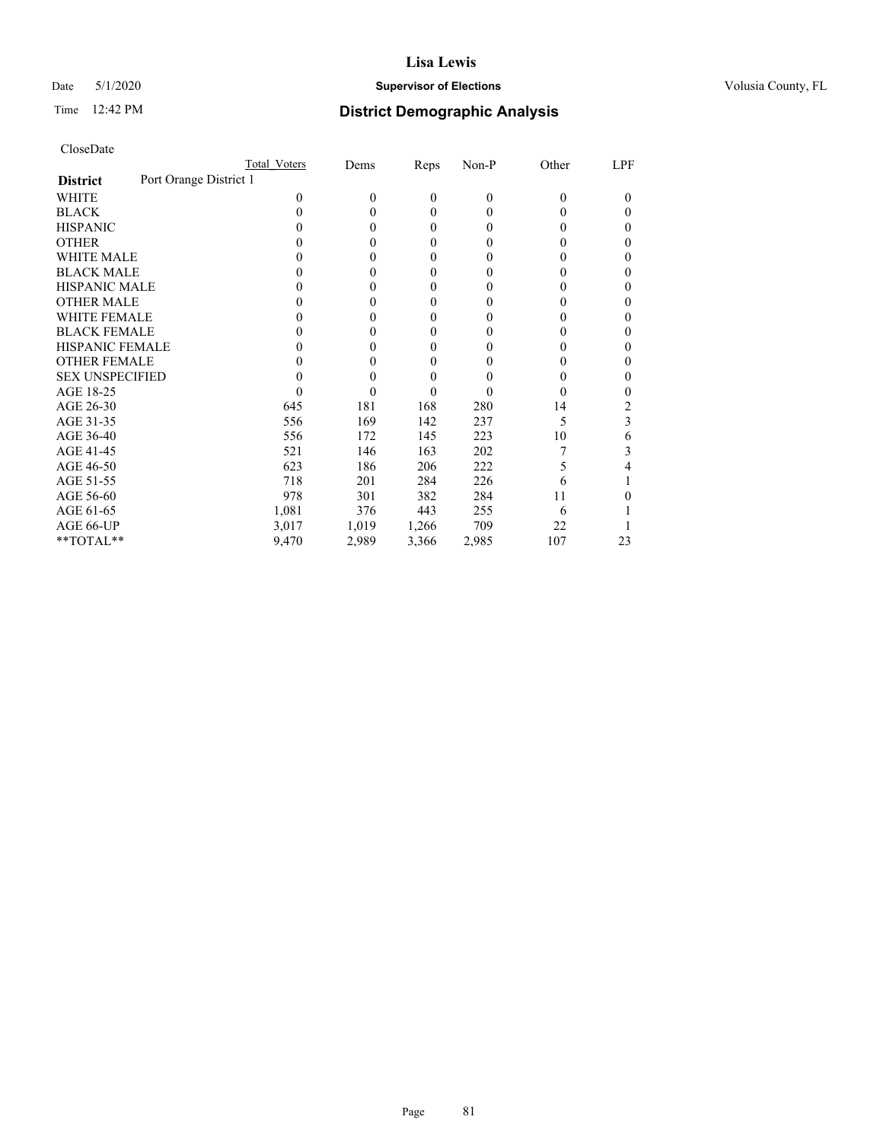### Date 5/1/2020 **Supervisor of Elections Supervisor of Elections** Volusia County, FL

## Time 12:42 PM **District Demographic Analysis**

|                                           | Total Voters | Dems     | Reps     | Non-P        | Other    | LPF |
|-------------------------------------------|--------------|----------|----------|--------------|----------|-----|
| Port Orange District 1<br><b>District</b> |              |          |          |              |          |     |
| WHITE                                     | 0            | $\Omega$ | $\theta$ | $\mathbf{0}$ | $\Omega$ | 0   |
| <b>BLACK</b>                              | 0            | 0        | $\Omega$ | $\theta$     | 0        | 0   |
| <b>HISPANIC</b>                           | $\theta$     | 0        | $\Omega$ | $\theta$     | 0        | 0   |
| <b>OTHER</b>                              |              |          | 0        | 0            |          | 0   |
| WHITE MALE                                |              |          | 0        | 0            | 0        | 0   |
| <b>BLACK MALE</b>                         |              |          | 0        | 0            |          | 0   |
| <b>HISPANIC MALE</b>                      |              |          | 0        | 0            |          | 0   |
| <b>OTHER MALE</b>                         |              | 0        | 0        | 0            |          | 0   |
| <b>WHITE FEMALE</b>                       |              |          | 0        | 0            |          | 0   |
| <b>BLACK FEMALE</b>                       |              |          | $\Omega$ | 0            | 0        | 0   |
| <b>HISPANIC FEMALE</b>                    |              |          | 0        | 0            |          | 0   |
| <b>OTHER FEMALE</b>                       |              |          | 0        | 0            | 0        | 0   |
| <b>SEX UNSPECIFIED</b>                    |              |          | 0        | 0            |          | 0   |
| AGE 18-25                                 |              |          | 0        | $\theta$     |          | 0   |
| AGE 26-30                                 | 645          | 181      | 168      | 280          | 14       | 2   |
| AGE 31-35                                 | 556          | 169      | 142      | 237          | 5        | 3   |
| AGE 36-40                                 | 556          | 172      | 145      | 223          | 10       | 6   |
| AGE 41-45                                 | 521          | 146      | 163      | 202          |          | 3   |
| AGE 46-50                                 | 623          | 186      | 206      | 222          | 5        | 4   |
| AGE 51-55                                 | 718          | 201      | 284      | 226          | 6        |     |
| AGE 56-60                                 | 978          | 301      | 382      | 284          | 11       |     |
| AGE 61-65                                 | 1,081        | 376      | 443      | 255          | 6        |     |
| AGE 66-UP                                 | 3,017        | 1,019    | 1,266    | 709          | 22       |     |
| **TOTAL**                                 | 9,470        | 2,989    | 3,366    | 2,985        | 107      | 23  |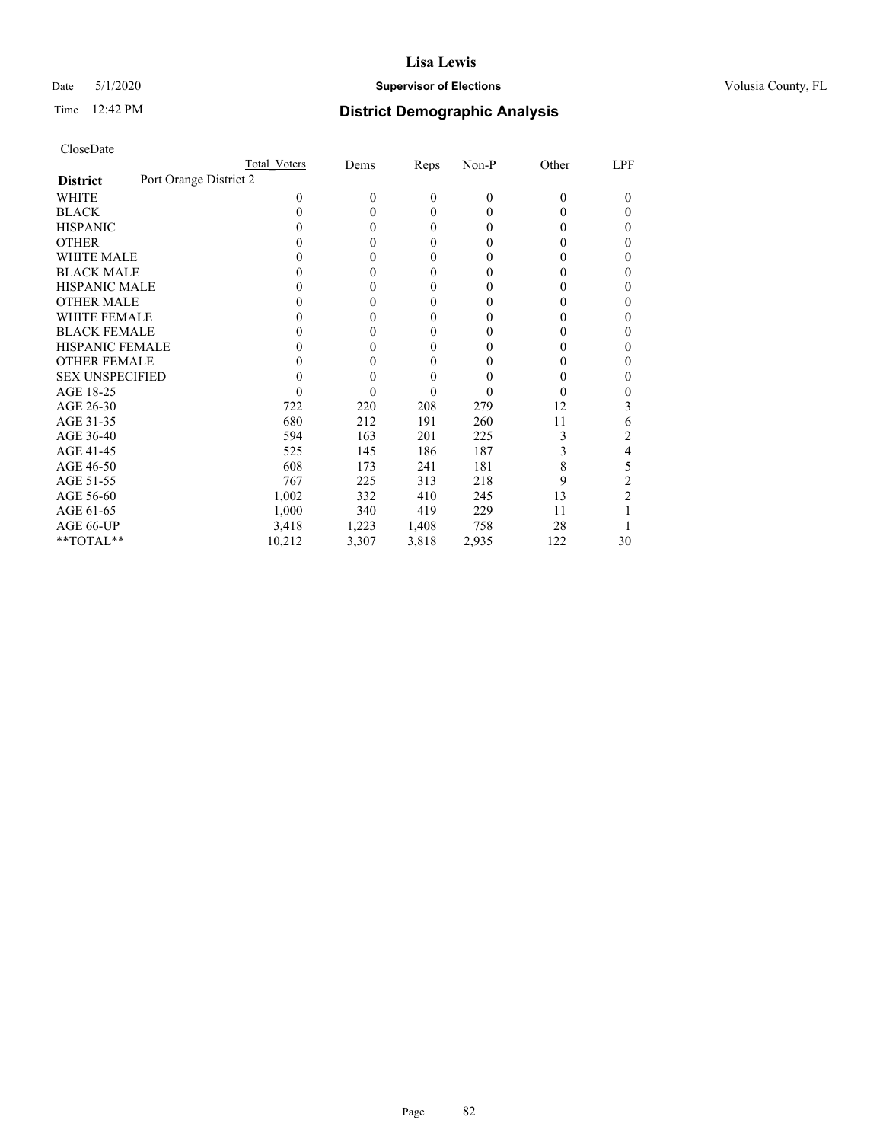## Date 5/1/2020 **Supervisor of Elections Supervisor of Elections** Volusia County, FL

|                                           | Total Voters | Dems     | Reps  | $Non-P$  | Other | LPF |
|-------------------------------------------|--------------|----------|-------|----------|-------|-----|
| Port Orange District 2<br><b>District</b> |              |          |       |          |       |     |
| WHITE                                     | 0            | $\theta$ | 0     | $\theta$ | 0     | 0   |
| <b>BLACK</b>                              | 0            | 0        | 0     | 0        | 0     | 0   |
| <b>HISPANIC</b>                           |              | 0        | 0     | 0        | 0     | 0   |
| <b>OTHER</b>                              |              | 0        | 0     | 0        |       | 0   |
| <b>WHITE MALE</b>                         |              | 0        | 0     | 0        |       |     |
| <b>BLACK MALE</b>                         |              | 0        | 0     | 0        |       | 0   |
| <b>HISPANIC MALE</b>                      |              | 0        | 0     | $_{0}$   |       |     |
| <b>OTHER MALE</b>                         |              | 0        | 0     | $_{0}$   |       | 0   |
| <b>WHITE FEMALE</b>                       |              | 0        | 0     | $\theta$ |       |     |
| <b>BLACK FEMALE</b>                       |              | 0        | 0     | $_{0}$   | 0     | 0   |
| HISPANIC FEMALE                           |              | 0        | 0     | $_{0}$   |       | 0   |
| <b>OTHER FEMALE</b>                       |              | 0        | 0     | 0        |       | 0   |
| <b>SEX UNSPECIFIED</b>                    |              | 0        | 0     | 0        |       |     |
| AGE 18-25                                 |              | 0        | 0     | 0        | 0     |     |
| AGE 26-30                                 | 722          | 220      | 208   | 279      | 12    | 3   |
| AGE 31-35                                 | 680          | 212      | 191   | 260      | 11    | 6   |
| AGE 36-40                                 | 594          | 163      | 201   | 225      |       | 2   |
| AGE 41-45                                 | 525          | 145      | 186   | 187      |       | 4   |
| AGE 46-50                                 | 608          | 173      | 241   | 181      | 8     | 5   |
| AGE 51-55                                 | 767          | 225      | 313   | 218      | 9     | 2   |
| AGE 56-60                                 | 1,002        | 332      | 410   | 245      | 13    | 2   |
| AGE 61-65                                 | 1,000        | 340      | 419   | 229      | 11    |     |
| AGE 66-UP                                 | 3,418        | 1,223    | 1,408 | 758      | 28    |     |
| **TOTAL**                                 | 10,212       | 3,307    | 3,818 | 2,935    | 122   | 30  |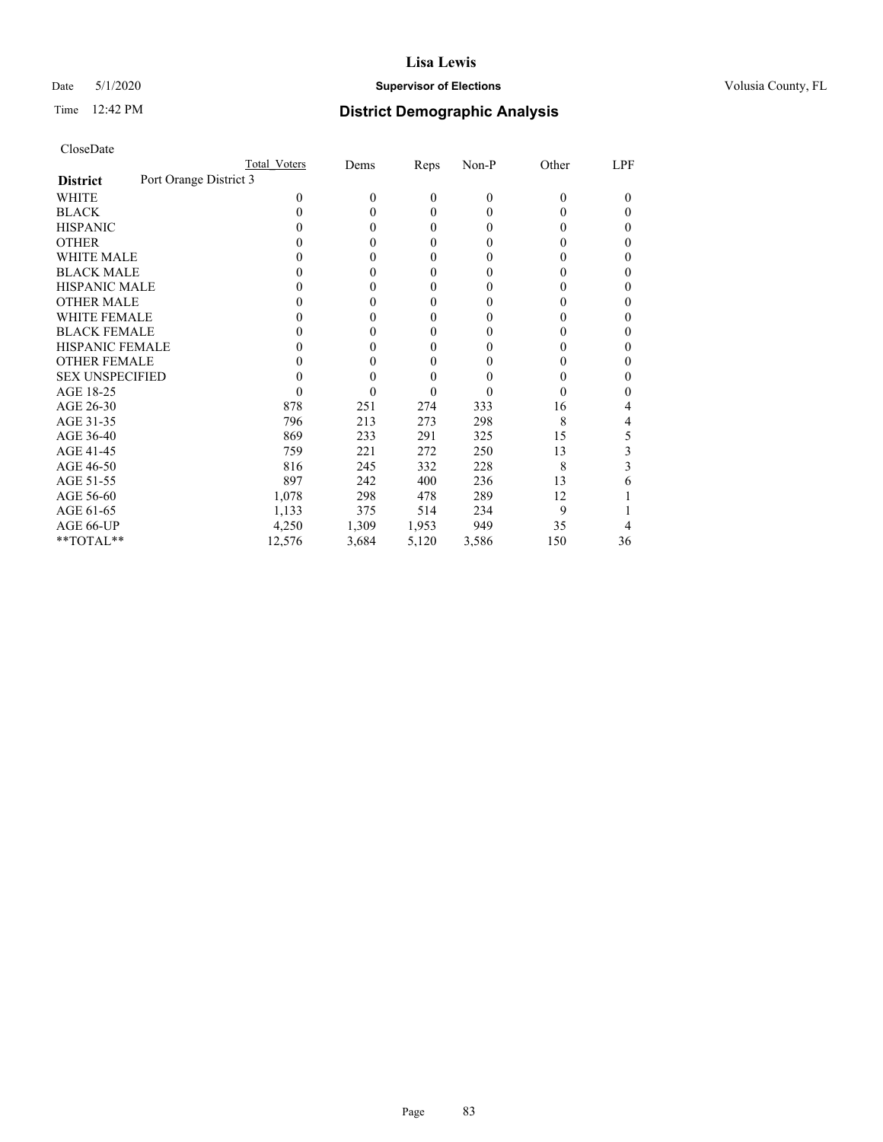### Date 5/1/2020 **Supervisor of Elections Supervisor of Elections** Volusia County, FL

## Time 12:42 PM **District Demographic Analysis**

|                                           | Total Voters | Dems     | Reps             | Non-P          | Other | LPF    |
|-------------------------------------------|--------------|----------|------------------|----------------|-------|--------|
| Port Orange District 3<br><b>District</b> |              |          |                  |                |       |        |
| WHITE                                     | $\Omega$     | $\theta$ | $\mathbf{0}$     | $\overline{0}$ | 0     | $_{0}$ |
| <b>BLACK</b>                              | 0            | $\theta$ | $\theta$         | $\Omega$       | 0     | 0      |
| <b>HISPANIC</b>                           | $_{0}$       | $\theta$ | $\mathbf{0}$     | $\Omega$       | 0     | 0      |
| <b>OTHER</b>                              |              | 0        | 0                | 0              | 0     | 0      |
| WHITE MALE                                |              | 0        | 0                | 0              | 0     |        |
| <b>BLACK MALE</b>                         |              | 0        | $\boldsymbol{0}$ | $_{0}$         | 0     | 0      |
| <b>HISPANIC MALE</b>                      |              | 0        | $\boldsymbol{0}$ | 0              | 0     |        |
| <b>OTHER MALE</b>                         | 0            | 0        | 0                | $_{0}$         | 0     | 0      |
| <b>WHITE FEMALE</b>                       | 0            | 0        | 0                | 0              | 0     |        |
| <b>BLACK FEMALE</b>                       | $_{0}$       | 0        | 0                | 0              | 0     | 0      |
| <b>HISPANIC FEMALE</b>                    |              | 0        | 0                | 0              |       | 0      |
| <b>OTHER FEMALE</b>                       | 0            | 0        | 0                | $_{0}$         | 0     | 0      |
| <b>SEX UNSPECIFIED</b>                    |              | 0        | $\overline{0}$   |                |       |        |
| AGE 18-25                                 | 0            | 0        | 0                |                | 0     |        |
| AGE 26-30                                 | 878          | 251      | 274              | 333            | 16    |        |
| AGE 31-35                                 | 796          | 213      | 273              | 298            | 8     | 4      |
| AGE 36-40                                 | 869          | 233      | 291              | 325            | 15    | 5      |
| AGE 41-45                                 | 759          | 221      | 272              | 250            | 13    | 3      |
| AGE 46-50                                 | 816          | 245      | 332              | 228            | 8     | 3      |
| AGE 51-55                                 | 897          | 242      | 400              | 236            | 13    | 6      |
| AGE 56-60                                 | 1,078        | 298      | 478              | 289            | 12    |        |
| AGE 61-65                                 | 1,133        | 375      | 514              | 234            | 9     |        |
| AGE 66-UP                                 | 4,250        | 1,309    | 1,953            | 949            | 35    |        |
| **TOTAL**                                 | 12,576       | 3,684    | 5,120            | 3,586          | 150   | 36     |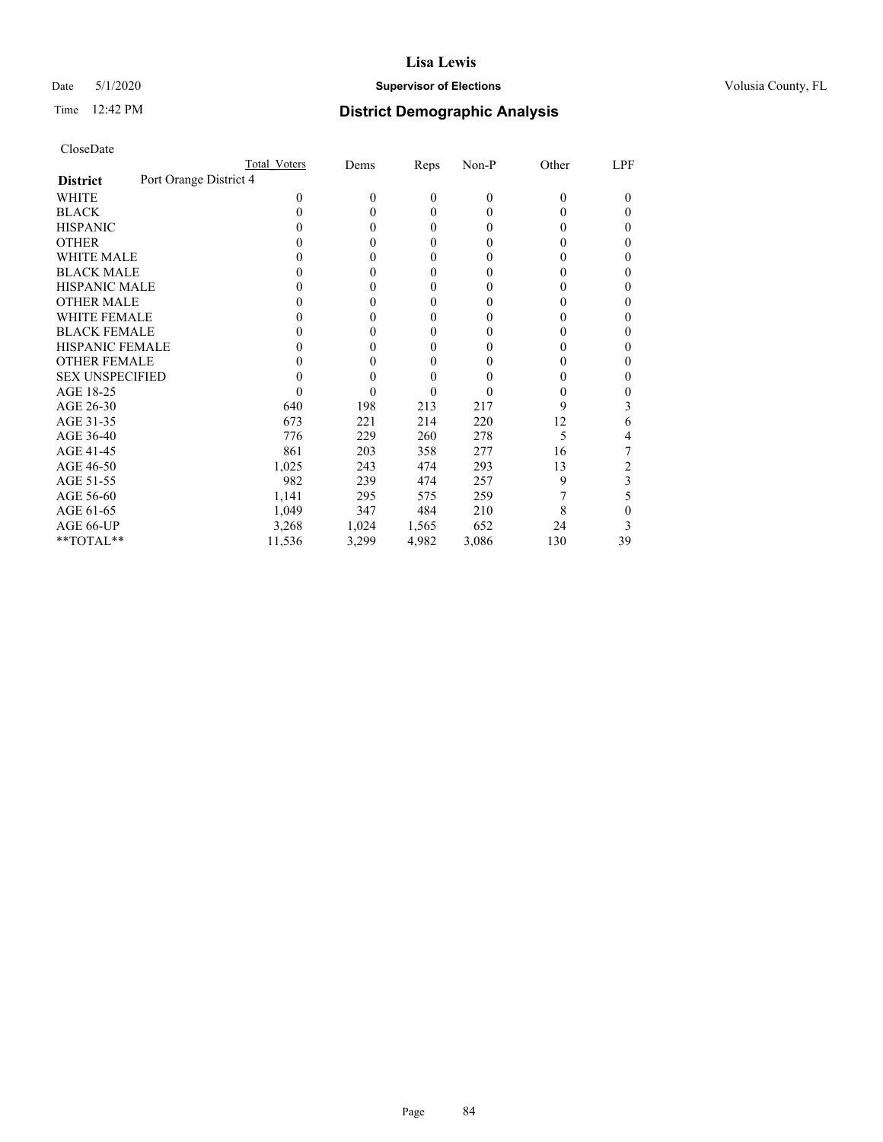## Date 5/1/2020 **Supervisor of Elections Supervisor of Elections** Volusia County, FL

## Time 12:42 PM **District Demographic Analysis**

|                                           | Total Voters | Dems     | Reps         | Non-P          | Other | LPF      |
|-------------------------------------------|--------------|----------|--------------|----------------|-------|----------|
| Port Orange District 4<br><b>District</b> |              |          |              |                |       |          |
| WHITE                                     | 0            | $\theta$ | $\mathbf{0}$ | $\overline{0}$ | 0     | $\theta$ |
| <b>BLACK</b>                              | 0            | 0        | $\theta$     | 0              | 0     | 0        |
| <b>HISPANIC</b>                           | 0            | 0        | $\theta$     | 0              | 0     | 0        |
| <b>OTHER</b>                              |              | 0        | $\theta$     | 0              |       | 0        |
| WHITE MALE                                |              | 0        | $\theta$     | $\theta$       |       | 0        |
| <b>BLACK MALE</b>                         |              | 0        | $\theta$     | $\theta$       |       | 0        |
| <b>HISPANIC MALE</b>                      |              | 0        | $\theta$     | 0              |       | 0        |
| <b>OTHER MALE</b>                         |              | 0        | $\theta$     | 0              |       | 0        |
| <b>WHITE FEMALE</b>                       |              | 0        | 0            | 0              |       |          |
| <b>BLACK FEMALE</b>                       | 0            | 0        | $\theta$     | 0              |       | 0        |
| <b>HISPANIC FEMALE</b>                    |              | 0        | 0            | 0              |       | 0        |
| <b>OTHER FEMALE</b>                       |              | 0        | $\theta$     | $\theta$       |       | 0        |
| <b>SEX UNSPECIFIED</b>                    |              | 0        | 0            |                |       | 0        |
| AGE 18-25                                 |              | 0        | 0            | $\theta$       |       |          |
| AGE 26-30                                 | 640          | 198      | 213          | 217            | 9     | 3        |
| AGE 31-35                                 | 673          | 221      | 214          | 220            | 12    | 6        |
| AGE 36-40                                 | 776          | 229      | 260          | 278            | 5     | 4        |
| AGE 41-45                                 | 861          | 203      | 358          | 277            | 16    |          |
| AGE 46-50                                 | 1,025        | 243      | 474          | 293            | 13    | 2        |
| AGE 51-55                                 | 982          | 239      | 474          | 257            | 9     | 3        |
| AGE 56-60                                 | 1,141        | 295      | 575          | 259            |       | 5        |
| AGE 61-65                                 | 1,049        | 347      | 484          | 210            | 8     | 0        |
| AGE 66-UP                                 | 3,268        | 1,024    | 1,565        | 652            | 24    | 3        |
| **TOTAL**                                 | 11,536       | 3,299    | 4,982        | 3,086          | 130   | 39       |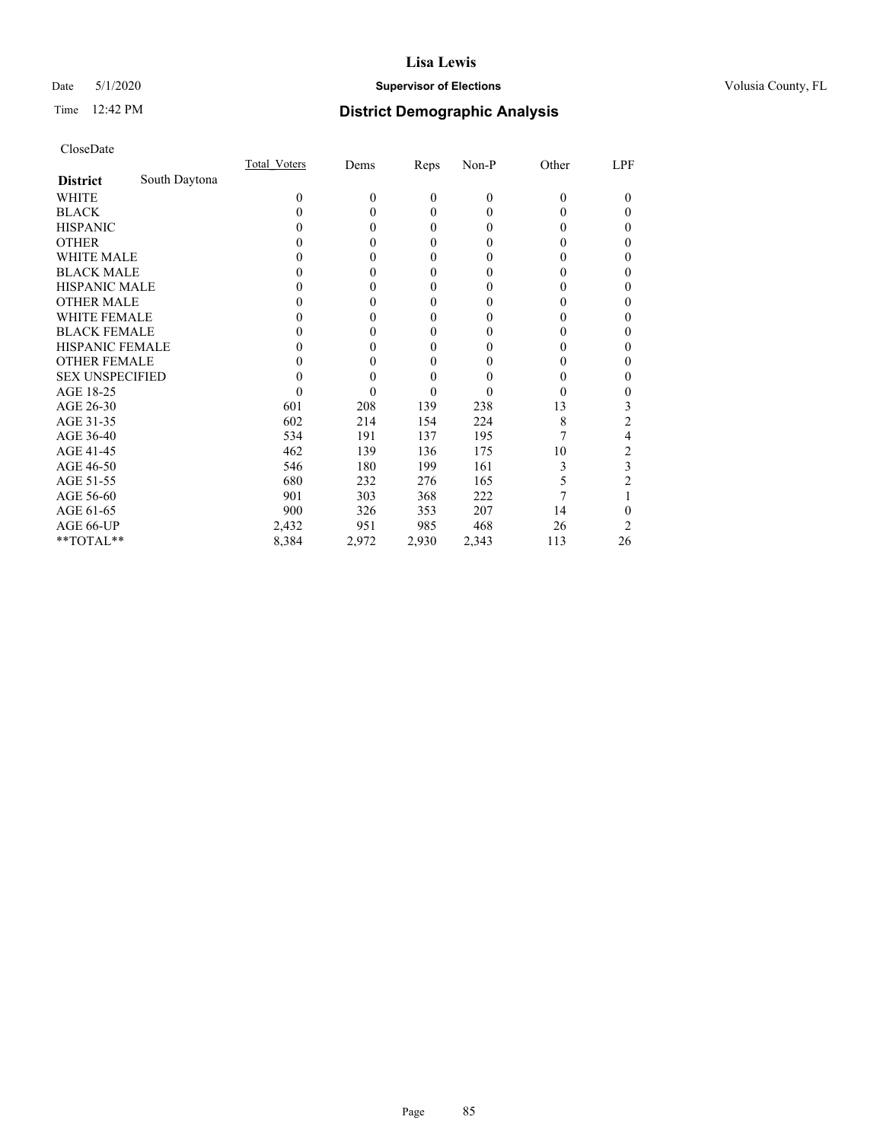### Date 5/1/2020 **Supervisor of Elections Supervisor of Elections** Volusia County, FL

# Time 12:42 PM **District Demographic Analysis**

|                        |               | Total Voters | Dems     | Reps         | Non-P        | Other    | LPF |
|------------------------|---------------|--------------|----------|--------------|--------------|----------|-----|
| <b>District</b>        | South Daytona |              |          |              |              |          |     |
| WHITE                  |               | 0            | $\theta$ | $\mathbf{0}$ | $\mathbf{0}$ | $\Omega$ | 0   |
| <b>BLACK</b>           |               | 0            | 0        | $\theta$     | $\theta$     | $_{0}$   | 0   |
| <b>HISPANIC</b>        |               | $\theta$     | 0        | $\theta$     | $\theta$     | $_{0}$   | 0   |
| <b>OTHER</b>           |               |              |          | 0            | 0            | 0        | 0   |
| WHITE MALE             |               |              |          | 0            | 0            | 0        | 0   |
| <b>BLACK MALE</b>      |               |              | 0        | 0            | 0            | 0        | 0   |
| <b>HISPANIC MALE</b>   |               |              |          | 0            | 0            | 0        | 0   |
| <b>OTHER MALE</b>      |               |              | 0        | $\Omega$     | 0            | 0        | 0   |
| WHITE FEMALE           |               |              |          | 0            | 0            |          | 0   |
| <b>BLACK FEMALE</b>    |               |              | 0        | $\theta$     | 0            | 0        | 0   |
| <b>HISPANIC FEMALE</b> |               |              |          | 0            | 0            | 0        | 0   |
| <b>OTHER FEMALE</b>    |               |              | 0        | 0            | 0            | 0        | 0   |
| <b>SEX UNSPECIFIED</b> |               |              |          | 0            | 0            | 0        | 0   |
| AGE 18-25              |               |              |          | 0            | 0            | $\theta$ | 0   |
| AGE 26-30              |               | 601          | 208      | 139          | 238          | 13       | 3   |
| AGE 31-35              |               | 602          | 214      | 154          | 224          | 8        | 2   |
| AGE 36-40              |               | 534          | 191      | 137          | 195          |          | 4   |
| AGE 41-45              |               | 462          | 139      | 136          | 175          | 10       | 2   |
| AGE 46-50              |               | 546          | 180      | 199          | 161          | 3        | 3   |
| AGE 51-55              |               | 680          | 232      | 276          | 165          | 5        |     |
| AGE 56-60              |               | 901          | 303      | 368          | 222          |          |     |
| AGE 61-65              |               | 900          | 326      | 353          | 207          | 14       | 0   |
| AGE 66-UP              |               | 2,432        | 951      | 985          | 468          | 26       | 2   |
| **TOTAL**              |               | 8,384        | 2,972    | 2,930        | 2,343        | 113      | 26  |